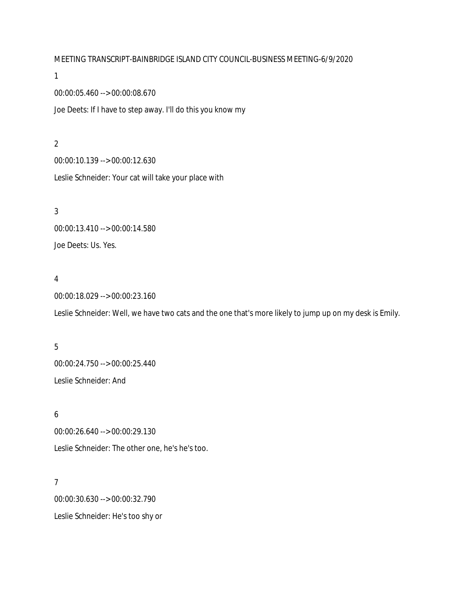MEETING TRANSCRIPT-BAINBRIDGE ISLAND CITY COUNCIL-BUSINESS MEETING-6/9/2020

1

00:00:05.460 --> 00:00:08.670

Joe Deets: If I have to step away. I'll do this you know my

2 00:00:10.139 --> 00:00:12.630 Leslie Schneider: Your cat will take your place with

3 00:00:13.410 --> 00:00:14.580 Joe Deets: Us. Yes.

#### 4

00:00:18.029 --> 00:00:23.160

Leslie Schneider: Well, we have two cats and the one that's more likely to jump up on my desk is Emily.

# 5 00:00:24.750 --> 00:00:25.440 Leslie Schneider: And

6 00:00:26.640 --> 00:00:29.130 Leslie Schneider: The other one, he's he's too.

7 00:00:30.630 --> 00:00:32.790 Leslie Schneider: He's too shy or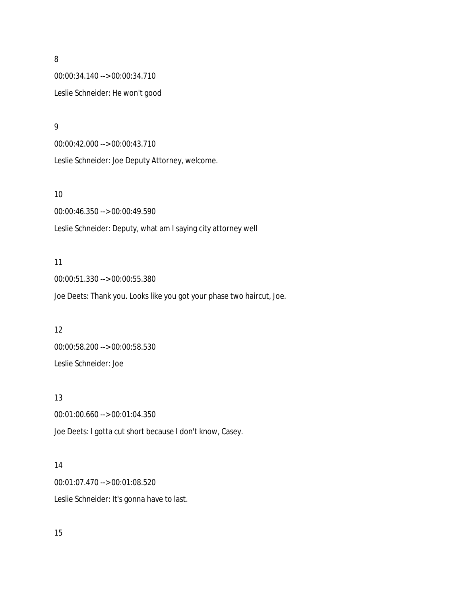00:00:34.140 --> 00:00:34.710 Leslie Schneider: He won't good

9

00:00:42.000 --> 00:00:43.710

Leslie Schneider: Joe Deputy Attorney, welcome.

#### 10

00:00:46.350 --> 00:00:49.590 Leslie Schneider: Deputy, what am I saying city attorney well

#### 11

00:00:51.330 --> 00:00:55.380 Joe Deets: Thank you. Looks like you got your phase two haircut, Joe.

#### 12

00:00:58.200 --> 00:00:58.530 Leslie Schneider: Joe

#### 13

00:01:00.660 --> 00:01:04.350 Joe Deets: I gotta cut short because I don't know, Casey.

### 14

00:01:07.470 --> 00:01:08.520 Leslie Schneider: It's gonna have to last.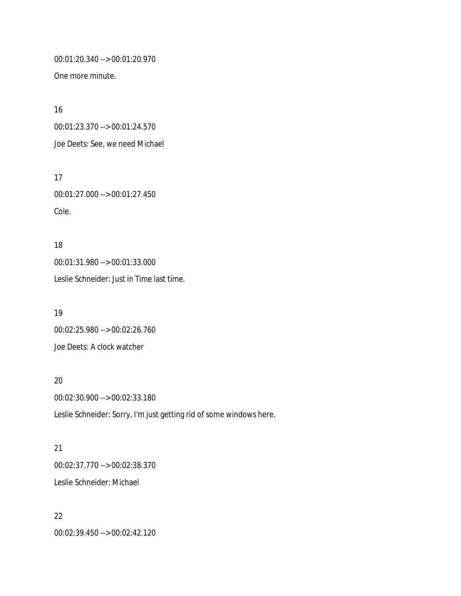00:01:20.340 --> 00:01:20.970

One more minute.

17

16 00:01:23.370 --> 00:01:24.570 Joe Deets: See, we need Michael

00:01:27.000 --> 00:01:27.450 Cole.

18 00:01:31.980 --> 00:01:33.000 Leslie Schneider: Just in Time last time.

19 00:02:25.980 --> 00:02:26.760 Joe Deets: A clock watcher

20 00:02:30.900 --> 00:02:33.180 Leslie Schneider: Sorry, I'm just getting rid of some windows here.

21 00:02:37.770 --> 00:02:38.370 Leslie Schneider: Michael

22 00:02:39.450 --> 00:02:42.120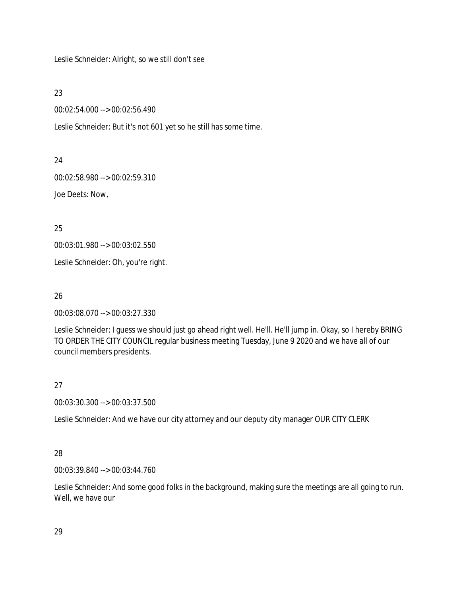Leslie Schneider: Alright, so we still don't see

23

00:02:54.000 --> 00:02:56.490

Leslie Schneider: But it's not 601 yet so he still has some time.

24

00:02:58.980 --> 00:02:59.310

Joe Deets: Now,

25

00:03:01.980 --> 00:03:02.550

Leslie Schneider: Oh, you're right.

26

00:03:08.070 --> 00:03:27.330

Leslie Schneider: I guess we should just go ahead right well. He'll. He'll jump in. Okay, so I hereby BRING TO ORDER THE CITY COUNCIL regular business meeting Tuesday, June 9 2020 and we have all of our council members presidents.

### 27

00:03:30.300 --> 00:03:37.500

Leslie Schneider: And we have our city attorney and our deputy city manager OUR CITY CLERK

### 28

00:03:39.840 --> 00:03:44.760

Leslie Schneider: And some good folks in the background, making sure the meetings are all going to run. Well, we have our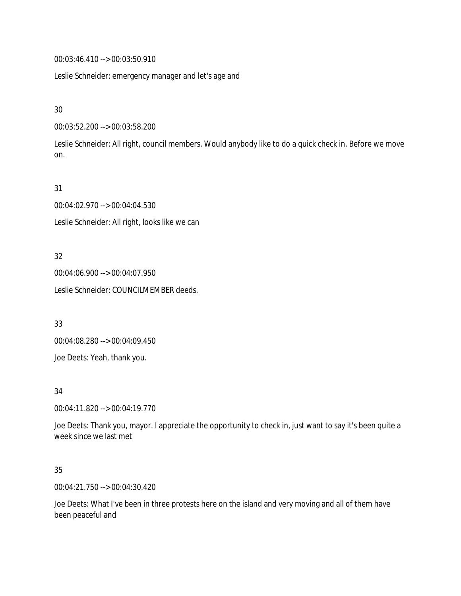00:03:46.410 --> 00:03:50.910

Leslie Schneider: emergency manager and let's age and

30

00:03:52.200 --> 00:03:58.200

Leslie Schneider: All right, council members. Would anybody like to do a quick check in. Before we move on.

31

00:04:02.970 --> 00:04:04.530 Leslie Schneider: All right, looks like we can

32

00:04:06.900 --> 00:04:07.950 Leslie Schneider: COUNCILMEMBER deeds.

33

00:04:08.280 --> 00:04:09.450

Joe Deets: Yeah, thank you.

34

00:04:11.820 --> 00:04:19.770

Joe Deets: Thank you, mayor. I appreciate the opportunity to check in, just want to say it's been quite a week since we last met

35

00:04:21.750 --> 00:04:30.420

Joe Deets: What I've been in three protests here on the island and very moving and all of them have been peaceful and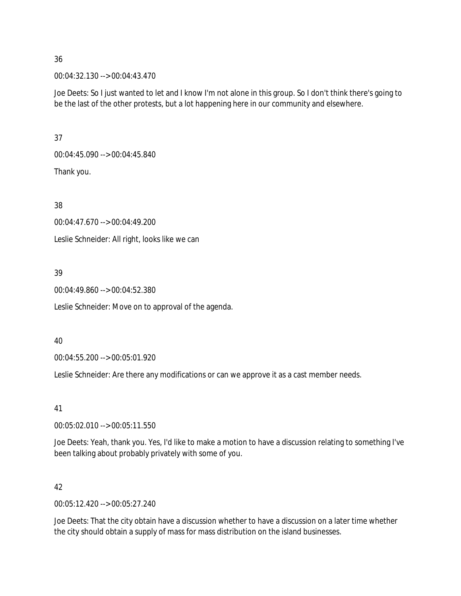00:04:32.130 --> 00:04:43.470

Joe Deets: So I just wanted to let and I know I'm not alone in this group. So I don't think there's going to be the last of the other protests, but a lot happening here in our community and elsewhere.

37

00:04:45.090 --> 00:04:45.840

Thank you.

38

00:04:47.670 --> 00:04:49.200

Leslie Schneider: All right, looks like we can

### 39

00:04:49.860 --> 00:04:52.380

Leslie Schneider: Move on to approval of the agenda.

### 40

00:04:55.200 --> 00:05:01.920

Leslie Schneider: Are there any modifications or can we approve it as a cast member needs.

### 41

00:05:02.010 --> 00:05:11.550

Joe Deets: Yeah, thank you. Yes, I'd like to make a motion to have a discussion relating to something I've been talking about probably privately with some of you.

### 42

00:05:12.420 --> 00:05:27.240

Joe Deets: That the city obtain have a discussion whether to have a discussion on a later time whether the city should obtain a supply of mass for mass distribution on the island businesses.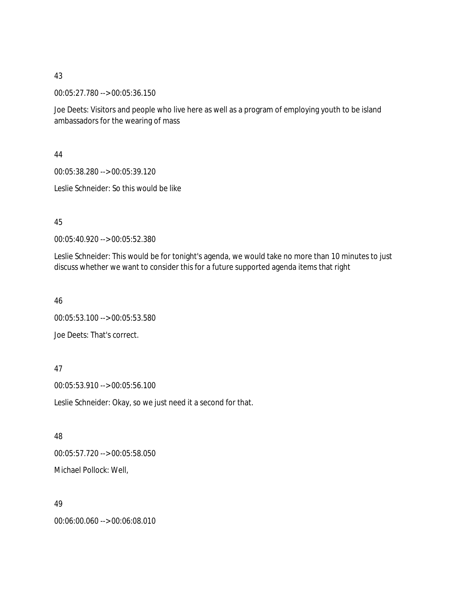00:05:27.780 --> 00:05:36.150

Joe Deets: Visitors and people who live here as well as a program of employing youth to be island ambassadors for the wearing of mass

44

00:05:38.280 --> 00:05:39.120

Leslie Schneider: So this would be like

### 45

00:05:40.920 --> 00:05:52.380

Leslie Schneider: This would be for tonight's agenda, we would take no more than 10 minutes to just discuss whether we want to consider this for a future supported agenda items that right

46

00:05:53.100 --> 00:05:53.580 Joe Deets: That's correct.

### 47

00:05:53.910 --> 00:05:56.100

Leslie Schneider: Okay, so we just need it a second for that.

48

00:05:57.720 --> 00:05:58.050 Michael Pollock: Well,

#### 49

00:06:00.060 --> 00:06:08.010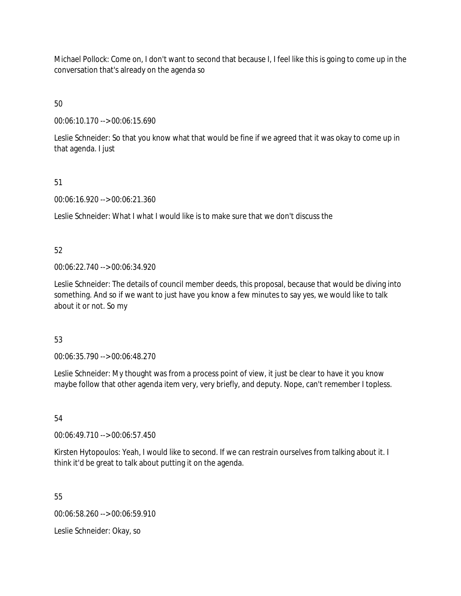Michael Pollock: Come on, I don't want to second that because I, I feel like this is going to come up in the conversation that's already on the agenda so

### 50

00:06:10.170 --> 00:06:15.690

Leslie Schneider: So that you know what that would be fine if we agreed that it was okay to come up in that agenda. I just

### 51

00:06:16.920 --> 00:06:21.360

Leslie Schneider: What I what I would like is to make sure that we don't discuss the

### 52

00:06:22.740 --> 00:06:34.920

Leslie Schneider: The details of council member deeds, this proposal, because that would be diving into something. And so if we want to just have you know a few minutes to say yes, we would like to talk about it or not. So my

### 53

00:06:35.790 --> 00:06:48.270

Leslie Schneider: My thought was from a process point of view, it just be clear to have it you know maybe follow that other agenda item very, very briefly, and deputy. Nope, can't remember I topless.

## 54

00:06:49.710 --> 00:06:57.450

Kirsten Hytopoulos: Yeah, I would like to second. If we can restrain ourselves from talking about it. I think it'd be great to talk about putting it on the agenda.

55

00:06:58.260 --> 00:06:59.910

Leslie Schneider: Okay, so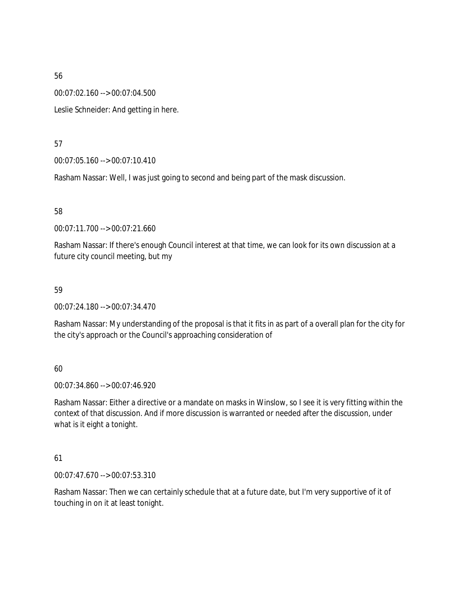00:07:02.160 --> 00:07:04.500

Leslie Schneider: And getting in here.

57

00:07:05.160 --> 00:07:10.410

Rasham Nassar: Well, I was just going to second and being part of the mask discussion.

58

00:07:11.700 --> 00:07:21.660

Rasham Nassar: If there's enough Council interest at that time, we can look for its own discussion at a future city council meeting, but my

#### 59

00:07:24.180 --> 00:07:34.470

Rasham Nassar: My understanding of the proposal is that it fits in as part of a overall plan for the city for the city's approach or the Council's approaching consideration of

#### 60

00:07:34.860 --> 00:07:46.920

Rasham Nassar: Either a directive or a mandate on masks in Winslow, so I see it is very fitting within the context of that discussion. And if more discussion is warranted or needed after the discussion, under what is it eight a tonight.

#### 61

00:07:47.670 --> 00:07:53.310

Rasham Nassar: Then we can certainly schedule that at a future date, but I'm very supportive of it of touching in on it at least tonight.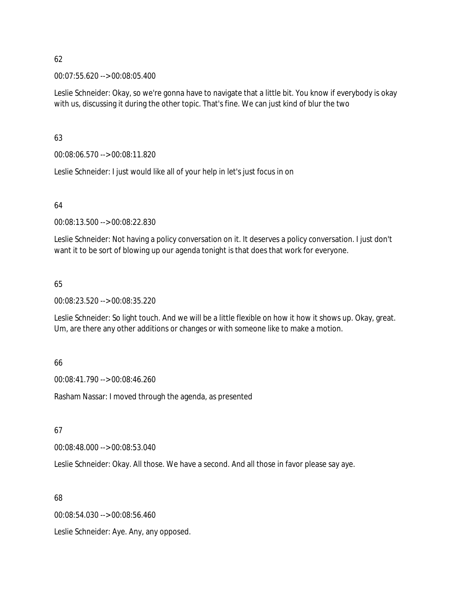00:07:55.620 --> 00:08:05.400

Leslie Schneider: Okay, so we're gonna have to navigate that a little bit. You know if everybody is okay with us, discussing it during the other topic. That's fine. We can just kind of blur the two

63

00:08:06.570 --> 00:08:11.820

Leslie Schneider: I just would like all of your help in let's just focus in on

64

00:08:13.500 --> 00:08:22.830

Leslie Schneider: Not having a policy conversation on it. It deserves a policy conversation. I just don't want it to be sort of blowing up our agenda tonight is that does that work for everyone.

### 65

00:08:23.520 --> 00:08:35.220

Leslie Schneider: So light touch. And we will be a little flexible on how it how it shows up. Okay, great. Um, are there any other additions or changes or with someone like to make a motion.

#### 66

00:08:41.790 --> 00:08:46.260

Rasham Nassar: I moved through the agenda, as presented

67

00:08:48.000 --> 00:08:53.040

Leslie Schneider: Okay. All those. We have a second. And all those in favor please say aye.

68

00:08:54.030 --> 00:08:56.460

Leslie Schneider: Aye. Any, any opposed.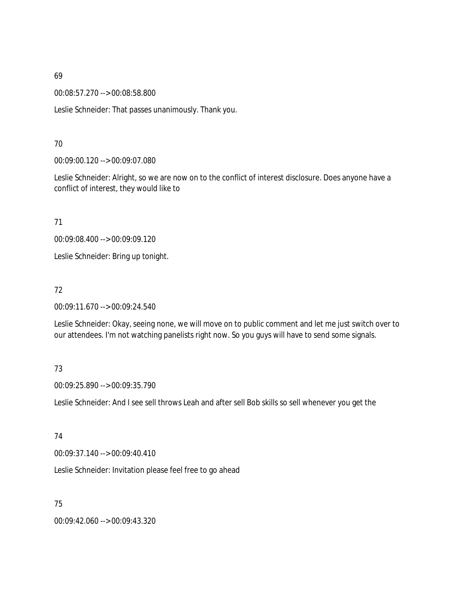00:08:57.270 --> 00:08:58.800

Leslie Schneider: That passes unanimously. Thank you.

### 70

00:09:00.120 --> 00:09:07.080

Leslie Schneider: Alright, so we are now on to the conflict of interest disclosure. Does anyone have a conflict of interest, they would like to

71

00:09:08.400 --> 00:09:09.120

Leslie Schneider: Bring up tonight.

#### 72

00:09:11.670 --> 00:09:24.540

Leslie Schneider: Okay, seeing none, we will move on to public comment and let me just switch over to our attendees. I'm not watching panelists right now. So you guys will have to send some signals.

### 73

00:09:25.890 --> 00:09:35.790

Leslie Schneider: And I see sell throws Leah and after sell Bob skills so sell whenever you get the

#### 74

00:09:37.140 --> 00:09:40.410

Leslie Schneider: Invitation please feel free to go ahead

75

00:09:42.060 --> 00:09:43.320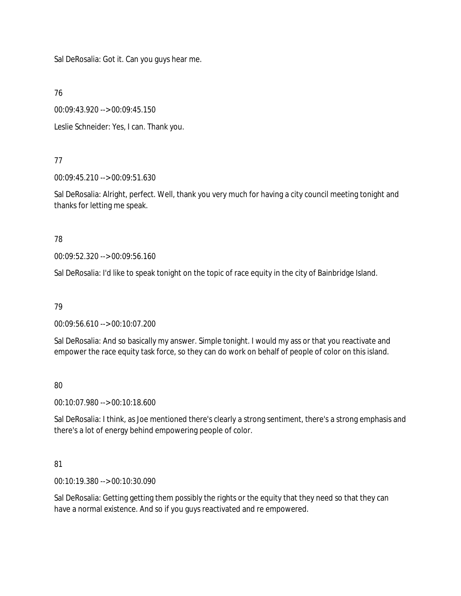Sal DeRosalia: Got it. Can you guys hear me.

76

00:09:43.920 --> 00:09:45.150

Leslie Schneider: Yes, I can. Thank you.

### 77

00:09:45.210 --> 00:09:51.630

Sal DeRosalia: Alright, perfect. Well, thank you very much for having a city council meeting tonight and thanks for letting me speak.

### 78

00:09:52.320 --> 00:09:56.160

Sal DeRosalia: I'd like to speak tonight on the topic of race equity in the city of Bainbridge Island.

### 79

00:09:56.610 --> 00:10:07.200

Sal DeRosalia: And so basically my answer. Simple tonight. I would my ass or that you reactivate and empower the race equity task force, so they can do work on behalf of people of color on this island.

# 80

00:10:07.980 --> 00:10:18.600

Sal DeRosalia: I think, as Joe mentioned there's clearly a strong sentiment, there's a strong emphasis and there's a lot of energy behind empowering people of color.

### 81

00:10:19.380 --> 00:10:30.090

Sal DeRosalia: Getting getting them possibly the rights or the equity that they need so that they can have a normal existence. And so if you guys reactivated and re empowered.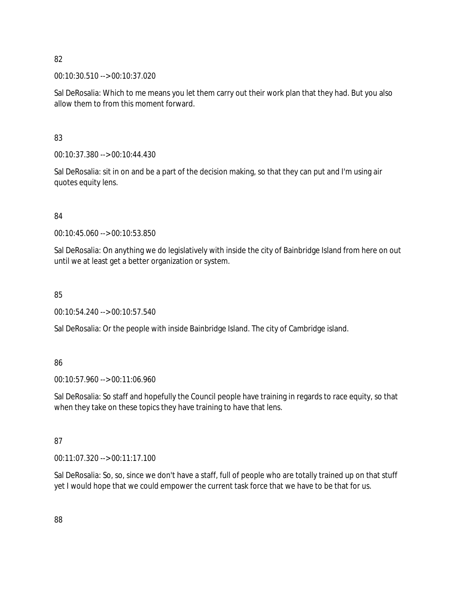00:10:30.510 --> 00:10:37.020

Sal DeRosalia: Which to me means you let them carry out their work plan that they had. But you also allow them to from this moment forward.

83

00:10:37.380 --> 00:10:44.430

Sal DeRosalia: sit in on and be a part of the decision making, so that they can put and I'm using air quotes equity lens.

84

00:10:45.060 --> 00:10:53.850

Sal DeRosalia: On anything we do legislatively with inside the city of Bainbridge Island from here on out until we at least get a better organization or system.

85

00:10:54.240 --> 00:10:57.540

Sal DeRosalia: Or the people with inside Bainbridge Island. The city of Cambridge island.

86

00:10:57.960 --> 00:11:06.960

Sal DeRosalia: So staff and hopefully the Council people have training in regards to race equity, so that when they take on these topics they have training to have that lens.

### 87

00:11:07.320 --> 00:11:17.100

Sal DeRosalia: So, so, since we don't have a staff, full of people who are totally trained up on that stuff yet I would hope that we could empower the current task force that we have to be that for us.

88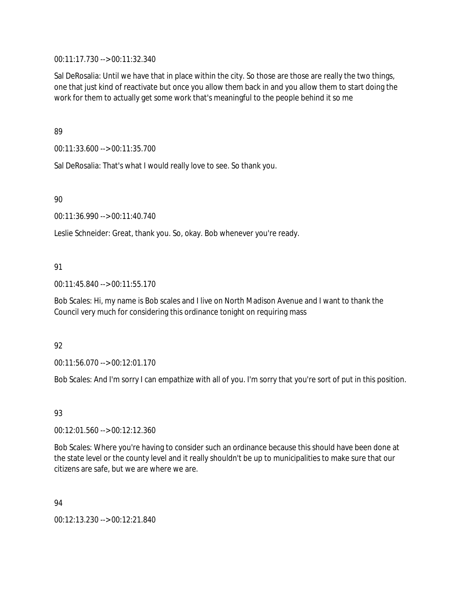00:11:17.730 --> 00:11:32.340

Sal DeRosalia: Until we have that in place within the city. So those are those are really the two things, one that just kind of reactivate but once you allow them back in and you allow them to start doing the work for them to actually get some work that's meaningful to the people behind it so me

89

00:11:33.600 --> 00:11:35.700

Sal DeRosalia: That's what I would really love to see. So thank you.

90

00:11:36.990 --> 00:11:40.740

Leslie Schneider: Great, thank you. So, okay. Bob whenever you're ready.

### 91

00:11:45.840 --> 00:11:55.170

Bob Scales: Hi, my name is Bob scales and I live on North Madison Avenue and I want to thank the Council very much for considering this ordinance tonight on requiring mass

### 92

00:11:56.070 --> 00:12:01.170

Bob Scales: And I'm sorry I can empathize with all of you. I'm sorry that you're sort of put in this position.

### 93

00:12:01.560 --> 00:12:12.360

Bob Scales: Where you're having to consider such an ordinance because this should have been done at the state level or the county level and it really shouldn't be up to municipalities to make sure that our citizens are safe, but we are where we are.

94

00:12:13.230 --> 00:12:21.840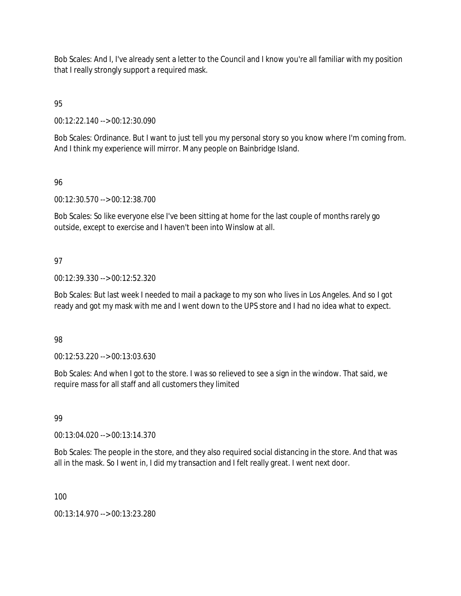Bob Scales: And I, I've already sent a letter to the Council and I know you're all familiar with my position that I really strongly support a required mask.

95

00:12:22.140 --> 00:12:30.090

Bob Scales: Ordinance. But I want to just tell you my personal story so you know where I'm coming from. And I think my experience will mirror. Many people on Bainbridge Island.

### 96

00:12:30.570 --> 00:12:38.700

Bob Scales: So like everyone else I've been sitting at home for the last couple of months rarely go outside, except to exercise and I haven't been into Winslow at all.

### 97

00:12:39.330 --> 00:12:52.320

Bob Scales: But last week I needed to mail a package to my son who lives in Los Angeles. And so I got ready and got my mask with me and I went down to the UPS store and I had no idea what to expect.

### 98

00:12:53.220 --> 00:13:03.630

Bob Scales: And when I got to the store. I was so relieved to see a sign in the window. That said, we require mass for all staff and all customers they limited

### 99

00:13:04.020 --> 00:13:14.370

Bob Scales: The people in the store, and they also required social distancing in the store. And that was all in the mask. So I went in, I did my transaction and I felt really great. I went next door.

100

00:13:14.970 --> 00:13:23.280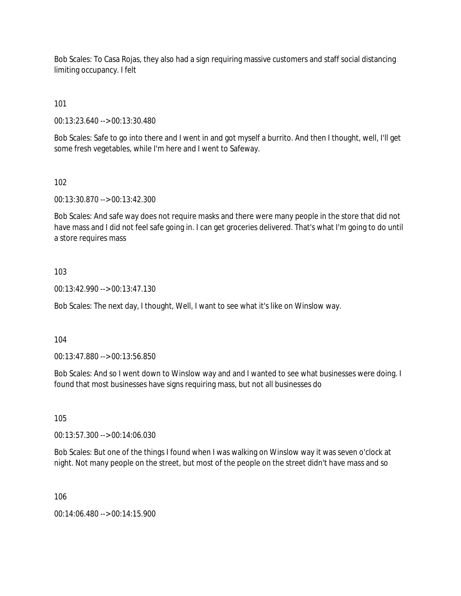Bob Scales: To Casa Rojas, they also had a sign requiring massive customers and staff social distancing limiting occupancy. I felt

101

00:13:23.640 --> 00:13:30.480

Bob Scales: Safe to go into there and I went in and got myself a burrito. And then I thought, well, I'll get some fresh vegetables, while I'm here and I went to Safeway.

102

00:13:30.870 --> 00:13:42.300

Bob Scales: And safe way does not require masks and there were many people in the store that did not have mass and I did not feel safe going in. I can get groceries delivered. That's what I'm going to do until a store requires mass

103

00:13:42.990 --> 00:13:47.130

Bob Scales: The next day, I thought, Well, I want to see what it's like on Winslow way.

104

00:13:47.880 --> 00:13:56.850

Bob Scales: And so I went down to Winslow way and and I wanted to see what businesses were doing. I found that most businesses have signs requiring mass, but not all businesses do

105

00:13:57.300 --> 00:14:06.030

Bob Scales: But one of the things I found when I was walking on Winslow way it was seven o'clock at night. Not many people on the street, but most of the people on the street didn't have mass and so

106

00:14:06.480 --> 00:14:15.900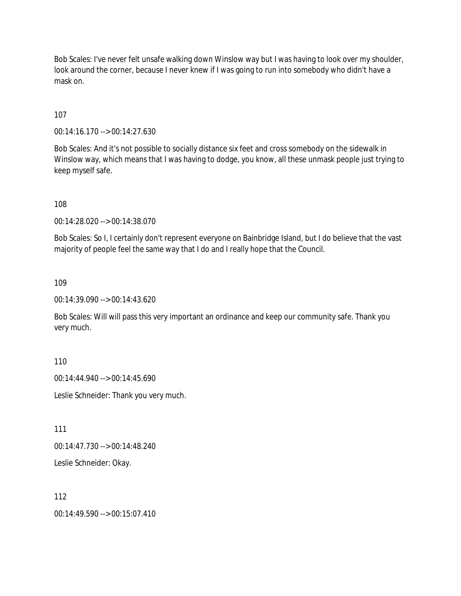Bob Scales: I've never felt unsafe walking down Winslow way but I was having to look over my shoulder, look around the corner, because I never knew if I was going to run into somebody who didn't have a mask on.

107

00:14:16.170 --> 00:14:27.630

Bob Scales: And it's not possible to socially distance six feet and cross somebody on the sidewalk in Winslow way, which means that I was having to dodge, you know, all these unmask people just trying to keep myself safe.

108

00:14:28.020 --> 00:14:38.070

Bob Scales: So I, I certainly don't represent everyone on Bainbridge Island, but I do believe that the vast majority of people feel the same way that I do and I really hope that the Council.

109

00:14:39.090 --> 00:14:43.620

Bob Scales: Will will pass this very important an ordinance and keep our community safe. Thank you very much.

110

00:14:44.940 --> 00:14:45.690

Leslie Schneider: Thank you very much.

111

00:14:47.730 --> 00:14:48.240

Leslie Schneider: Okay.

112

00:14:49.590 --> 00:15:07.410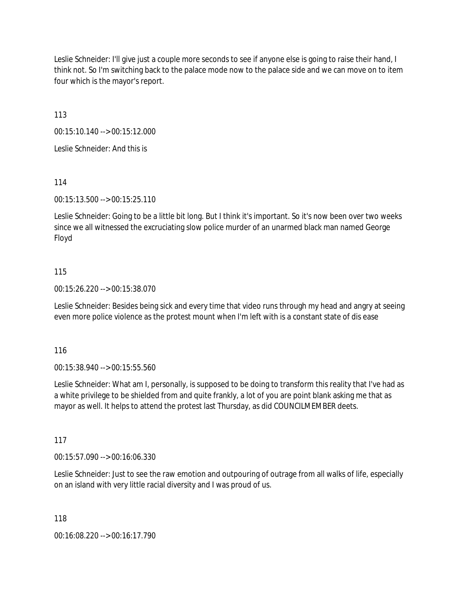Leslie Schneider: I'll give just a couple more seconds to see if anyone else is going to raise their hand, I think not. So I'm switching back to the palace mode now to the palace side and we can move on to item four which is the mayor's report.

113

00:15:10.140 --> 00:15:12.000

Leslie Schneider: And this is

114

00:15:13.500 --> 00:15:25.110

Leslie Schneider: Going to be a little bit long. But I think it's important. So it's now been over two weeks since we all witnessed the excruciating slow police murder of an unarmed black man named George Floyd

#### 115

00:15:26.220 --> 00:15:38.070

Leslie Schneider: Besides being sick and every time that video runs through my head and angry at seeing even more police violence as the protest mount when I'm left with is a constant state of dis ease

116

00:15:38.940 --> 00:15:55.560

Leslie Schneider: What am I, personally, is supposed to be doing to transform this reality that I've had as a white privilege to be shielded from and quite frankly, a lot of you are point blank asking me that as mayor as well. It helps to attend the protest last Thursday, as did COUNCILMEMBER deets.

117

00:15:57.090 --> 00:16:06.330

Leslie Schneider: Just to see the raw emotion and outpouring of outrage from all walks of life, especially on an island with very little racial diversity and I was proud of us.

118

00:16:08.220 --> 00:16:17.790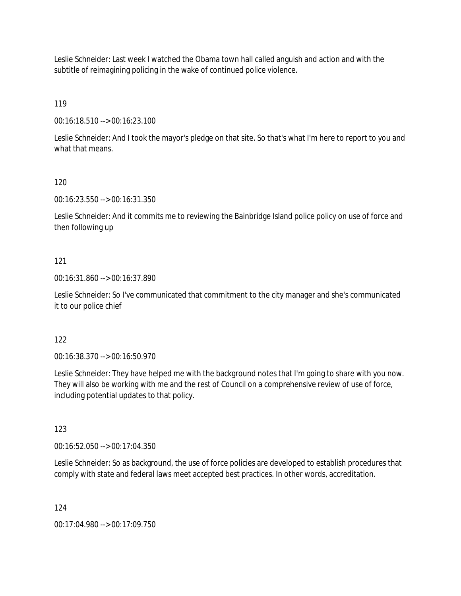Leslie Schneider: Last week I watched the Obama town hall called anguish and action and with the subtitle of reimagining policing in the wake of continued police violence.

119

00:16:18.510 --> 00:16:23.100

Leslie Schneider: And I took the mayor's pledge on that site. So that's what I'm here to report to you and what that means.

### 120

00:16:23.550 --> 00:16:31.350

Leslie Schneider: And it commits me to reviewing the Bainbridge Island police policy on use of force and then following up

### 121

00:16:31.860 --> 00:16:37.890

Leslie Schneider: So I've communicated that commitment to the city manager and she's communicated it to our police chief

### 122

00:16:38.370 --> 00:16:50.970

Leslie Schneider: They have helped me with the background notes that I'm going to share with you now. They will also be working with me and the rest of Council on a comprehensive review of use of force, including potential updates to that policy.

### 123

00:16:52.050 --> 00:17:04.350

Leslie Schneider: So as background, the use of force policies are developed to establish procedures that comply with state and federal laws meet accepted best practices. In other words, accreditation.

124

00:17:04.980 --> 00:17:09.750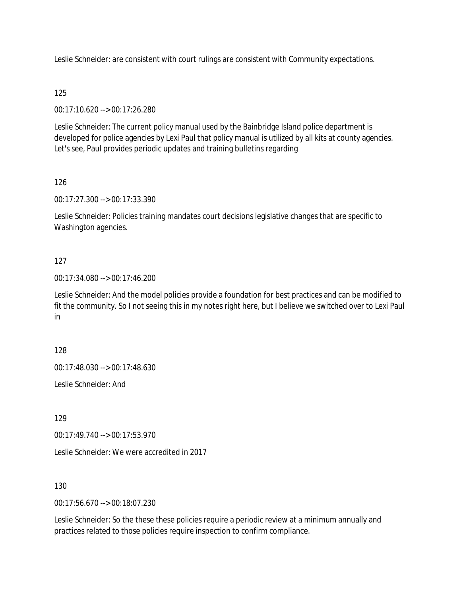Leslie Schneider: are consistent with court rulings are consistent with Community expectations.

### 125

00:17:10.620 --> 00:17:26.280

Leslie Schneider: The current policy manual used by the Bainbridge Island police department is developed for police agencies by Lexi Paul that policy manual is utilized by all kits at county agencies. Let's see, Paul provides periodic updates and training bulletins regarding

### 126

00:17:27.300 --> 00:17:33.390

Leslie Schneider: Policies training mandates court decisions legislative changes that are specific to Washington agencies.

### 127

00:17:34.080 --> 00:17:46.200

Leslie Schneider: And the model policies provide a foundation for best practices and can be modified to fit the community. So I not seeing this in my notes right here, but I believe we switched over to Lexi Paul in

128

00:17:48.030 --> 00:17:48.630

Leslie Schneider: And

129

00:17:49.740 --> 00:17:53.970

Leslie Schneider: We were accredited in 2017

130

00:17:56.670 --> 00:18:07.230

Leslie Schneider: So the these these policies require a periodic review at a minimum annually and practices related to those policies require inspection to confirm compliance.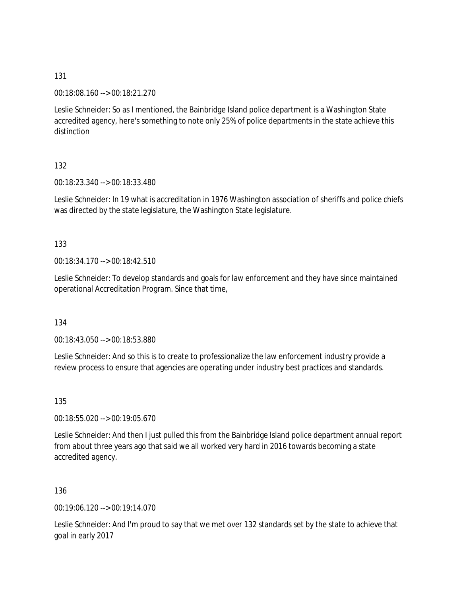00:18:08.160 --> 00:18:21.270

Leslie Schneider: So as I mentioned, the Bainbridge Island police department is a Washington State accredited agency, here's something to note only 25% of police departments in the state achieve this distinction

### 132

00:18:23.340 --> 00:18:33.480

Leslie Schneider: In 19 what is accreditation in 1976 Washington association of sheriffs and police chiefs was directed by the state legislature, the Washington State legislature.

### 133

00:18:34.170 --> 00:18:42.510

Leslie Schneider: To develop standards and goals for law enforcement and they have since maintained operational Accreditation Program. Since that time,

#### 134

00:18:43.050 --> 00:18:53.880

Leslie Schneider: And so this is to create to professionalize the law enforcement industry provide a review process to ensure that agencies are operating under industry best practices and standards.

135

00:18:55.020 --> 00:19:05.670

Leslie Schneider: And then I just pulled this from the Bainbridge Island police department annual report from about three years ago that said we all worked very hard in 2016 towards becoming a state accredited agency.

136

00:19:06.120 --> 00:19:14.070

Leslie Schneider: And I'm proud to say that we met over 132 standards set by the state to achieve that goal in early 2017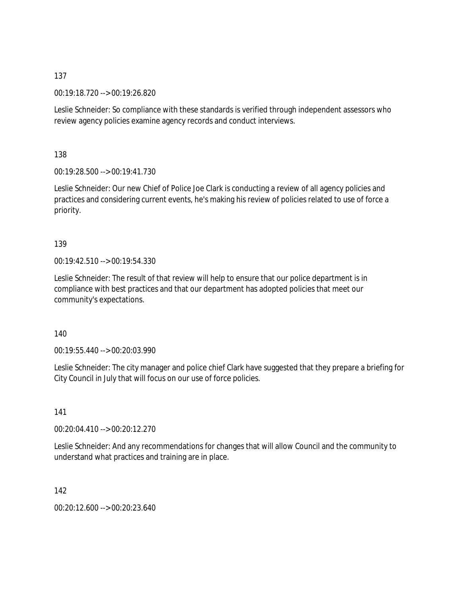00:19:18.720 --> 00:19:26.820

Leslie Schneider: So compliance with these standards is verified through independent assessors who review agency policies examine agency records and conduct interviews.

138

00:19:28.500 --> 00:19:41.730

Leslie Schneider: Our new Chief of Police Joe Clark is conducting a review of all agency policies and practices and considering current events, he's making his review of policies related to use of force a priority.

139

00:19:42.510 --> 00:19:54.330

Leslie Schneider: The result of that review will help to ensure that our police department is in compliance with best practices and that our department has adopted policies that meet our community's expectations.

140

00:19:55.440 --> 00:20:03.990

Leslie Schneider: The city manager and police chief Clark have suggested that they prepare a briefing for City Council in July that will focus on our use of force policies.

141

00:20:04.410 --> 00:20:12.270

Leslie Schneider: And any recommendations for changes that will allow Council and the community to understand what practices and training are in place.

142

00:20:12.600 --> 00:20:23.640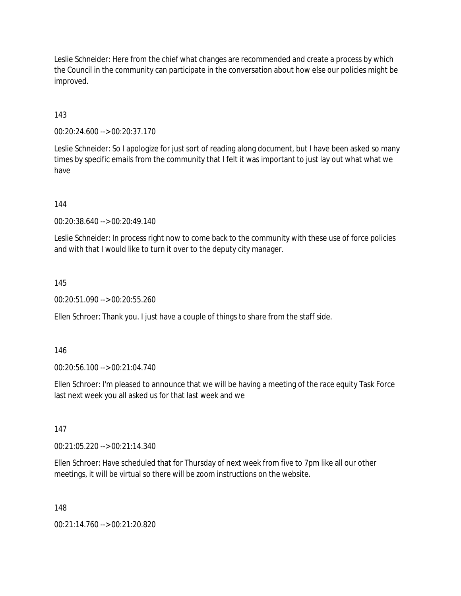Leslie Schneider: Here from the chief what changes are recommended and create a process by which the Council in the community can participate in the conversation about how else our policies might be improved.

143

00:20:24.600 --> 00:20:37.170

Leslie Schneider: So I apologize for just sort of reading along document, but I have been asked so many times by specific emails from the community that I felt it was important to just lay out what what we have

144

00:20:38.640 --> 00:20:49.140

Leslie Schneider: In process right now to come back to the community with these use of force policies and with that I would like to turn it over to the deputy city manager.

145

00:20:51.090 --> 00:20:55.260

Ellen Schroer: Thank you. I just have a couple of things to share from the staff side.

146

00:20:56.100 --> 00:21:04.740

Ellen Schroer: I'm pleased to announce that we will be having a meeting of the race equity Task Force last next week you all asked us for that last week and we

147

00:21:05.220 --> 00:21:14.340

Ellen Schroer: Have scheduled that for Thursday of next week from five to 7pm like all our other meetings, it will be virtual so there will be zoom instructions on the website.

148

00:21:14.760 --> 00:21:20.820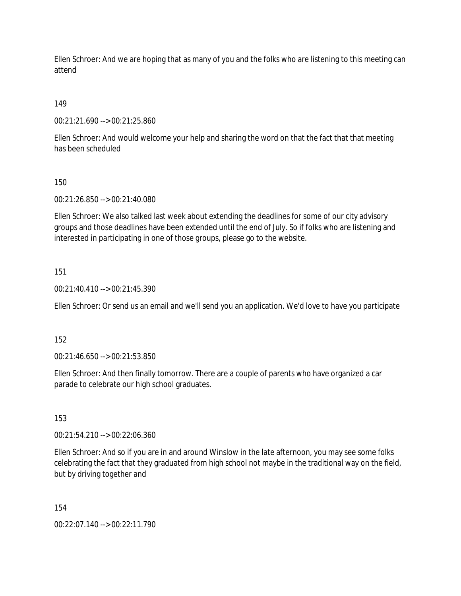Ellen Schroer: And we are hoping that as many of you and the folks who are listening to this meeting can attend

149

00:21:21.690 --> 00:21:25.860

Ellen Schroer: And would welcome your help and sharing the word on that the fact that that meeting has been scheduled

150

00:21:26.850 --> 00:21:40.080

Ellen Schroer: We also talked last week about extending the deadlines for some of our city advisory groups and those deadlines have been extended until the end of July. So if folks who are listening and interested in participating in one of those groups, please go to the website.

151

00:21:40.410 --> 00:21:45.390

Ellen Schroer: Or send us an email and we'll send you an application. We'd love to have you participate

152

00:21:46.650 --> 00:21:53.850

Ellen Schroer: And then finally tomorrow. There are a couple of parents who have organized a car parade to celebrate our high school graduates.

153

00:21:54.210 --> 00:22:06.360

Ellen Schroer: And so if you are in and around Winslow in the late afternoon, you may see some folks celebrating the fact that they graduated from high school not maybe in the traditional way on the field, but by driving together and

154

00:22:07.140 --> 00:22:11.790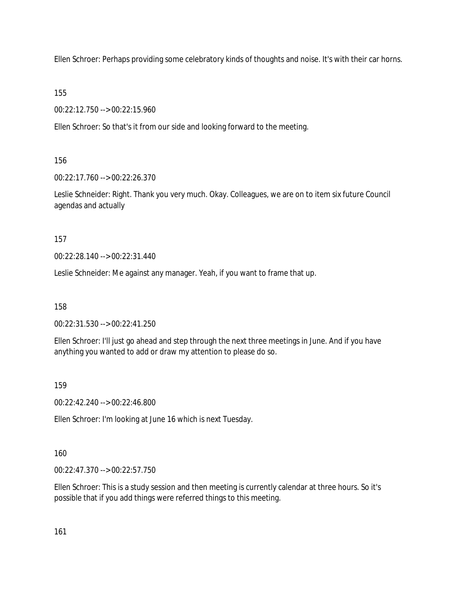Ellen Schroer: Perhaps providing some celebratory kinds of thoughts and noise. It's with their car horns.

155

00:22:12.750 --> 00:22:15.960

Ellen Schroer: So that's it from our side and looking forward to the meeting.

156

00:22:17.760 --> 00:22:26.370

Leslie Schneider: Right. Thank you very much. Okay. Colleagues, we are on to item six future Council agendas and actually

157

00:22:28.140 --> 00:22:31.440

Leslie Schneider: Me against any manager. Yeah, if you want to frame that up.

158

00:22:31.530 --> 00:22:41.250

Ellen Schroer: I'll just go ahead and step through the next three meetings in June. And if you have anything you wanted to add or draw my attention to please do so.

159

00:22:42.240 --> 00:22:46.800

Ellen Schroer: I'm looking at June 16 which is next Tuesday.

160

00:22:47.370 --> 00:22:57.750

Ellen Schroer: This is a study session and then meeting is currently calendar at three hours. So it's possible that if you add things were referred things to this meeting.

161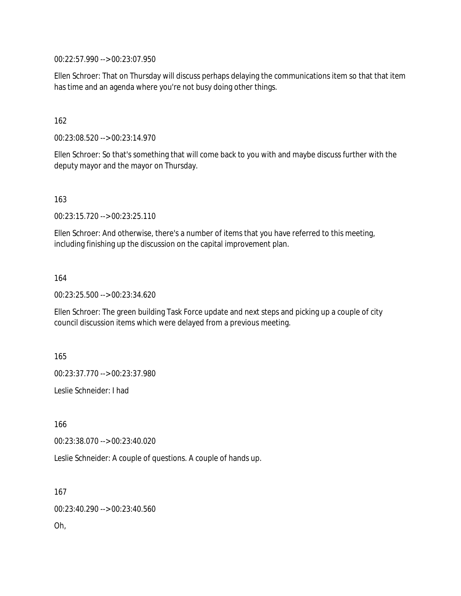00:22:57.990 --> 00:23:07.950

Ellen Schroer: That on Thursday will discuss perhaps delaying the communications item so that that item has time and an agenda where you're not busy doing other things.

#### 162

00:23:08.520 --> 00:23:14.970

Ellen Schroer: So that's something that will come back to you with and maybe discuss further with the deputy mayor and the mayor on Thursday.

163

00:23:15.720 --> 00:23:25.110

Ellen Schroer: And otherwise, there's a number of items that you have referred to this meeting, including finishing up the discussion on the capital improvement plan.

164

00:23:25.500 --> 00:23:34.620

Ellen Schroer: The green building Task Force update and next steps and picking up a couple of city council discussion items which were delayed from a previous meeting.

165

00:23:37.770 --> 00:23:37.980

Leslie Schneider: I had

166

00:23:38.070 --> 00:23:40.020

Leslie Schneider: A couple of questions. A couple of hands up.

167

00:23:40.290 --> 00:23:40.560

Oh,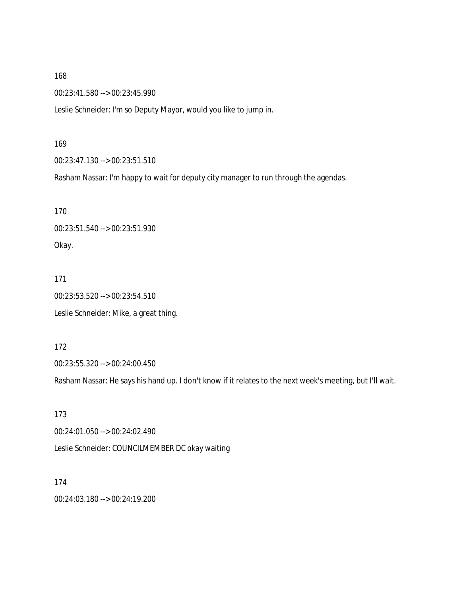00:23:41.580 --> 00:23:45.990

Leslie Schneider: I'm so Deputy Mayor, would you like to jump in.

#### 169

00:23:47.130 --> 00:23:51.510

Rasham Nassar: I'm happy to wait for deputy city manager to run through the agendas.

170 00:23:51.540 --> 00:23:51.930 Okay.

171 00:23:53.520 --> 00:23:54.510 Leslie Schneider: Mike, a great thing.

172

00:23:55.320 --> 00:24:00.450

Rasham Nassar: He says his hand up. I don't know if it relates to the next week's meeting, but I'll wait.

173 00:24:01.050 --> 00:24:02.490 Leslie Schneider: COUNCILMEMBER DC okay waiting

174 00:24:03.180 --> 00:24:19.200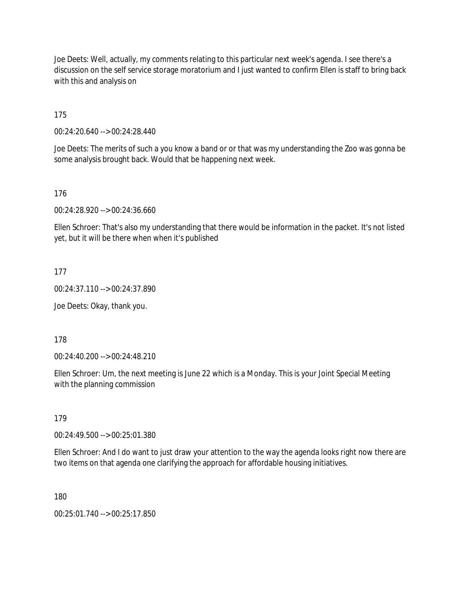Joe Deets: Well, actually, my comments relating to this particular next week's agenda. I see there's a discussion on the self service storage moratorium and I just wanted to confirm Ellen is staff to bring back with this and analysis on

175

00:24:20.640 --> 00:24:28.440

Joe Deets: The merits of such a you know a band or or that was my understanding the Zoo was gonna be some analysis brought back. Would that be happening next week.

176

00:24:28.920 --> 00:24:36.660

Ellen Schroer: That's also my understanding that there would be information in the packet. It's not listed yet, but it will be there when when it's published

177

00:24:37.110 --> 00:24:37.890

Joe Deets: Okay, thank you.

178

00:24:40.200 --> 00:24:48.210

Ellen Schroer: Um, the next meeting is June 22 which is a Monday. This is your Joint Special Meeting with the planning commission

179

00:24:49.500 --> 00:25:01.380

Ellen Schroer: And I do want to just draw your attention to the way the agenda looks right now there are two items on that agenda one clarifying the approach for affordable housing initiatives.

180

00:25:01.740 --> 00:25:17.850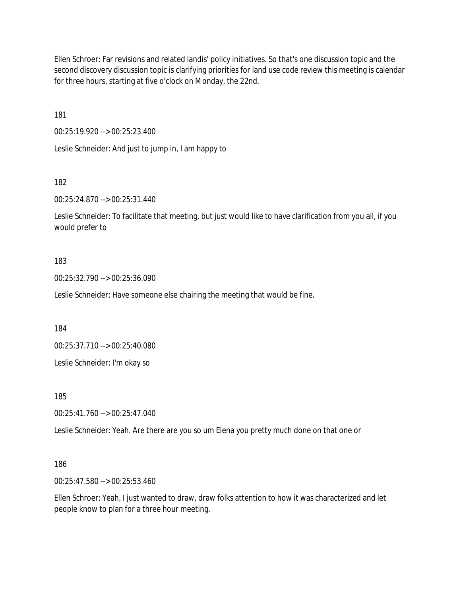Ellen Schroer: Far revisions and related landis' policy initiatives. So that's one discussion topic and the second discovery discussion topic is clarifying priorities for land use code review this meeting is calendar for three hours, starting at five o'clock on Monday, the 22nd.

181

00:25:19.920 --> 00:25:23.400

Leslie Schneider: And just to jump in, I am happy to

182

00:25:24.870 --> 00:25:31.440

Leslie Schneider: To facilitate that meeting, but just would like to have clarification from you all, if you would prefer to

#### 183

00:25:32.790 --> 00:25:36.090

Leslie Schneider: Have someone else chairing the meeting that would be fine.

184

00:25:37.710 --> 00:25:40.080

Leslie Schneider: I'm okay so

185

00:25:41.760 --> 00:25:47.040

Leslie Schneider: Yeah. Are there are you so um Elena you pretty much done on that one or

#### 186

00:25:47.580 --> 00:25:53.460

Ellen Schroer: Yeah, I just wanted to draw, draw folks attention to how it was characterized and let people know to plan for a three hour meeting.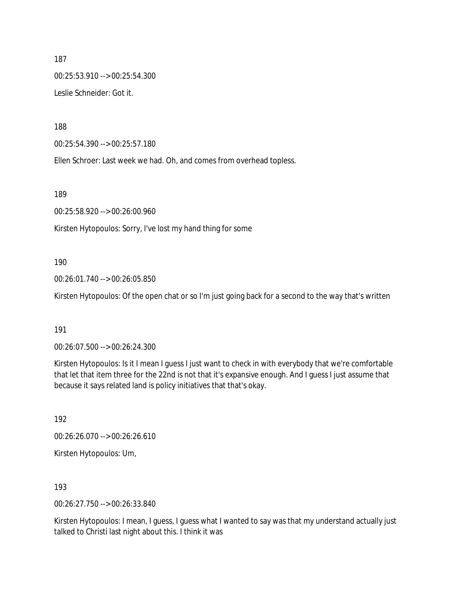187 00:25:53.910 --> 00:25:54.300 Leslie Schneider: Got it.

188

00:25:54.390 --> 00:25:57.180

Ellen Schroer: Last week we had. Oh, and comes from overhead topless.

189

00:25:58.920 --> 00:26:00.960

Kirsten Hytopoulos: Sorry, I've lost my hand thing for some

#### 190

00:26:01.740 --> 00:26:05.850

Kirsten Hytopoulos: Of the open chat or so I'm just going back for a second to the way that's written

#### 191

00:26:07.500 --> 00:26:24.300

Kirsten Hytopoulos: Is it I mean I guess I just want to check in with everybody that we're comfortable that let that item three for the 22nd is not that it's expansive enough. And I guess I just assume that because it says related land is policy initiatives that that's okay.

192

00:26:26.070 --> 00:26:26.610

Kirsten Hytopoulos: Um,

193

00:26:27.750 --> 00:26:33.840

Kirsten Hytopoulos: I mean, I guess, I guess what I wanted to say was that my understand actually just talked to Christi last night about this. I think it was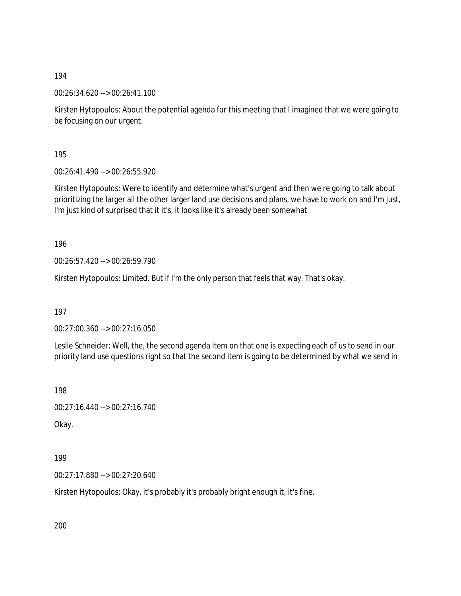00:26:34.620 --> 00:26:41.100

Kirsten Hytopoulos: About the potential agenda for this meeting that I imagined that we were going to be focusing on our urgent.

195

00:26:41.490 --> 00:26:55.920

Kirsten Hytopoulos: Were to identify and determine what's urgent and then we're going to talk about prioritizing the larger all the other larger land use decisions and plans, we have to work on and I'm just, I'm just kind of surprised that it it's, it looks like it's already been somewhat

196

00:26:57.420 --> 00:26:59.790

Kirsten Hytopoulos: Limited. But if I'm the only person that feels that way. That's okay.

197

00:27:00.360 --> 00:27:16.050

Leslie Schneider: Well, the, the second agenda item on that one is expecting each of us to send in our priority land use questions right so that the second item is going to be determined by what we send in

198

00:27:16.440 --> 00:27:16.740

Okay.

199

00:27:17.880 --> 00:27:20.640

Kirsten Hytopoulos: Okay, it's probably it's probably bright enough it, it's fine.

200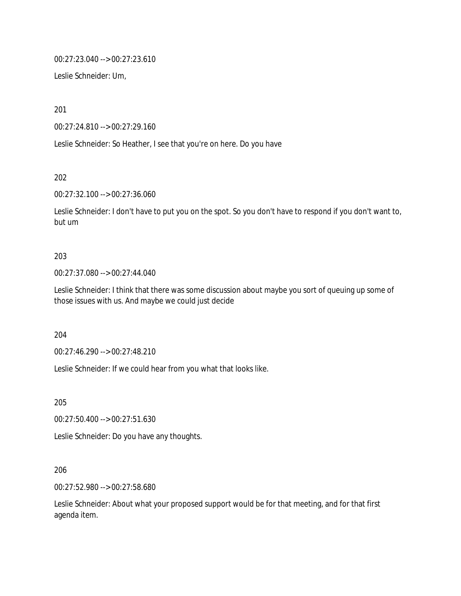00:27:23.040 --> 00:27:23.610

Leslie Schneider: Um,

201

00:27:24.810 --> 00:27:29.160

Leslie Schneider: So Heather, I see that you're on here. Do you have

202

00:27:32.100 --> 00:27:36.060

Leslie Schneider: I don't have to put you on the spot. So you don't have to respond if you don't want to, but um

#### 203

00:27:37.080 --> 00:27:44.040

Leslie Schneider: I think that there was some discussion about maybe you sort of queuing up some of those issues with us. And maybe we could just decide

204

00:27:46.290 --> 00:27:48.210

Leslie Schneider: If we could hear from you what that looks like.

205

00:27:50.400 --> 00:27:51.630

Leslie Schneider: Do you have any thoughts.

206

00:27:52.980 --> 00:27:58.680

Leslie Schneider: About what your proposed support would be for that meeting, and for that first agenda item.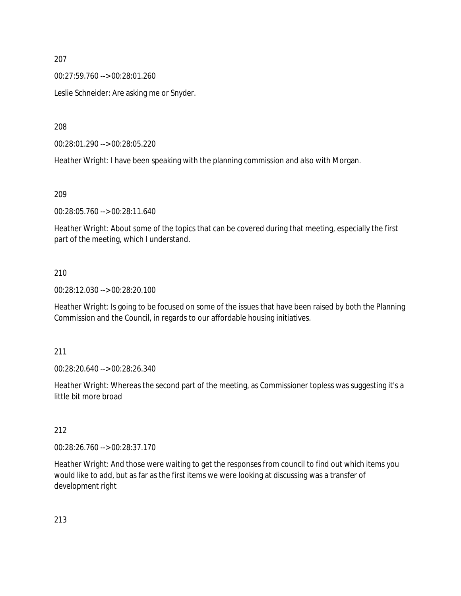00:27:59.760 --> 00:28:01.260

Leslie Schneider: Are asking me or Snyder.

208

00:28:01.290 --> 00:28:05.220

Heather Wright: I have been speaking with the planning commission and also with Morgan.

209

00:28:05.760 --> 00:28:11.640

Heather Wright: About some of the topics that can be covered during that meeting, especially the first part of the meeting, which I understand.

### 210

00:28:12.030 --> 00:28:20.100

Heather Wright: Is going to be focused on some of the issues that have been raised by both the Planning Commission and the Council, in regards to our affordable housing initiatives.

#### 211

00:28:20.640 --> 00:28:26.340

Heather Wright: Whereas the second part of the meeting, as Commissioner topless was suggesting it's a little bit more broad

### 212

00:28:26.760 --> 00:28:37.170

Heather Wright: And those were waiting to get the responses from council to find out which items you would like to add, but as far as the first items we were looking at discussing was a transfer of development right

213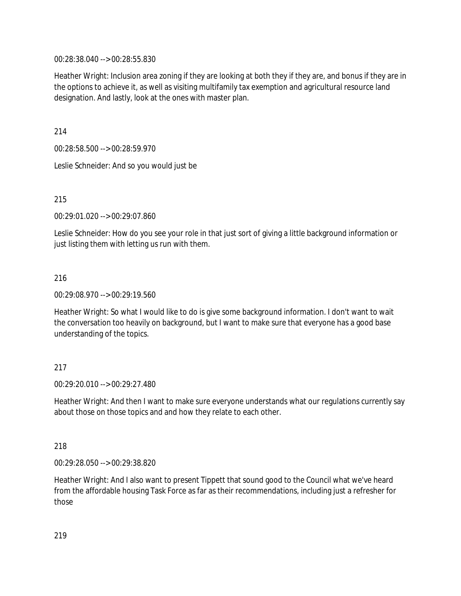00:28:38.040 --> 00:28:55.830

Heather Wright: Inclusion area zoning if they are looking at both they if they are, and bonus if they are in the options to achieve it, as well as visiting multifamily tax exemption and agricultural resource land designation. And lastly, look at the ones with master plan.

214

00:28:58.500 --> 00:28:59.970

Leslie Schneider: And so you would just be

215

00:29:01.020 --> 00:29:07.860

Leslie Schneider: How do you see your role in that just sort of giving a little background information or just listing them with letting us run with them.

#### 216

00:29:08.970 --> 00:29:19.560

Heather Wright: So what I would like to do is give some background information. I don't want to wait the conversation too heavily on background, but I want to make sure that everyone has a good base understanding of the topics.

### 217

00:29:20.010 --> 00:29:27.480

Heather Wright: And then I want to make sure everyone understands what our regulations currently say about those on those topics and and how they relate to each other.

#### 218

00:29:28.050 --> 00:29:38.820

Heather Wright: And I also want to present Tippett that sound good to the Council what we've heard from the affordable housing Task Force as far as their recommendations, including just a refresher for those

219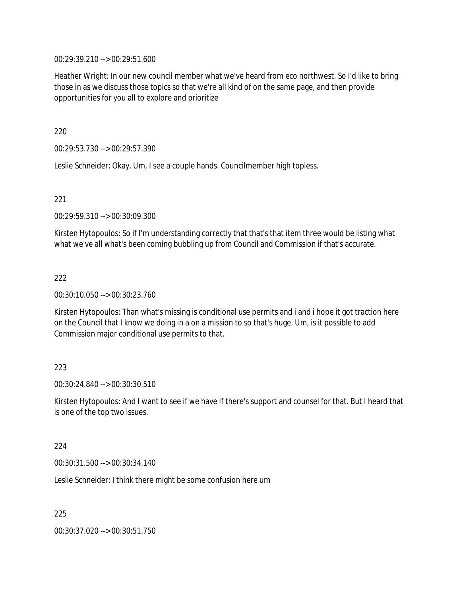00:29:39.210 --> 00:29:51.600

Heather Wright: In our new council member what we've heard from eco northwest. So I'd like to bring those in as we discuss those topics so that we're all kind of on the same page, and then provide opportunities for you all to explore and prioritize

220

00:29:53.730 --> 00:29:57.390

Leslie Schneider: Okay. Um, I see a couple hands. Councilmember high topless.

221

00:29:59.310 --> 00:30:09.300

Kirsten Hytopoulos: So if I'm understanding correctly that that's that item three would be listing what what we've all what's been coming bubbling up from Council and Commission if that's accurate.

222

00:30:10.050 --> 00:30:23.760

Kirsten Hytopoulos: Than what's missing is conditional use permits and i and i hope it got traction here on the Council that I know we doing in a on a mission to so that's huge. Um, is it possible to add Commission major conditional use permits to that.

#### 223

00:30:24.840 --> 00:30:30.510

Kirsten Hytopoulos: And I want to see if we have if there's support and counsel for that. But I heard that is one of the top two issues.

224

00:30:31.500 --> 00:30:34.140

Leslie Schneider: I think there might be some confusion here um

225

00:30:37.020 --> 00:30:51.750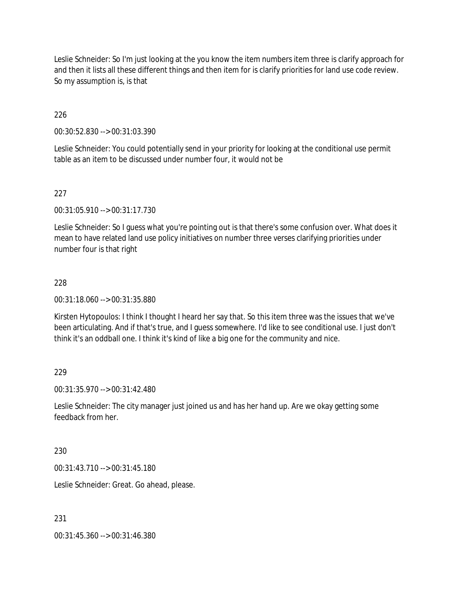Leslie Schneider: So I'm just looking at the you know the item numbers item three is clarify approach for and then it lists all these different things and then item for is clarify priorities for land use code review. So my assumption is, is that

### 226

00:30:52.830 --> 00:31:03.390

Leslie Schneider: You could potentially send in your priority for looking at the conditional use permit table as an item to be discussed under number four, it would not be

### 227

00:31:05.910 --> 00:31:17.730

Leslie Schneider: So I guess what you're pointing out is that there's some confusion over. What does it mean to have related land use policy initiatives on number three verses clarifying priorities under number four is that right

### 228

00:31:18.060 --> 00:31:35.880

Kirsten Hytopoulos: I think I thought I heard her say that. So this item three was the issues that we've been articulating. And if that's true, and I guess somewhere. I'd like to see conditional use. I just don't think it's an oddball one. I think it's kind of like a big one for the community and nice.

#### 229

00:31:35.970 --> 00:31:42.480

Leslie Schneider: The city manager just joined us and has her hand up. Are we okay getting some feedback from her.

#### 230

00:31:43.710 --> 00:31:45.180

Leslie Schneider: Great. Go ahead, please.

#### 231

00:31:45.360 --> 00:31:46.380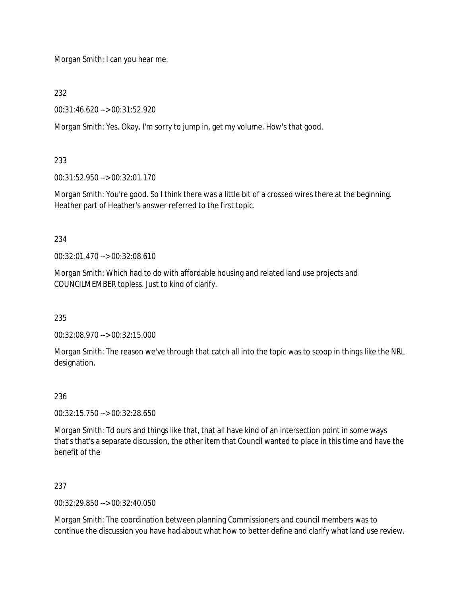Morgan Smith: I can you hear me.

232

00:31:46.620 --> 00:31:52.920

Morgan Smith: Yes. Okay. I'm sorry to jump in, get my volume. How's that good.

# 233

00:31:52.950 --> 00:32:01.170

Morgan Smith: You're good. So I think there was a little bit of a crossed wires there at the beginning. Heather part of Heather's answer referred to the first topic.

234

00:32:01.470 --> 00:32:08.610

Morgan Smith: Which had to do with affordable housing and related land use projects and COUNCILMEMBER topless. Just to kind of clarify.

235

00:32:08.970 --> 00:32:15.000

Morgan Smith: The reason we've through that catch all into the topic was to scoop in things like the NRL designation.

# 236

00:32:15.750 --> 00:32:28.650

Morgan Smith: Td ours and things like that, that all have kind of an intersection point in some ways that's that's a separate discussion, the other item that Council wanted to place in this time and have the benefit of the

237

00:32:29.850 --> 00:32:40.050

Morgan Smith: The coordination between planning Commissioners and council members was to continue the discussion you have had about what how to better define and clarify what land use review.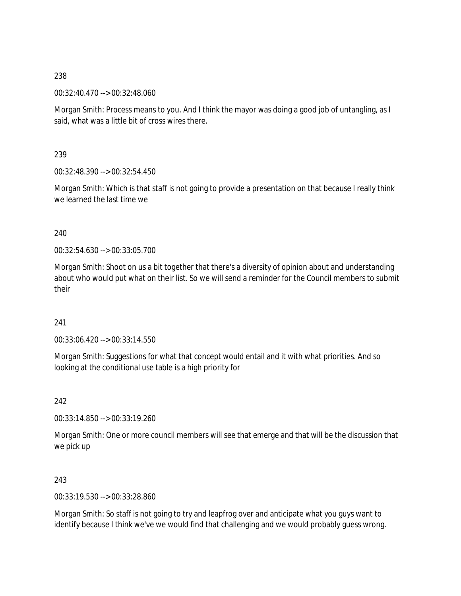00:32:40.470 --> 00:32:48.060

Morgan Smith: Process means to you. And I think the mayor was doing a good job of untangling, as I said, what was a little bit of cross wires there.

239

00:32:48.390 --> 00:32:54.450

Morgan Smith: Which is that staff is not going to provide a presentation on that because I really think we learned the last time we

240

00:32:54.630 --> 00:33:05.700

Morgan Smith: Shoot on us a bit together that there's a diversity of opinion about and understanding about who would put what on their list. So we will send a reminder for the Council members to submit their

241

00:33:06.420 --> 00:33:14.550

Morgan Smith: Suggestions for what that concept would entail and it with what priorities. And so looking at the conditional use table is a high priority for

242

00:33:14.850 --> 00:33:19.260

Morgan Smith: One or more council members will see that emerge and that will be the discussion that we pick up

243

00:33:19.530 --> 00:33:28.860

Morgan Smith: So staff is not going to try and leapfrog over and anticipate what you guys want to identify because I think we've we would find that challenging and we would probably guess wrong.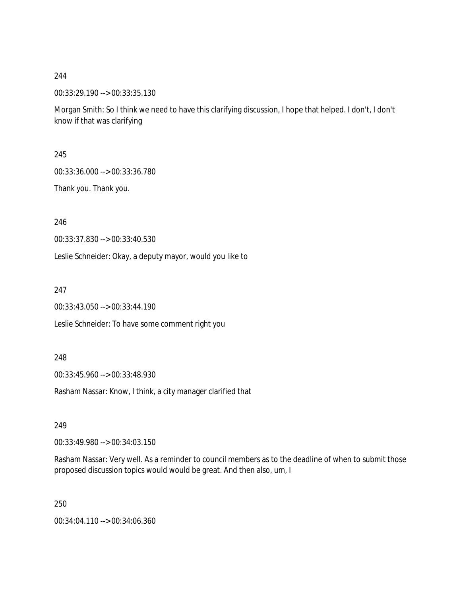00:33:29.190 --> 00:33:35.130

Morgan Smith: So I think we need to have this clarifying discussion, I hope that helped. I don't, I don't know if that was clarifying

245

00:33:36.000 --> 00:33:36.780

Thank you. Thank you.

246

00:33:37.830 --> 00:33:40.530

Leslie Schneider: Okay, a deputy mayor, would you like to

247

00:33:43.050 --> 00:33:44.190

Leslie Schneider: To have some comment right you

248

00:33:45.960 --> 00:33:48.930

Rasham Nassar: Know, I think, a city manager clarified that

249

00:33:49.980 --> 00:34:03.150

Rasham Nassar: Very well. As a reminder to council members as to the deadline of when to submit those proposed discussion topics would would be great. And then also, um, I

250

00:34:04.110 --> 00:34:06.360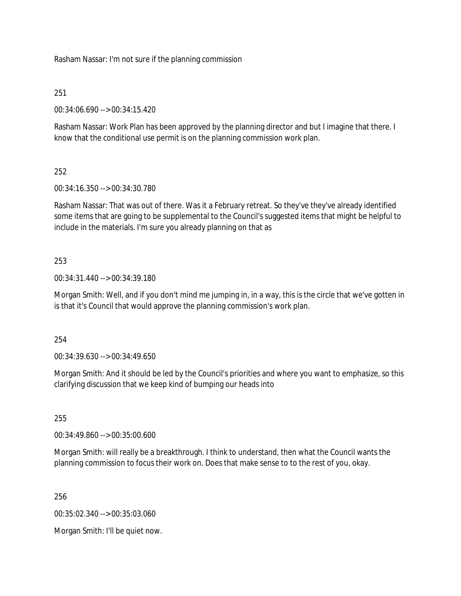Rasham Nassar: I'm not sure if the planning commission

# 251

00:34:06.690 --> 00:34:15.420

Rasham Nassar: Work Plan has been approved by the planning director and but I imagine that there. I know that the conditional use permit is on the planning commission work plan.

# 252

00:34:16.350 --> 00:34:30.780

Rasham Nassar: That was out of there. Was it a February retreat. So they've they've already identified some items that are going to be supplemental to the Council's suggested items that might be helpful to include in the materials. I'm sure you already planning on that as

# 253

00:34:31.440 --> 00:34:39.180

Morgan Smith: Well, and if you don't mind me jumping in, in a way, this is the circle that we've gotten in is that it's Council that would approve the planning commission's work plan.

254

00:34:39.630 --> 00:34:49.650

Morgan Smith: And it should be led by the Council's priorities and where you want to emphasize, so this clarifying discussion that we keep kind of bumping our heads into

255

00:34:49.860 --> 00:35:00.600

Morgan Smith: will really be a breakthrough. I think to understand, then what the Council wants the planning commission to focus their work on. Does that make sense to to the rest of you, okay.

256

00:35:02.340 --> 00:35:03.060

Morgan Smith: I'll be quiet now.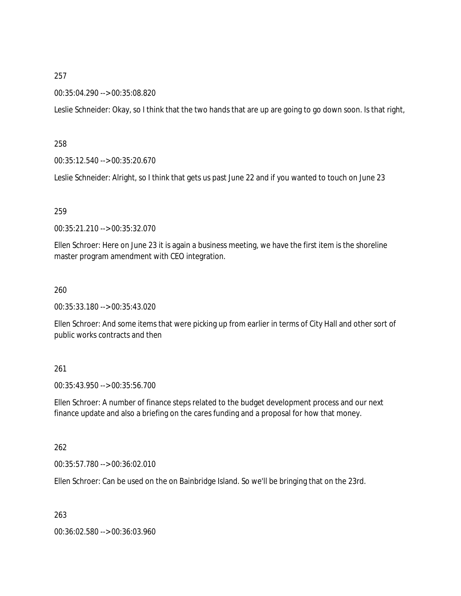#### 00:35:04.290 --> 00:35:08.820

Leslie Schneider: Okay, so I think that the two hands that are up are going to go down soon. Is that right,

#### 258

00:35:12.540 --> 00:35:20.670

Leslie Schneider: Alright, so I think that gets us past June 22 and if you wanted to touch on June 23

#### 259

00:35:21.210 --> 00:35:32.070

Ellen Schroer: Here on June 23 it is again a business meeting, we have the first item is the shoreline master program amendment with CEO integration.

#### 260

00:35:33.180 --> 00:35:43.020

Ellen Schroer: And some items that were picking up from earlier in terms of City Hall and other sort of public works contracts and then

### 261

00:35:43.950 --> 00:35:56.700

Ellen Schroer: A number of finance steps related to the budget development process and our next finance update and also a briefing on the cares funding and a proposal for how that money.

#### 262

00:35:57.780 --> 00:36:02.010

Ellen Schroer: Can be used on the on Bainbridge Island. So we'll be bringing that on the 23rd.

263

00:36:02.580 --> 00:36:03.960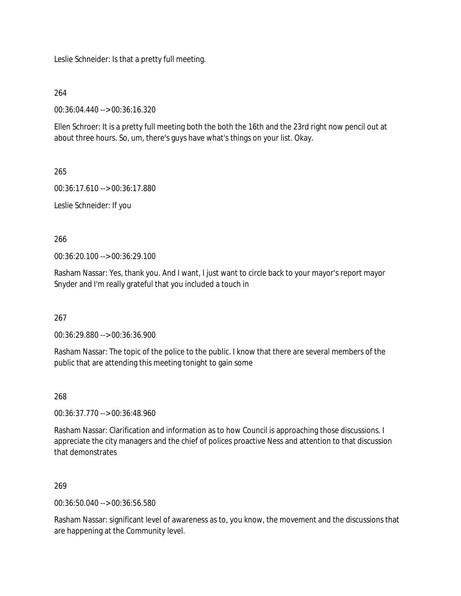Leslie Schneider: Is that a pretty full meeting.

264

00:36:04.440 --> 00:36:16.320

Ellen Schroer: It is a pretty full meeting both the both the 16th and the 23rd right now pencil out at about three hours. So, um, there's guys have what's things on your list. Okay.

265

00:36:17.610 --> 00:36:17.880

Leslie Schneider: If you

266

00:36:20.100 --> 00:36:29.100

Rasham Nassar: Yes, thank you. And I want, I just want to circle back to your mayor's report mayor Snyder and I'm really grateful that you included a touch in

267

00:36:29.880 --> 00:36:36.900

Rasham Nassar: The topic of the police to the public. I know that there are several members of the public that are attending this meeting tonight to gain some

268

00:36:37.770 --> 00:36:48.960

Rasham Nassar: Clarification and information as to how Council is approaching those discussions. I appreciate the city managers and the chief of polices proactive Ness and attention to that discussion that demonstrates

269

00:36:50.040 --> 00:36:56.580

Rasham Nassar: significant level of awareness as to, you know, the movement and the discussions that are happening at the Community level.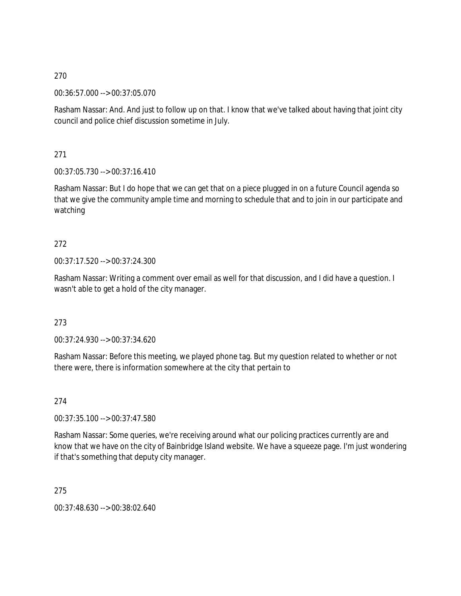00:36:57.000 --> 00:37:05.070

Rasham Nassar: And. And just to follow up on that. I know that we've talked about having that joint city council and police chief discussion sometime in July.

271

00:37:05.730 --> 00:37:16.410

Rasham Nassar: But I do hope that we can get that on a piece plugged in on a future Council agenda so that we give the community ample time and morning to schedule that and to join in our participate and watching

# 272

00:37:17.520 --> 00:37:24.300

Rasham Nassar: Writing a comment over email as well for that discussion, and I did have a question. I wasn't able to get a hold of the city manager.

### 273

00:37:24.930 --> 00:37:34.620

Rasham Nassar: Before this meeting, we played phone tag. But my question related to whether or not there were, there is information somewhere at the city that pertain to

274

00:37:35.100 --> 00:37:47.580

Rasham Nassar: Some queries, we're receiving around what our policing practices currently are and know that we have on the city of Bainbridge Island website. We have a squeeze page. I'm just wondering if that's something that deputy city manager.

275

00:37:48.630 --> 00:38:02.640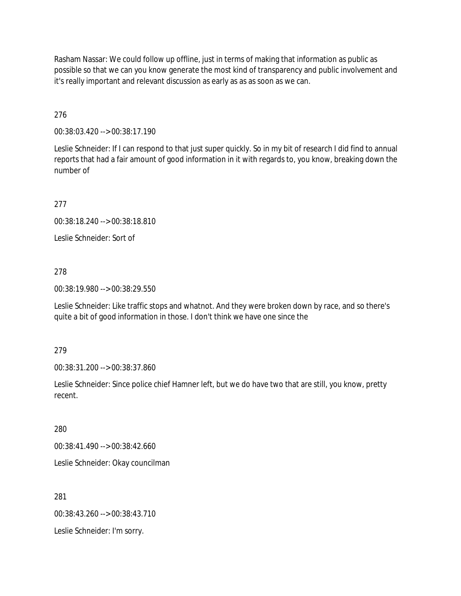Rasham Nassar: We could follow up offline, just in terms of making that information as public as possible so that we can you know generate the most kind of transparency and public involvement and it's really important and relevant discussion as early as as as soon as we can.

276

00:38:03.420 --> 00:38:17.190

Leslie Schneider: If I can respond to that just super quickly. So in my bit of research I did find to annual reports that had a fair amount of good information in it with regards to, you know, breaking down the number of

277

00:38:18.240 --> 00:38:18.810

Leslie Schneider: Sort of

278

00:38:19.980 --> 00:38:29.550

Leslie Schneider: Like traffic stops and whatnot. And they were broken down by race, and so there's quite a bit of good information in those. I don't think we have one since the

279

00:38:31.200 --> 00:38:37.860

Leslie Schneider: Since police chief Hamner left, but we do have two that are still, you know, pretty recent.

280

00:38:41.490 --> 00:38:42.660

Leslie Schneider: Okay councilman

281

00:38:43.260 --> 00:38:43.710

Leslie Schneider: I'm sorry.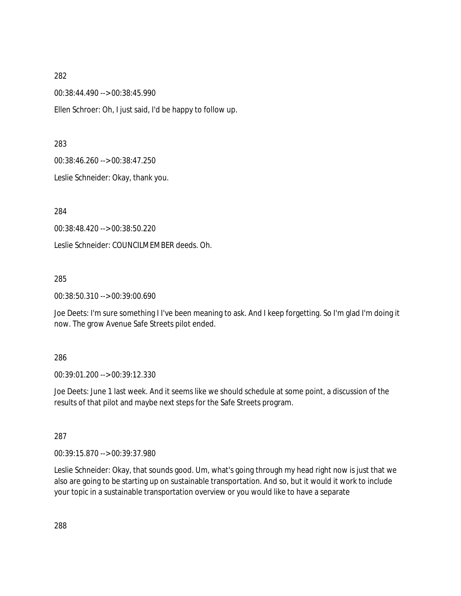00:38:44.490 --> 00:38:45.990

Ellen Schroer: Oh, I just said, I'd be happy to follow up.

#### 283

00:38:46.260 --> 00:38:47.250

Leslie Schneider: Okay, thank you.

284

00:38:48.420 --> 00:38:50.220

Leslie Schneider: COUNCILMEMBER deeds. Oh.

#### 285

00:38:50.310 --> 00:39:00.690

Joe Deets: I'm sure something I I've been meaning to ask. And I keep forgetting. So I'm glad I'm doing it now. The grow Avenue Safe Streets pilot ended.

### 286

00:39:01.200 --> 00:39:12.330

Joe Deets: June 1 last week. And it seems like we should schedule at some point, a discussion of the results of that pilot and maybe next steps for the Safe Streets program.

### 287

00:39:15.870 --> 00:39:37.980

Leslie Schneider: Okay, that sounds good. Um, what's going through my head right now is just that we also are going to be starting up on sustainable transportation. And so, but it would it work to include your topic in a sustainable transportation overview or you would like to have a separate

288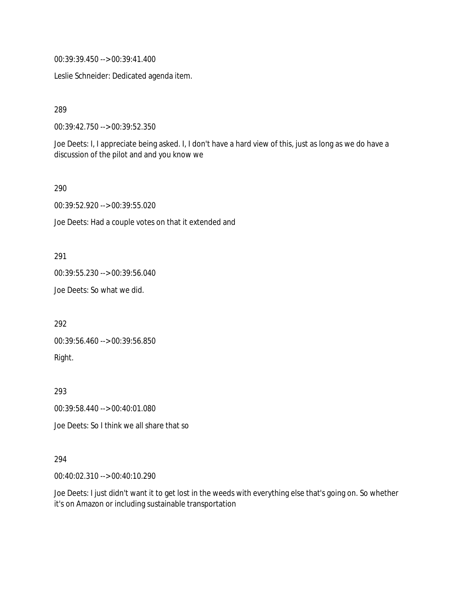00:39:39.450 --> 00:39:41.400

Leslie Schneider: Dedicated agenda item.

289

00:39:42.750 --> 00:39:52.350

Joe Deets: I, I appreciate being asked. I, I don't have a hard view of this, just as long as we do have a discussion of the pilot and and you know we

290

00:39:52.920 --> 00:39:55.020

Joe Deets: Had a couple votes on that it extended and

291

00:39:55.230 --> 00:39:56.040

Joe Deets: So what we did.

292

00:39:56.460 --> 00:39:56.850 Right.

293

00:39:58.440 --> 00:40:01.080

Joe Deets: So I think we all share that so

#### 294

00:40:02.310 --> 00:40:10.290

Joe Deets: I just didn't want it to get lost in the weeds with everything else that's going on. So whether it's on Amazon or including sustainable transportation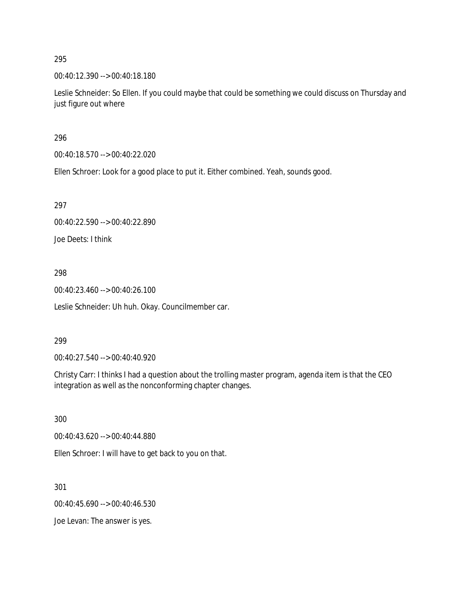00:40:12.390 --> 00:40:18.180

Leslie Schneider: So Ellen. If you could maybe that could be something we could discuss on Thursday and just figure out where

296

00:40:18.570 --> 00:40:22.020

Ellen Schroer: Look for a good place to put it. Either combined. Yeah, sounds good.

297

00:40:22.590 --> 00:40:22.890

Joe Deets: I think

298

00:40:23.460 --> 00:40:26.100

Leslie Schneider: Uh huh. Okay. Councilmember car.

#### 299

00:40:27.540 --> 00:40:40.920

Christy Carr: I thinks I had a question about the trolling master program, agenda item is that the CEO integration as well as the nonconforming chapter changes.

300

00:40:43.620 --> 00:40:44.880

Ellen Schroer: I will have to get back to you on that.

301

00:40:45.690 --> 00:40:46.530

Joe Levan: The answer is yes.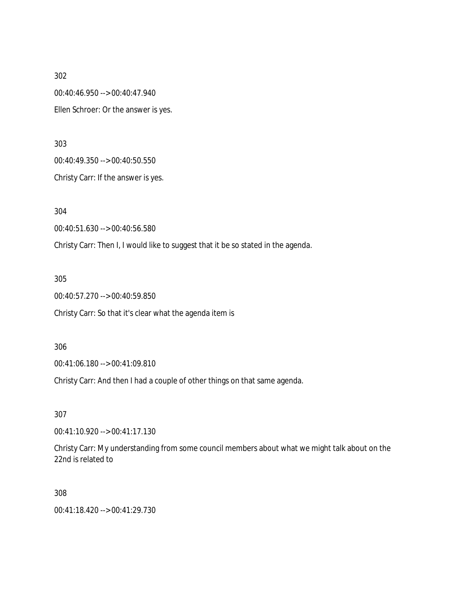00:40:46.950 --> 00:40:47.940 Ellen Schroer: Or the answer is yes.

303

00:40:49.350 --> 00:40:50.550

Christy Carr: If the answer is yes.

304

00:40:51.630 --> 00:40:56.580

Christy Carr: Then I, I would like to suggest that it be so stated in the agenda.

305

00:40:57.270 --> 00:40:59.850

Christy Carr: So that it's clear what the agenda item is

306

00:41:06.180 --> 00:41:09.810

Christy Carr: And then I had a couple of other things on that same agenda.

307

00:41:10.920 --> 00:41:17.130

Christy Carr: My understanding from some council members about what we might talk about on the 22nd is related to

308

00:41:18.420 --> 00:41:29.730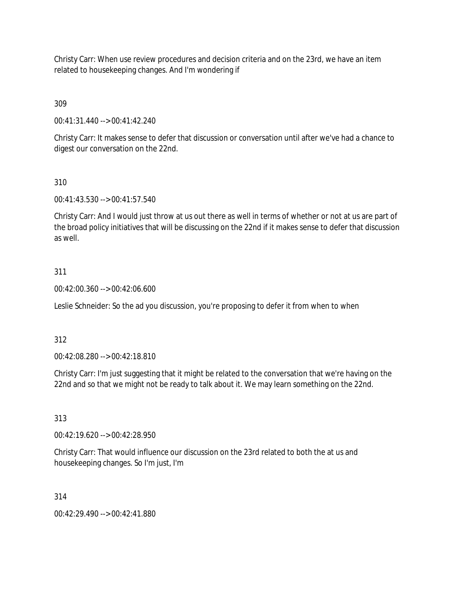Christy Carr: When use review procedures and decision criteria and on the 23rd, we have an item related to housekeeping changes. And I'm wondering if

309

00:41:31.440 --> 00:41:42.240

Christy Carr: It makes sense to defer that discussion or conversation until after we've had a chance to digest our conversation on the 22nd.

310

00:41:43.530 --> 00:41:57.540

Christy Carr: And I would just throw at us out there as well in terms of whether or not at us are part of the broad policy initiatives that will be discussing on the 22nd if it makes sense to defer that discussion as well.

# 311

00:42:00.360 --> 00:42:06.600

Leslie Schneider: So the ad you discussion, you're proposing to defer it from when to when

312

00:42:08.280 --> 00:42:18.810

Christy Carr: I'm just suggesting that it might be related to the conversation that we're having on the 22nd and so that we might not be ready to talk about it. We may learn something on the 22nd.

313

00:42:19.620 --> 00:42:28.950

Christy Carr: That would influence our discussion on the 23rd related to both the at us and housekeeping changes. So I'm just, I'm

314

00:42:29.490 --> 00:42:41.880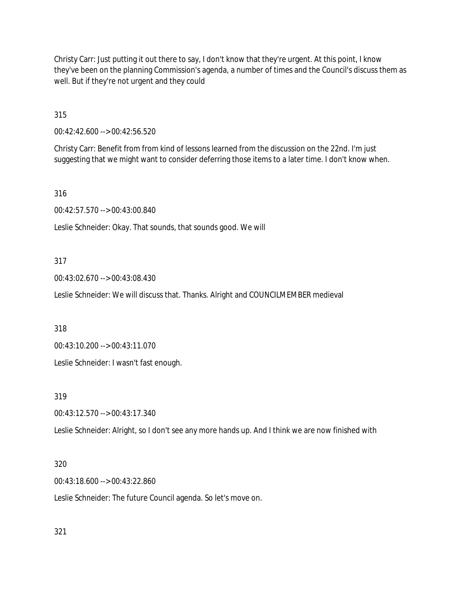Christy Carr: Just putting it out there to say, I don't know that they're urgent. At this point, I know they've been on the planning Commission's agenda, a number of times and the Council's discuss them as well. But if they're not urgent and they could

315

00:42:42.600 --> 00:42:56.520

Christy Carr: Benefit from from kind of lessons learned from the discussion on the 22nd. I'm just suggesting that we might want to consider deferring those items to a later time. I don't know when.

316

00:42:57.570 --> 00:43:00.840

Leslie Schneider: Okay. That sounds, that sounds good. We will

### 317

00:43:02.670 --> 00:43:08.430

Leslie Schneider: We will discuss that. Thanks. Alright and COUNCILMEMBER medieval

318

00:43:10.200 --> 00:43:11.070

Leslie Schneider: I wasn't fast enough.

319

00:43:12.570 --> 00:43:17.340

Leslie Schneider: Alright, so I don't see any more hands up. And I think we are now finished with

## 320

00:43:18.600 --> 00:43:22.860

Leslie Schneider: The future Council agenda. So let's move on.

321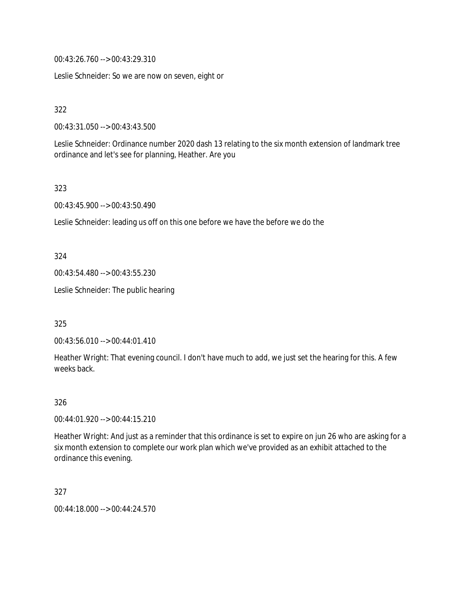00:43:26.760 --> 00:43:29.310

Leslie Schneider: So we are now on seven, eight or

322

00:43:31.050 --> 00:43:43.500

Leslie Schneider: Ordinance number 2020 dash 13 relating to the six month extension of landmark tree ordinance and let's see for planning, Heather. Are you

323

00:43:45.900 --> 00:43:50.490

Leslie Schneider: leading us off on this one before we have the before we do the

324

00:43:54.480 --> 00:43:55.230

Leslie Schneider: The public hearing

325

00:43:56.010 --> 00:44:01.410

Heather Wright: That evening council. I don't have much to add, we just set the hearing for this. A few weeks back.

326

00:44:01.920 --> 00:44:15.210

Heather Wright: And just as a reminder that this ordinance is set to expire on jun 26 who are asking for a six month extension to complete our work plan which we've provided as an exhibit attached to the ordinance this evening.

327

00:44:18.000 --> 00:44:24.570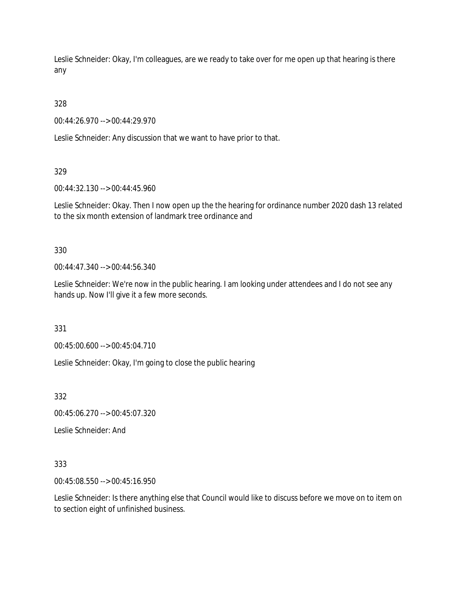Leslie Schneider: Okay, I'm colleagues, are we ready to take over for me open up that hearing is there any

328

00:44:26.970 --> 00:44:29.970

Leslie Schneider: Any discussion that we want to have prior to that.

329

00:44:32.130 --> 00:44:45.960

Leslie Schneider: Okay. Then I now open up the the hearing for ordinance number 2020 dash 13 related to the six month extension of landmark tree ordinance and

330

00:44:47.340 --> 00:44:56.340

Leslie Schneider: We're now in the public hearing. I am looking under attendees and I do not see any hands up. Now I'll give it a few more seconds.

331

00:45:00.600 --> 00:45:04.710

Leslie Schneider: Okay, I'm going to close the public hearing

332

00:45:06.270 --> 00:45:07.320

Leslie Schneider: And

333

00:45:08.550 --> 00:45:16.950

Leslie Schneider: Is there anything else that Council would like to discuss before we move on to item on to section eight of unfinished business.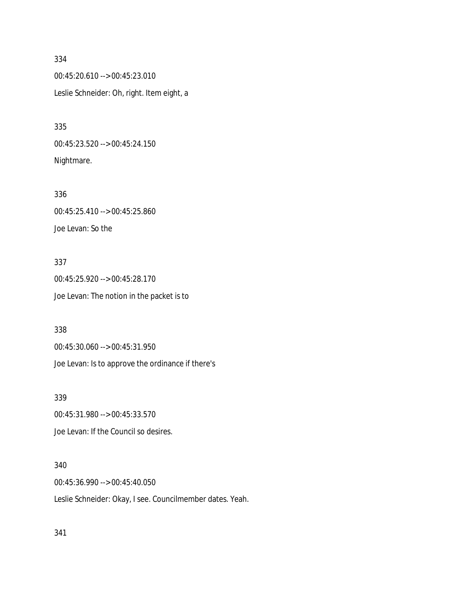00:45:20.610 --> 00:45:23.010 Leslie Schneider: Oh, right. Item eight, a

335 00:45:23.520 --> 00:45:24.150 Nightmare.

336 00:45:25.410 --> 00:45:25.860 Joe Levan: So the

337 00:45:25.920 --> 00:45:28.170 Joe Levan: The notion in the packet is to

338

00:45:30.060 --> 00:45:31.950 Joe Levan: Is to approve the ordinance if there's

339

00:45:31.980 --> 00:45:33.570 Joe Levan: If the Council so desires.

340

00:45:36.990 --> 00:45:40.050 Leslie Schneider: Okay, I see. Councilmember dates. Yeah.

341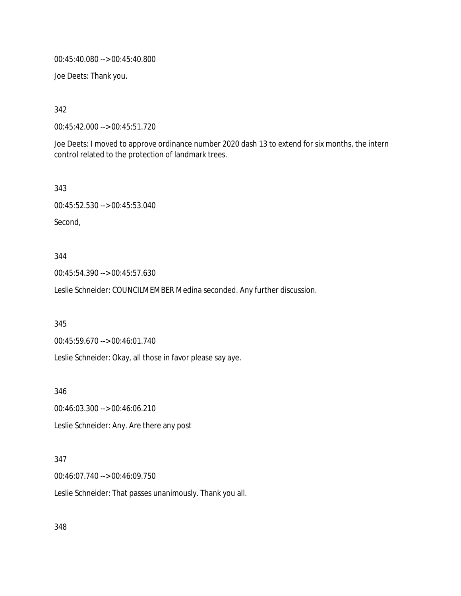00:45:40.080 --> 00:45:40.800

Joe Deets: Thank you.

342

00:45:42.000 --> 00:45:51.720

Joe Deets: I moved to approve ordinance number 2020 dash 13 to extend for six months, the intern control related to the protection of landmark trees.

343

00:45:52.530 --> 00:45:53.040

Second,

344

00:45:54.390 --> 00:45:57.630

Leslie Schneider: COUNCILMEMBER Medina seconded. Any further discussion.

345

00:45:59.670 --> 00:46:01.740

Leslie Schneider: Okay, all those in favor please say aye.

346

00:46:03.300 --> 00:46:06.210 Leslie Schneider: Any. Are there any post

# 347

00:46:07.740 --> 00:46:09.750

Leslie Schneider: That passes unanimously. Thank you all.

348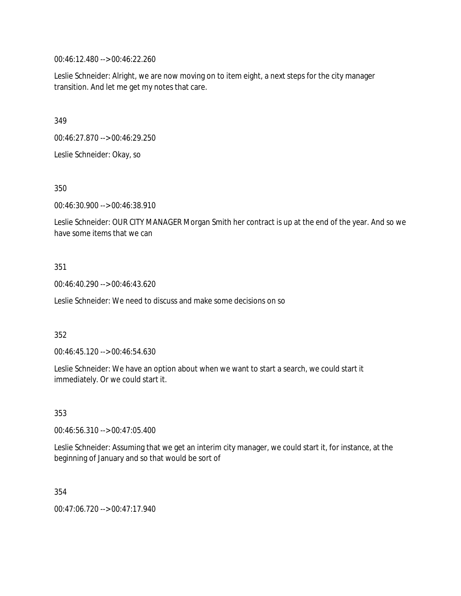00:46:12.480 --> 00:46:22.260

Leslie Schneider: Alright, we are now moving on to item eight, a next steps for the city manager transition. And let me get my notes that care.

349

00:46:27.870 --> 00:46:29.250

Leslie Schneider: Okay, so

350

00:46:30.900 --> 00:46:38.910

Leslie Schneider: OUR CITY MANAGER Morgan Smith her contract is up at the end of the year. And so we have some items that we can

### 351

00:46:40.290 --> 00:46:43.620

Leslie Schneider: We need to discuss and make some decisions on so

### 352

00:46:45.120 --> 00:46:54.630

Leslie Schneider: We have an option about when we want to start a search, we could start it immediately. Or we could start it.

353

00:46:56.310 --> 00:47:05.400

Leslie Schneider: Assuming that we get an interim city manager, we could start it, for instance, at the beginning of January and so that would be sort of

354

00:47:06.720 --> 00:47:17.940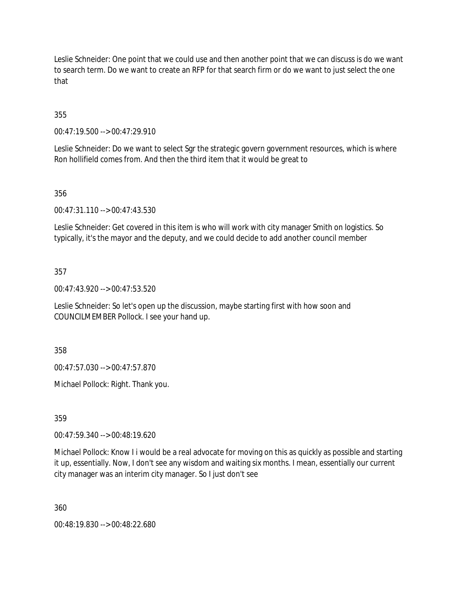Leslie Schneider: One point that we could use and then another point that we can discuss is do we want to search term. Do we want to create an RFP for that search firm or do we want to just select the one that

355

00:47:19.500 --> 00:47:29.910

Leslie Schneider: Do we want to select Sgr the strategic govern government resources, which is where Ron hollifield comes from. And then the third item that it would be great to

356

00:47:31.110 --> 00:47:43.530

Leslie Schneider: Get covered in this item is who will work with city manager Smith on logistics. So typically, it's the mayor and the deputy, and we could decide to add another council member

357

00:47:43.920 --> 00:47:53.520

Leslie Schneider: So let's open up the discussion, maybe starting first with how soon and COUNCILMEMBER Pollock. I see your hand up.

358

00:47:57.030 --> 00:47:57.870

Michael Pollock: Right. Thank you.

359

00:47:59.340 --> 00:48:19.620

Michael Pollock: Know I i would be a real advocate for moving on this as quickly as possible and starting it up, essentially. Now, I don't see any wisdom and waiting six months. I mean, essentially our current city manager was an interim city manager. So I just don't see

360

00:48:19.830 --> 00:48:22.680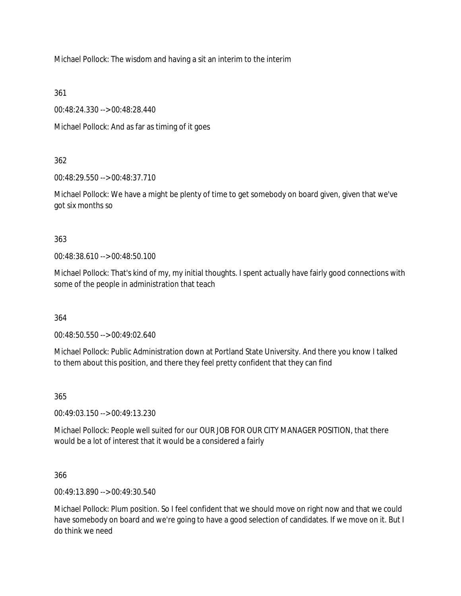Michael Pollock: The wisdom and having a sit an interim to the interim

361

00:48:24.330 --> 00:48:28.440

Michael Pollock: And as far as timing of it goes

# 362

00:48:29.550 --> 00:48:37.710

Michael Pollock: We have a might be plenty of time to get somebody on board given, given that we've got six months so

# 363

00:48:38.610 --> 00:48:50.100

Michael Pollock: That's kind of my, my initial thoughts. I spent actually have fairly good connections with some of the people in administration that teach

364

00:48:50.550 --> 00:49:02.640

Michael Pollock: Public Administration down at Portland State University. And there you know I talked to them about this position, and there they feel pretty confident that they can find

365

00:49:03.150 --> 00:49:13.230

Michael Pollock: People well suited for our OUR JOB FOR OUR CITY MANAGER POSITION, that there would be a lot of interest that it would be a considered a fairly

366

00:49:13.890 --> 00:49:30.540

Michael Pollock: Plum position. So I feel confident that we should move on right now and that we could have somebody on board and we're going to have a good selection of candidates. If we move on it. But I do think we need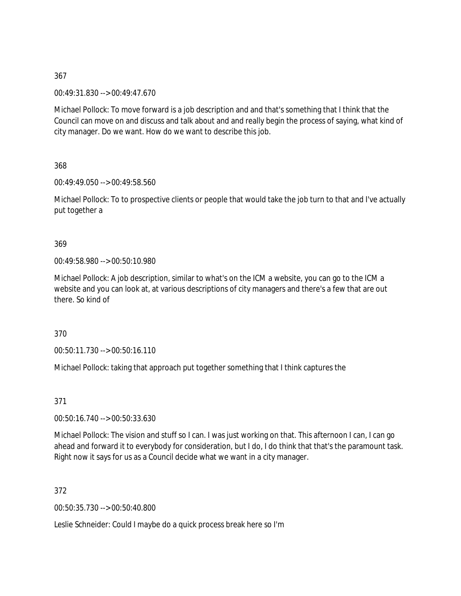00:49:31.830 --> 00:49:47.670

Michael Pollock: To move forward is a job description and and that's something that I think that the Council can move on and discuss and talk about and and really begin the process of saying, what kind of city manager. Do we want. How do we want to describe this job.

368

00:49:49.050 --> 00:49:58.560

Michael Pollock: To to prospective clients or people that would take the job turn to that and I've actually put together a

369

00:49:58.980 --> 00:50:10.980

Michael Pollock: A job description, similar to what's on the ICM a website, you can go to the ICM a website and you can look at, at various descriptions of city managers and there's a few that are out there. So kind of

370

00:50:11.730 --> 00:50:16.110

Michael Pollock: taking that approach put together something that I think captures the

371

00:50:16.740 --> 00:50:33.630

Michael Pollock: The vision and stuff so I can. I was just working on that. This afternoon I can, I can go ahead and forward it to everybody for consideration, but I do, I do think that that's the paramount task. Right now it says for us as a Council decide what we want in a city manager.

372

00:50:35.730 --> 00:50:40.800

Leslie Schneider: Could I maybe do a quick process break here so I'm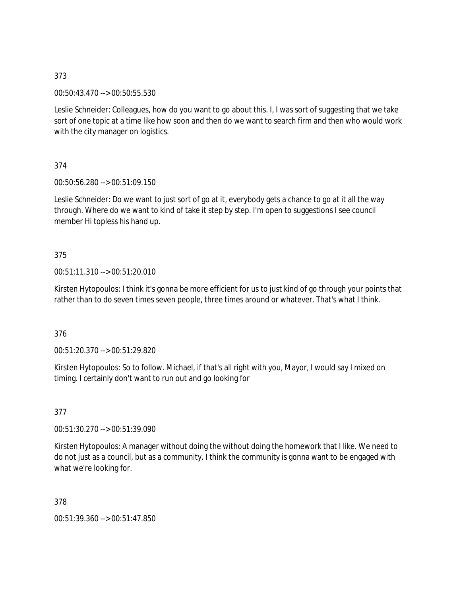00:50:43.470 --> 00:50:55.530

Leslie Schneider: Colleagues, how do you want to go about this. I, I was sort of suggesting that we take sort of one topic at a time like how soon and then do we want to search firm and then who would work with the city manager on logistics.

374

00:50:56.280 --> 00:51:09.150

Leslie Schneider: Do we want to just sort of go at it, everybody gets a chance to go at it all the way through. Where do we want to kind of take it step by step. I'm open to suggestions I see council member Hi topless his hand up.

### 375

### 00:51:11.310 --> 00:51:20.010

Kirsten Hytopoulos: I think it's gonna be more efficient for us to just kind of go through your points that rather than to do seven times seven people, three times around or whatever. That's what I think.

376

00:51:20.370 --> 00:51:29.820

Kirsten Hytopoulos: So to follow. Michael, if that's all right with you, Mayor, I would say I mixed on timing. I certainly don't want to run out and go looking for

377

00:51:30.270 --> 00:51:39.090

Kirsten Hytopoulos: A manager without doing the without doing the homework that I like. We need to do not just as a council, but as a community. I think the community is gonna want to be engaged with what we're looking for.

378

00:51:39.360 --> 00:51:47.850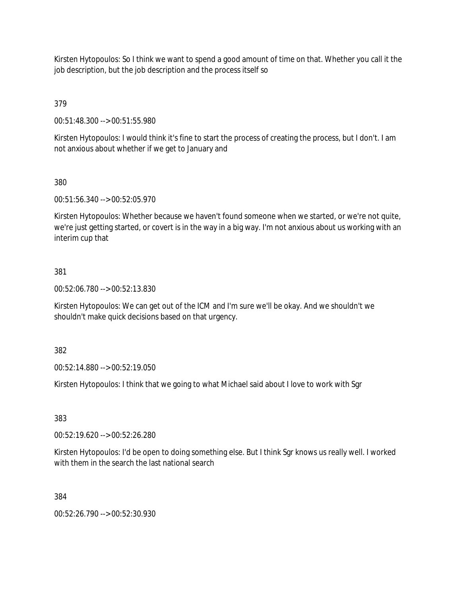Kirsten Hytopoulos: So I think we want to spend a good amount of time on that. Whether you call it the job description, but the job description and the process itself so

379

00:51:48.300 --> 00:51:55.980

Kirsten Hytopoulos: I would think it's fine to start the process of creating the process, but I don't. I am not anxious about whether if we get to January and

# 380

00:51:56.340 --> 00:52:05.970

Kirsten Hytopoulos: Whether because we haven't found someone when we started, or we're not quite, we're just getting started, or covert is in the way in a big way. I'm not anxious about us working with an interim cup that

# 381

00:52:06.780 --> 00:52:13.830

Kirsten Hytopoulos: We can get out of the ICM and I'm sure we'll be okay. And we shouldn't we shouldn't make quick decisions based on that urgency.

382

00:52:14.880 --> 00:52:19.050

Kirsten Hytopoulos: I think that we going to what Michael said about I love to work with Sgr

383

00:52:19.620 --> 00:52:26.280

Kirsten Hytopoulos: I'd be open to doing something else. But I think Sgr knows us really well. I worked with them in the search the last national search

384

00:52:26.790 --> 00:52:30.930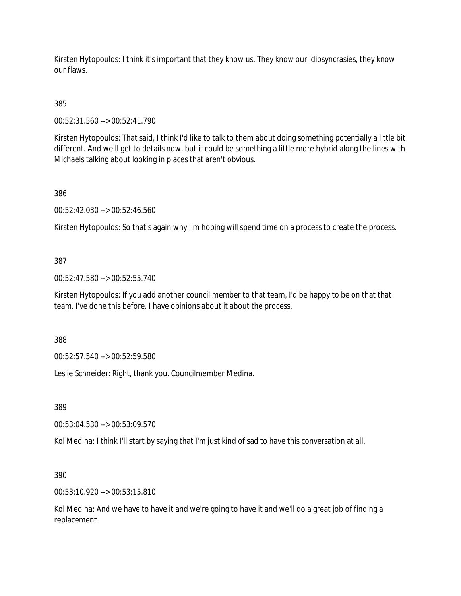Kirsten Hytopoulos: I think it's important that they know us. They know our idiosyncrasies, they know our flaws.

385

00:52:31.560 --> 00:52:41.790

Kirsten Hytopoulos: That said, I think I'd like to talk to them about doing something potentially a little bit different. And we'll get to details now, but it could be something a little more hybrid along the lines with Michaels talking about looking in places that aren't obvious.

386

00:52:42.030 --> 00:52:46.560

Kirsten Hytopoulos: So that's again why I'm hoping will spend time on a process to create the process.

### 387

00:52:47.580 --> 00:52:55.740

Kirsten Hytopoulos: If you add another council member to that team, I'd be happy to be on that that team. I've done this before. I have opinions about it about the process.

388

00:52:57.540 --> 00:52:59.580

Leslie Schneider: Right, thank you. Councilmember Medina.

389

00:53:04.530 --> 00:53:09.570

Kol Medina: I think I'll start by saying that I'm just kind of sad to have this conversation at all.

390

00:53:10.920 --> 00:53:15.810

Kol Medina: And we have to have it and we're going to have it and we'll do a great job of finding a replacement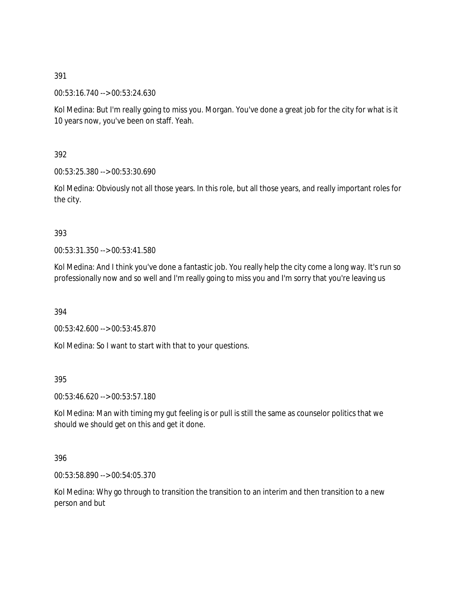00:53:16.740 --> 00:53:24.630

Kol Medina: But I'm really going to miss you. Morgan. You've done a great job for the city for what is it 10 years now, you've been on staff. Yeah.

392

00:53:25.380 --> 00:53:30.690

Kol Medina: Obviously not all those years. In this role, but all those years, and really important roles for the city.

393

00:53:31.350 --> 00:53:41.580

Kol Medina: And I think you've done a fantastic job. You really help the city come a long way. It's run so professionally now and so well and I'm really going to miss you and I'm sorry that you're leaving us

394

00:53:42.600 --> 00:53:45.870

Kol Medina: So I want to start with that to your questions.

395

00:53:46.620 --> 00:53:57.180

Kol Medina: Man with timing my gut feeling is or pull is still the same as counselor politics that we should we should get on this and get it done.

396

00:53:58.890 --> 00:54:05.370

Kol Medina: Why go through to transition the transition to an interim and then transition to a new person and but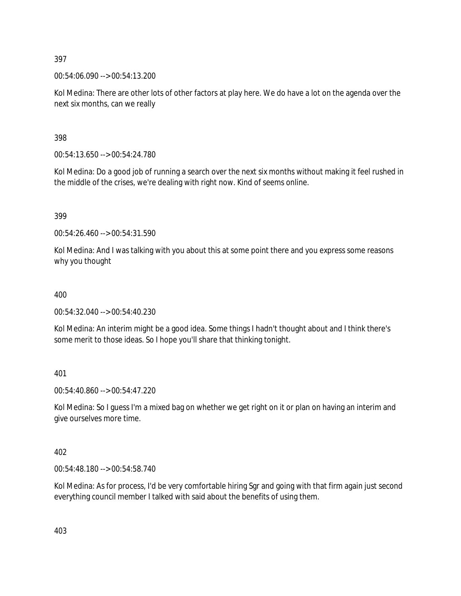00:54:06.090 --> 00:54:13.200

Kol Medina: There are other lots of other factors at play here. We do have a lot on the agenda over the next six months, can we really

398

00:54:13.650 --> 00:54:24.780

Kol Medina: Do a good job of running a search over the next six months without making it feel rushed in the middle of the crises, we're dealing with right now. Kind of seems online.

399

00:54:26.460 --> 00:54:31.590

Kol Medina: And I was talking with you about this at some point there and you express some reasons why you thought

400

00:54:32.040 --> 00:54:40.230

Kol Medina: An interim might be a good idea. Some things I hadn't thought about and I think there's some merit to those ideas. So I hope you'll share that thinking tonight.

401

00:54:40.860 --> 00:54:47.220

Kol Medina: So I guess I'm a mixed bag on whether we get right on it or plan on having an interim and give ourselves more time.

402

00:54:48.180 --> 00:54:58.740

Kol Medina: As for process, I'd be very comfortable hiring Sgr and going with that firm again just second everything council member I talked with said about the benefits of using them.

403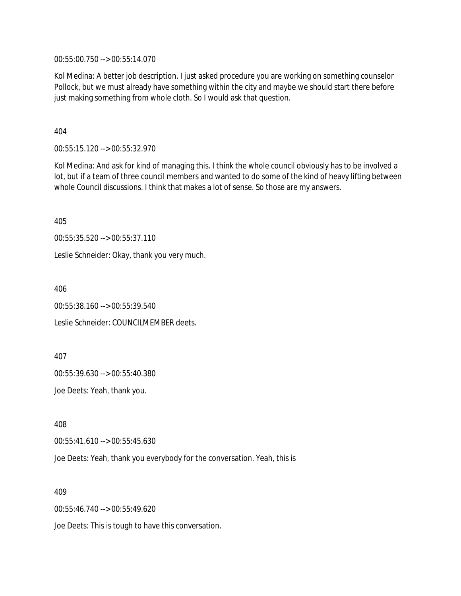00:55:00.750 --> 00:55:14.070

Kol Medina: A better job description. I just asked procedure you are working on something counselor Pollock, but we must already have something within the city and maybe we should start there before just making something from whole cloth. So I would ask that question.

404

00:55:15.120 --> 00:55:32.970

Kol Medina: And ask for kind of managing this. I think the whole council obviously has to be involved a lot, but if a team of three council members and wanted to do some of the kind of heavy lifting between whole Council discussions. I think that makes a lot of sense. So those are my answers.

405

00:55:35.520 --> 00:55:37.110

Leslie Schneider: Okay, thank you very much.

406

00:55:38.160 --> 00:55:39.540

Leslie Schneider: COUNCILMEMBER deets.

407

00:55:39.630 --> 00:55:40.380

Joe Deets: Yeah, thank you.

408

00:55:41.610 --> 00:55:45.630

Joe Deets: Yeah, thank you everybody for the conversation. Yeah, this is

409

00:55:46.740 --> 00:55:49.620

Joe Deets: This is tough to have this conversation.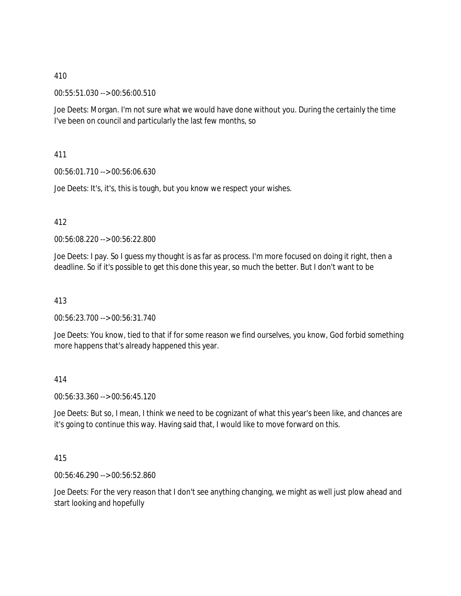00:55:51.030 --> 00:56:00.510

Joe Deets: Morgan. I'm not sure what we would have done without you. During the certainly the time I've been on council and particularly the last few months, so

411

00:56:01.710 --> 00:56:06.630

Joe Deets: It's, it's, this is tough, but you know we respect your wishes.

412

00:56:08.220 --> 00:56:22.800

Joe Deets: I pay. So I guess my thought is as far as process. I'm more focused on doing it right, then a deadline. So if it's possible to get this done this year, so much the better. But I don't want to be

413

00:56:23.700 --> 00:56:31.740

Joe Deets: You know, tied to that if for some reason we find ourselves, you know, God forbid something more happens that's already happened this year.

414

00:56:33.360 --> 00:56:45.120

Joe Deets: But so, I mean, I think we need to be cognizant of what this year's been like, and chances are it's going to continue this way. Having said that, I would like to move forward on this.

415

00:56:46.290 --> 00:56:52.860

Joe Deets: For the very reason that I don't see anything changing, we might as well just plow ahead and start looking and hopefully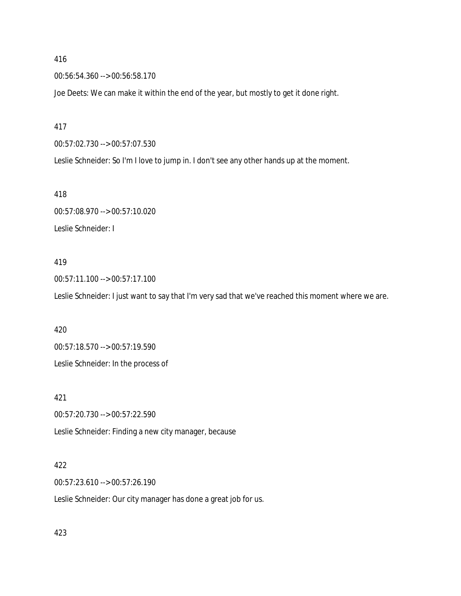00:56:54.360 --> 00:56:58.170

Joe Deets: We can make it within the end of the year, but mostly to get it done right.

#### 417

00:57:02.730 --> 00:57:07.530

Leslie Schneider: So I'm I love to jump in. I don't see any other hands up at the moment.

418

00:57:08.970 --> 00:57:10.020 Leslie Schneider: I

#### 419

00:57:11.100 --> 00:57:17.100 Leslie Schneider: I just want to say that I'm very sad that we've reached this moment where we are.

420

00:57:18.570 --> 00:57:19.590

Leslie Schneider: In the process of

421

00:57:20.730 --> 00:57:22.590

Leslie Schneider: Finding a new city manager, because

## 422

00:57:23.610 --> 00:57:26.190

Leslie Schneider: Our city manager has done a great job for us.

423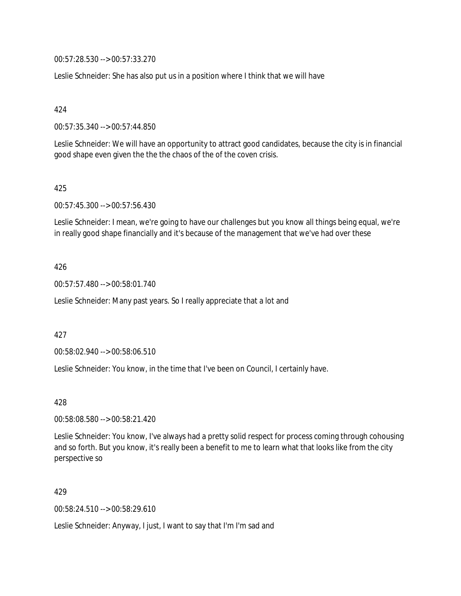00:57:28.530 --> 00:57:33.270

Leslie Schneider: She has also put us in a position where I think that we will have

424

00:57:35.340 --> 00:57:44.850

Leslie Schneider: We will have an opportunity to attract good candidates, because the city is in financial good shape even given the the the chaos of the of the coven crisis.

#### 425

00:57:45.300 --> 00:57:56.430

Leslie Schneider: I mean, we're going to have our challenges but you know all things being equal, we're in really good shape financially and it's because of the management that we've had over these

#### 426

00:57:57.480 --> 00:58:01.740

Leslie Schneider: Many past years. So I really appreciate that a lot and

427

00:58:02.940 --> 00:58:06.510

Leslie Schneider: You know, in the time that I've been on Council, I certainly have.

428

00:58:08.580 --> 00:58:21.420

Leslie Schneider: You know, I've always had a pretty solid respect for process coming through cohousing and so forth. But you know, it's really been a benefit to me to learn what that looks like from the city perspective so

#### 429

00:58:24.510 --> 00:58:29.610

Leslie Schneider: Anyway, I just, I want to say that I'm I'm sad and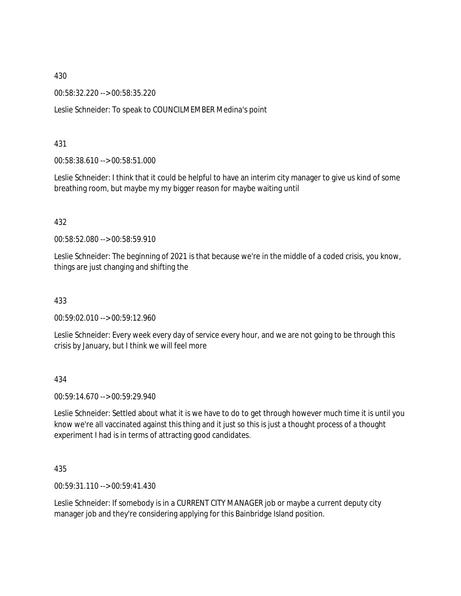00:58:32.220 --> 00:58:35.220

Leslie Schneider: To speak to COUNCILMEMBER Medina's point

431

00:58:38.610 --> 00:58:51.000

Leslie Schneider: I think that it could be helpful to have an interim city manager to give us kind of some breathing room, but maybe my my bigger reason for maybe waiting until

432

00:58:52.080 --> 00:58:59.910

Leslie Schneider: The beginning of 2021 is that because we're in the middle of a coded crisis, you know, things are just changing and shifting the

433

00:59:02.010 --> 00:59:12.960

Leslie Schneider: Every week every day of service every hour, and we are not going to be through this crisis by January, but I think we will feel more

434

00:59:14.670 --> 00:59:29.940

Leslie Schneider: Settled about what it is we have to do to get through however much time it is until you know we're all vaccinated against this thing and it just so this is just a thought process of a thought experiment I had is in terms of attracting good candidates.

435

00:59:31.110 --> 00:59:41.430

Leslie Schneider: If somebody is in a CURRENT CITY MANAGER job or maybe a current deputy city manager job and they're considering applying for this Bainbridge Island position.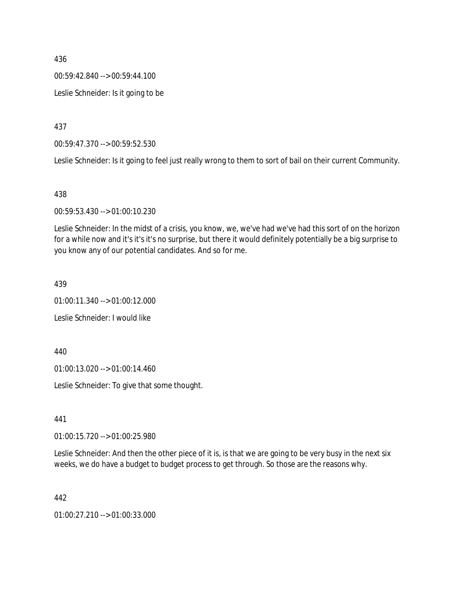00:59:42.840 --> 00:59:44.100

Leslie Schneider: Is it going to be

437

00:59:47.370 --> 00:59:52.530

Leslie Schneider: Is it going to feel just really wrong to them to sort of bail on their current Community.

438

00:59:53.430 --> 01:00:10.230

Leslie Schneider: In the midst of a crisis, you know, we, we've had we've had this sort of on the horizon for a while now and it's it's it's no surprise, but there it would definitely potentially be a big surprise to you know any of our potential candidates. And so for me.

439

01:00:11.340 --> 01:00:12.000 Leslie Schneider: I would like

440

01:00:13.020 --> 01:00:14.460

Leslie Schneider: To give that some thought.

441

01:00:15.720 --> 01:00:25.980

Leslie Schneider: And then the other piece of it is, is that we are going to be very busy in the next six weeks, we do have a budget to budget process to get through. So those are the reasons why.

442

01:00:27.210 --> 01:00:33.000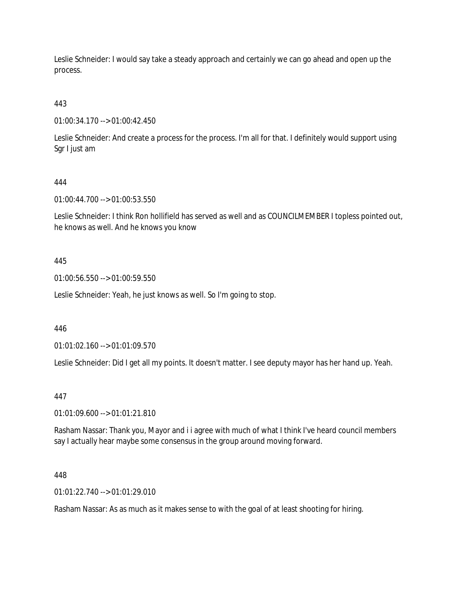Leslie Schneider: I would say take a steady approach and certainly we can go ahead and open up the process.

443

01:00:34.170 --> 01:00:42.450

Leslie Schneider: And create a process for the process. I'm all for that. I definitely would support using Sgr I just am

# 444

01:00:44.700 --> 01:00:53.550

Leslie Schneider: I think Ron hollifield has served as well and as COUNCILMEMBER I topless pointed out, he knows as well. And he knows you know

# 445

01:00:56.550 --> 01:00:59.550

Leslie Schneider: Yeah, he just knows as well. So I'm going to stop.

### 446

01:01:02.160 --> 01:01:09.570

Leslie Schneider: Did I get all my points. It doesn't matter. I see deputy mayor has her hand up. Yeah.

### 447

01:01:09.600 --> 01:01:21.810

Rasham Nassar: Thank you, Mayor and i i agree with much of what I think I've heard council members say I actually hear maybe some consensus in the group around moving forward.

### 448

01:01:22.740 --> 01:01:29.010

Rasham Nassar: As as much as it makes sense to with the goal of at least shooting for hiring.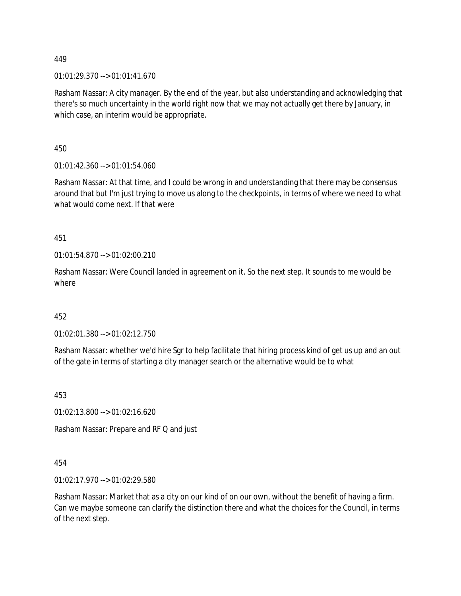01:01:29.370 --> 01:01:41.670

Rasham Nassar: A city manager. By the end of the year, but also understanding and acknowledging that there's so much uncertainty in the world right now that we may not actually get there by January, in which case, an interim would be appropriate.

450

01:01:42.360 --> 01:01:54.060

Rasham Nassar: At that time, and I could be wrong in and understanding that there may be consensus around that but I'm just trying to move us along to the checkpoints, in terms of where we need to what what would come next. If that were

451

01:01:54.870 --> 01:02:00.210

Rasham Nassar: Were Council landed in agreement on it. So the next step. It sounds to me would be where

452

01:02:01.380 --> 01:02:12.750

Rasham Nassar: whether we'd hire Sgr to help facilitate that hiring process kind of get us up and an out of the gate in terms of starting a city manager search or the alternative would be to what

453

01:02:13.800 --> 01:02:16.620

Rasham Nassar: Prepare and RF Q and just

454

01:02:17.970 --> 01:02:29.580

Rasham Nassar: Market that as a city on our kind of on our own, without the benefit of having a firm. Can we maybe someone can clarify the distinction there and what the choices for the Council, in terms of the next step.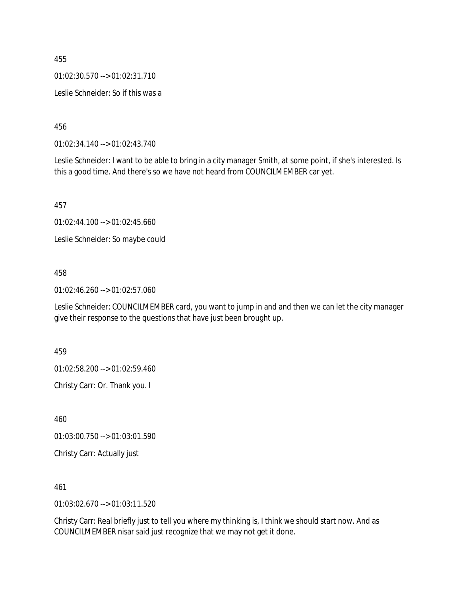01:02:30.570 --> 01:02:31.710

Leslie Schneider: So if this was a

456

01:02:34.140 --> 01:02:43.740

Leslie Schneider: I want to be able to bring in a city manager Smith, at some point, if she's interested. Is this a good time. And there's so we have not heard from COUNCILMEMBER car yet.

457

01:02:44.100 --> 01:02:45.660

Leslie Schneider: So maybe could

#### 458

01:02:46.260 --> 01:02:57.060

Leslie Schneider: COUNCILMEMBER card, you want to jump in and and then we can let the city manager give their response to the questions that have just been brought up.

459

01:02:58.200 --> 01:02:59.460

Christy Carr: Or. Thank you. I

460

01:03:00.750 --> 01:03:01.590

Christy Carr: Actually just

461

01:03:02.670 --> 01:03:11.520

Christy Carr: Real briefly just to tell you where my thinking is, I think we should start now. And as COUNCILMEMBER nisar said just recognize that we may not get it done.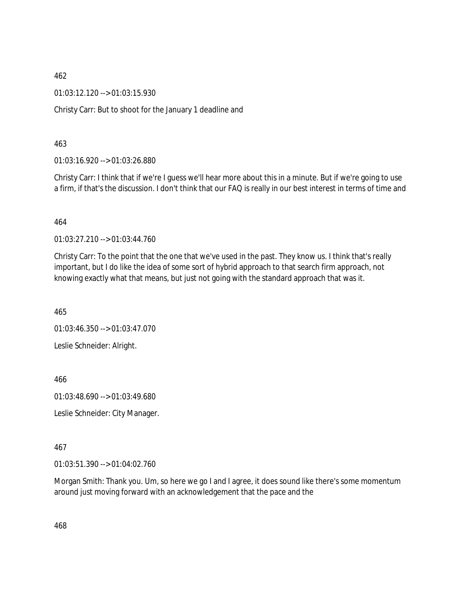01:03:12.120 --> 01:03:15.930

Christy Carr: But to shoot for the January 1 deadline and

463

01:03:16.920 --> 01:03:26.880

Christy Carr: I think that if we're I guess we'll hear more about this in a minute. But if we're going to use a firm, if that's the discussion. I don't think that our FAQ is really in our best interest in terms of time and

464

01:03:27.210 --> 01:03:44.760

Christy Carr: To the point that the one that we've used in the past. They know us. I think that's really important, but I do like the idea of some sort of hybrid approach to that search firm approach, not knowing exactly what that means, but just not going with the standard approach that was it.

465

01:03:46.350 --> 01:03:47.070

Leslie Schneider: Alright.

466

01:03:48.690 --> 01:03:49.680

Leslie Schneider: City Manager.

467

01:03:51.390 --> 01:04:02.760

Morgan Smith: Thank you. Um, so here we go I and I agree, it does sound like there's some momentum around just moving forward with an acknowledgement that the pace and the

468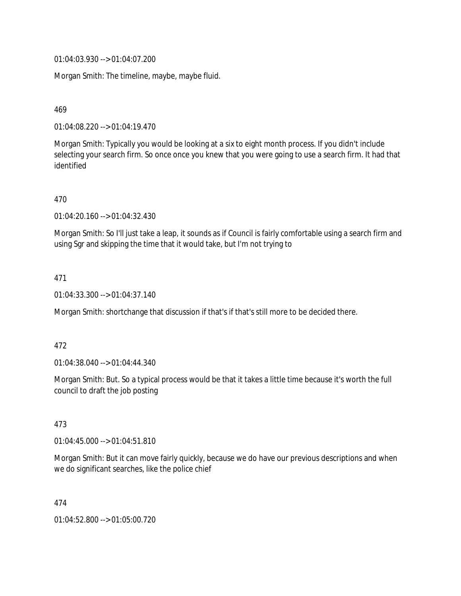01:04:03.930 --> 01:04:07.200

Morgan Smith: The timeline, maybe, maybe fluid.

469

01:04:08.220 --> 01:04:19.470

Morgan Smith: Typically you would be looking at a six to eight month process. If you didn't include selecting your search firm. So once once you knew that you were going to use a search firm. It had that identified

470

01:04:20.160 --> 01:04:32.430

Morgan Smith: So I'll just take a leap, it sounds as if Council is fairly comfortable using a search firm and using Sgr and skipping the time that it would take, but I'm not trying to

471

01:04:33.300 --> 01:04:37.140

Morgan Smith: shortchange that discussion if that's if that's still more to be decided there.

472

01:04:38.040 --> 01:04:44.340

Morgan Smith: But. So a typical process would be that it takes a little time because it's worth the full council to draft the job posting

473

01:04:45.000 --> 01:04:51.810

Morgan Smith: But it can move fairly quickly, because we do have our previous descriptions and when we do significant searches, like the police chief

474

01:04:52.800 --> 01:05:00.720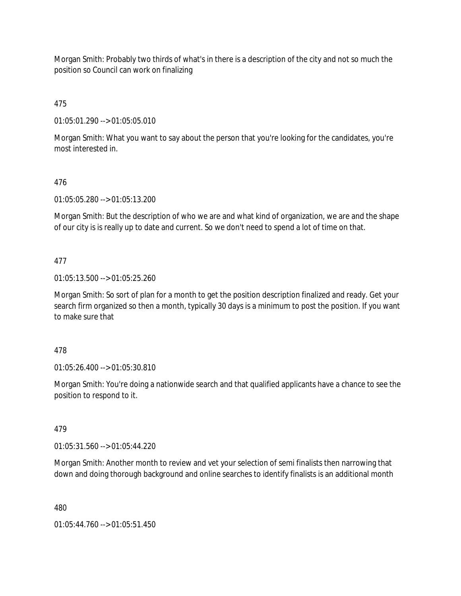Morgan Smith: Probably two thirds of what's in there is a description of the city and not so much the position so Council can work on finalizing

475

01:05:01.290 --> 01:05:05.010

Morgan Smith: What you want to say about the person that you're looking for the candidates, you're most interested in.

## 476

01:05:05.280 --> 01:05:13.200

Morgan Smith: But the description of who we are and what kind of organization, we are and the shape of our city is is really up to date and current. So we don't need to spend a lot of time on that.

## 477

01:05:13.500 --> 01:05:25.260

Morgan Smith: So sort of plan for a month to get the position description finalized and ready. Get your search firm organized so then a month, typically 30 days is a minimum to post the position. If you want to make sure that

## 478

01:05:26.400 --> 01:05:30.810

Morgan Smith: You're doing a nationwide search and that qualified applicants have a chance to see the position to respond to it.

# 479

01:05:31.560 --> 01:05:44.220

Morgan Smith: Another month to review and vet your selection of semi finalists then narrowing that down and doing thorough background and online searches to identify finalists is an additional month

480

01:05:44.760 --> 01:05:51.450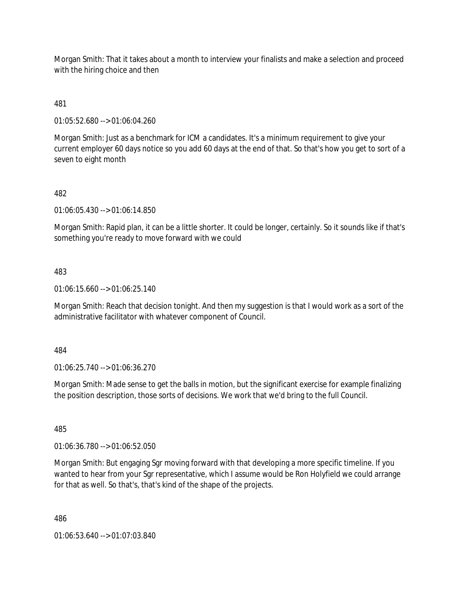Morgan Smith: That it takes about a month to interview your finalists and make a selection and proceed with the hiring choice and then

481

01:05:52.680 --> 01:06:04.260

Morgan Smith: Just as a benchmark for ICM a candidates. It's a minimum requirement to give your current employer 60 days notice so you add 60 days at the end of that. So that's how you get to sort of a seven to eight month

## 482

01:06:05.430 --> 01:06:14.850

Morgan Smith: Rapid plan, it can be a little shorter. It could be longer, certainly. So it sounds like if that's something you're ready to move forward with we could

#### 483

01:06:15.660 --> 01:06:25.140

Morgan Smith: Reach that decision tonight. And then my suggestion is that I would work as a sort of the administrative facilitator with whatever component of Council.

#### 484

01:06:25.740 --> 01:06:36.270

Morgan Smith: Made sense to get the balls in motion, but the significant exercise for example finalizing the position description, those sorts of decisions. We work that we'd bring to the full Council.

485

01:06:36.780 --> 01:06:52.050

Morgan Smith: But engaging Sgr moving forward with that developing a more specific timeline. If you wanted to hear from your Sgr representative, which I assume would be Ron Holyfield we could arrange for that as well. So that's, that's kind of the shape of the projects.

486

01:06:53.640 --> 01:07:03.840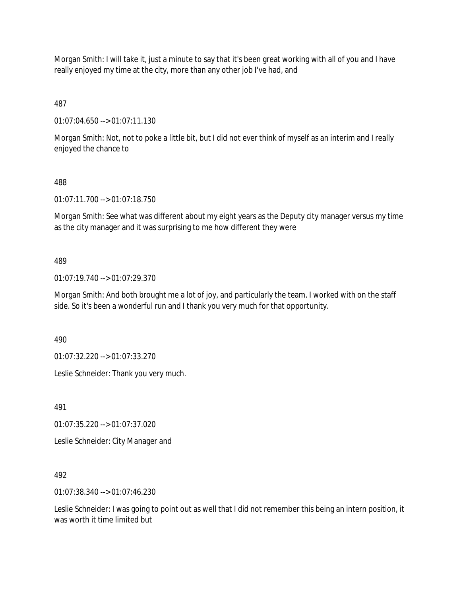Morgan Smith: I will take it, just a minute to say that it's been great working with all of you and I have really enjoyed my time at the city, more than any other job I've had, and

487

01:07:04.650 --> 01:07:11.130

Morgan Smith: Not, not to poke a little bit, but I did not ever think of myself as an interim and I really enjoyed the chance to

## 488

01:07:11.700 --> 01:07:18.750

Morgan Smith: See what was different about my eight years as the Deputy city manager versus my time as the city manager and it was surprising to me how different they were

## 489

01:07:19.740 --> 01:07:29.370

Morgan Smith: And both brought me a lot of joy, and particularly the team. I worked with on the staff side. So it's been a wonderful run and I thank you very much for that opportunity.

490

01:07:32.220 --> 01:07:33.270

Leslie Schneider: Thank you very much.

491

01:07:35.220 --> 01:07:37.020

Leslie Schneider: City Manager and

## 492

01:07:38.340 --> 01:07:46.230

Leslie Schneider: I was going to point out as well that I did not remember this being an intern position, it was worth it time limited but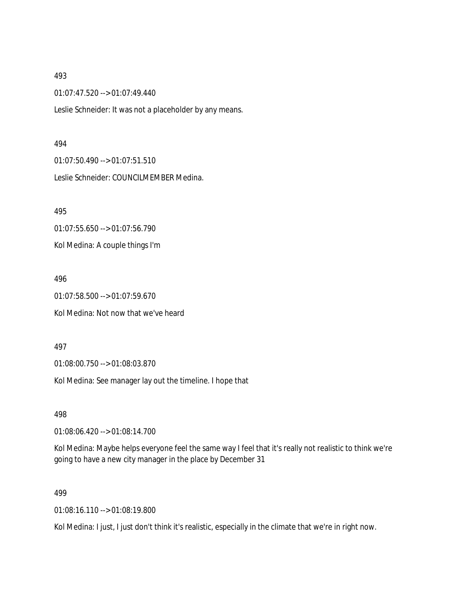01:07:47.520 --> 01:07:49.440

Leslie Schneider: It was not a placeholder by any means.

#### 494

01:07:50.490 --> 01:07:51.510 Leslie Schneider: COUNCILMEMBER Medina.

495

01:07:55.650 --> 01:07:56.790 Kol Medina: A couple things I'm

496

01:07:58.500 --> 01:07:59.670 Kol Medina: Not now that we've heard

497

01:08:00.750 --> 01:08:03.870

Kol Medina: See manager lay out the timeline. I hope that

498

01:08:06.420 --> 01:08:14.700

Kol Medina: Maybe helps everyone feel the same way I feel that it's really not realistic to think we're going to have a new city manager in the place by December 31

499

01:08:16.110 --> 01:08:19.800

Kol Medina: I just, I just don't think it's realistic, especially in the climate that we're in right now.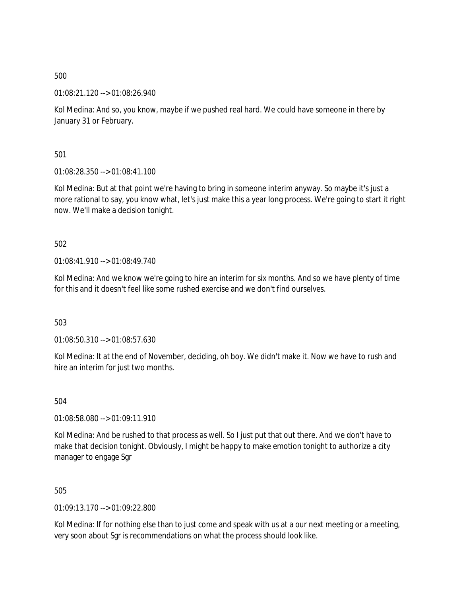01:08:21.120 --> 01:08:26.940

Kol Medina: And so, you know, maybe if we pushed real hard. We could have someone in there by January 31 or February.

501

01:08:28.350 --> 01:08:41.100

Kol Medina: But at that point we're having to bring in someone interim anyway. So maybe it's just a more rational to say, you know what, let's just make this a year long process. We're going to start it right now. We'll make a decision tonight.

502

01:08:41.910 --> 01:08:49.740

Kol Medina: And we know we're going to hire an interim for six months. And so we have plenty of time for this and it doesn't feel like some rushed exercise and we don't find ourselves.

503

01:08:50.310 --> 01:08:57.630

Kol Medina: It at the end of November, deciding, oh boy. We didn't make it. Now we have to rush and hire an interim for just two months.

504

01:08:58.080 --> 01:09:11.910

Kol Medina: And be rushed to that process as well. So I just put that out there. And we don't have to make that decision tonight. Obviously, I might be happy to make emotion tonight to authorize a city manager to engage Sgr

505

01:09:13.170 --> 01:09:22.800

Kol Medina: If for nothing else than to just come and speak with us at a our next meeting or a meeting, very soon about Sgr is recommendations on what the process should look like.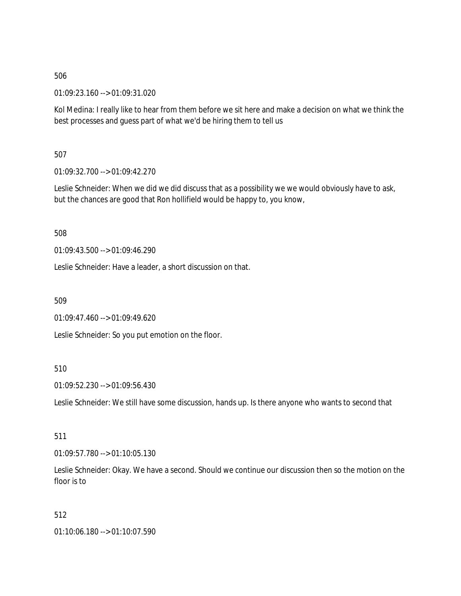01:09:23.160 --> 01:09:31.020

Kol Medina: I really like to hear from them before we sit here and make a decision on what we think the best processes and guess part of what we'd be hiring them to tell us

507

01:09:32.700 --> 01:09:42.270

Leslie Schneider: When we did we did discuss that as a possibility we we would obviously have to ask, but the chances are good that Ron hollifield would be happy to, you know,

508

01:09:43.500 --> 01:09:46.290

Leslie Schneider: Have a leader, a short discussion on that.

509

01:09:47.460 --> 01:09:49.620

Leslie Schneider: So you put emotion on the floor.

## 510

01:09:52.230 --> 01:09:56.430

Leslie Schneider: We still have some discussion, hands up. Is there anyone who wants to second that

511

01:09:57.780 --> 01:10:05.130

Leslie Schneider: Okay. We have a second. Should we continue our discussion then so the motion on the floor is to

512

01:10:06.180 --> 01:10:07.590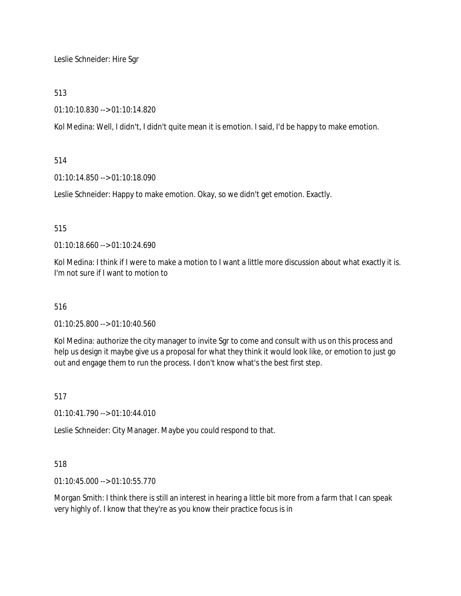Leslie Schneider: Hire Sgr

513

01:10:10.830 --> 01:10:14.820

Kol Medina: Well, I didn't, I didn't quite mean it is emotion. I said, I'd be happy to make emotion.

514

01:10:14.850 --> 01:10:18.090

Leslie Schneider: Happy to make emotion. Okay, so we didn't get emotion. Exactly.

515

01:10:18.660 --> 01:10:24.690

Kol Medina: I think if I were to make a motion to I want a little more discussion about what exactly it is. I'm not sure if I want to motion to

516

01:10:25.800 --> 01:10:40.560

Kol Medina: authorize the city manager to invite Sgr to come and consult with us on this process and help us design it maybe give us a proposal for what they think it would look like, or emotion to just go out and engage them to run the process. I don't know what's the best first step.

517

01:10:41.790 --> 01:10:44.010

Leslie Schneider: City Manager. Maybe you could respond to that.

518

01:10:45.000 --> 01:10:55.770

Morgan Smith: I think there is still an interest in hearing a little bit more from a farm that I can speak very highly of. I know that they're as you know their practice focus is in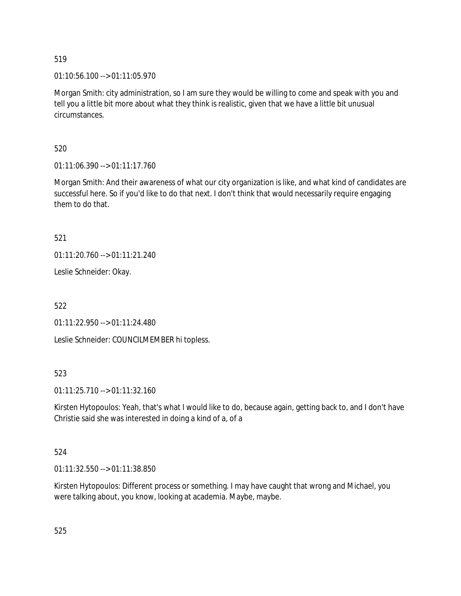01:10:56.100 --> 01:11:05.970

Morgan Smith: city administration, so I am sure they would be willing to come and speak with you and tell you a little bit more about what they think is realistic, given that we have a little bit unusual circumstances.

520

01:11:06.390 --> 01:11:17.760

Morgan Smith: And their awareness of what our city organization is like, and what kind of candidates are successful here. So if you'd like to do that next. I don't think that would necessarily require engaging them to do that.

521

01:11:20.760 --> 01:11:21.240

Leslie Schneider: Okay.

522

01:11:22.950 --> 01:11:24.480

Leslie Schneider: COUNCILMEMBER hi topless.

523

01:11:25.710 --> 01:11:32.160

Kirsten Hytopoulos: Yeah, that's what I would like to do, because again, getting back to, and I don't have Christie said she was interested in doing a kind of a, of a

# 524

01:11:32.550 --> 01:11:38.850

Kirsten Hytopoulos: Different process or something. I may have caught that wrong and Michael, you were talking about, you know, looking at academia. Maybe, maybe.

525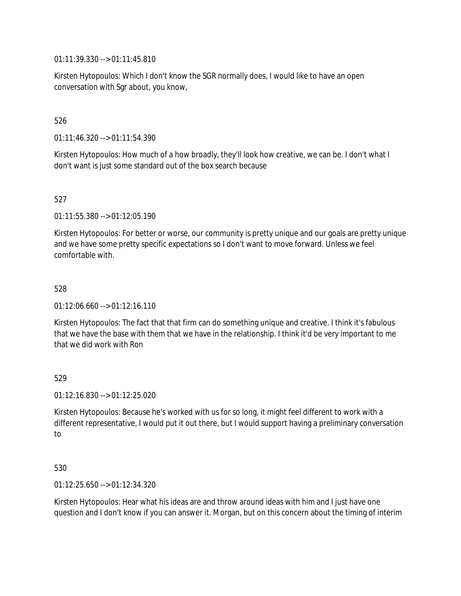01:11:39.330 --> 01:11:45.810

Kirsten Hytopoulos: Which I don't know the SGR normally does, I would like to have an open conversation with Sgr about, you know,

## 526

01:11:46.320 --> 01:11:54.390

Kirsten Hytopoulos: How much of a how broadly, they'll look how creative, we can be. I don't what I don't want is just some standard out of the box search because

## 527

01:11:55.380 --> 01:12:05.190

Kirsten Hytopoulos: For better or worse, our community is pretty unique and our goals are pretty unique and we have some pretty specific expectations so I don't want to move forward. Unless we feel comfortable with.

### 528

01:12:06.660 --> 01:12:16.110

Kirsten Hytopoulos: The fact that that firm can do something unique and creative. I think it's fabulous that we have the base with them that we have in the relationship. I think it'd be very important to me that we did work with Ron

## 529

01:12:16.830 --> 01:12:25.020

Kirsten Hytopoulos: Because he's worked with us for so long, it might feel different to work with a different representative, I would put it out there, but I would support having a preliminary conversation to

## 530

01:12:25.650 --> 01:12:34.320

Kirsten Hytopoulos: Hear what his ideas are and throw around ideas with him and I just have one question and I don't know if you can answer it. Morgan, but on this concern about the timing of interim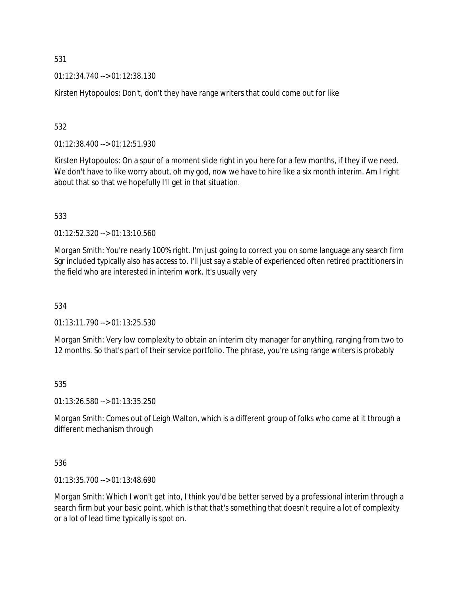01:12:34.740 --> 01:12:38.130

Kirsten Hytopoulos: Don't, don't they have range writers that could come out for like

532

01:12:38.400 --> 01:12:51.930

Kirsten Hytopoulos: On a spur of a moment slide right in you here for a few months, if they if we need. We don't have to like worry about, oh my god, now we have to hire like a six month interim. Am I right about that so that we hopefully I'll get in that situation.

533

01:12:52.320 --> 01:13:10.560

Morgan Smith: You're nearly 100% right. I'm just going to correct you on some language any search firm Sgr included typically also has access to. I'll just say a stable of experienced often retired practitioners in the field who are interested in interim work. It's usually very

534

01:13:11.790 --> 01:13:25.530

Morgan Smith: Very low complexity to obtain an interim city manager for anything, ranging from two to 12 months. So that's part of their service portfolio. The phrase, you're using range writers is probably

535

01:13:26.580 --> 01:13:35.250

Morgan Smith: Comes out of Leigh Walton, which is a different group of folks who come at it through a different mechanism through

536

01:13:35.700 --> 01:13:48.690

Morgan Smith: Which I won't get into, I think you'd be better served by a professional interim through a search firm but your basic point, which is that that's something that doesn't require a lot of complexity or a lot of lead time typically is spot on.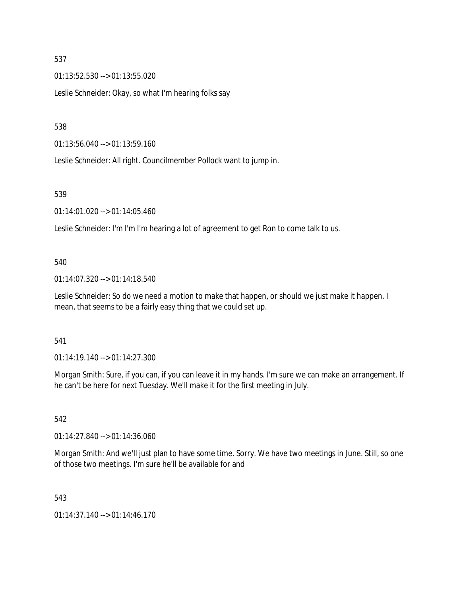01:13:52.530 --> 01:13:55.020

Leslie Schneider: Okay, so what I'm hearing folks say

538

01:13:56.040 --> 01:13:59.160

Leslie Schneider: All right. Councilmember Pollock want to jump in.

### 539

01:14:01.020 --> 01:14:05.460

Leslie Schneider: I'm I'm I'm hearing a lot of agreement to get Ron to come talk to us.

### 540

01:14:07.320 --> 01:14:18.540

Leslie Schneider: So do we need a motion to make that happen, or should we just make it happen. I mean, that seems to be a fairly easy thing that we could set up.

## 541

 $01:14:19.140 \rightarrow 01:14:27.300$ 

Morgan Smith: Sure, if you can, if you can leave it in my hands. I'm sure we can make an arrangement. If he can't be here for next Tuesday. We'll make it for the first meeting in July.

## 542

01:14:27.840 --> 01:14:36.060

Morgan Smith: And we'll just plan to have some time. Sorry. We have two meetings in June. Still, so one of those two meetings. I'm sure he'll be available for and

## 543

01:14:37.140 --> 01:14:46.170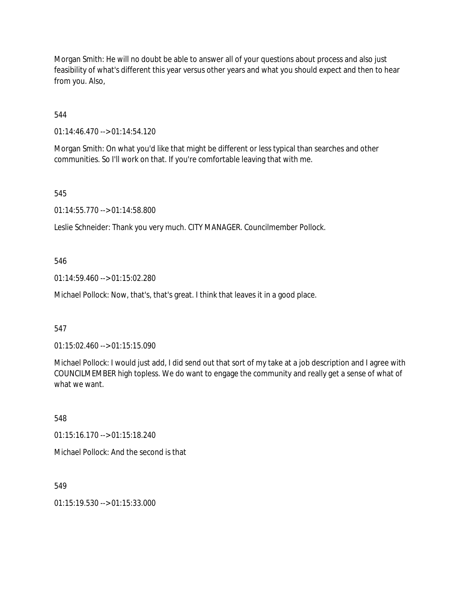Morgan Smith: He will no doubt be able to answer all of your questions about process and also just feasibility of what's different this year versus other years and what you should expect and then to hear from you. Also,

544

01:14:46.470 --> 01:14:54.120

Morgan Smith: On what you'd like that might be different or less typical than searches and other communities. So I'll work on that. If you're comfortable leaving that with me.

545

01:14:55.770 --> 01:14:58.800

Leslie Schneider: Thank you very much. CITY MANAGER. Councilmember Pollock.

546

01:14:59.460 --> 01:15:02.280

Michael Pollock: Now, that's, that's great. I think that leaves it in a good place.

547

01:15:02.460 --> 01:15:15.090

Michael Pollock: I would just add, I did send out that sort of my take at a job description and I agree with COUNCILMEMBER high topless. We do want to engage the community and really get a sense of what of what we want.

548

01:15:16.170 --> 01:15:18.240

Michael Pollock: And the second is that

549

01:15:19.530 --> 01:15:33.000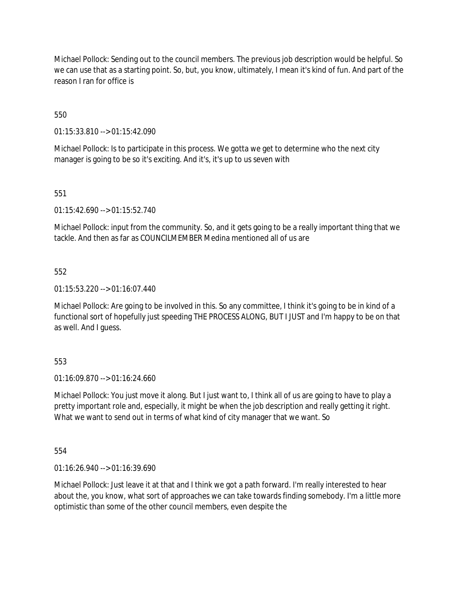Michael Pollock: Sending out to the council members. The previous job description would be helpful. So we can use that as a starting point. So, but, you know, ultimately, I mean it's kind of fun. And part of the reason I ran for office is

550

01:15:33.810 --> 01:15:42.090

Michael Pollock: Is to participate in this process. We gotta we get to determine who the next city manager is going to be so it's exciting. And it's, it's up to us seven with

551

01:15:42.690 --> 01:15:52.740

Michael Pollock: input from the community. So, and it gets going to be a really important thing that we tackle. And then as far as COUNCILMEMBER Medina mentioned all of us are

552

01:15:53.220 --> 01:16:07.440

Michael Pollock: Are going to be involved in this. So any committee, I think it's going to be in kind of a functional sort of hopefully just speeding THE PROCESS ALONG, BUT I JUST and I'm happy to be on that as well. And I guess.

553

01:16:09.870 --> 01:16:24.660

Michael Pollock: You just move it along. But I just want to, I think all of us are going to have to play a pretty important role and, especially, it might be when the job description and really getting it right. What we want to send out in terms of what kind of city manager that we want. So

554

01:16:26.940 --> 01:16:39.690

Michael Pollock: Just leave it at that and I think we got a path forward. I'm really interested to hear about the, you know, what sort of approaches we can take towards finding somebody. I'm a little more optimistic than some of the other council members, even despite the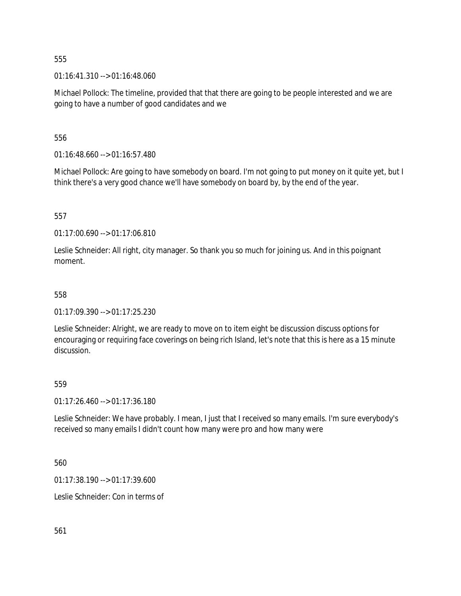01:16:41.310 --> 01:16:48.060

Michael Pollock: The timeline, provided that that there are going to be people interested and we are going to have a number of good candidates and we

556

01:16:48.660 --> 01:16:57.480

Michael Pollock: Are going to have somebody on board. I'm not going to put money on it quite yet, but I think there's a very good chance we'll have somebody on board by, by the end of the year.

557

01:17:00.690 --> 01:17:06.810

Leslie Schneider: All right, city manager. So thank you so much for joining us. And in this poignant moment.

### 558

01:17:09.390 --> 01:17:25.230

Leslie Schneider: Alright, we are ready to move on to item eight be discussion discuss options for encouraging or requiring face coverings on being rich Island, let's note that this is here as a 15 minute discussion.

#### 559

01:17:26.460 --> 01:17:36.180

Leslie Schneider: We have probably. I mean, I just that I received so many emails. I'm sure everybody's received so many emails I didn't count how many were pro and how many were

560

01:17:38.190 --> 01:17:39.600

Leslie Schneider: Con in terms of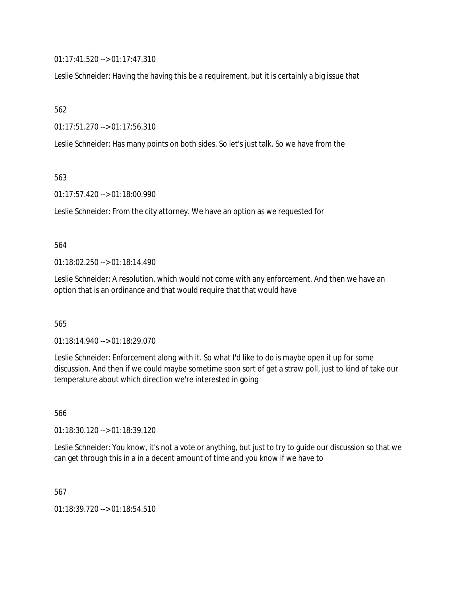01:17:41.520 --> 01:17:47.310

Leslie Schneider: Having the having this be a requirement, but it is certainly a big issue that

562

01:17:51.270 --> 01:17:56.310

Leslie Schneider: Has many points on both sides. So let's just talk. So we have from the

563

01:17:57.420 --> 01:18:00.990

Leslie Schneider: From the city attorney. We have an option as we requested for

## 564

01:18:02.250 --> 01:18:14.490

Leslie Schneider: A resolution, which would not come with any enforcement. And then we have an option that is an ordinance and that would require that that would have

565

01:18:14.940 --> 01:18:29.070

Leslie Schneider: Enforcement along with it. So what I'd like to do is maybe open it up for some discussion. And then if we could maybe sometime soon sort of get a straw poll, just to kind of take our temperature about which direction we're interested in going

566

01:18:30.120 --> 01:18:39.120

Leslie Schneider: You know, it's not a vote or anything, but just to try to guide our discussion so that we can get through this in a in a decent amount of time and you know if we have to

567

01:18:39.720 --> 01:18:54.510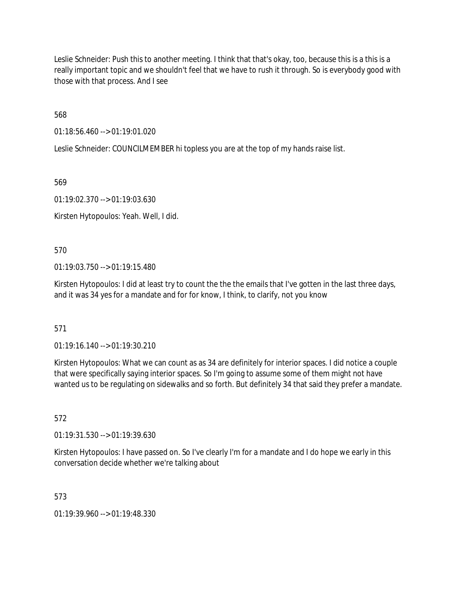Leslie Schneider: Push this to another meeting. I think that that's okay, too, because this is a this is a really important topic and we shouldn't feel that we have to rush it through. So is everybody good with those with that process. And I see

568

01:18:56.460 --> 01:19:01.020

Leslie Schneider: COUNCILMEMBER hi topless you are at the top of my hands raise list.

569

01:19:02.370 --> 01:19:03.630

Kirsten Hytopoulos: Yeah. Well, I did.

570

01:19:03.750 --> 01:19:15.480

Kirsten Hytopoulos: I did at least try to count the the the emails that I've gotten in the last three days, and it was 34 yes for a mandate and for for know, I think, to clarify, not you know

571

01:19:16.140 --> 01:19:30.210

Kirsten Hytopoulos: What we can count as as 34 are definitely for interior spaces. I did notice a couple that were specifically saying interior spaces. So I'm going to assume some of them might not have wanted us to be regulating on sidewalks and so forth. But definitely 34 that said they prefer a mandate.

572

01:19:31.530 --> 01:19:39.630

Kirsten Hytopoulos: I have passed on. So I've clearly I'm for a mandate and I do hope we early in this conversation decide whether we're talking about

573

01:19:39.960 --> 01:19:48.330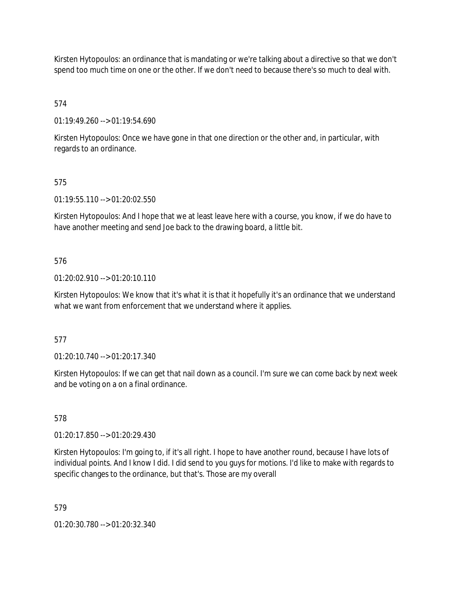Kirsten Hytopoulos: an ordinance that is mandating or we're talking about a directive so that we don't spend too much time on one or the other. If we don't need to because there's so much to deal with.

574

01:19:49.260 --> 01:19:54.690

Kirsten Hytopoulos: Once we have gone in that one direction or the other and, in particular, with regards to an ordinance.

# 575

01:19:55.110 --> 01:20:02.550

Kirsten Hytopoulos: And I hope that we at least leave here with a course, you know, if we do have to have another meeting and send Joe back to the drawing board, a little bit.

## 576

01:20:02.910 --> 01:20:10.110

Kirsten Hytopoulos: We know that it's what it is that it hopefully it's an ordinance that we understand what we want from enforcement that we understand where it applies.

## 577

01:20:10.740 --> 01:20:17.340

Kirsten Hytopoulos: If we can get that nail down as a council. I'm sure we can come back by next week and be voting on a on a final ordinance.

## 578

01:20:17.850 --> 01:20:29.430

Kirsten Hytopoulos: I'm going to, if it's all right. I hope to have another round, because I have lots of individual points. And I know I did. I did send to you guys for motions. I'd like to make with regards to specific changes to the ordinance, but that's. Those are my overall

579

01:20:30.780 --> 01:20:32.340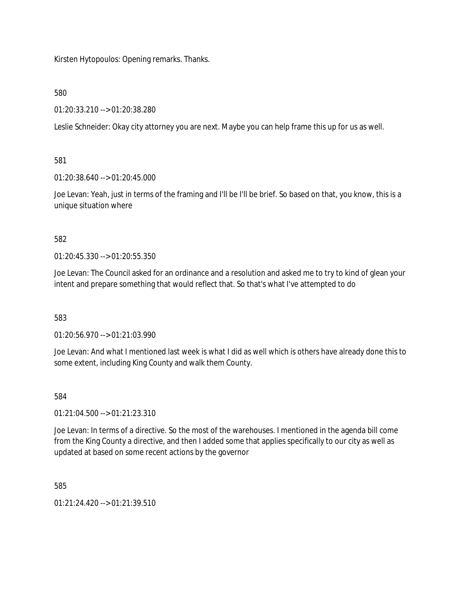Kirsten Hytopoulos: Opening remarks. Thanks.

580

01:20:33.210 --> 01:20:38.280

Leslie Schneider: Okay city attorney you are next. Maybe you can help frame this up for us as well.

581

01:20:38.640 --> 01:20:45.000

Joe Levan: Yeah, just in terms of the framing and I'll be I'll be brief. So based on that, you know, this is a unique situation where

582

01:20:45.330 --> 01:20:55.350

Joe Levan: The Council asked for an ordinance and a resolution and asked me to try to kind of glean your intent and prepare something that would reflect that. So that's what I've attempted to do

583

01:20:56.970 --> 01:21:03.990

Joe Levan: And what I mentioned last week is what I did as well which is others have already done this to some extent, including King County and walk them County.

584

01:21:04.500 --> 01:21:23.310

Joe Levan: In terms of a directive. So the most of the warehouses. I mentioned in the agenda bill come from the King County a directive, and then I added some that applies specifically to our city as well as updated at based on some recent actions by the governor

585

 $01:21:24.420 \rightarrow 01:21:39.510$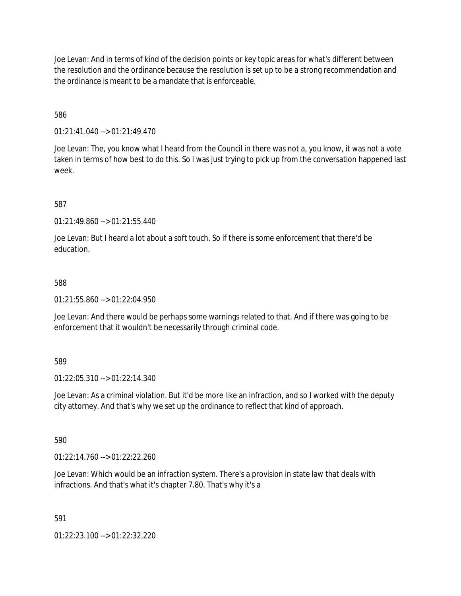Joe Levan: And in terms of kind of the decision points or key topic areas for what's different between the resolution and the ordinance because the resolution is set up to be a strong recommendation and the ordinance is meant to be a mandate that is enforceable.

586

01:21:41.040 --> 01:21:49.470

Joe Levan: The, you know what I heard from the Council in there was not a, you know, it was not a vote taken in terms of how best to do this. So I was just trying to pick up from the conversation happened last week.

587

 $01:21:49.860 \rightarrow 01:21:55.440$ 

Joe Levan: But I heard a lot about a soft touch. So if there is some enforcement that there'd be education.

588

01:21:55.860 --> 01:22:04.950

Joe Levan: And there would be perhaps some warnings related to that. And if there was going to be enforcement that it wouldn't be necessarily through criminal code.

589

01:22:05.310 --> 01:22:14.340

Joe Levan: As a criminal violation. But it'd be more like an infraction, and so I worked with the deputy city attorney. And that's why we set up the ordinance to reflect that kind of approach.

590

01:22:14.760 --> 01:22:22.260

Joe Levan: Which would be an infraction system. There's a provision in state law that deals with infractions. And that's what it's chapter 7.80. That's why it's a

591

01:22:23.100 --> 01:22:32.220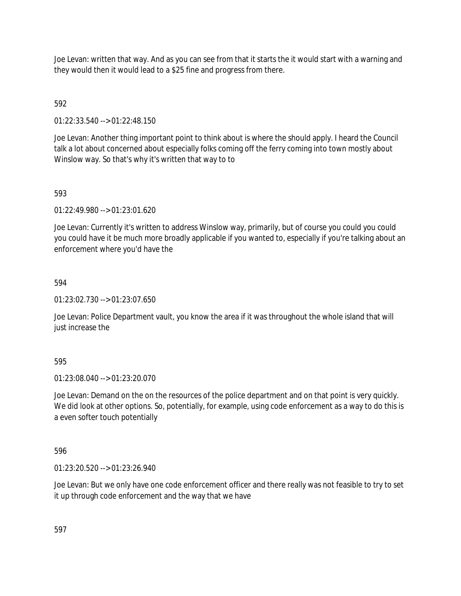Joe Levan: written that way. And as you can see from that it starts the it would start with a warning and they would then it would lead to a \$25 fine and progress from there.

592

01:22:33.540 --> 01:22:48.150

Joe Levan: Another thing important point to think about is where the should apply. I heard the Council talk a lot about concerned about especially folks coming off the ferry coming into town mostly about Winslow way. So that's why it's written that way to to

## 593

01:22:49.980 --> 01:23:01.620

Joe Levan: Currently it's written to address Winslow way, primarily, but of course you could you could you could have it be much more broadly applicable if you wanted to, especially if you're talking about an enforcement where you'd have the

## 594

01:23:02.730 --> 01:23:07.650

Joe Levan: Police Department vault, you know the area if it was throughout the whole island that will just increase the

## 595

01:23:08.040 --> 01:23:20.070

Joe Levan: Demand on the on the resources of the police department and on that point is very quickly. We did look at other options. So, potentially, for example, using code enforcement as a way to do this is a even softer touch potentially

596

01:23:20.520 --> 01:23:26.940

Joe Levan: But we only have one code enforcement officer and there really was not feasible to try to set it up through code enforcement and the way that we have

597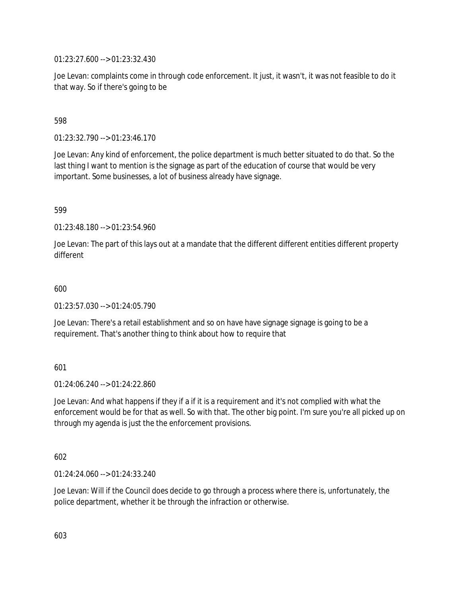01:23:27.600 --> 01:23:32.430

Joe Levan: complaints come in through code enforcement. It just, it wasn't, it was not feasible to do it that way. So if there's going to be

## 598

01:23:32.790 --> 01:23:46.170

Joe Levan: Any kind of enforcement, the police department is much better situated to do that. So the last thing I want to mention is the signage as part of the education of course that would be very important. Some businesses, a lot of business already have signage.

## 599

01:23:48.180 --> 01:23:54.960

Joe Levan: The part of this lays out at a mandate that the different different entities different property different

### 600

01:23:57.030 --> 01:24:05.790

Joe Levan: There's a retail establishment and so on have have signage signage is going to be a requirement. That's another thing to think about how to require that

## 601

 $01:24:06.240 \rightarrow 01:24:22.860$ 

Joe Levan: And what happens if they if a if it is a requirement and it's not complied with what the enforcement would be for that as well. So with that. The other big point. I'm sure you're all picked up on through my agenda is just the the enforcement provisions.

## 602

01:24:24.060 --> 01:24:33.240

Joe Levan: Will if the Council does decide to go through a process where there is, unfortunately, the police department, whether it be through the infraction or otherwise.

603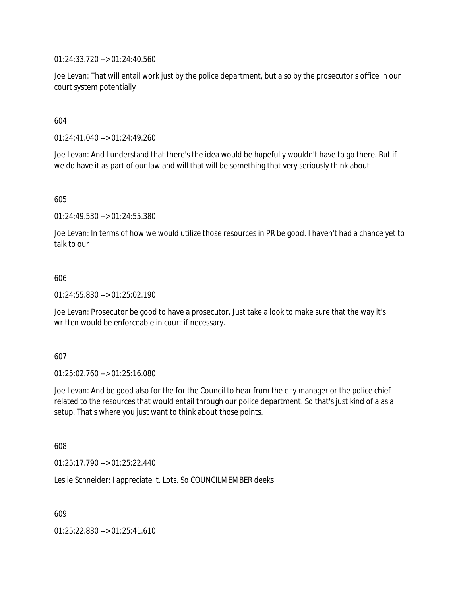01:24:33.720 --> 01:24:40.560

Joe Levan: That will entail work just by the police department, but also by the prosecutor's office in our court system potentially

604

01:24:41.040 --> 01:24:49.260

Joe Levan: And I understand that there's the idea would be hopefully wouldn't have to go there. But if we do have it as part of our law and will that will be something that very seriously think about

605

01:24:49.530 --> 01:24:55.380

Joe Levan: In terms of how we would utilize those resources in PR be good. I haven't had a chance yet to talk to our

#### 606

01:24:55.830 --> 01:25:02.190

Joe Levan: Prosecutor be good to have a prosecutor. Just take a look to make sure that the way it's written would be enforceable in court if necessary.

#### 607

01:25:02.760 --> 01:25:16.080

Joe Levan: And be good also for the for the Council to hear from the city manager or the police chief related to the resources that would entail through our police department. So that's just kind of a as a setup. That's where you just want to think about those points.

608

01:25:17.790 --> 01:25:22.440

Leslie Schneider: I appreciate it. Lots. So COUNCILMEMBER deeks

609

01:25:22.830 --> 01:25:41.610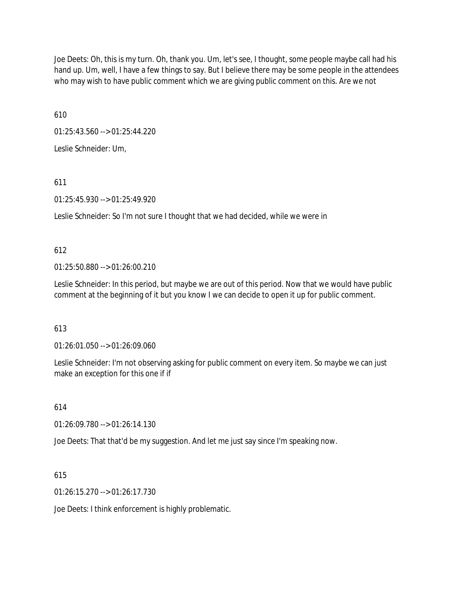Joe Deets: Oh, this is my turn. Oh, thank you. Um, let's see, I thought, some people maybe call had his hand up. Um, well, I have a few things to say. But I believe there may be some people in the attendees who may wish to have public comment which we are giving public comment on this. Are we not

610

01:25:43.560 --> 01:25:44.220

Leslie Schneider: Um,

611

01:25:45.930 --> 01:25:49.920

Leslie Schneider: So I'm not sure I thought that we had decided, while we were in

612

01:25:50.880 --> 01:26:00.210

Leslie Schneider: In this period, but maybe we are out of this period. Now that we would have public comment at the beginning of it but you know I we can decide to open it up for public comment.

613

01:26:01.050 --> 01:26:09.060

Leslie Schneider: I'm not observing asking for public comment on every item. So maybe we can just make an exception for this one if if

614

01:26:09.780 --> 01:26:14.130

Joe Deets: That that'd be my suggestion. And let me just say since I'm speaking now.

615

01:26:15.270 --> 01:26:17.730

Joe Deets: I think enforcement is highly problematic.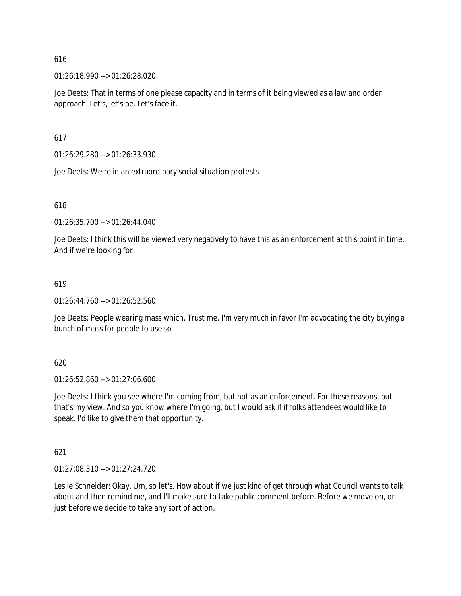01:26:18.990 --> 01:26:28.020

Joe Deets: That in terms of one please capacity and in terms of it being viewed as a law and order approach. Let's, let's be. Let's face it.

617

01:26:29.280 --> 01:26:33.930

Joe Deets: We're in an extraordinary social situation protests.

618

01:26:35.700 --> 01:26:44.040

Joe Deets: I think this will be viewed very negatively to have this as an enforcement at this point in time. And if we're looking for.

## 619

01:26:44.760 --> 01:26:52.560

Joe Deets: People wearing mass which. Trust me. I'm very much in favor I'm advocating the city buying a bunch of mass for people to use so

620

01:26:52.860 --> 01:27:06.600

Joe Deets: I think you see where I'm coming from, but not as an enforcement. For these reasons, but that's my view. And so you know where I'm going, but I would ask if if folks attendees would like to speak. I'd like to give them that opportunity.

621

01:27:08.310 --> 01:27:24.720

Leslie Schneider: Okay. Um, so let's. How about if we just kind of get through what Council wants to talk about and then remind me, and I'll make sure to take public comment before. Before we move on, or just before we decide to take any sort of action.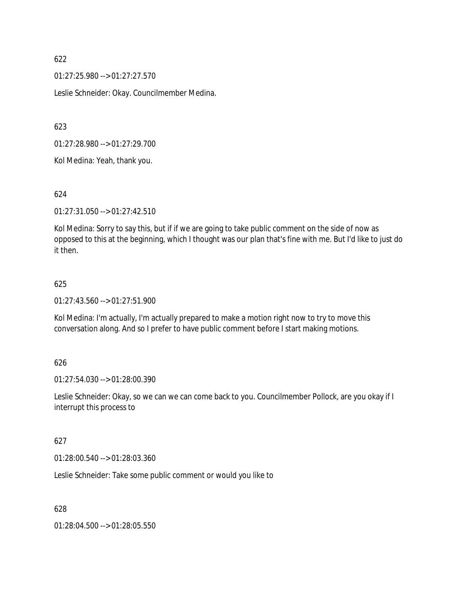01:27:25.980 --> 01:27:27.570

Leslie Schneider: Okay. Councilmember Medina.

623

01:27:28.980 --> 01:27:29.700

Kol Medina: Yeah, thank you.

### 624

01:27:31.050 --> 01:27:42.510

Kol Medina: Sorry to say this, but if if we are going to take public comment on the side of now as opposed to this at the beginning, which I thought was our plan that's fine with me. But I'd like to just do it then.

### 625

01:27:43.560 --> 01:27:51.900

Kol Medina: I'm actually, I'm actually prepared to make a motion right now to try to move this conversation along. And so I prefer to have public comment before I start making motions.

#### 626

01:27:54.030 --> 01:28:00.390

Leslie Schneider: Okay, so we can we can come back to you. Councilmember Pollock, are you okay if I interrupt this process to

#### 627

01:28:00.540 --> 01:28:03.360

Leslie Schneider: Take some public comment or would you like to

628

01:28:04.500 --> 01:28:05.550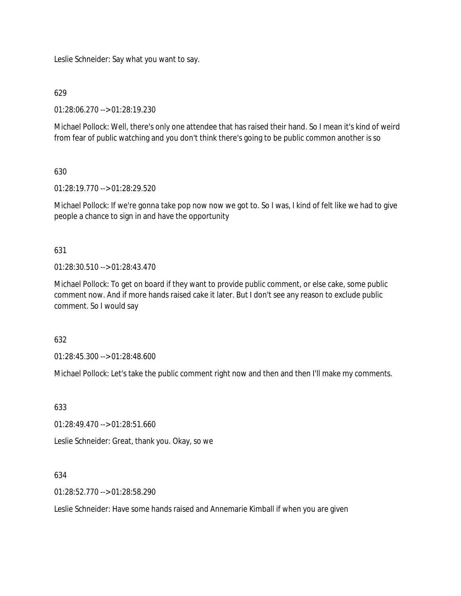Leslie Schneider: Say what you want to say.

## 629

01:28:06.270 --> 01:28:19.230

Michael Pollock: Well, there's only one attendee that has raised their hand. So I mean it's kind of weird from fear of public watching and you don't think there's going to be public common another is so

# 630

01:28:19.770 --> 01:28:29.520

Michael Pollock: If we're gonna take pop now now we got to. So I was, I kind of felt like we had to give people a chance to sign in and have the opportunity

## 631

01:28:30.510 --> 01:28:43.470

Michael Pollock: To get on board if they want to provide public comment, or else cake, some public comment now. And if more hands raised cake it later. But I don't see any reason to exclude public comment. So I would say

## 632

01:28:45.300 --> 01:28:48.600

Michael Pollock: Let's take the public comment right now and then and then I'll make my comments.

## 633

01:28:49.470 --> 01:28:51.660

Leslie Schneider: Great, thank you. Okay, so we

## 634

01:28:52.770 --> 01:28:58.290

Leslie Schneider: Have some hands raised and Annemarie Kimball if when you are given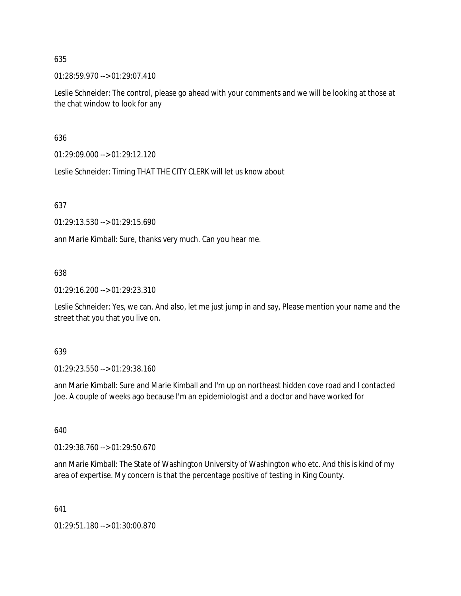01:28:59.970 --> 01:29:07.410

Leslie Schneider: The control, please go ahead with your comments and we will be looking at those at the chat window to look for any

636

01:29:09.000 --> 01:29:12.120

Leslie Schneider: Timing THAT THE CITY CLERK will let us know about

637

01:29:13.530 --> 01:29:15.690

ann Marie Kimball: Sure, thanks very much. Can you hear me.

### 638

01:29:16.200 --> 01:29:23.310

Leslie Schneider: Yes, we can. And also, let me just jump in and say, Please mention your name and the street that you that you live on.

#### 639

01:29:23.550 --> 01:29:38.160

ann Marie Kimball: Sure and Marie Kimball and I'm up on northeast hidden cove road and I contacted Joe. A couple of weeks ago because I'm an epidemiologist and a doctor and have worked for

640

01:29:38.760 --> 01:29:50.670

ann Marie Kimball: The State of Washington University of Washington who etc. And this is kind of my area of expertise. My concern is that the percentage positive of testing in King County.

641

01:29:51.180 --> 01:30:00.870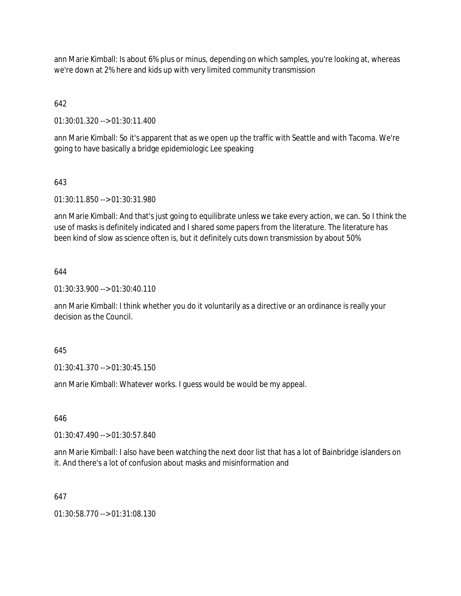ann Marie Kimball: Is about 6% plus or minus, depending on which samples, you're looking at, whereas we're down at 2% here and kids up with very limited community transmission

# 642

01:30:01.320 --> 01:30:11.400

ann Marie Kimball: So it's apparent that as we open up the traffic with Seattle and with Tacoma. We're going to have basically a bridge epidemiologic Lee speaking

## 643

01:30:11.850 --> 01:30:31.980

ann Marie Kimball: And that's just going to equilibrate unless we take every action, we can. So I think the use of masks is definitely indicated and I shared some papers from the literature. The literature has been kind of slow as science often is, but it definitely cuts down transmission by about 50%

## 644

01:30:33.900 --> 01:30:40.110

ann Marie Kimball: I think whether you do it voluntarily as a directive or an ordinance is really your decision as the Council.

## 645

01:30:41.370 --> 01:30:45.150

ann Marie Kimball: Whatever works. I guess would be would be my appeal.

### 646

01:30:47.490 --> 01:30:57.840

ann Marie Kimball: I also have been watching the next door list that has a lot of Bainbridge islanders on it. And there's a lot of confusion about masks and misinformation and

## 647

01:30:58.770 --> 01:31:08.130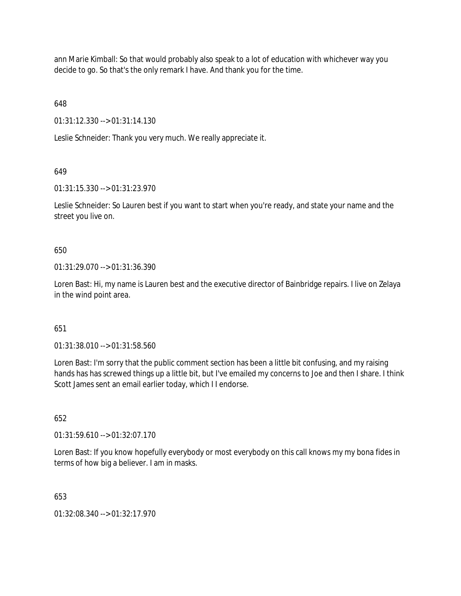ann Marie Kimball: So that would probably also speak to a lot of education with whichever way you decide to go. So that's the only remark I have. And thank you for the time.

648

01:31:12.330 --> 01:31:14.130

Leslie Schneider: Thank you very much. We really appreciate it.

## 649

01:31:15.330 --> 01:31:23.970

Leslie Schneider: So Lauren best if you want to start when you're ready, and state your name and the street you live on.

## 650

01:31:29.070 --> 01:31:36.390

Loren Bast: Hi, my name is Lauren best and the executive director of Bainbridge repairs. I live on Zelaya in the wind point area.

# 651

01:31:38.010 --> 01:31:58.560

Loren Bast: I'm sorry that the public comment section has been a little bit confusing, and my raising hands has has screwed things up a little bit, but I've emailed my concerns to Joe and then I share. I think Scott James sent an email earlier today, which I I endorse.

## 652

01:31:59.610 --> 01:32:07.170

Loren Bast: If you know hopefully everybody or most everybody on this call knows my my bona fides in terms of how big a believer. I am in masks.

## 653

01:32:08.340 --> 01:32:17.970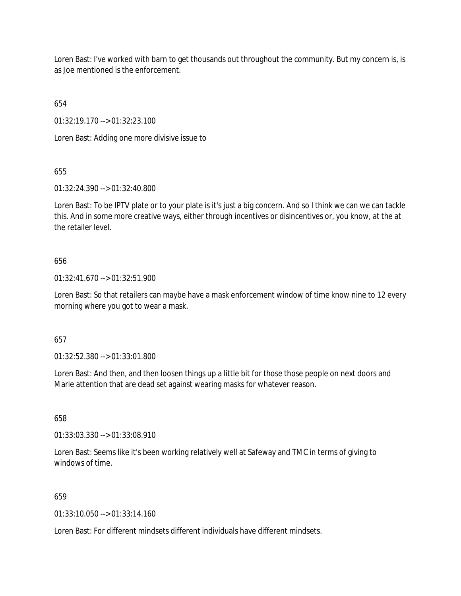Loren Bast: I've worked with barn to get thousands out throughout the community. But my concern is, is as Joe mentioned is the enforcement.

654

01:32:19.170 --> 01:32:23.100

Loren Bast: Adding one more divisive issue to

655

01:32:24.390 --> 01:32:40.800

Loren Bast: To be IPTV plate or to your plate is it's just a big concern. And so I think we can we can tackle this. And in some more creative ways, either through incentives or disincentives or, you know, at the at the retailer level.

# 656

01:32:41.670 --> 01:32:51.900

Loren Bast: So that retailers can maybe have a mask enforcement window of time know nine to 12 every morning where you got to wear a mask.

# 657

01:32:52.380 --> 01:33:01.800

Loren Bast: And then, and then loosen things up a little bit for those those people on next doors and Marie attention that are dead set against wearing masks for whatever reason.

658

01:33:03.330 --> 01:33:08.910

Loren Bast: Seems like it's been working relatively well at Safeway and TMC in terms of giving to windows of time.

# 659

01:33:10.050 --> 01:33:14.160

Loren Bast: For different mindsets different individuals have different mindsets.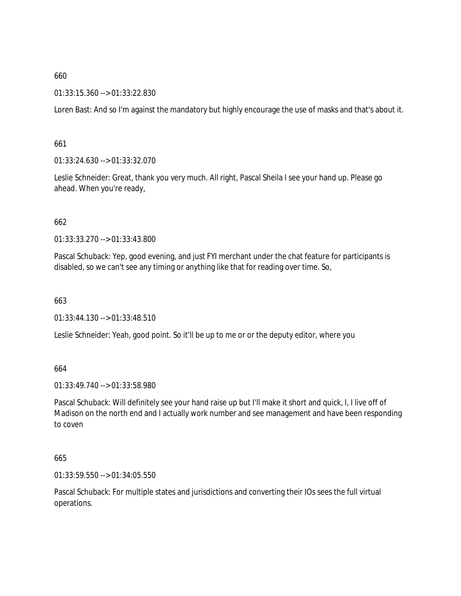## 01:33:15.360 --> 01:33:22.830

Loren Bast: And so I'm against the mandatory but highly encourage the use of masks and that's about it.

### 661

01:33:24.630 --> 01:33:32.070

Leslie Schneider: Great, thank you very much. All right, Pascal Sheila I see your hand up. Please go ahead. When you're ready,

### 662

01:33:33.270 --> 01:33:43.800

Pascal Schuback: Yep, good evening, and just FYI merchant under the chat feature for participants is disabled, so we can't see any timing or anything like that for reading over time. So,

#### 663

01:33:44.130 --> 01:33:48.510

Leslie Schneider: Yeah, good point. So it'll be up to me or or the deputy editor, where you

### 664

01:33:49.740 --> 01:33:58.980

Pascal Schuback: Will definitely see your hand raise up but I'll make it short and quick, I, I live off of Madison on the north end and I actually work number and see management and have been responding to coven

#### 665

01:33:59.550 --> 01:34:05.550

Pascal Schuback: For multiple states and jurisdictions and converting their IOs sees the full virtual operations.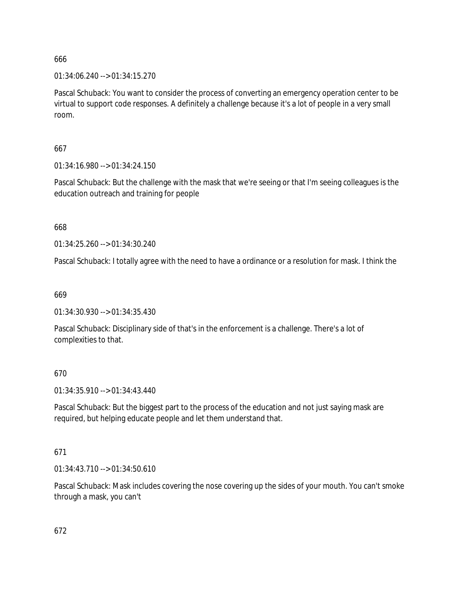01:34:06.240 --> 01:34:15.270

Pascal Schuback: You want to consider the process of converting an emergency operation center to be virtual to support code responses. A definitely a challenge because it's a lot of people in a very small room.

# 667

01:34:16.980 --> 01:34:24.150

Pascal Schuback: But the challenge with the mask that we're seeing or that I'm seeing colleagues is the education outreach and training for people

668

01:34:25.260 --> 01:34:30.240

Pascal Schuback: I totally agree with the need to have a ordinance or a resolution for mask. I think the

669

01:34:30.930 --> 01:34:35.430

Pascal Schuback: Disciplinary side of that's in the enforcement is a challenge. There's a lot of complexities to that.

# 670

01:34:35.910 --> 01:34:43.440

Pascal Schuback: But the biggest part to the process of the education and not just saying mask are required, but helping educate people and let them understand that.

# 671

01:34:43.710 --> 01:34:50.610

Pascal Schuback: Mask includes covering the nose covering up the sides of your mouth. You can't smoke through a mask, you can't

672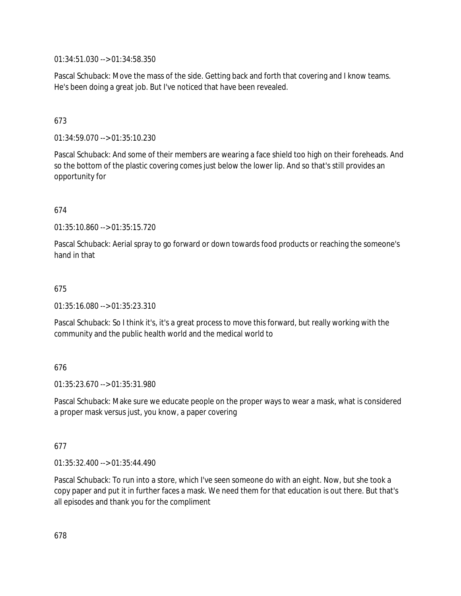01:34:51.030 --> 01:34:58.350

Pascal Schuback: Move the mass of the side. Getting back and forth that covering and I know teams. He's been doing a great job. But I've noticed that have been revealed.

# 673

01:34:59.070 --> 01:35:10.230

Pascal Schuback: And some of their members are wearing a face shield too high on their foreheads. And so the bottom of the plastic covering comes just below the lower lip. And so that's still provides an opportunity for

# 674

01:35:10.860 --> 01:35:15.720

Pascal Schuback: Aerial spray to go forward or down towards food products or reaching the someone's hand in that

## 675

01:35:16.080 --> 01:35:23.310

Pascal Schuback: So I think it's, it's a great process to move this forward, but really working with the community and the public health world and the medical world to

# 676

01:35:23.670 --> 01:35:31.980

Pascal Schuback: Make sure we educate people on the proper ways to wear a mask, what is considered a proper mask versus just, you know, a paper covering

## 677

01:35:32.400 --> 01:35:44.490

Pascal Schuback: To run into a store, which I've seen someone do with an eight. Now, but she took a copy paper and put it in further faces a mask. We need them for that education is out there. But that's all episodes and thank you for the compliment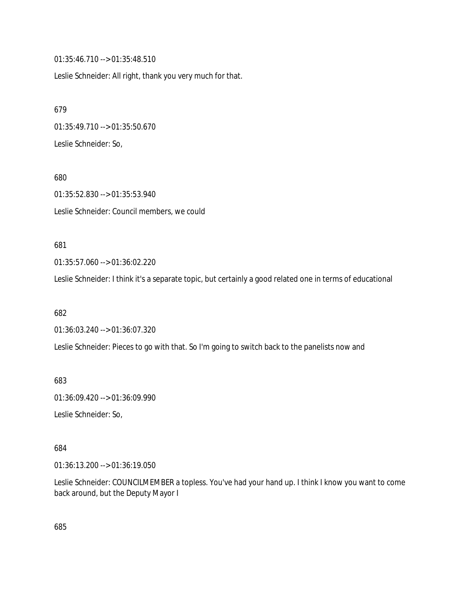01:35:46.710 --> 01:35:48.510

Leslie Schneider: All right, thank you very much for that.

679 01:35:49.710 --> 01:35:50.670 Leslie Schneider: So,

680 01:35:52.830 --> 01:35:53.940 Leslie Schneider: Council members, we could

## 681

01:35:57.060 --> 01:36:02.220

Leslie Schneider: I think it's a separate topic, but certainly a good related one in terms of educational

682

01:36:03.240 --> 01:36:07.320

Leslie Schneider: Pieces to go with that. So I'm going to switch back to the panelists now and

683

01:36:09.420 --> 01:36:09.990

Leslie Schneider: So,

684

01:36:13.200 --> 01:36:19.050

Leslie Schneider: COUNCILMEMBER a topless. You've had your hand up. I think I know you want to come back around, but the Deputy Mayor I

685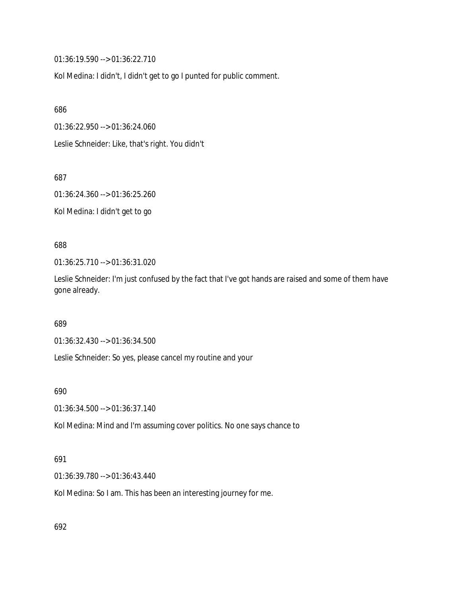01:36:19.590 --> 01:36:22.710

Kol Medina: I didn't, I didn't get to go I punted for public comment.

686

01:36:22.950 --> 01:36:24.060

Leslie Schneider: Like, that's right. You didn't

687

01:36:24.360 --> 01:36:25.260

Kol Medina: I didn't get to go

688

01:36:25.710 --> 01:36:31.020

Leslie Schneider: I'm just confused by the fact that I've got hands are raised and some of them have gone already.

689

01:36:32.430 --> 01:36:34.500

Leslie Schneider: So yes, please cancel my routine and your

690

01:36:34.500 --> 01:36:37.140

Kol Medina: Mind and I'm assuming cover politics. No one says chance to

#### 691

01:36:39.780 --> 01:36:43.440

Kol Medina: So I am. This has been an interesting journey for me.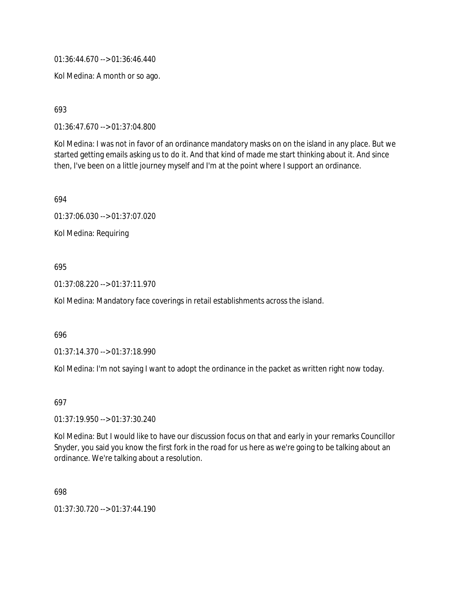01:36:44.670 --> 01:36:46.440

Kol Medina: A month or so ago.

693

01:36:47.670 --> 01:37:04.800

Kol Medina: I was not in favor of an ordinance mandatory masks on on the island in any place. But we started getting emails asking us to do it. And that kind of made me start thinking about it. And since then, I've been on a little journey myself and I'm at the point where I support an ordinance.

694

01:37:06.030 --> 01:37:07.020

Kol Medina: Requiring

# 695

01:37:08.220 --> 01:37:11.970

Kol Medina: Mandatory face coverings in retail establishments across the island.

#### 696

01:37:14.370 --> 01:37:18.990

Kol Medina: I'm not saying I want to adopt the ordinance in the packet as written right now today.

697

01:37:19.950 --> 01:37:30.240

Kol Medina: But I would like to have our discussion focus on that and early in your remarks Councillor Snyder, you said you know the first fork in the road for us here as we're going to be talking about an ordinance. We're talking about a resolution.

698

01:37:30.720 --> 01:37:44.190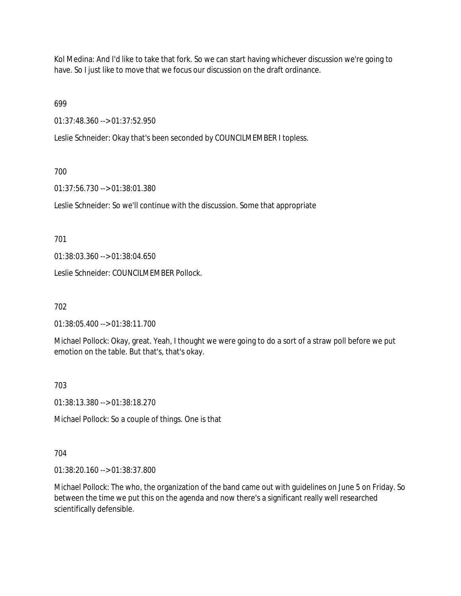Kol Medina: And I'd like to take that fork. So we can start having whichever discussion we're going to have. So I just like to move that we focus our discussion on the draft ordinance.

699

01:37:48.360 --> 01:37:52.950

Leslie Schneider: Okay that's been seconded by COUNCILMEMBER I topless.

# 700

01:37:56.730 --> 01:38:01.380

Leslie Schneider: So we'll continue with the discussion. Some that appropriate

701

01:38:03.360 --> 01:38:04.650

Leslie Schneider: COUNCILMEMBER Pollock.

702

01:38:05.400 --> 01:38:11.700

Michael Pollock: Okay, great. Yeah, I thought we were going to do a sort of a straw poll before we put emotion on the table. But that's, that's okay.

703

01:38:13.380 --> 01:38:18.270

Michael Pollock: So a couple of things. One is that

#### 704

01:38:20.160 --> 01:38:37.800

Michael Pollock: The who, the organization of the band came out with guidelines on June 5 on Friday. So between the time we put this on the agenda and now there's a significant really well researched scientifically defensible.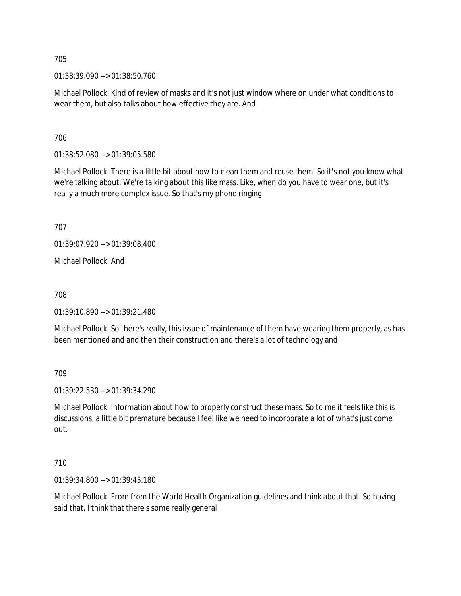01:38:39.090 --> 01:38:50.760

Michael Pollock: Kind of review of masks and it's not just window where on under what conditions to wear them, but also talks about how effective they are. And

706

01:38:52.080 --> 01:39:05.580

Michael Pollock: There is a little bit about how to clean them and reuse them. So it's not you know what we're talking about. We're talking about this like mass. Like, when do you have to wear one, but it's really a much more complex issue. So that's my phone ringing

707

01:39:07.920 --> 01:39:08.400

Michael Pollock: And

708

01:39:10.890 --> 01:39:21.480

Michael Pollock: So there's really, this issue of maintenance of them have wearing them properly, as has been mentioned and and then their construction and there's a lot of technology and

709

01:39:22.530 --> 01:39:34.290

Michael Pollock: Information about how to properly construct these mass. So to me it feels like this is discussions, a little bit premature because I feel like we need to incorporate a lot of what's just come out.

710

01:39:34.800 --> 01:39:45.180

Michael Pollock: From from the World Health Organization guidelines and think about that. So having said that, I think that there's some really general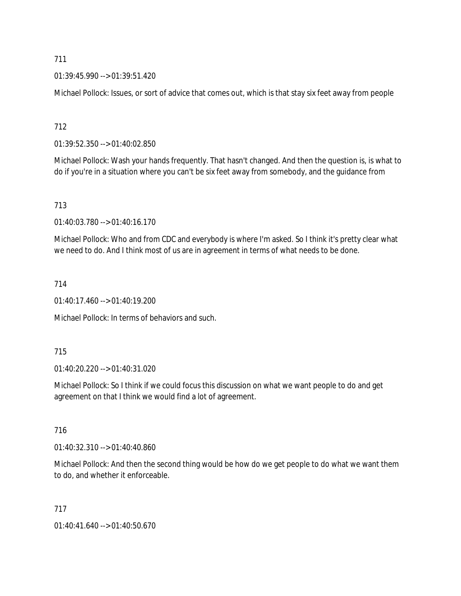01:39:45.990 --> 01:39:51.420

Michael Pollock: Issues, or sort of advice that comes out, which is that stay six feet away from people

712

01:39:52.350 --> 01:40:02.850

Michael Pollock: Wash your hands frequently. That hasn't changed. And then the question is, is what to do if you're in a situation where you can't be six feet away from somebody, and the guidance from

# 713

01:40:03.780 --> 01:40:16.170

Michael Pollock: Who and from CDC and everybody is where I'm asked. So I think it's pretty clear what we need to do. And I think most of us are in agreement in terms of what needs to be done.

# 714

01:40:17.460 --> 01:40:19.200

Michael Pollock: In terms of behaviors and such.

#### 715

01:40:20.220 --> 01:40:31.020

Michael Pollock: So I think if we could focus this discussion on what we want people to do and get agreement on that I think we would find a lot of agreement.

#### 716

01:40:32.310 --> 01:40:40.860

Michael Pollock: And then the second thing would be how do we get people to do what we want them to do, and whether it enforceable.

#### 717

01:40:41.640 --> 01:40:50.670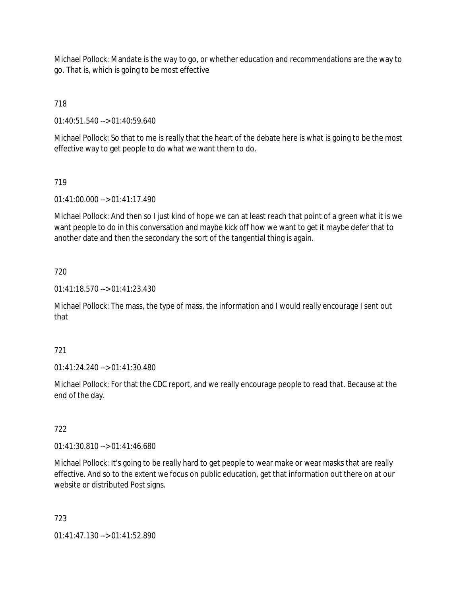Michael Pollock: Mandate is the way to go, or whether education and recommendations are the way to go. That is, which is going to be most effective

718

01:40:51.540 --> 01:40:59.640

Michael Pollock: So that to me is really that the heart of the debate here is what is going to be the most effective way to get people to do what we want them to do.

# 719

01:41:00.000 --> 01:41:17.490

Michael Pollock: And then so I just kind of hope we can at least reach that point of a green what it is we want people to do in this conversation and maybe kick off how we want to get it maybe defer that to another date and then the secondary the sort of the tangential thing is again.

# 720

01:41:18.570 --> 01:41:23.430

Michael Pollock: The mass, the type of mass, the information and I would really encourage I sent out that

#### 721

01:41:24.240 --> 01:41:30.480

Michael Pollock: For that the CDC report, and we really encourage people to read that. Because at the end of the day.

# 722

01:41:30.810 --> 01:41:46.680

Michael Pollock: It's going to be really hard to get people to wear make or wear masks that are really effective. And so to the extent we focus on public education, get that information out there on at our website or distributed Post signs.

#### 723

01:41:47.130 --> 01:41:52.890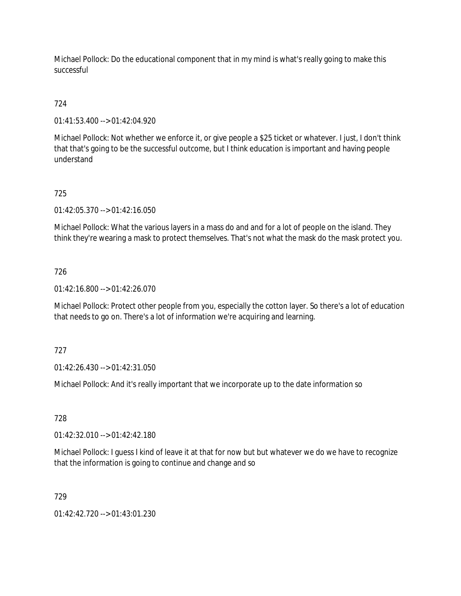Michael Pollock: Do the educational component that in my mind is what's really going to make this successful

# 724

01:41:53.400 --> 01:42:04.920

Michael Pollock: Not whether we enforce it, or give people a \$25 ticket or whatever. I just, I don't think that that's going to be the successful outcome, but I think education is important and having people understand

# 725

01:42:05.370 --> 01:42:16.050

Michael Pollock: What the various layers in a mass do and and for a lot of people on the island. They think they're wearing a mask to protect themselves. That's not what the mask do the mask protect you.

# 726

01:42:16.800 --> 01:42:26.070

Michael Pollock: Protect other people from you, especially the cotton layer. So there's a lot of education that needs to go on. There's a lot of information we're acquiring and learning.

#### 727

01:42:26.430 --> 01:42:31.050

Michael Pollock: And it's really important that we incorporate up to the date information so

#### 728

01:42:32.010 --> 01:42:42.180

Michael Pollock: I guess I kind of leave it at that for now but but whatever we do we have to recognize that the information is going to continue and change and so

# 729

01:42:42.720 --> 01:43:01.230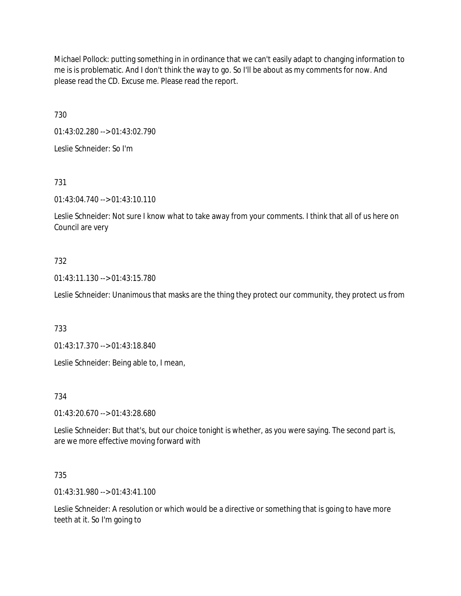Michael Pollock: putting something in in ordinance that we can't easily adapt to changing information to me is is problematic. And I don't think the way to go. So I'll be about as my comments for now. And please read the CD. Excuse me. Please read the report.

730

01:43:02.280 --> 01:43:02.790

Leslie Schneider: So I'm

731

01:43:04.740 --> 01:43:10.110

Leslie Schneider: Not sure I know what to take away from your comments. I think that all of us here on Council are very

# 732

01:43:11.130 --> 01:43:15.780

Leslie Schneider: Unanimous that masks are the thing they protect our community, they protect us from

733

01:43:17.370 --> 01:43:18.840

Leslie Schneider: Being able to, I mean,

734

01:43:20.670 --> 01:43:28.680

Leslie Schneider: But that's, but our choice tonight is whether, as you were saying. The second part is, are we more effective moving forward with

735

01:43:31.980 --> 01:43:41.100

Leslie Schneider: A resolution or which would be a directive or something that is going to have more teeth at it. So I'm going to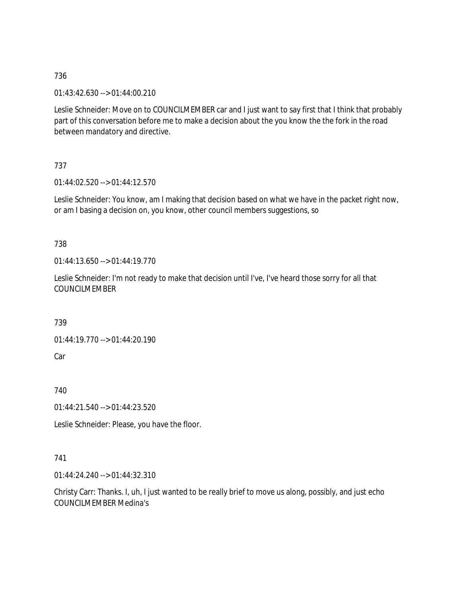01:43:42.630 --> 01:44:00.210

Leslie Schneider: Move on to COUNCILMEMBER car and I just want to say first that I think that probably part of this conversation before me to make a decision about the you know the the fork in the road between mandatory and directive.

737

01:44:02.520 --> 01:44:12.570

Leslie Schneider: You know, am I making that decision based on what we have in the packet right now, or am I basing a decision on, you know, other council members suggestions, so

# 738

01:44:13.650 --> 01:44:19.770

Leslie Schneider: I'm not ready to make that decision until I've, I've heard those sorry for all that COUNCILMEMBER

739

01:44:19.770 --> 01:44:20.190

Car

740

01:44:21.540 --> 01:44:23.520

Leslie Schneider: Please, you have the floor.

#### 741

01:44:24.240 --> 01:44:32.310

Christy Carr: Thanks. I, uh, I just wanted to be really brief to move us along, possibly, and just echo COUNCILMEMBER Medina's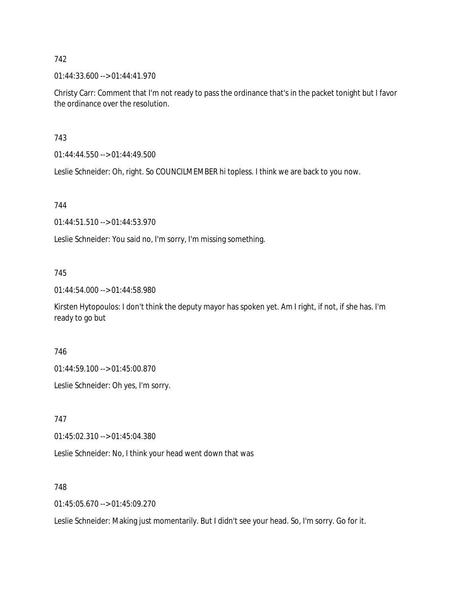01:44:33.600 --> 01:44:41.970

Christy Carr: Comment that I'm not ready to pass the ordinance that's in the packet tonight but I favor the ordinance over the resolution.

### 743

01:44:44.550 --> 01:44:49.500

Leslie Schneider: Oh, right. So COUNCILMEMBER hi topless. I think we are back to you now.

# 744

01:44:51.510 --> 01:44:53.970

Leslie Schneider: You said no, I'm sorry, I'm missing something.

# 745

01:44:54.000 --> 01:44:58.980

Kirsten Hytopoulos: I don't think the deputy mayor has spoken yet. Am I right, if not, if she has. I'm ready to go but

#### 746

01:44:59.100 --> 01:45:00.870

Leslie Schneider: Oh yes, I'm sorry.

747

01:45:02.310 --> 01:45:04.380

Leslie Schneider: No, I think your head went down that was

#### 748

01:45:05.670 --> 01:45:09.270

Leslie Schneider: Making just momentarily. But I didn't see your head. So, I'm sorry. Go for it.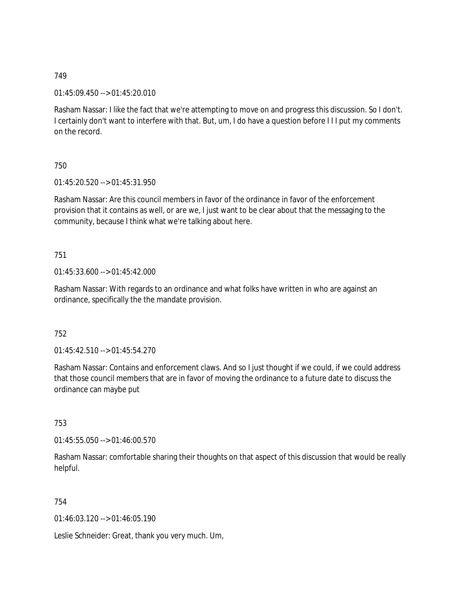01:45:09.450 --> 01:45:20.010

Rasham Nassar: I like the fact that we're attempting to move on and progress this discussion. So I don't. I certainly don't want to interfere with that. But, um, I do have a question before I I I put my comments on the record.

750

01:45:20.520 --> 01:45:31.950

Rasham Nassar: Are this council members in favor of the ordinance in favor of the enforcement provision that it contains as well, or are we, I just want to be clear about that the messaging to the community, because I think what we're talking about here.

751

01:45:33.600 --> 01:45:42.000

Rasham Nassar: With regards to an ordinance and what folks have written in who are against an ordinance, specifically the the mandate provision.

752

 $01:45:42.510 \rightarrow 01:45:54.270$ 

Rasham Nassar: Contains and enforcement claws. And so I just thought if we could, if we could address that those council members that are in favor of moving the ordinance to a future date to discuss the ordinance can maybe put

753

01:45:55.050 --> 01:46:00.570

Rasham Nassar: comfortable sharing their thoughts on that aspect of this discussion that would be really helpful.

754

01:46:03.120 --> 01:46:05.190

Leslie Schneider: Great, thank you very much. Um,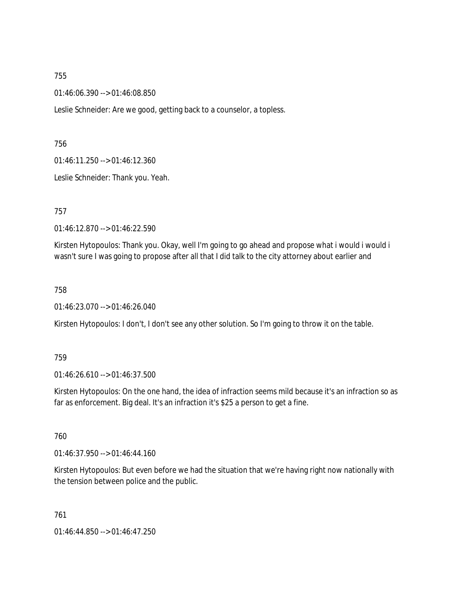01:46:06.390 --> 01:46:08.850

Leslie Schneider: Are we good, getting back to a counselor, a topless.

756

01:46:11.250 --> 01:46:12.360

Leslie Schneider: Thank you. Yeah.

757

01:46:12.870 --> 01:46:22.590

Kirsten Hytopoulos: Thank you. Okay, well I'm going to go ahead and propose what i would i would i wasn't sure I was going to propose after all that I did talk to the city attorney about earlier and

758

01:46:23.070 --> 01:46:26.040

Kirsten Hytopoulos: I don't, I don't see any other solution. So I'm going to throw it on the table.

759

01:46:26.610 --> 01:46:37.500

Kirsten Hytopoulos: On the one hand, the idea of infraction seems mild because it's an infraction so as far as enforcement. Big deal. It's an infraction it's \$25 a person to get a fine.

760

01:46:37.950 --> 01:46:44.160

Kirsten Hytopoulos: But even before we had the situation that we're having right now nationally with the tension between police and the public.

761 01:46:44.850 --> 01:46:47.250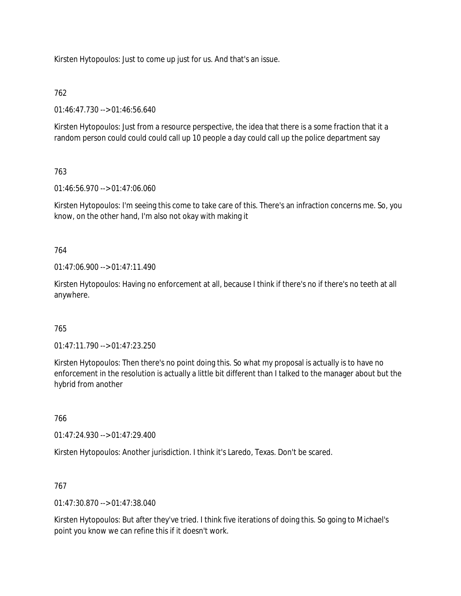Kirsten Hytopoulos: Just to come up just for us. And that's an issue.

# 762

01:46:47.730 --> 01:46:56.640

Kirsten Hytopoulos: Just from a resource perspective, the idea that there is a some fraction that it a random person could could could call up 10 people a day could call up the police department say

# 763

01:46:56.970 --> 01:47:06.060

Kirsten Hytopoulos: I'm seeing this come to take care of this. There's an infraction concerns me. So, you know, on the other hand, I'm also not okay with making it

# 764

 $01:47:06.900 \rightarrow 01:47:11.490$ 

Kirsten Hytopoulos: Having no enforcement at all, because I think if there's no if there's no teeth at all anywhere.

# 765

01:47:11.790 --> 01:47:23.250

Kirsten Hytopoulos: Then there's no point doing this. So what my proposal is actually is to have no enforcement in the resolution is actually a little bit different than I talked to the manager about but the hybrid from another

# 766

01:47:24.930 --> 01:47:29.400

Kirsten Hytopoulos: Another jurisdiction. I think it's Laredo, Texas. Don't be scared.

# 767

01:47:30.870 --> 01:47:38.040

Kirsten Hytopoulos: But after they've tried. I think five iterations of doing this. So going to Michael's point you know we can refine this if it doesn't work.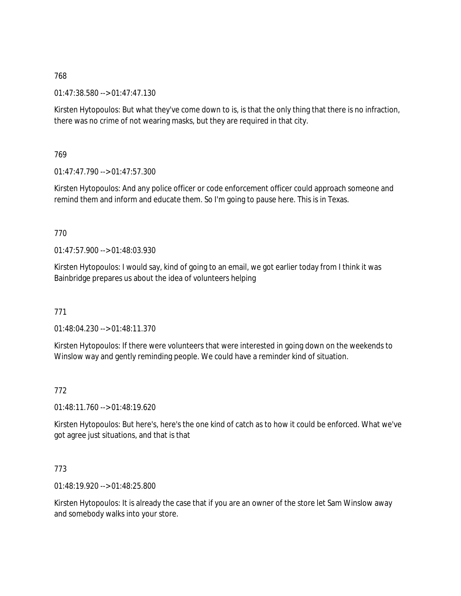01:47:38.580 --> 01:47:47.130

Kirsten Hytopoulos: But what they've come down to is, is that the only thing that there is no infraction, there was no crime of not wearing masks, but they are required in that city.

769

 $01:47:47.790 \rightarrow 01:47:57.300$ 

Kirsten Hytopoulos: And any police officer or code enforcement officer could approach someone and remind them and inform and educate them. So I'm going to pause here. This is in Texas.

770

 $01:47:57.900 \rightarrow 01:48:03.930$ 

Kirsten Hytopoulos: I would say, kind of going to an email, we got earlier today from I think it was Bainbridge prepares us about the idea of volunteers helping

771

01:48:04.230 --> 01:48:11.370

Kirsten Hytopoulos: If there were volunteers that were interested in going down on the weekends to Winslow way and gently reminding people. We could have a reminder kind of situation.

772

01:48:11.760 --> 01:48:19.620

Kirsten Hytopoulos: But here's, here's the one kind of catch as to how it could be enforced. What we've got agree just situations, and that is that

# 773

01:48:19.920 --> 01:48:25.800

Kirsten Hytopoulos: It is already the case that if you are an owner of the store let Sam Winslow away and somebody walks into your store.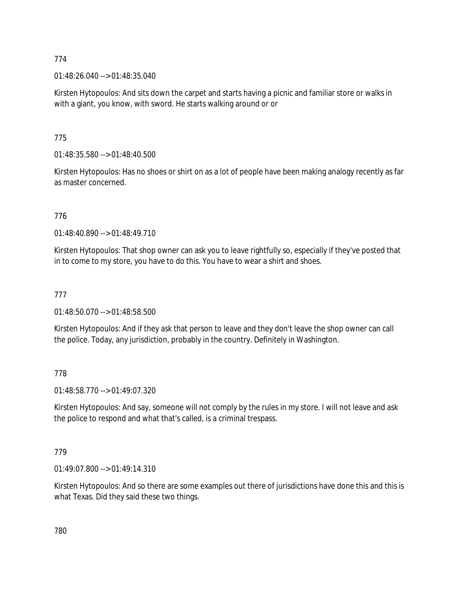01:48:26.040 --> 01:48:35.040

Kirsten Hytopoulos: And sits down the carpet and starts having a picnic and familiar store or walks in with a giant, you know, with sword. He starts walking around or or

775

01:48:35.580 --> 01:48:40.500

Kirsten Hytopoulos: Has no shoes or shirt on as a lot of people have been making analogy recently as far as master concerned.

776

01:48:40.890 --> 01:48:49.710

Kirsten Hytopoulos: That shop owner can ask you to leave rightfully so, especially if they've posted that in to come to my store, you have to do this. You have to wear a shirt and shoes.

# 777

01:48:50.070 --> 01:48:58.500

Kirsten Hytopoulos: And if they ask that person to leave and they don't leave the shop owner can call the police. Today, any jurisdiction, probably in the country. Definitely in Washington.

778

01:48:58.770 --> 01:49:07.320

Kirsten Hytopoulos: And say, someone will not comply by the rules in my store. I will not leave and ask the police to respond and what that's called, is a criminal trespass.

779

01:49:07.800 --> 01:49:14.310

Kirsten Hytopoulos: And so there are some examples out there of jurisdictions have done this and this is what Texas. Did they said these two things.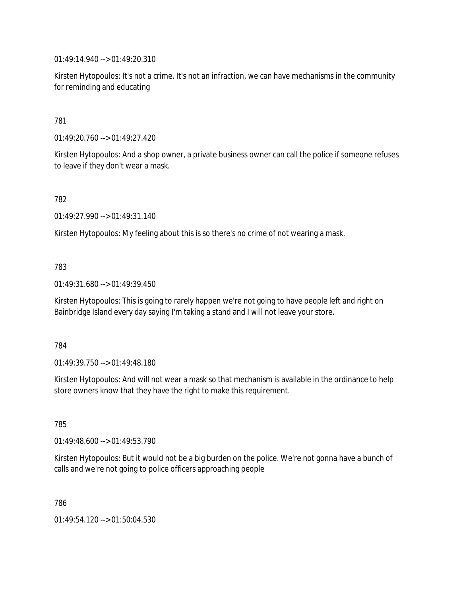01:49:14.940 --> 01:49:20.310

Kirsten Hytopoulos: It's not a crime. It's not an infraction, we can have mechanisms in the community for reminding and educating

# 781

01:49:20.760 --> 01:49:27.420

Kirsten Hytopoulos: And a shop owner, a private business owner can call the police if someone refuses to leave if they don't wear a mask.

#### 782

01:49:27.990 --> 01:49:31.140

Kirsten Hytopoulos: My feeling about this is so there's no crime of not wearing a mask.

#### 783

01:49:31.680 --> 01:49:39.450

Kirsten Hytopoulos: This is going to rarely happen we're not going to have people left and right on Bainbridge Island every day saying I'm taking a stand and I will not leave your store.

#### 784

01:49:39.750 --> 01:49:48.180

Kirsten Hytopoulos: And will not wear a mask so that mechanism is available in the ordinance to help store owners know that they have the right to make this requirement.

# 785

01:49:48.600 --> 01:49:53.790

Kirsten Hytopoulos: But it would not be a big burden on the police. We're not gonna have a bunch of calls and we're not going to police officers approaching people

786

01:49:54.120 --> 01:50:04.530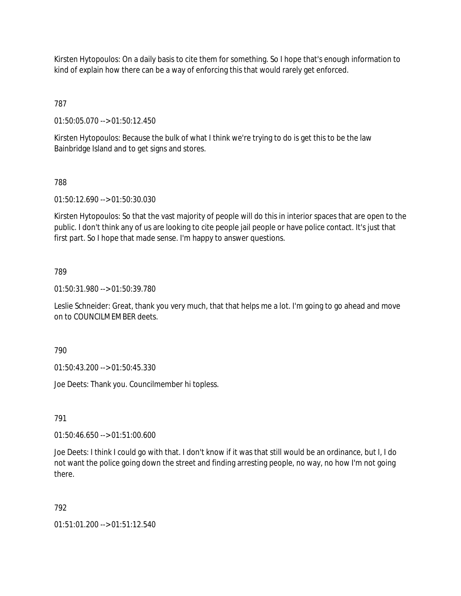Kirsten Hytopoulos: On a daily basis to cite them for something. So I hope that's enough information to kind of explain how there can be a way of enforcing this that would rarely get enforced.

787

01:50:05.070 --> 01:50:12.450

Kirsten Hytopoulos: Because the bulk of what I think we're trying to do is get this to be the law Bainbridge Island and to get signs and stores.

788

01:50:12.690 --> 01:50:30.030

Kirsten Hytopoulos: So that the vast majority of people will do this in interior spaces that are open to the public. I don't think any of us are looking to cite people jail people or have police contact. It's just that first part. So I hope that made sense. I'm happy to answer questions.

789

01:50:31.980 --> 01:50:39.780

Leslie Schneider: Great, thank you very much, that that helps me a lot. I'm going to go ahead and move on to COUNCILMEMBER deets.

790

01:50:43.200 --> 01:50:45.330

Joe Deets: Thank you. Councilmember hi topless.

791

01:50:46.650 --> 01:51:00.600

Joe Deets: I think I could go with that. I don't know if it was that still would be an ordinance, but I, I do not want the police going down the street and finding arresting people, no way, no how I'm not going there.

792

01:51:01.200 --> 01:51:12.540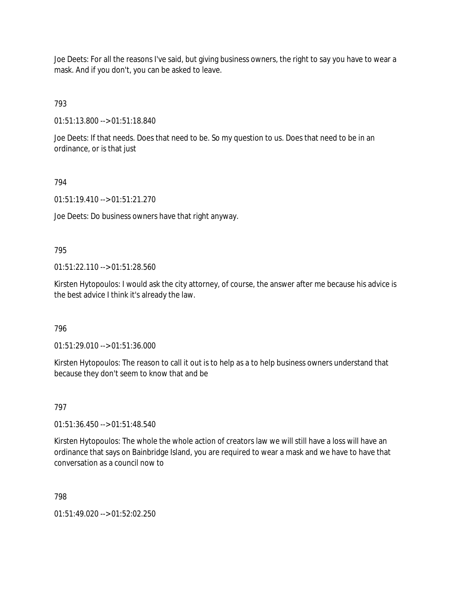Joe Deets: For all the reasons I've said, but giving business owners, the right to say you have to wear a mask. And if you don't, you can be asked to leave.

793

01:51:13.800 --> 01:51:18.840

Joe Deets: If that needs. Does that need to be. So my question to us. Does that need to be in an ordinance, or is that just

# 794

01:51:19.410 --> 01:51:21.270

Joe Deets: Do business owners have that right anyway.

# 795

01:51:22.110 --> 01:51:28.560

Kirsten Hytopoulos: I would ask the city attorney, of course, the answer after me because his advice is the best advice I think it's already the law.

796

01:51:29.010 --> 01:51:36.000

Kirsten Hytopoulos: The reason to call it out is to help as a to help business owners understand that because they don't seem to know that and be

# 797

01:51:36.450 --> 01:51:48.540

Kirsten Hytopoulos: The whole the whole action of creators law we will still have a loss will have an ordinance that says on Bainbridge Island, you are required to wear a mask and we have to have that conversation as a council now to

798

01:51:49.020 --> 01:52:02.250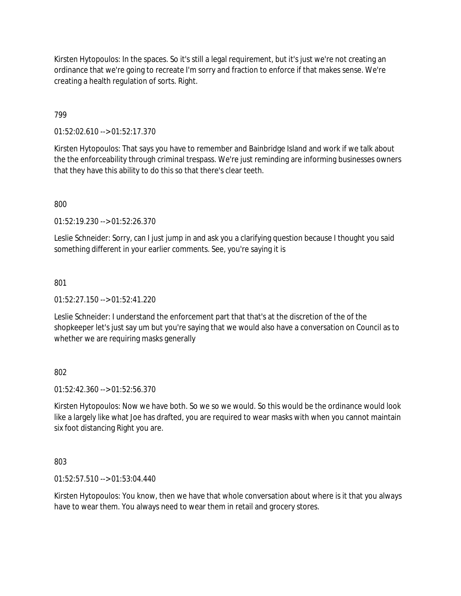Kirsten Hytopoulos: In the spaces. So it's still a legal requirement, but it's just we're not creating an ordinance that we're going to recreate I'm sorry and fraction to enforce if that makes sense. We're creating a health regulation of sorts. Right.

# 799

01:52:02.610 --> 01:52:17.370

Kirsten Hytopoulos: That says you have to remember and Bainbridge Island and work if we talk about the the enforceability through criminal trespass. We're just reminding are informing businesses owners that they have this ability to do this so that there's clear teeth.

800

01:52:19.230 --> 01:52:26.370

Leslie Schneider: Sorry, can I just jump in and ask you a clarifying question because I thought you said something different in your earlier comments. See, you're saying it is

#### 801

 $01:52:27.150 \rightarrow 01:52:41.220$ 

Leslie Schneider: I understand the enforcement part that that's at the discretion of the of the shopkeeper let's just say um but you're saying that we would also have a conversation on Council as to whether we are requiring masks generally

#### 802

01:52:42.360 --> 01:52:56.370

Kirsten Hytopoulos: Now we have both. So we so we would. So this would be the ordinance would look like a largely like what Joe has drafted, you are required to wear masks with when you cannot maintain six foot distancing Right you are.

803

01:52:57.510 --> 01:53:04.440

Kirsten Hytopoulos: You know, then we have that whole conversation about where is it that you always have to wear them. You always need to wear them in retail and grocery stores.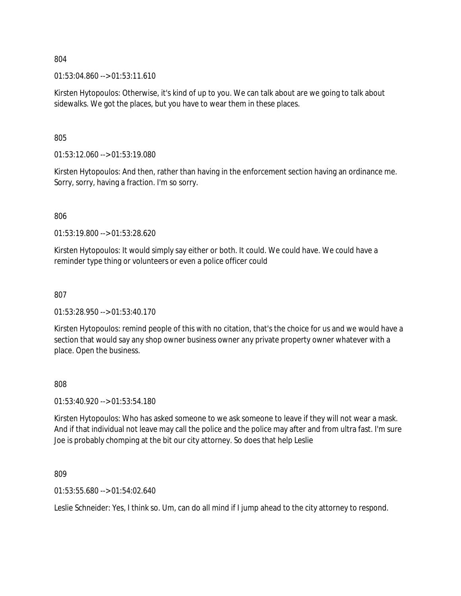$01:53:04.860 \rightarrow 01:53:11.610$ 

Kirsten Hytopoulos: Otherwise, it's kind of up to you. We can talk about are we going to talk about sidewalks. We got the places, but you have to wear them in these places.

805

01:53:12.060 --> 01:53:19.080

Kirsten Hytopoulos: And then, rather than having in the enforcement section having an ordinance me. Sorry, sorry, having a fraction. I'm so sorry.

806

01:53:19.800 --> 01:53:28.620

Kirsten Hytopoulos: It would simply say either or both. It could. We could have. We could have a reminder type thing or volunteers or even a police officer could

807

01:53:28.950 --> 01:53:40.170

Kirsten Hytopoulos: remind people of this with no citation, that's the choice for us and we would have a section that would say any shop owner business owner any private property owner whatever with a place. Open the business.

808

01:53:40.920 --> 01:53:54.180

Kirsten Hytopoulos: Who has asked someone to we ask someone to leave if they will not wear a mask. And if that individual not leave may call the police and the police may after and from ultra fast. I'm sure Joe is probably chomping at the bit our city attorney. So does that help Leslie

809

01:53:55.680 --> 01:54:02.640

Leslie Schneider: Yes, I think so. Um, can do all mind if I jump ahead to the city attorney to respond.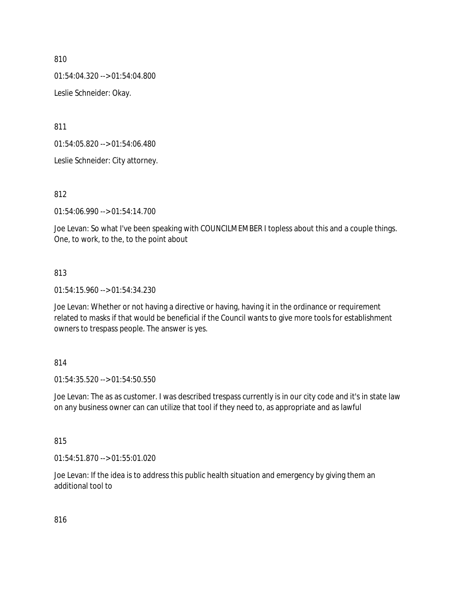01:54:04.320 --> 01:54:04.800

Leslie Schneider: Okay.

811

01:54:05.820 --> 01:54:06.480

Leslie Schneider: City attorney.

812

01:54:06.990 --> 01:54:14.700

Joe Levan: So what I've been speaking with COUNCILMEMBER I topless about this and a couple things. One, to work, to the, to the point about

# 813

01:54:15.960 --> 01:54:34.230

Joe Levan: Whether or not having a directive or having, having it in the ordinance or requirement related to masks if that would be beneficial if the Council wants to give more tools for establishment owners to trespass people. The answer is yes.

#### 814

01:54:35.520 --> 01:54:50.550

Joe Levan: The as as customer. I was described trespass currently is in our city code and it's in state law on any business owner can can utilize that tool if they need to, as appropriate and as lawful

#### 815

01:54:51.870 --> 01:55:01.020

Joe Levan: If the idea is to address this public health situation and emergency by giving them an additional tool to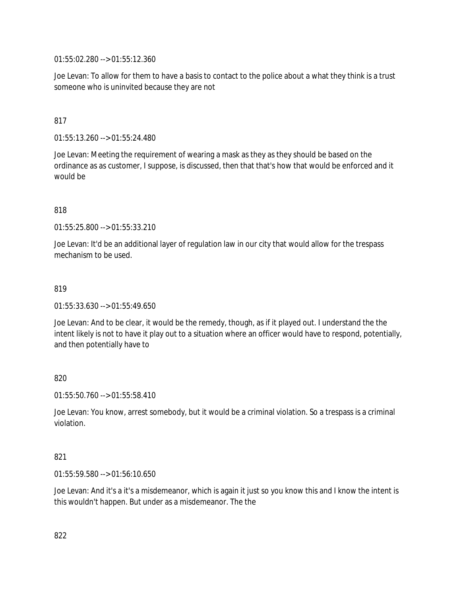01:55:02.280 --> 01:55:12.360

Joe Levan: To allow for them to have a basis to contact to the police about a what they think is a trust someone who is uninvited because they are not

# 817

01:55:13.260 --> 01:55:24.480

Joe Levan: Meeting the requirement of wearing a mask as they as they should be based on the ordinance as as customer, I suppose, is discussed, then that that's how that would be enforced and it would be

#### 818

01:55:25.800 --> 01:55:33.210

Joe Levan: It'd be an additional layer of regulation law in our city that would allow for the trespass mechanism to be used.

#### 819

01:55:33.630 --> 01:55:49.650

Joe Levan: And to be clear, it would be the remedy, though, as if it played out. I understand the the intent likely is not to have it play out to a situation where an officer would have to respond, potentially, and then potentially have to

#### 820

01:55:50.760 --> 01:55:58.410

Joe Levan: You know, arrest somebody, but it would be a criminal violation. So a trespass is a criminal violation.

#### 821

01:55:59.580 --> 01:56:10.650

Joe Levan: And it's a it's a misdemeanor, which is again it just so you know this and I know the intent is this wouldn't happen. But under as a misdemeanor. The the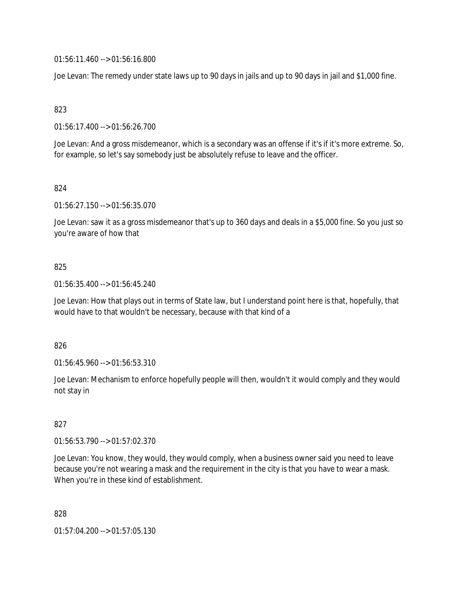01:56:11.460 --> 01:56:16.800

Joe Levan: The remedy under state laws up to 90 days in jails and up to 90 days in jail and \$1,000 fine.

823

01:56:17.400 --> 01:56:26.700

Joe Levan: And a gross misdemeanor, which is a secondary was an offense if it's if it's more extreme. So, for example, so let's say somebody just be absolutely refuse to leave and the officer.

824

01:56:27.150 --> 01:56:35.070

Joe Levan: saw it as a gross misdemeanor that's up to 360 days and deals in a \$5,000 fine. So you just so you're aware of how that

# 825

01:56:35.400 --> 01:56:45.240

Joe Levan: How that plays out in terms of State law, but I understand point here is that, hopefully, that would have to that wouldn't be necessary, because with that kind of a

826

01:56:45.960 --> 01:56:53.310

Joe Levan: Mechanism to enforce hopefully people will then, wouldn't it would comply and they would not stay in

#### 827

01:56:53.790 --> 01:57:02.370

Joe Levan: You know, they would, they would comply, when a business owner said you need to leave because you're not wearing a mask and the requirement in the city is that you have to wear a mask. When you're in these kind of establishment.

828

01:57:04.200 --> 01:57:05.130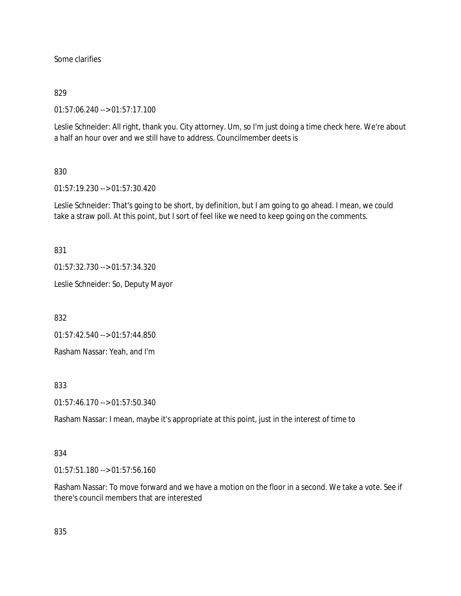Some clarifies

### 829

01:57:06.240 --> 01:57:17.100

Leslie Schneider: All right, thank you. City attorney. Um, so I'm just doing a time check here. We're about a half an hour over and we still have to address. Councilmember deets is

# 830

01:57:19.230 --> 01:57:30.420

Leslie Schneider: That's going to be short, by definition, but I am going to go ahead. I mean, we could take a straw poll. At this point, but I sort of feel like we need to keep going on the comments.

831

01:57:32.730 --> 01:57:34.320

Leslie Schneider: So, Deputy Mayor

832

01:57:42.540 --> 01:57:44.850

Rasham Nassar: Yeah, and I'm

833

01:57:46.170 --> 01:57:50.340

Rasham Nassar: I mean, maybe it's appropriate at this point, just in the interest of time to

#### 834

01:57:51.180 --> 01:57:56.160

Rasham Nassar: To move forward and we have a motion on the floor in a second. We take a vote. See if there's council members that are interested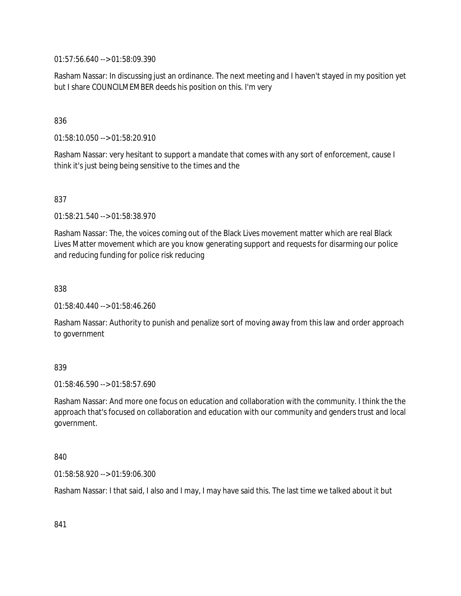01:57:56.640 --> 01:58:09.390

Rasham Nassar: In discussing just an ordinance. The next meeting and I haven't stayed in my position yet but I share COUNCILMEMBER deeds his position on this. I'm very

836

01:58:10.050 --> 01:58:20.910

Rasham Nassar: very hesitant to support a mandate that comes with any sort of enforcement, cause I think it's just being being sensitive to the times and the

837

01:58:21.540 --> 01:58:38.970

Rasham Nassar: The, the voices coming out of the Black Lives movement matter which are real Black Lives Matter movement which are you know generating support and requests for disarming our police and reducing funding for police risk reducing

838

01:58:40.440 --> 01:58:46.260

Rasham Nassar: Authority to punish and penalize sort of moving away from this law and order approach to government

#### 839

01:58:46.590 --> 01:58:57.690

Rasham Nassar: And more one focus on education and collaboration with the community. I think the the approach that's focused on collaboration and education with our community and genders trust and local government.

840

01:58:58.920 --> 01:59:06.300

Rasham Nassar: I that said, I also and I may, I may have said this. The last time we talked about it but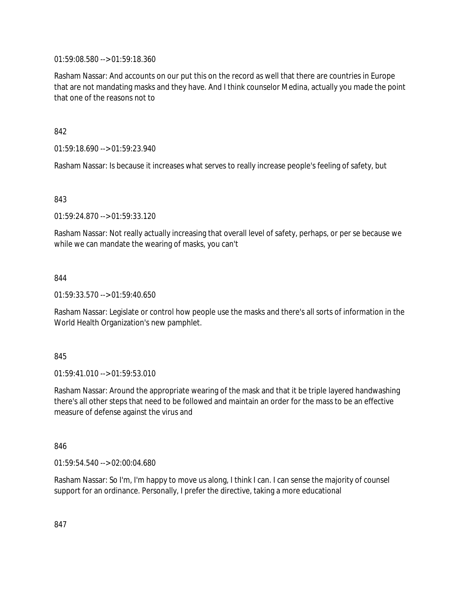01:59:08.580 --> 01:59:18.360

Rasham Nassar: And accounts on our put this on the record as well that there are countries in Europe that are not mandating masks and they have. And I think counselor Medina, actually you made the point that one of the reasons not to

842

01:59:18.690 --> 01:59:23.940

Rasham Nassar: Is because it increases what serves to really increase people's feeling of safety, but

843

01:59:24.870 --> 01:59:33.120

Rasham Nassar: Not really actually increasing that overall level of safety, perhaps, or per se because we while we can mandate the wearing of masks, you can't

844

01:59:33.570 --> 01:59:40.650

Rasham Nassar: Legislate or control how people use the masks and there's all sorts of information in the World Health Organization's new pamphlet.

845

01:59:41.010 --> 01:59:53.010

Rasham Nassar: Around the appropriate wearing of the mask and that it be triple layered handwashing there's all other steps that need to be followed and maintain an order for the mass to be an effective measure of defense against the virus and

846

01:59:54.540 --> 02:00:04.680

Rasham Nassar: So I'm, I'm happy to move us along, I think I can. I can sense the majority of counsel support for an ordinance. Personally, I prefer the directive, taking a more educational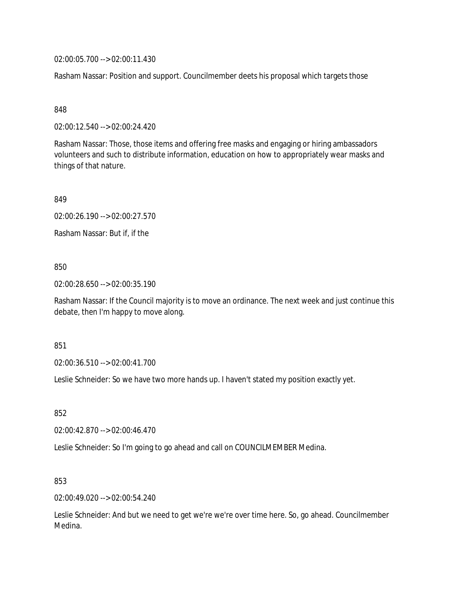02:00:05.700 --> 02:00:11.430

Rasham Nassar: Position and support. Councilmember deets his proposal which targets those

848

02:00:12.540 --> 02:00:24.420

Rasham Nassar: Those, those items and offering free masks and engaging or hiring ambassadors volunteers and such to distribute information, education on how to appropriately wear masks and things of that nature.

849

02:00:26.190 --> 02:00:27.570

Rasham Nassar: But if, if the

#### 850

02:00:28.650 --> 02:00:35.190

Rasham Nassar: If the Council majority is to move an ordinance. The next week and just continue this debate, then I'm happy to move along.

851

02:00:36.510 --> 02:00:41.700

Leslie Schneider: So we have two more hands up. I haven't stated my position exactly yet.

852

02:00:42.870 --> 02:00:46.470

Leslie Schneider: So I'm going to go ahead and call on COUNCILMEMBER Medina.

853

02:00:49.020 --> 02:00:54.240

Leslie Schneider: And but we need to get we're we're over time here. So, go ahead. Councilmember Medina.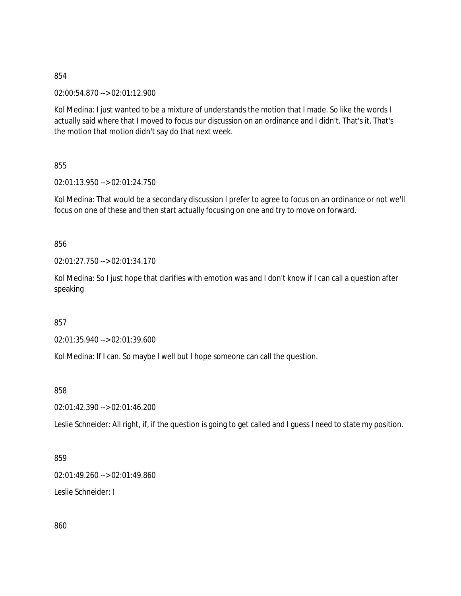02:00:54.870 --> 02:01:12.900

Kol Medina: I just wanted to be a mixture of understands the motion that I made. So like the words I actually said where that I moved to focus our discussion on an ordinance and I didn't. That's it. That's the motion that motion didn't say do that next week.

855

02:01:13.950 --> 02:01:24.750

Kol Medina: That would be a secondary discussion I prefer to agree to focus on an ordinance or not we'll focus on one of these and then start actually focusing on one and try to move on forward.

856

02:01:27.750 --> 02:01:34.170

Kol Medina: So I just hope that clarifies with emotion was and I don't know if I can call a question after speaking

857

02:01:35.940 --> 02:01:39.600

Kol Medina: If I can. So maybe I well but I hope someone can call the question.

858

02:01:42.390 --> 02:01:46.200

Leslie Schneider: All right, if, if the question is going to get called and I guess I need to state my position.

859

02:01:49.260 --> 02:01:49.860

Leslie Schneider: I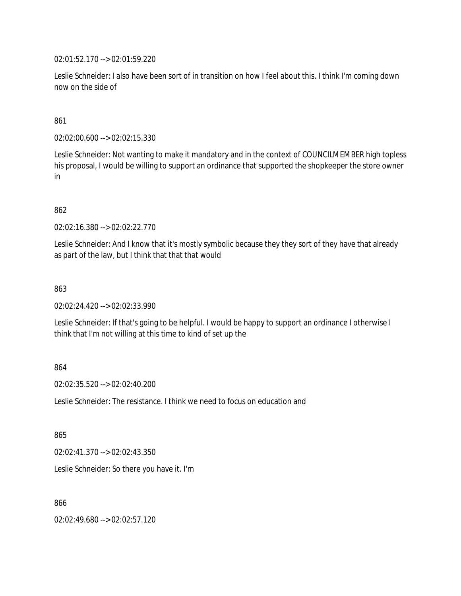02:01:52.170 --> 02:01:59.220

Leslie Schneider: I also have been sort of in transition on how I feel about this. I think I'm coming down now on the side of

#### 861

02:02:00.600 --> 02:02:15.330

Leslie Schneider: Not wanting to make it mandatory and in the context of COUNCILMEMBER high topless his proposal, I would be willing to support an ordinance that supported the shopkeeper the store owner in

### 862

02:02:16.380 --> 02:02:22.770

Leslie Schneider: And I know that it's mostly symbolic because they they sort of they have that already as part of the law, but I think that that that would

#### 863

02:02:24.420 --> 02:02:33.990

Leslie Schneider: If that's going to be helpful. I would be happy to support an ordinance I otherwise I think that I'm not willing at this time to kind of set up the

#### 864

02:02:35.520 --> 02:02:40.200

Leslie Schneider: The resistance. I think we need to focus on education and

865

02:02:41.370 --> 02:02:43.350

Leslie Schneider: So there you have it. I'm

866

02:02:49.680 --> 02:02:57.120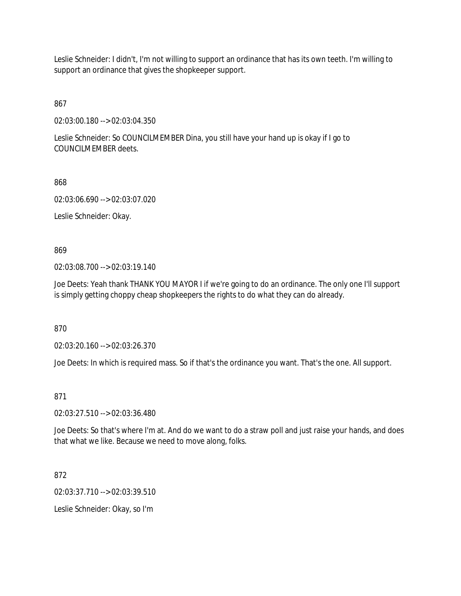Leslie Schneider: I didn't, I'm not willing to support an ordinance that has its own teeth. I'm willing to support an ordinance that gives the shopkeeper support.

867

02:03:00.180 --> 02:03:04.350

Leslie Schneider: So COUNCILMEMBER Dina, you still have your hand up is okay if I go to COUNCILMEMBER deets.

868

02:03:06.690 --> 02:03:07.020

Leslie Schneider: Okay.

869

02:03:08.700 --> 02:03:19.140

Joe Deets: Yeah thank THANK YOU MAYOR I if we're going to do an ordinance. The only one I'll support is simply getting choppy cheap shopkeepers the rights to do what they can do already.

870

02:03:20.160 --> 02:03:26.370

Joe Deets: In which is required mass. So if that's the ordinance you want. That's the one. All support.

871

02:03:27.510 --> 02:03:36.480

Joe Deets: So that's where I'm at. And do we want to do a straw poll and just raise your hands, and does that what we like. Because we need to move along, folks.

872

02:03:37.710 --> 02:03:39.510

Leslie Schneider: Okay, so I'm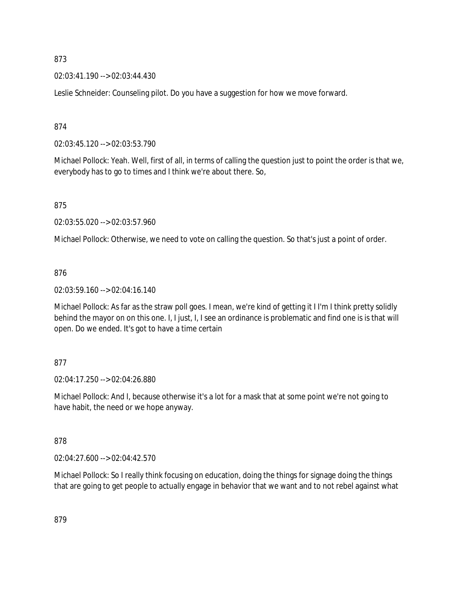02:03:41.190 --> 02:03:44.430

Leslie Schneider: Counseling pilot. Do you have a suggestion for how we move forward.

874

02:03:45.120 --> 02:03:53.790

Michael Pollock: Yeah. Well, first of all, in terms of calling the question just to point the order is that we, everybody has to go to times and I think we're about there. So,

875

02:03:55.020 --> 02:03:57.960

Michael Pollock: Otherwise, we need to vote on calling the question. So that's just a point of order.

# 876

02:03:59.160 --> 02:04:16.140

Michael Pollock: As far as the straw poll goes. I mean, we're kind of getting it I I'm I think pretty solidly behind the mayor on on this one. I, I just, I, I see an ordinance is problematic and find one is is that will open. Do we ended. It's got to have a time certain

#### 877

02:04:17.250 --> 02:04:26.880

Michael Pollock: And I, because otherwise it's a lot for a mask that at some point we're not going to have habit, the need or we hope anyway.

#### 878

02:04:27.600 --> 02:04:42.570

Michael Pollock: So I really think focusing on education, doing the things for signage doing the things that are going to get people to actually engage in behavior that we want and to not rebel against what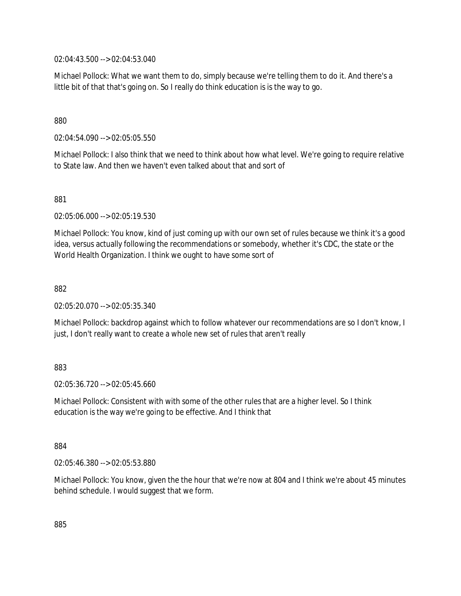02:04:43.500 --> 02:04:53.040

Michael Pollock: What we want them to do, simply because we're telling them to do it. And there's a little bit of that that's going on. So I really do think education is is the way to go.

### 880

02:04:54.090 --> 02:05:05.550

Michael Pollock: I also think that we need to think about how what level. We're going to require relative to State law. And then we haven't even talked about that and sort of

881

02:05:06.000 --> 02:05:19.530

Michael Pollock: You know, kind of just coming up with our own set of rules because we think it's a good idea, versus actually following the recommendations or somebody, whether it's CDC, the state or the World Health Organization. I think we ought to have some sort of

882

02:05:20.070 --> 02:05:35.340

Michael Pollock: backdrop against which to follow whatever our recommendations are so I don't know, I just, I don't really want to create a whole new set of rules that aren't really

#### 883

02:05:36.720 --> 02:05:45.660

Michael Pollock: Consistent with with some of the other rules that are a higher level. So I think education is the way we're going to be effective. And I think that

884

02:05:46.380 --> 02:05:53.880

Michael Pollock: You know, given the the hour that we're now at 804 and I think we're about 45 minutes behind schedule. I would suggest that we form.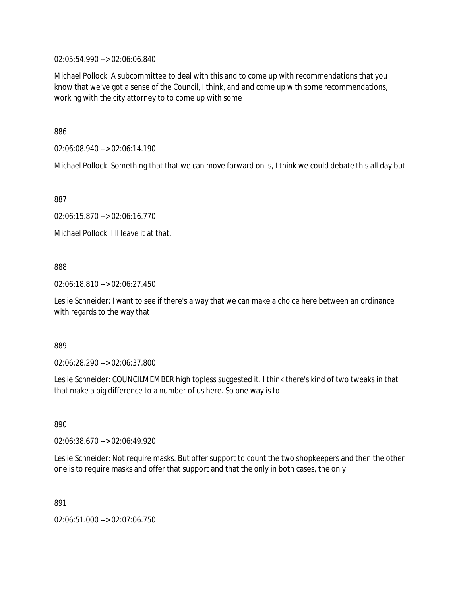02:05:54.990 --> 02:06:06.840

Michael Pollock: A subcommittee to deal with this and to come up with recommendations that you know that we've got a sense of the Council, I think, and and come up with some recommendations, working with the city attorney to to come up with some

886

02:06:08.940 --> 02:06:14.190

Michael Pollock: Something that that we can move forward on is, I think we could debate this all day but

887

02:06:15.870 --> 02:06:16.770

Michael Pollock: I'll leave it at that.

#### 888

02:06:18.810 --> 02:06:27.450

Leslie Schneider: I want to see if there's a way that we can make a choice here between an ordinance with regards to the way that

889

02:06:28.290 --> 02:06:37.800

Leslie Schneider: COUNCILMEMBER high topless suggested it. I think there's kind of two tweaks in that that make a big difference to a number of us here. So one way is to

890

02:06:38.670 --> 02:06:49.920

Leslie Schneider: Not require masks. But offer support to count the two shopkeepers and then the other one is to require masks and offer that support and that the only in both cases, the only

891

02:06:51.000 --> 02:07:06.750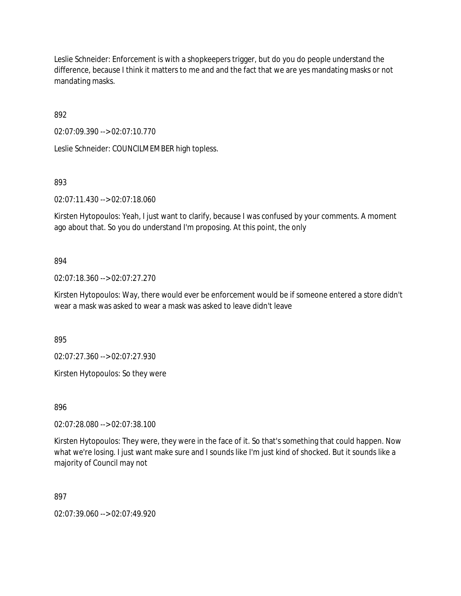Leslie Schneider: Enforcement is with a shopkeepers trigger, but do you do people understand the difference, because I think it matters to me and and the fact that we are yes mandating masks or not mandating masks.

892

02:07:09.390 --> 02:07:10.770

Leslie Schneider: COUNCILMEMBER high topless.

893

02:07:11.430 --> 02:07:18.060

Kirsten Hytopoulos: Yeah, I just want to clarify, because I was confused by your comments. A moment ago about that. So you do understand I'm proposing. At this point, the only

# 894

02:07:18.360 --> 02:07:27.270

Kirsten Hytopoulos: Way, there would ever be enforcement would be if someone entered a store didn't wear a mask was asked to wear a mask was asked to leave didn't leave

895

02:07:27.360 --> 02:07:27.930

Kirsten Hytopoulos: So they were

896

02:07:28.080 --> 02:07:38.100

Kirsten Hytopoulos: They were, they were in the face of it. So that's something that could happen. Now what we're losing. I just want make sure and I sounds like I'm just kind of shocked. But it sounds like a majority of Council may not

897

02:07:39.060 --> 02:07:49.920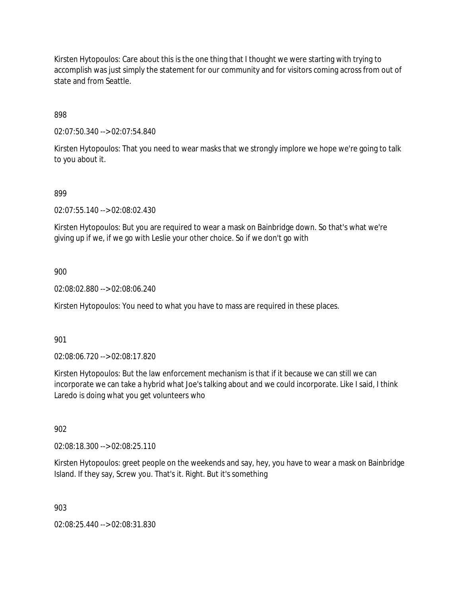Kirsten Hytopoulos: Care about this is the one thing that I thought we were starting with trying to accomplish was just simply the statement for our community and for visitors coming across from out of state and from Seattle.

898

02:07:50.340 --> 02:07:54.840

Kirsten Hytopoulos: That you need to wear masks that we strongly implore we hope we're going to talk to you about it.

#### 899

02:07:55.140 --> 02:08:02.430

Kirsten Hytopoulos: But you are required to wear a mask on Bainbridge down. So that's what we're giving up if we, if we go with Leslie your other choice. So if we don't go with

900

02:08:02.880 --> 02:08:06.240

Kirsten Hytopoulos: You need to what you have to mass are required in these places.

901

02:08:06.720 --> 02:08:17.820

Kirsten Hytopoulos: But the law enforcement mechanism is that if it because we can still we can incorporate we can take a hybrid what Joe's talking about and we could incorporate. Like I said, I think Laredo is doing what you get volunteers who

902

02:08:18.300 --> 02:08:25.110

Kirsten Hytopoulos: greet people on the weekends and say, hey, you have to wear a mask on Bainbridge Island. If they say, Screw you. That's it. Right. But it's something

903

02:08:25.440 --> 02:08:31.830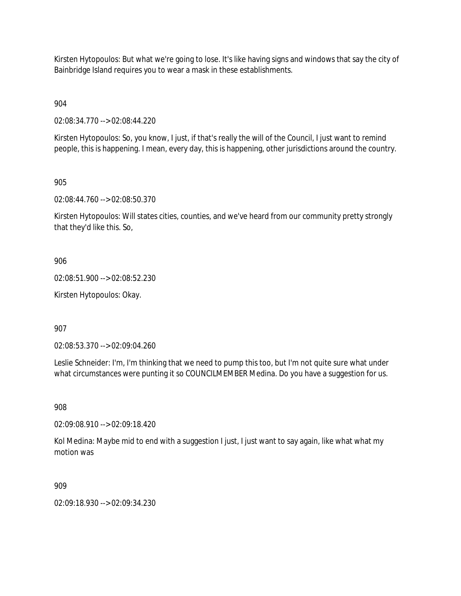Kirsten Hytopoulos: But what we're going to lose. It's like having signs and windows that say the city of Bainbridge Island requires you to wear a mask in these establishments.

904

02:08:34.770 --> 02:08:44.220

Kirsten Hytopoulos: So, you know, I just, if that's really the will of the Council, I just want to remind people, this is happening. I mean, every day, this is happening, other jurisdictions around the country.

905

02:08:44.760 --> 02:08:50.370

Kirsten Hytopoulos: Will states cities, counties, and we've heard from our community pretty strongly that they'd like this. So,

906

02:08:51.900 --> 02:08:52.230

Kirsten Hytopoulos: Okay.

907

02:08:53.370 --> 02:09:04.260

Leslie Schneider: I'm, I'm thinking that we need to pump this too, but I'm not quite sure what under what circumstances were punting it so COUNCILMEMBER Medina. Do you have a suggestion for us.

908

02:09:08.910 --> 02:09:18.420

Kol Medina: Maybe mid to end with a suggestion I just, I just want to say again, like what what my motion was

909

02:09:18.930 --> 02:09:34.230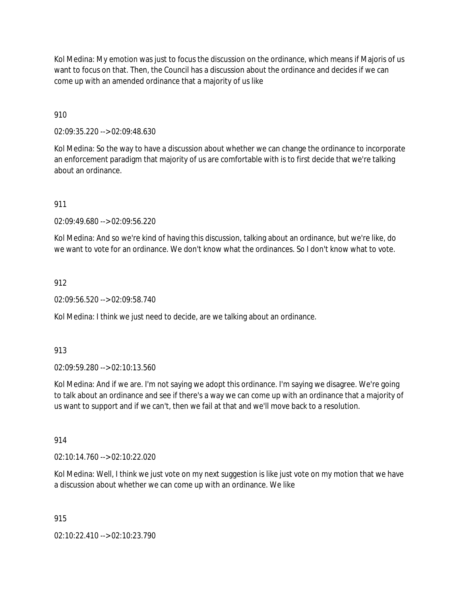Kol Medina: My emotion was just to focus the discussion on the ordinance, which means if Majoris of us want to focus on that. Then, the Council has a discussion about the ordinance and decides if we can come up with an amended ordinance that a majority of us like

910

02:09:35.220 --> 02:09:48.630

Kol Medina: So the way to have a discussion about whether we can change the ordinance to incorporate an enforcement paradigm that majority of us are comfortable with is to first decide that we're talking about an ordinance.

911

02:09:49.680 --> 02:09:56.220

Kol Medina: And so we're kind of having this discussion, talking about an ordinance, but we're like, do we want to vote for an ordinance. We don't know what the ordinances. So I don't know what to vote.

912

02:09:56.520 --> 02:09:58.740

Kol Medina: I think we just need to decide, are we talking about an ordinance.

913

02:09:59.280 --> 02:10:13.560

Kol Medina: And if we are. I'm not saying we adopt this ordinance. I'm saying we disagree. We're going to talk about an ordinance and see if there's a way we can come up with an ordinance that a majority of us want to support and if we can't, then we fail at that and we'll move back to a resolution.

914

02:10:14.760 --> 02:10:22.020

Kol Medina: Well, I think we just vote on my next suggestion is like just vote on my motion that we have a discussion about whether we can come up with an ordinance. We like

915

02:10:22.410 --> 02:10:23.790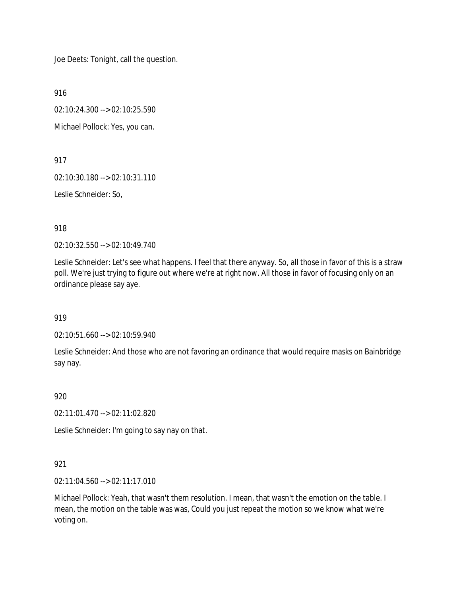Joe Deets: Tonight, call the question.

916

02:10:24.300 --> 02:10:25.590

Michael Pollock: Yes, you can.

917

02:10:30.180 --> 02:10:31.110

Leslie Schneider: So,

918

02:10:32.550 --> 02:10:49.740

Leslie Schneider: Let's see what happens. I feel that there anyway. So, all those in favor of this is a straw poll. We're just trying to figure out where we're at right now. All those in favor of focusing only on an ordinance please say aye.

919

02:10:51.660 --> 02:10:59.940

Leslie Schneider: And those who are not favoring an ordinance that would require masks on Bainbridge say nay.

920

02:11:01.470 --> 02:11:02.820

Leslie Schneider: I'm going to say nay on that.

# 921

02:11:04.560 --> 02:11:17.010

Michael Pollock: Yeah, that wasn't them resolution. I mean, that wasn't the emotion on the table. I mean, the motion on the table was was, Could you just repeat the motion so we know what we're voting on.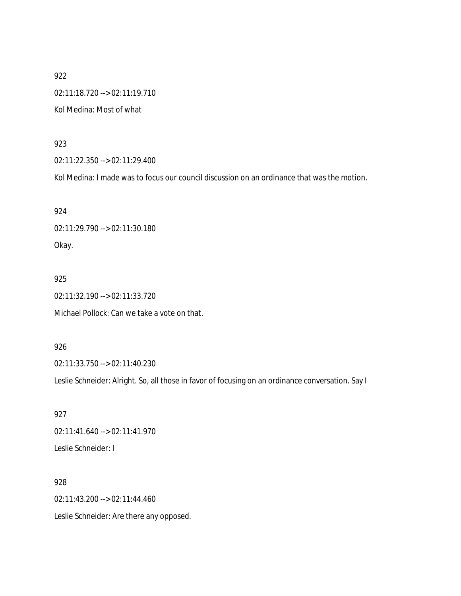922 02:11:18.720 --> 02:11:19.710 Kol Medina: Most of what

## 923

02:11:22.350 --> 02:11:29.400

Kol Medina: I made was to focus our council discussion on an ordinance that was the motion.

924 02:11:29.790 --> 02:11:30.180 Okay.

### 925

02:11:32.190 --> 02:11:33.720

Michael Pollock: Can we take a vote on that.

# 926

02:11:33.750 --> 02:11:40.230

Leslie Schneider: Alright. So, all those in favor of focusing on an ordinance conversation. Say I

927 02:11:41.640 --> 02:11:41.970 Leslie Schneider: I

928 02:11:43.200 --> 02:11:44.460 Leslie Schneider: Are there any opposed.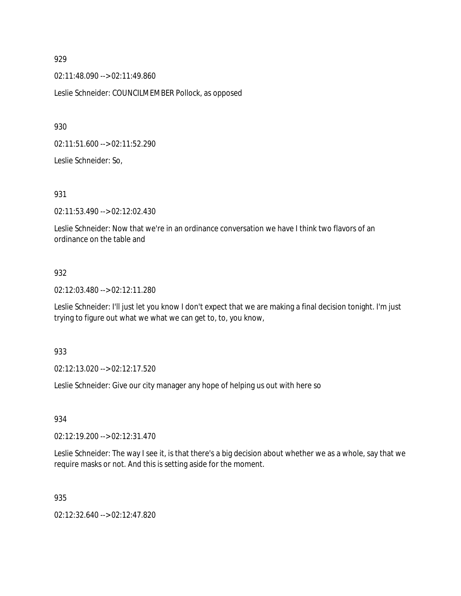02:11:48.090 --> 02:11:49.860

Leslie Schneider: COUNCILMEMBER Pollock, as opposed

930

02:11:51.600 --> 02:11:52.290

Leslie Schneider: So,

931

02:11:53.490 --> 02:12:02.430

Leslie Schneider: Now that we're in an ordinance conversation we have I think two flavors of an ordinance on the table and

# 932

02:12:03.480 --> 02:12:11.280

Leslie Schneider: I'll just let you know I don't expect that we are making a final decision tonight. I'm just trying to figure out what we what we can get to, to, you know,

933

02:12:13.020 --> 02:12:17.520

Leslie Schneider: Give our city manager any hope of helping us out with here so

934

02:12:19.200 --> 02:12:31.470

Leslie Schneider: The way I see it, is that there's a big decision about whether we as a whole, say that we require masks or not. And this is setting aside for the moment.

935

02:12:32.640 --> 02:12:47.820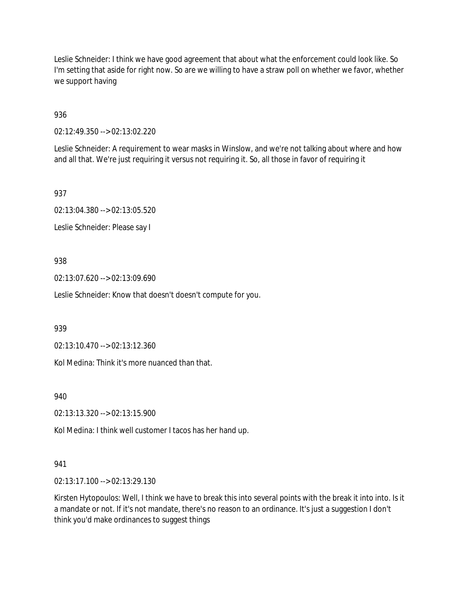Leslie Schneider: I think we have good agreement that about what the enforcement could look like. So I'm setting that aside for right now. So are we willing to have a straw poll on whether we favor, whether we support having

936

02:12:49.350 --> 02:13:02.220

Leslie Schneider: A requirement to wear masks in Winslow, and we're not talking about where and how and all that. We're just requiring it versus not requiring it. So, all those in favor of requiring it

937

02:13:04.380 --> 02:13:05.520

Leslie Schneider: Please say I

# 938

02:13:07.620 --> 02:13:09.690

Leslie Schneider: Know that doesn't doesn't compute for you.

939

02:13:10.470 --> 02:13:12.360

Kol Medina: Think it's more nuanced than that.

940

02:13:13.320 --> 02:13:15.900

Kol Medina: I think well customer I tacos has her hand up.

# 941

02:13:17.100 --> 02:13:29.130

Kirsten Hytopoulos: Well, I think we have to break this into several points with the break it into into. Is it a mandate or not. If it's not mandate, there's no reason to an ordinance. It's just a suggestion I don't think you'd make ordinances to suggest things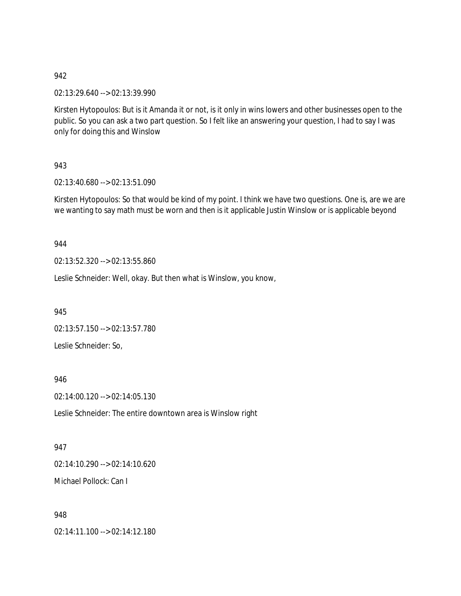02:13:29.640 --> 02:13:39.990

Kirsten Hytopoulos: But is it Amanda it or not, is it only in wins lowers and other businesses open to the public. So you can ask a two part question. So I felt like an answering your question, I had to say I was only for doing this and Winslow

## 943

02:13:40.680 --> 02:13:51.090

Kirsten Hytopoulos: So that would be kind of my point. I think we have two questions. One is, are we are we wanting to say math must be worn and then is it applicable Justin Winslow or is applicable beyond

## 944

02:13:52.320 --> 02:13:55.860

Leslie Schneider: Well, okay. But then what is Winslow, you know,

945

02:13:57.150 --> 02:13:57.780 Leslie Schneider: So,

### 946

02:14:00.120 --> 02:14:05.130

Leslie Schneider: The entire downtown area is Winslow right

# 947

02:14:10.290 --> 02:14:10.620 Michael Pollock: Can I

### 948

02:14:11.100 --> 02:14:12.180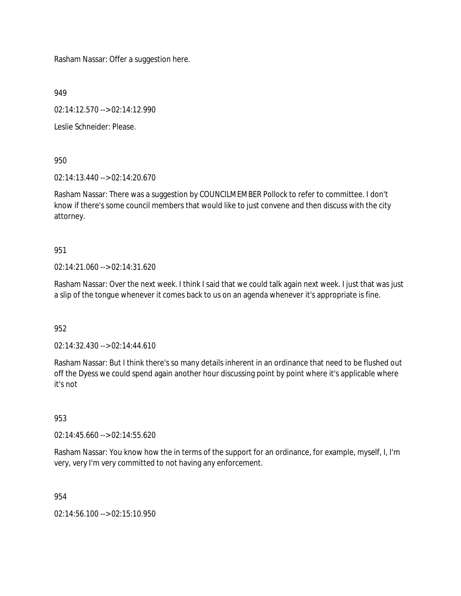Rasham Nassar: Offer a suggestion here.

949

02:14:12.570 --> 02:14:12.990

Leslie Schneider: Please.

950

02:14:13.440 --> 02:14:20.670

Rasham Nassar: There was a suggestion by COUNCILMEMBER Pollock to refer to committee. I don't know if there's some council members that would like to just convene and then discuss with the city attorney.

951

 $02.14.21.060 -5.02.14.31.620$ 

Rasham Nassar: Over the next week. I think I said that we could talk again next week. I just that was just a slip of the tongue whenever it comes back to us on an agenda whenever it's appropriate is fine.

952

02:14:32.430 --> 02:14:44.610

Rasham Nassar: But I think there's so many details inherent in an ordinance that need to be flushed out off the Dyess we could spend again another hour discussing point by point where it's applicable where it's not

953

02:14:45.660 --> 02:14:55.620

Rasham Nassar: You know how the in terms of the support for an ordinance, for example, myself, I, I'm very, very I'm very committed to not having any enforcement.

954

02:14:56.100 --> 02:15:10.950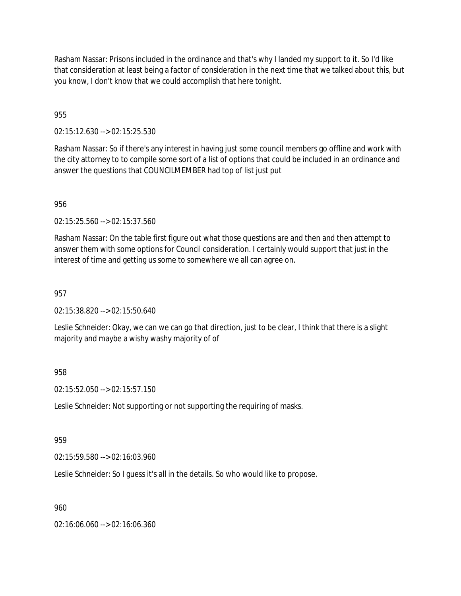Rasham Nassar: Prisons included in the ordinance and that's why I landed my support to it. So I'd like that consideration at least being a factor of consideration in the next time that we talked about this, but you know, I don't know that we could accomplish that here tonight.

955

02:15:12.630 --> 02:15:25.530

Rasham Nassar: So if there's any interest in having just some council members go offline and work with the city attorney to to compile some sort of a list of options that could be included in an ordinance and answer the questions that COUNCILMEMBER had top of list just put

956

02:15:25.560 --> 02:15:37.560

Rasham Nassar: On the table first figure out what those questions are and then and then attempt to answer them with some options for Council consideration. I certainly would support that just in the interest of time and getting us some to somewhere we all can agree on.

957

02:15:38.820 --> 02:15:50.640

Leslie Schneider: Okay, we can we can go that direction, just to be clear, I think that there is a slight majority and maybe a wishy washy majority of of

# 958

02:15:52.050 --> 02:15:57.150

Leslie Schneider: Not supporting or not supporting the requiring of masks.

# 959

02:15:59.580 --> 02:16:03.960

Leslie Schneider: So I guess it's all in the details. So who would like to propose.

960

02:16:06.060 --> 02:16:06.360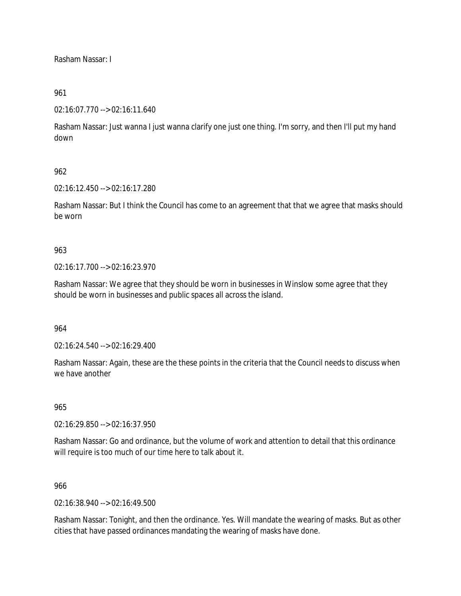Rasham Nassar: I

## 961

02:16:07.770 --> 02:16:11.640

Rasham Nassar: Just wanna I just wanna clarify one just one thing. I'm sorry, and then I'll put my hand down

# 962

02:16:12.450 --> 02:16:17.280

Rasham Nassar: But I think the Council has come to an agreement that that we agree that masks should be worn

# 963

02:16:17.700 --> 02:16:23.970

Rasham Nassar: We agree that they should be worn in businesses in Winslow some agree that they should be worn in businesses and public spaces all across the island.

## 964

02:16:24.540 --> 02:16:29.400

Rasham Nassar: Again, these are the these points in the criteria that the Council needs to discuss when we have another

### 965

02:16:29.850 --> 02:16:37.950

Rasham Nassar: Go and ordinance, but the volume of work and attention to detail that this ordinance will require is too much of our time here to talk about it.

### 966

02:16:38.940 --> 02:16:49.500

Rasham Nassar: Tonight, and then the ordinance. Yes. Will mandate the wearing of masks. But as other cities that have passed ordinances mandating the wearing of masks have done.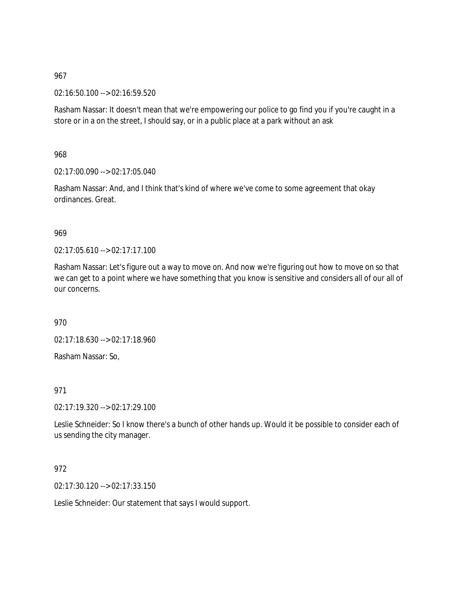02:16:50.100 --> 02:16:59.520

Rasham Nassar: It doesn't mean that we're empowering our police to go find you if you're caught in a store or in a on the street, I should say, or in a public place at a park without an ask

968

02:17:00.090 --> 02:17:05.040

Rasham Nassar: And, and I think that's kind of where we've come to some agreement that okay ordinances. Great.

969

02:17:05.610 --> 02:17:17.100

Rasham Nassar: Let's figure out a way to move on. And now we're figuring out how to move on so that we can get to a point where we have something that you know is sensitive and considers all of our all of our concerns.

970

02:17:18.630 --> 02:17:18.960

Rasham Nassar: So,

971

02:17:19.320 --> 02:17:29.100

Leslie Schneider: So I know there's a bunch of other hands up. Would it be possible to consider each of us sending the city manager.

# 972

02:17:30.120 --> 02:17:33.150

Leslie Schneider: Our statement that says I would support.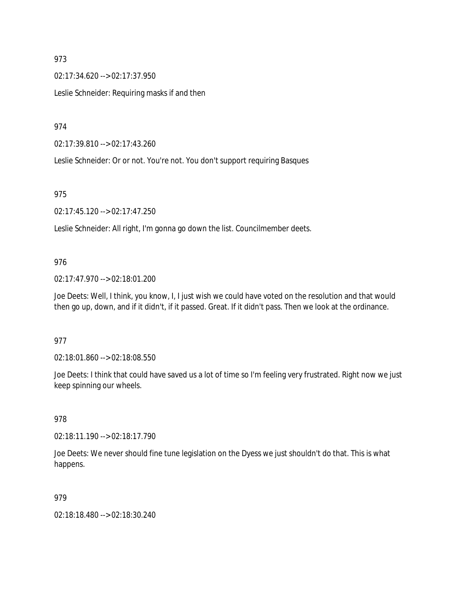02:17:34.620 --> 02:17:37.950 Leslie Schneider: Requiring masks if and then

974

02:17:39.810 --> 02:17:43.260

Leslie Schneider: Or or not. You're not. You don't support requiring Basques

# 975

02:17:45.120 --> 02:17:47.250

Leslie Schneider: All right, I'm gonna go down the list. Councilmember deets.

# 976

02:17:47.970 --> 02:18:01.200

Joe Deets: Well, I think, you know, I, I just wish we could have voted on the resolution and that would then go up, down, and if it didn't, if it passed. Great. If it didn't pass. Then we look at the ordinance.

# 977

02:18:01.860 --> 02:18:08.550

Joe Deets: I think that could have saved us a lot of time so I'm feeling very frustrated. Right now we just keep spinning our wheels.

# 978

02:18:11.190 --> 02:18:17.790

Joe Deets: We never should fine tune legislation on the Dyess we just shouldn't do that. This is what happens.

# 979

02:18:18.480 --> 02:18:30.240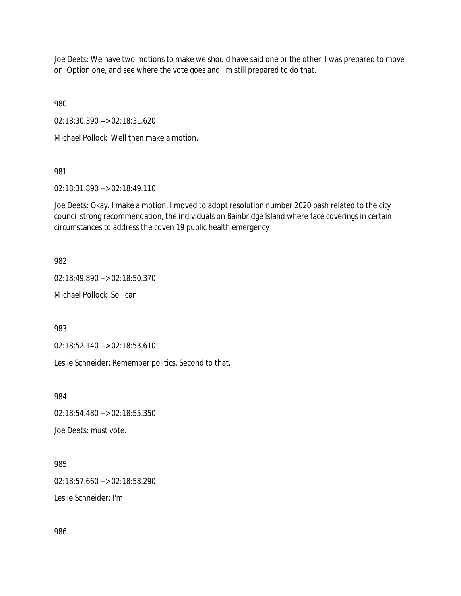Joe Deets: We have two motions to make we should have said one or the other. I was prepared to move on. Option one, and see where the vote goes and I'm still prepared to do that.

980

02:18:30.390 --> 02:18:31.620

Michael Pollock: Well then make a motion.

# 981

02:18:31.890 --> 02:18:49.110

Joe Deets: Okay. I make a motion. I moved to adopt resolution number 2020 bash related to the city council strong recommendation, the individuals on Bainbridge Island where face coverings in certain circumstances to address the coven 19 public health emergency

# 982

02:18:49.890 --> 02:18:50.370

Michael Pollock: So I can

983

02:18:52.140 --> 02:18:53.610

Leslie Schneider: Remember politics. Second to that.

984

02:18:54.480 --> 02:18:55.350

Joe Deets: must vote.

985

02:18:57.660 --> 02:18:58.290

Leslie Schneider: I'm

986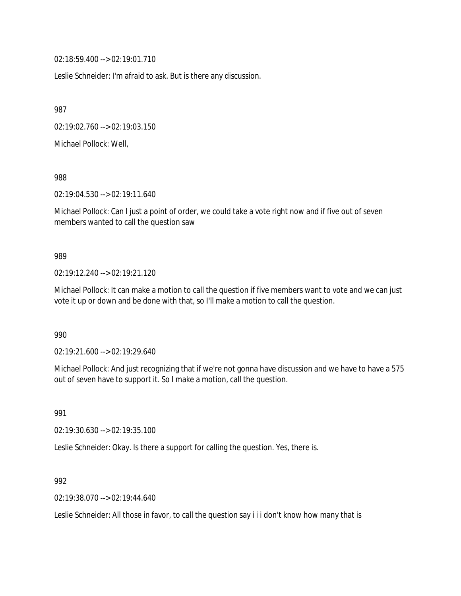02:18:59.400 --> 02:19:01.710

Leslie Schneider: I'm afraid to ask. But is there any discussion.

987

02:19:02.760 --> 02:19:03.150

Michael Pollock: Well,

988

02:19:04.530 --> 02:19:11.640

Michael Pollock: Can I just a point of order, we could take a vote right now and if five out of seven members wanted to call the question saw

### 989

02:19:12.240 --> 02:19:21.120

Michael Pollock: It can make a motion to call the question if five members want to vote and we can just vote it up or down and be done with that, so I'll make a motion to call the question.

990

02:19:21.600 --> 02:19:29.640

Michael Pollock: And just recognizing that if we're not gonna have discussion and we have to have a 575 out of seven have to support it. So I make a motion, call the question.

991

02:19:30.630 --> 02:19:35.100

Leslie Schneider: Okay. Is there a support for calling the question. Yes, there is.

992

02:19:38.070 --> 02:19:44.640

Leslie Schneider: All those in favor, to call the question say i i i don't know how many that is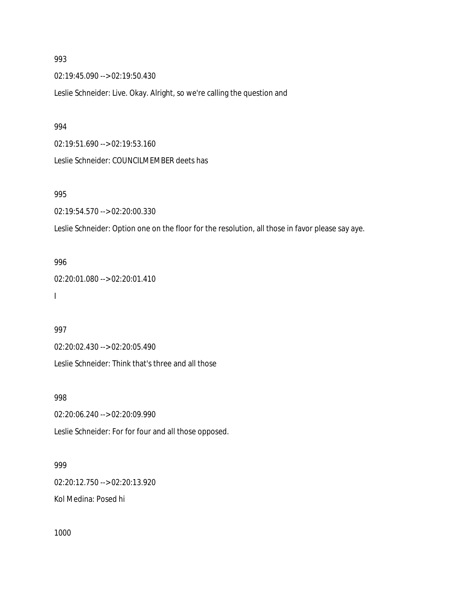02:19:45.090 --> 02:19:50.430

Leslie Schneider: Live. Okay. Alright, so we're calling the question and

#### 994

02:19:51.690 --> 02:19:53.160

Leslie Schneider: COUNCILMEMBER deets has

## 995

02:19:54.570 --> 02:20:00.330

Leslie Schneider: Option one on the floor for the resolution, all those in favor please say aye.

# 996

02:20:01.080 --> 02:20:01.410 I

### 997

02:20:02.430 --> 02:20:05.490

Leslie Schneider: Think that's three and all those

### 998

02:20:06.240 --> 02:20:09.990

Leslie Schneider: For for four and all those opposed.

## 999

02:20:12.750 --> 02:20:13.920

Kol Medina: Posed hi

1000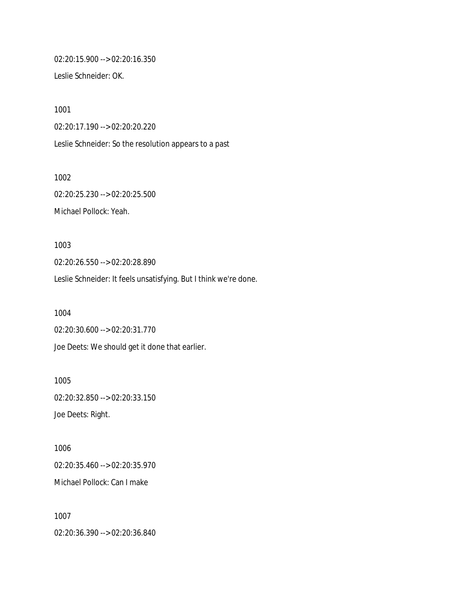02:20:15.900 --> 02:20:16.350

Leslie Schneider: OK.

1001 02:20:17.190 --> 02:20:20.220 Leslie Schneider: So the resolution appears to a past

1002 02:20:25.230 --> 02:20:25.500 Michael Pollock: Yeah.

1003 02:20:26.550 --> 02:20:28.890 Leslie Schneider: It feels unsatisfying. But I think we're done.

1004 02:20:30.600 --> 02:20:31.770 Joe Deets: We should get it done that earlier.

1005 02:20:32.850 --> 02:20:33.150 Joe Deets: Right.

1006 02:20:35.460 --> 02:20:35.970 Michael Pollock: Can I make

1007 02:20:36.390 --> 02:20:36.840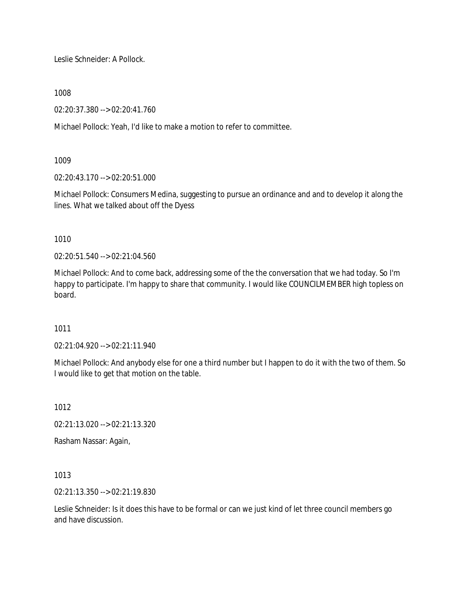Leslie Schneider: A Pollock.

1008

02:20:37.380 --> 02:20:41.760

Michael Pollock: Yeah, I'd like to make a motion to refer to committee.

# 1009

02:20:43.170 --> 02:20:51.000

Michael Pollock: Consumers Medina, suggesting to pursue an ordinance and and to develop it along the lines. What we talked about off the Dyess

1010

02:20:51.540 --> 02:21:04.560

Michael Pollock: And to come back, addressing some of the the conversation that we had today. So I'm happy to participate. I'm happy to share that community. I would like COUNCILMEMBER high topless on board.

1011

02:21:04.920 --> 02:21:11.940

Michael Pollock: And anybody else for one a third number but I happen to do it with the two of them. So I would like to get that motion on the table.

1012

02:21:13.020 --> 02:21:13.320

Rasham Nassar: Again,

1013

02:21:13.350 --> 02:21:19.830

Leslie Schneider: Is it does this have to be formal or can we just kind of let three council members go and have discussion.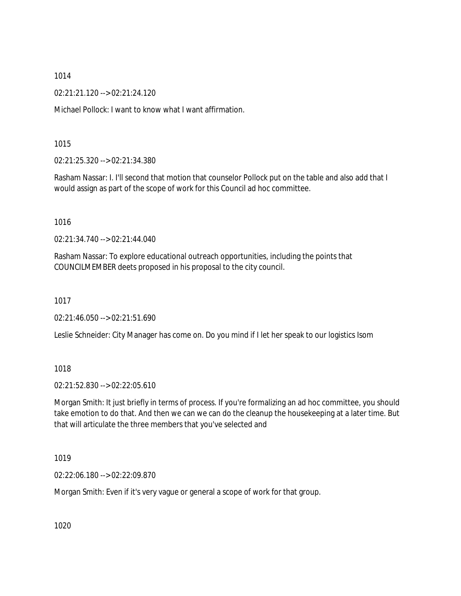02:21:21.120 --> 02:21:24.120

Michael Pollock: I want to know what I want affirmation.

1015

02:21:25.320 --> 02:21:34.380

Rasham Nassar: I. I'll second that motion that counselor Pollock put on the table and also add that I would assign as part of the scope of work for this Council ad hoc committee.

1016

02:21:34.740 --> 02:21:44.040

Rasham Nassar: To explore educational outreach opportunities, including the points that COUNCILMEMBER deets proposed in his proposal to the city council.

1017

02:21:46.050 --> 02:21:51.690

Leslie Schneider: City Manager has come on. Do you mind if I let her speak to our logistics Isom

1018

02:21:52.830 --> 02:22:05.610

Morgan Smith: It just briefly in terms of process. If you're formalizing an ad hoc committee, you should take emotion to do that. And then we can we can do the cleanup the housekeeping at a later time. But that will articulate the three members that you've selected and

1019

02:22:06.180 --> 02:22:09.870

Morgan Smith: Even if it's very vague or general a scope of work for that group.

1020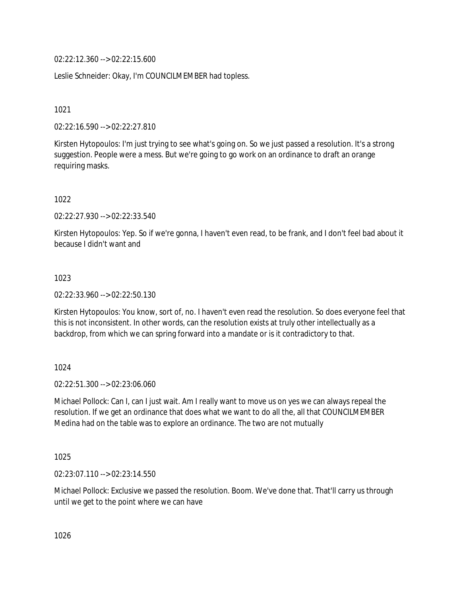02:22:12.360 --> 02:22:15.600

Leslie Schneider: Okay, I'm COUNCILMEMBER had topless.

1021

02:22:16.590 --> 02:22:27.810

Kirsten Hytopoulos: I'm just trying to see what's going on. So we just passed a resolution. It's a strong suggestion. People were a mess. But we're going to go work on an ordinance to draft an orange requiring masks.

1022

02:22:27.930 --> 02:22:33.540

Kirsten Hytopoulos: Yep. So if we're gonna, I haven't even read, to be frank, and I don't feel bad about it because I didn't want and

1023

02:22:33.960 --> 02:22:50.130

Kirsten Hytopoulos: You know, sort of, no. I haven't even read the resolution. So does everyone feel that this is not inconsistent. In other words, can the resolution exists at truly other intellectually as a backdrop, from which we can spring forward into a mandate or is it contradictory to that.

1024

02:22:51.300 --> 02:23:06.060

Michael Pollock: Can I, can I just wait. Am I really want to move us on yes we can always repeal the resolution. If we get an ordinance that does what we want to do all the, all that COUNCILMEMBER Medina had on the table was to explore an ordinance. The two are not mutually

1025

02:23:07.110 --> 02:23:14.550

Michael Pollock: Exclusive we passed the resolution. Boom. We've done that. That'll carry us through until we get to the point where we can have

1026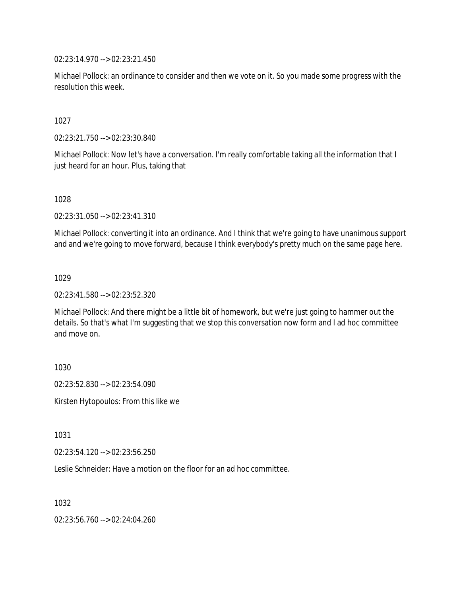02:23:14.970 --> 02:23:21.450

Michael Pollock: an ordinance to consider and then we vote on it. So you made some progress with the resolution this week.

1027

02:23:21.750 --> 02:23:30.840

Michael Pollock: Now let's have a conversation. I'm really comfortable taking all the information that I just heard for an hour. Plus, taking that

1028

02:23:31.050 --> 02:23:41.310

Michael Pollock: converting it into an ordinance. And I think that we're going to have unanimous support and and we're going to move forward, because I think everybody's pretty much on the same page here.

1029

02:23:41.580 --> 02:23:52.320

Michael Pollock: And there might be a little bit of homework, but we're just going to hammer out the details. So that's what I'm suggesting that we stop this conversation now form and I ad hoc committee and move on.

1030

02:23:52.830 --> 02:23:54.090

Kirsten Hytopoulos: From this like we

1031

02:23:54.120 --> 02:23:56.250

Leslie Schneider: Have a motion on the floor for an ad hoc committee.

1032

02:23:56.760 --> 02:24:04.260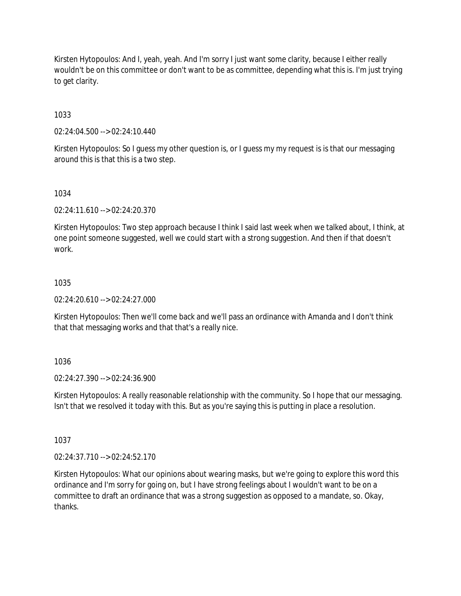Kirsten Hytopoulos: And I, yeah, yeah. And I'm sorry I just want some clarity, because I either really wouldn't be on this committee or don't want to be as committee, depending what this is. I'm just trying to get clarity.

1033

02:24:04.500 --> 02:24:10.440

Kirsten Hytopoulos: So I guess my other question is, or I guess my my request is is that our messaging around this is that this is a two step.

# 1034

02:24:11.610 --> 02:24:20.370

Kirsten Hytopoulos: Two step approach because I think I said last week when we talked about, I think, at one point someone suggested, well we could start with a strong suggestion. And then if that doesn't work.

## 1035

02:24:20.610 --> 02:24:27.000

Kirsten Hytopoulos: Then we'll come back and we'll pass an ordinance with Amanda and I don't think that that messaging works and that that's a really nice.

# 1036

02:24:27.390 --> 02:24:36.900

Kirsten Hytopoulos: A really reasonable relationship with the community. So I hope that our messaging. Isn't that we resolved it today with this. But as you're saying this is putting in place a resolution.

1037

02:24:37.710 --> 02:24:52.170

Kirsten Hytopoulos: What our opinions about wearing masks, but we're going to explore this word this ordinance and I'm sorry for going on, but I have strong feelings about I wouldn't want to be on a committee to draft an ordinance that was a strong suggestion as opposed to a mandate, so. Okay, thanks.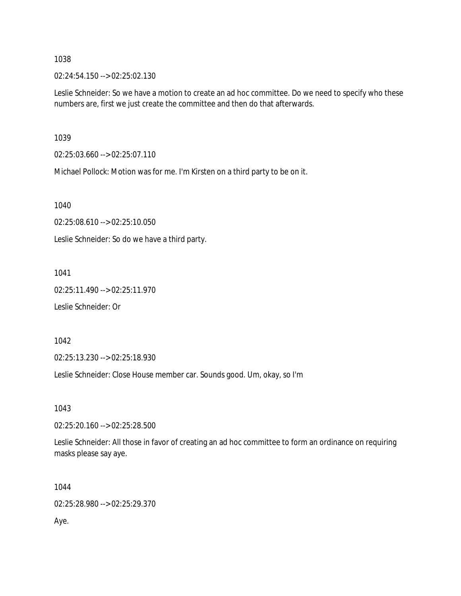02:24:54.150 --> 02:25:02.130

Leslie Schneider: So we have a motion to create an ad hoc committee. Do we need to specify who these numbers are, first we just create the committee and then do that afterwards.

1039

02:25:03.660 --> 02:25:07.110

Michael Pollock: Motion was for me. I'm Kirsten on a third party to be on it.

1040

02:25:08.610 --> 02:25:10.050

Leslie Schneider: So do we have a third party.

1041

02:25:11.490 --> 02:25:11.970 Leslie Schneider: Or

1042

02:25:13.230 --> 02:25:18.930

Leslie Schneider: Close House member car. Sounds good. Um, okay, so I'm

1043

02:25:20.160 --> 02:25:28.500

Leslie Schneider: All those in favor of creating an ad hoc committee to form an ordinance on requiring masks please say aye.

1044

02:25:28.980 --> 02:25:29.370

Aye.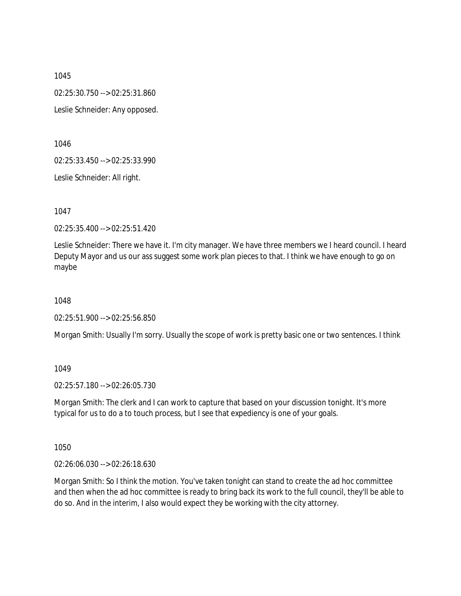02:25:30.750 --> 02:25:31.860

Leslie Schneider: Any opposed.

1046

02:25:33.450 --> 02:25:33.990

Leslie Schneider: All right.

1047

02:25:35.400 --> 02:25:51.420

Leslie Schneider: There we have it. I'm city manager. We have three members we I heard council. I heard Deputy Mayor and us our ass suggest some work plan pieces to that. I think we have enough to go on maybe

1048

02:25:51.900 --> 02:25:56.850

Morgan Smith: Usually I'm sorry. Usually the scope of work is pretty basic one or two sentences. I think

1049

02:25:57.180 --> 02:26:05.730

Morgan Smith: The clerk and I can work to capture that based on your discussion tonight. It's more typical for us to do a to touch process, but I see that expediency is one of your goals.

1050

02:26:06.030 --> 02:26:18.630

Morgan Smith: So I think the motion. You've taken tonight can stand to create the ad hoc committee and then when the ad hoc committee is ready to bring back its work to the full council, they'll be able to do so. And in the interim, I also would expect they be working with the city attorney.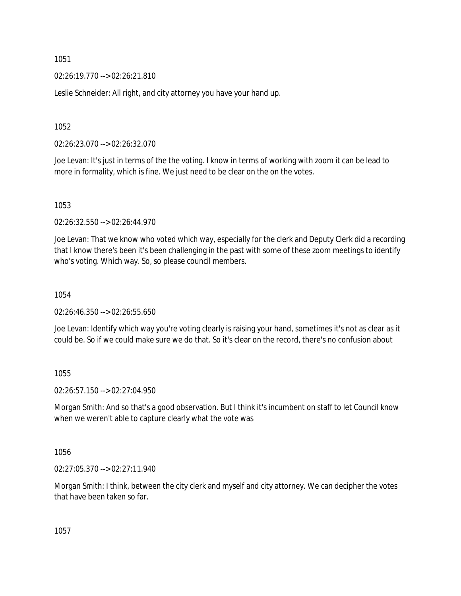02:26:19.770 --> 02:26:21.810

Leslie Schneider: All right, and city attorney you have your hand up.

1052

02:26:23.070 --> 02:26:32.070

Joe Levan: It's just in terms of the the voting. I know in terms of working with zoom it can be lead to more in formality, which is fine. We just need to be clear on the on the votes.

1053

02:26:32.550 --> 02:26:44.970

Joe Levan: That we know who voted which way, especially for the clerk and Deputy Clerk did a recording that I know there's been it's been challenging in the past with some of these zoom meetings to identify who's voting. Which way. So, so please council members.

1054

02:26:46.350 --> 02:26:55.650

Joe Levan: Identify which way you're voting clearly is raising your hand, sometimes it's not as clear as it could be. So if we could make sure we do that. So it's clear on the record, there's no confusion about

1055

02:26:57.150 --> 02:27:04.950

Morgan Smith: And so that's a good observation. But I think it's incumbent on staff to let Council know when we weren't able to capture clearly what the vote was

1056

02:27:05.370 --> 02:27:11.940

Morgan Smith: I think, between the city clerk and myself and city attorney. We can decipher the votes that have been taken so far.

1057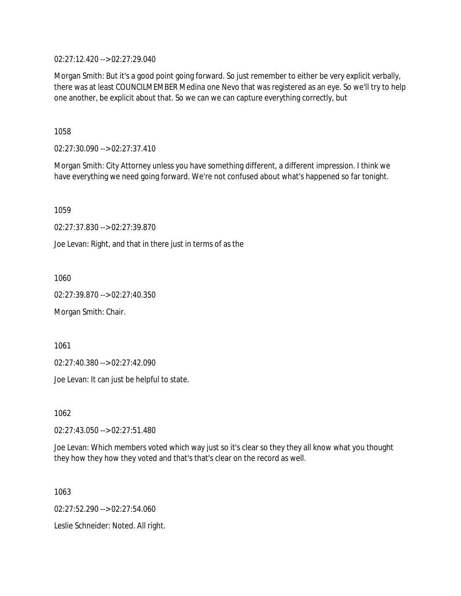02:27:12.420 --> 02:27:29.040

Morgan Smith: But it's a good point going forward. So just remember to either be very explicit verbally, there was at least COUNCILMEMBER Medina one Nevo that was registered as an eye. So we'll try to help one another, be explicit about that. So we can we can capture everything correctly, but

1058

02:27:30.090 --> 02:27:37.410

Morgan Smith: City Attorney unless you have something different, a different impression. I think we have everything we need going forward. We're not confused about what's happened so far tonight.

1059

02:27:37.830 --> 02:27:39.870

Joe Levan: Right, and that in there just in terms of as the

1060

02:27:39.870 --> 02:27:40.350

Morgan Smith: Chair.

1061

02:27:40.380 --> 02:27:42.090

Joe Levan: It can just be helpful to state.

1062

02:27:43.050 --> 02:27:51.480

Joe Levan: Which members voted which way just so it's clear so they they all know what you thought they how they how they voted and that's that's clear on the record as well.

1063

02:27:52.290 --> 02:27:54.060

Leslie Schneider: Noted. All right.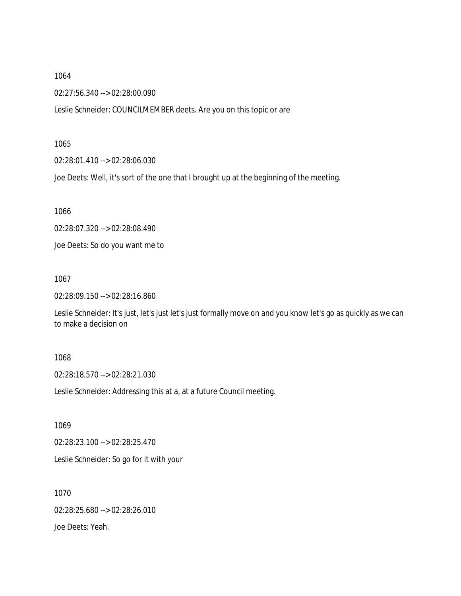02:27:56.340 --> 02:28:00.090

Leslie Schneider: COUNCILMEMBER deets. Are you on this topic or are

1065

02:28:01.410 --> 02:28:06.030

Joe Deets: Well, it's sort of the one that I brought up at the beginning of the meeting.

1066

02:28:07.320 --> 02:28:08.490

Joe Deets: So do you want me to

1067

02:28:09.150 --> 02:28:16.860

Leslie Schneider: It's just, let's just let's just formally move on and you know let's go as quickly as we can to make a decision on

# 1068

02:28:18.570 --> 02:28:21.030

Leslie Schneider: Addressing this at a, at a future Council meeting.

1069

02:28:23.100 --> 02:28:25.470

Leslie Schneider: So go for it with your

1070 02:28:25.680 --> 02:28:26.010 Joe Deets: Yeah.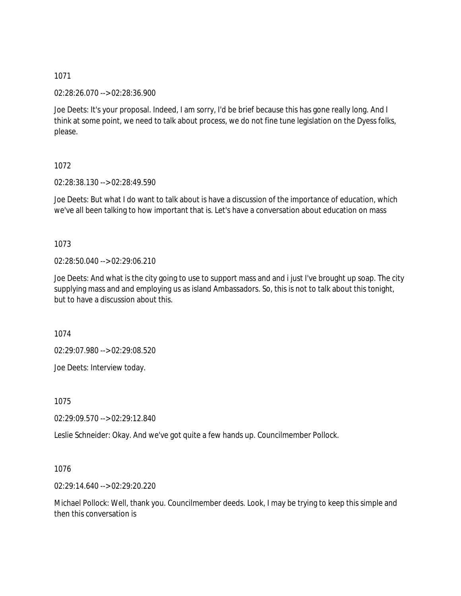02:28:26.070 --> 02:28:36.900

Joe Deets: It's your proposal. Indeed, I am sorry, I'd be brief because this has gone really long. And I think at some point, we need to talk about process, we do not fine tune legislation on the Dyess folks, please.

# 1072

02:28:38.130 --> 02:28:49.590

Joe Deets: But what I do want to talk about is have a discussion of the importance of education, which we've all been talking to how important that is. Let's have a conversation about education on mass

# 1073

02:28:50.040 --> 02:29:06.210

Joe Deets: And what is the city going to use to support mass and and i just I've brought up soap. The city supplying mass and and employing us as island Ambassadors. So, this is not to talk about this tonight, but to have a discussion about this.

1074

02:29:07.980 --> 02:29:08.520

Joe Deets: Interview today.

1075

02:29:09.570 --> 02:29:12.840

Leslie Schneider: Okay. And we've got quite a few hands up. Councilmember Pollock.

1076

02:29:14.640 --> 02:29:20.220

Michael Pollock: Well, thank you. Councilmember deeds. Look, I may be trying to keep this simple and then this conversation is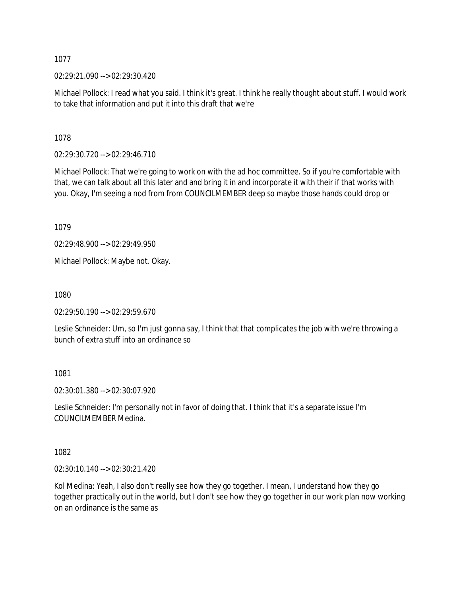02:29:21.090 --> 02:29:30.420

Michael Pollock: I read what you said. I think it's great. I think he really thought about stuff. I would work to take that information and put it into this draft that we're

1078

02:29:30.720 --> 02:29:46.710

Michael Pollock: That we're going to work on with the ad hoc committee. So if you're comfortable with that, we can talk about all this later and and bring it in and incorporate it with their if that works with you. Okay, I'm seeing a nod from from COUNCILMEMBER deep so maybe those hands could drop or

1079

02:29:48.900 --> 02:29:49.950

Michael Pollock: Maybe not. Okay.

1080

02:29:50.190 --> 02:29:59.670

Leslie Schneider: Um, so I'm just gonna say, I think that that complicates the job with we're throwing a bunch of extra stuff into an ordinance so

1081

02:30:01.380 --> 02:30:07.920

Leslie Schneider: I'm personally not in favor of doing that. I think that it's a separate issue I'm COUNCILMEMBER Medina.

1082

02:30:10.140 --> 02:30:21.420

Kol Medina: Yeah, I also don't really see how they go together. I mean, I understand how they go together practically out in the world, but I don't see how they go together in our work plan now working on an ordinance is the same as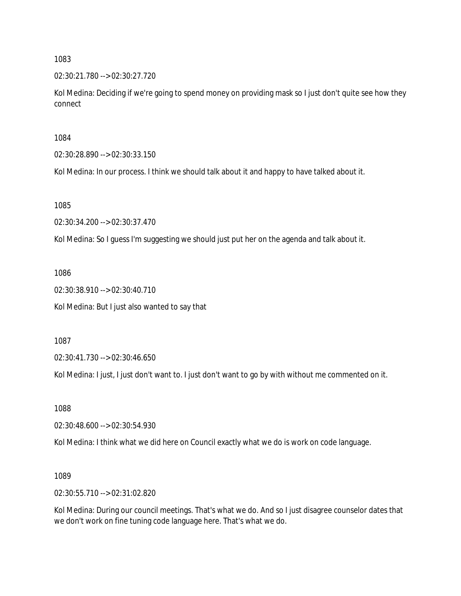02:30:21.780 --> 02:30:27.720

Kol Medina: Deciding if we're going to spend money on providing mask so I just don't quite see how they connect

1084

02:30:28.890 --> 02:30:33.150

Kol Medina: In our process. I think we should talk about it and happy to have talked about it.

1085

02:30:34.200 --> 02:30:37.470

Kol Medina: So I guess I'm suggesting we should just put her on the agenda and talk about it.

1086

02:30:38.910 --> 02:30:40.710 Kol Medina: But I just also wanted to say that

1087

02:30:41.730 --> 02:30:46.650

Kol Medina: I just, I just don't want to. I just don't want to go by with without me commented on it.

1088

02:30:48.600 --> 02:30:54.930

Kol Medina: I think what we did here on Council exactly what we do is work on code language.

1089

02:30:55.710 --> 02:31:02.820

Kol Medina: During our council meetings. That's what we do. And so I just disagree counselor dates that we don't work on fine tuning code language here. That's what we do.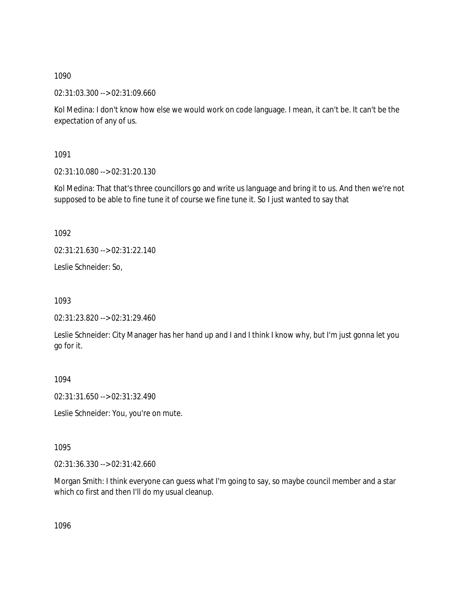02:31:03.300 --> 02:31:09.660

Kol Medina: I don't know how else we would work on code language. I mean, it can't be. It can't be the expectation of any of us.

1091

02:31:10.080 --> 02:31:20.130

Kol Medina: That that's three councillors go and write us language and bring it to us. And then we're not supposed to be able to fine tune it of course we fine tune it. So I just wanted to say that

1092

02:31:21.630 --> 02:31:22.140

Leslie Schneider: So,

1093

```
02:31:23.820 --> 02:31:29.460
```
Leslie Schneider: City Manager has her hand up and I and I think I know why, but I'm just gonna let you go for it.

1094

02:31:31.650 --> 02:31:32.490

Leslie Schneider: You, you're on mute.

1095

02:31:36.330 --> 02:31:42.660

Morgan Smith: I think everyone can guess what I'm going to say, so maybe council member and a star which co first and then I'll do my usual cleanup.

1096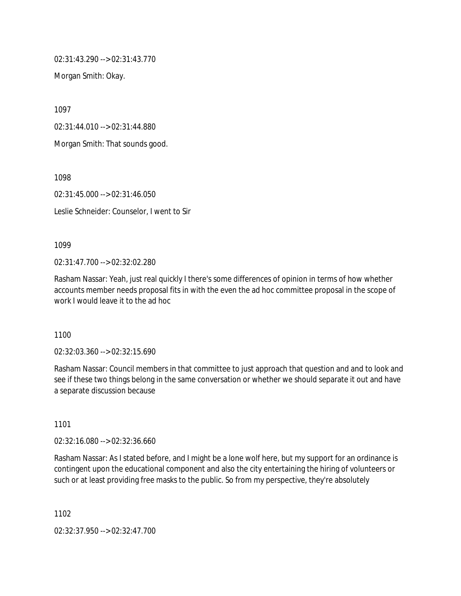02:31:43.290 --> 02:31:43.770

Morgan Smith: Okay.

1097

02:31:44.010 --> 02:31:44.880

Morgan Smith: That sounds good.

1098

02:31:45.000 --> 02:31:46.050

Leslie Schneider: Counselor, I went to Sir

1099

02:31:47.700 --> 02:32:02.280

Rasham Nassar: Yeah, just real quickly I there's some differences of opinion in terms of how whether accounts member needs proposal fits in with the even the ad hoc committee proposal in the scope of work I would leave it to the ad hoc

1100

02:32:03.360 --> 02:32:15.690

Rasham Nassar: Council members in that committee to just approach that question and and to look and see if these two things belong in the same conversation or whether we should separate it out and have a separate discussion because

1101

02:32:16.080 --> 02:32:36.660

Rasham Nassar: As I stated before, and I might be a lone wolf here, but my support for an ordinance is contingent upon the educational component and also the city entertaining the hiring of volunteers or such or at least providing free masks to the public. So from my perspective, they're absolutely

1102

02:32:37.950 --> 02:32:47.700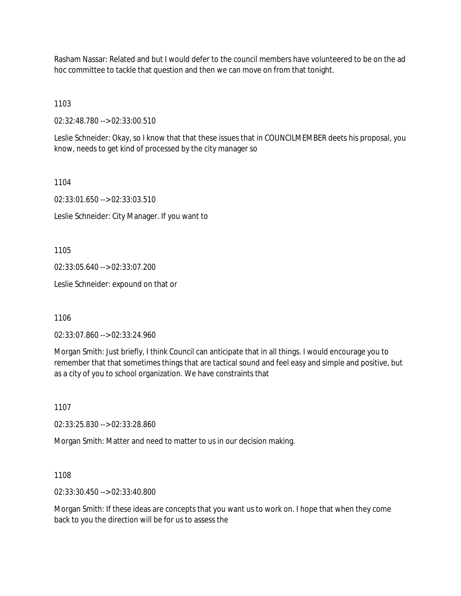Rasham Nassar: Related and but I would defer to the council members have volunteered to be on the ad hoc committee to tackle that question and then we can move on from that tonight.

1103

02:32:48.780 --> 02:33:00.510

Leslie Schneider: Okay, so I know that that these issues that in COUNCILMEMBER deets his proposal, you know, needs to get kind of processed by the city manager so

1104

02:33:01.650 --> 02:33:03.510

Leslie Schneider: City Manager. If you want to

1105

02:33:05.640 --> 02:33:07.200

Leslie Schneider: expound on that or

1106

02:33:07.860 --> 02:33:24.960

Morgan Smith: Just briefly, I think Council can anticipate that in all things. I would encourage you to remember that that sometimes things that are tactical sound and feel easy and simple and positive, but as a city of you to school organization. We have constraints that

1107

02:33:25.830 --> 02:33:28.860

Morgan Smith: Matter and need to matter to us in our decision making.

1108

02:33:30.450 --> 02:33:40.800

Morgan Smith: If these ideas are concepts that you want us to work on. I hope that when they come back to you the direction will be for us to assess the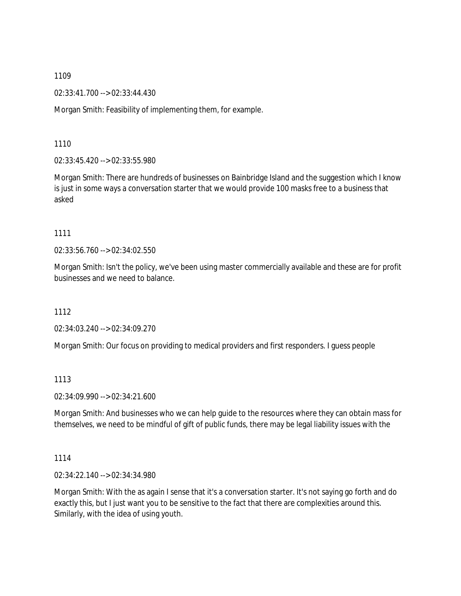02:33:41.700 --> 02:33:44.430

Morgan Smith: Feasibility of implementing them, for example.

1110

02:33:45.420 --> 02:33:55.980

Morgan Smith: There are hundreds of businesses on Bainbridge Island and the suggestion which I know is just in some ways a conversation starter that we would provide 100 masks free to a business that asked

# 1111

02:33:56.760 --> 02:34:02.550

Morgan Smith: Isn't the policy, we've been using master commercially available and these are for profit businesses and we need to balance.

1112

02:34:03.240 --> 02:34:09.270

Morgan Smith: Our focus on providing to medical providers and first responders. I guess people

# 1113

02:34:09.990 --> 02:34:21.600

Morgan Smith: And businesses who we can help guide to the resources where they can obtain mass for themselves, we need to be mindful of gift of public funds, there may be legal liability issues with the

### 1114

02:34:22.140 --> 02:34:34.980

Morgan Smith: With the as again I sense that it's a conversation starter. It's not saying go forth and do exactly this, but I just want you to be sensitive to the fact that there are complexities around this. Similarly, with the idea of using youth.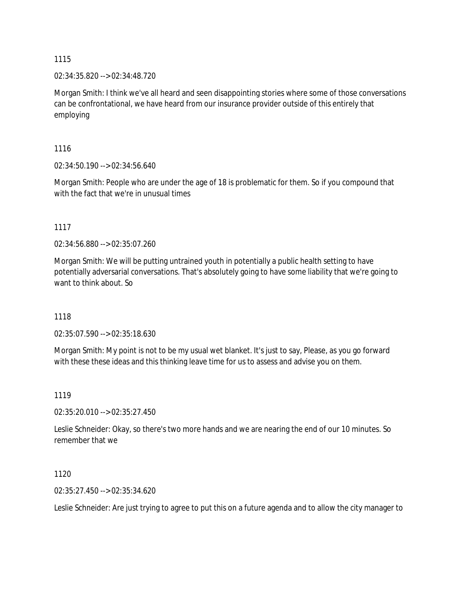02:34:35.820 --> 02:34:48.720

Morgan Smith: I think we've all heard and seen disappointing stories where some of those conversations can be confrontational, we have heard from our insurance provider outside of this entirely that employing

1116

02:34:50.190 --> 02:34:56.640

Morgan Smith: People who are under the age of 18 is problematic for them. So if you compound that with the fact that we're in unusual times

1117

02:34:56.880 --> 02:35:07.260

Morgan Smith: We will be putting untrained youth in potentially a public health setting to have potentially adversarial conversations. That's absolutely going to have some liability that we're going to want to think about. So

1118

02:35:07.590 --> 02:35:18.630

Morgan Smith: My point is not to be my usual wet blanket. It's just to say, Please, as you go forward with these these ideas and this thinking leave time for us to assess and advise you on them.

1119

02:35:20.010 --> 02:35:27.450

Leslie Schneider: Okay, so there's two more hands and we are nearing the end of our 10 minutes. So remember that we

1120

02:35:27.450 --> 02:35:34.620

Leslie Schneider: Are just trying to agree to put this on a future agenda and to allow the city manager to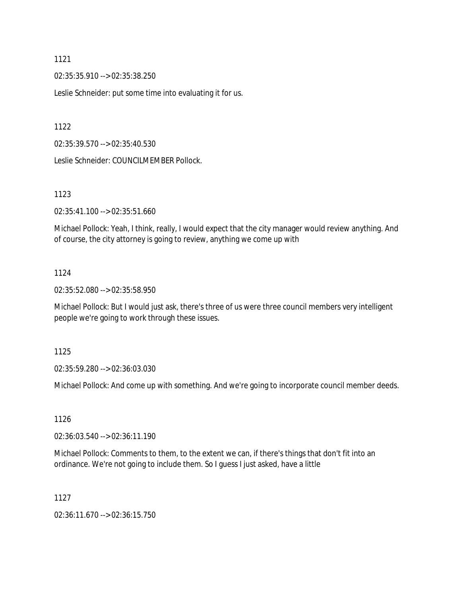02:35:35.910 --> 02:35:38.250

Leslie Schneider: put some time into evaluating it for us.

1122

02:35:39.570 --> 02:35:40.530

Leslie Schneider: COUNCILMEMBER Pollock.

1123

02:35:41.100 --> 02:35:51.660

Michael Pollock: Yeah, I think, really, I would expect that the city manager would review anything. And of course, the city attorney is going to review, anything we come up with

# 1124

02:35:52.080 --> 02:35:58.950

Michael Pollock: But I would just ask, there's three of us were three council members very intelligent people we're going to work through these issues.

1125

02:35:59.280 --> 02:36:03.030

Michael Pollock: And come up with something. And we're going to incorporate council member deeds.

1126

02:36:03.540 --> 02:36:11.190

Michael Pollock: Comments to them, to the extent we can, if there's things that don't fit into an ordinance. We're not going to include them. So I guess I just asked, have a little

1127

02:36:11.670 --> 02:36:15.750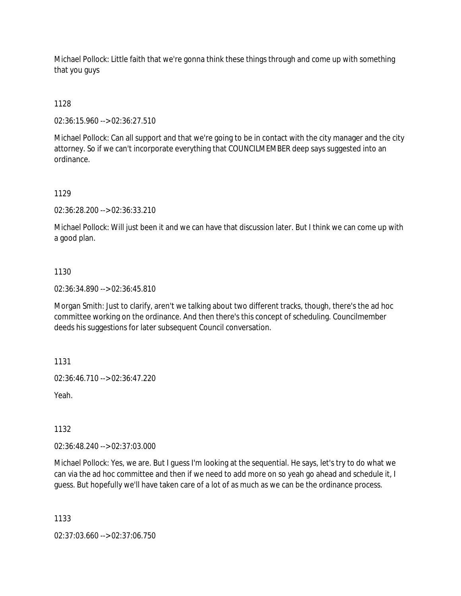Michael Pollock: Little faith that we're gonna think these things through and come up with something that you guys

1128

02:36:15.960 --> 02:36:27.510

Michael Pollock: Can all support and that we're going to be in contact with the city manager and the city attorney. So if we can't incorporate everything that COUNCILMEMBER deep says suggested into an ordinance.

1129

02:36:28.200 --> 02:36:33.210

Michael Pollock: Will just been it and we can have that discussion later. But I think we can come up with a good plan.

# 1130

02:36:34.890 --> 02:36:45.810

Morgan Smith: Just to clarify, aren't we talking about two different tracks, though, there's the ad hoc committee working on the ordinance. And then there's this concept of scheduling. Councilmember deeds his suggestions for later subsequent Council conversation.

1131

02:36:46.710 --> 02:36:47.220

Yeah.

1132

02:36:48.240 --> 02:37:03.000

Michael Pollock: Yes, we are. But I guess I'm looking at the sequential. He says, let's try to do what we can via the ad hoc committee and then if we need to add more on so yeah go ahead and schedule it, I guess. But hopefully we'll have taken care of a lot of as much as we can be the ordinance process.

1133

02:37:03.660 --> 02:37:06.750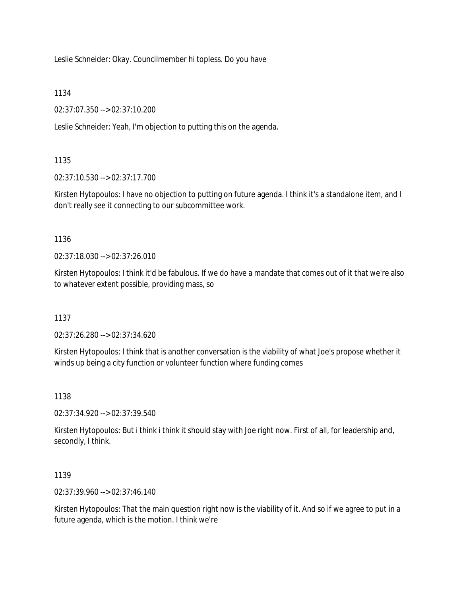Leslie Schneider: Okay. Councilmember hi topless. Do you have

1134

02:37:07.350 --> 02:37:10.200

Leslie Schneider: Yeah, I'm objection to putting this on the agenda.

# 1135

02:37:10.530 --> 02:37:17.700

Kirsten Hytopoulos: I have no objection to putting on future agenda. I think it's a standalone item, and I don't really see it connecting to our subcommittee work.

1136

02:37:18.030 --> 02:37:26.010

Kirsten Hytopoulos: I think it'd be fabulous. If we do have a mandate that comes out of it that we're also to whatever extent possible, providing mass, so

1137

02:37:26.280 --> 02:37:34.620

Kirsten Hytopoulos: I think that is another conversation is the viability of what Joe's propose whether it winds up being a city function or volunteer function where funding comes

1138

02:37:34.920 --> 02:37:39.540

Kirsten Hytopoulos: But i think i think it should stay with Joe right now. First of all, for leadership and, secondly, I think.

1139

02:37:39.960 --> 02:37:46.140

Kirsten Hytopoulos: That the main question right now is the viability of it. And so if we agree to put in a future agenda, which is the motion. I think we're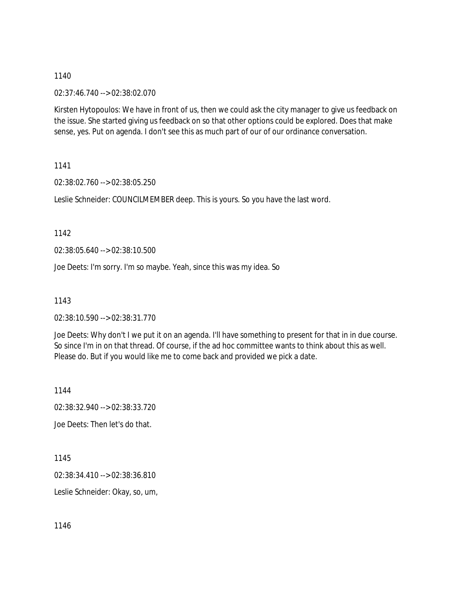02:37:46.740 --> 02:38:02.070

Kirsten Hytopoulos: We have in front of us, then we could ask the city manager to give us feedback on the issue. She started giving us feedback on so that other options could be explored. Does that make sense, yes. Put on agenda. I don't see this as much part of our of our ordinance conversation.

1141

02:38:02.760 --> 02:38:05.250

Leslie Schneider: COUNCILMEMBER deep. This is yours. So you have the last word.

1142

02:38:05.640 --> 02:38:10.500

Joe Deets: I'm sorry. I'm so maybe. Yeah, since this was my idea. So

1143

02:38:10.590 --> 02:38:31.770

Joe Deets: Why don't I we put it on an agenda. I'll have something to present for that in in due course. So since I'm in on that thread. Of course, if the ad hoc committee wants to think about this as well. Please do. But if you would like me to come back and provided we pick a date.

1144

02:38:32.940 --> 02:38:33.720

Joe Deets: Then let's do that.

1145

02:38:34.410 --> 02:38:36.810

Leslie Schneider: Okay, so, um,

1146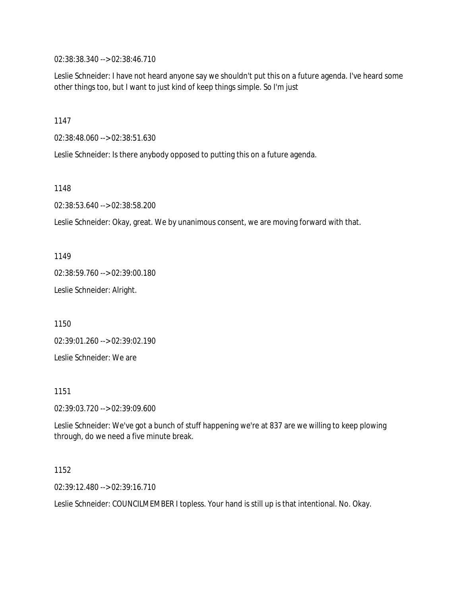02:38:38.340 --> 02:38:46.710

Leslie Schneider: I have not heard anyone say we shouldn't put this on a future agenda. I've heard some other things too, but I want to just kind of keep things simple. So I'm just

1147

02:38:48.060 --> 02:38:51.630

Leslie Schneider: Is there anybody opposed to putting this on a future agenda.

1148

02:38:53.640 --> 02:38:58.200

Leslie Schneider: Okay, great. We by unanimous consent, we are moving forward with that.

1149

02:38:59.760 --> 02:39:00.180

Leslie Schneider: Alright.

1150

02:39:01.260 --> 02:39:02.190

Leslie Schneider: We are

1151

02:39:03.720 --> 02:39:09.600

Leslie Schneider: We've got a bunch of stuff happening we're at 837 are we willing to keep plowing through, do we need a five minute break.

1152

02:39:12.480 --> 02:39:16.710

Leslie Schneider: COUNCILMEMBER I topless. Your hand is still up is that intentional. No. Okay.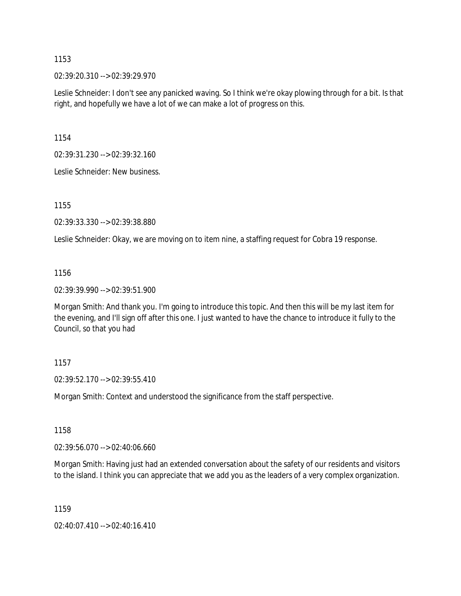02:39:20.310 --> 02:39:29.970

Leslie Schneider: I don't see any panicked waving. So I think we're okay plowing through for a bit. Is that right, and hopefully we have a lot of we can make a lot of progress on this.

1154

02:39:31.230 --> 02:39:32.160

Leslie Schneider: New business.

1155

02:39:33.330 --> 02:39:38.880

Leslie Schneider: Okay, we are moving on to item nine, a staffing request for Cobra 19 response.

#### 1156

02:39:39.990 --> 02:39:51.900

Morgan Smith: And thank you. I'm going to introduce this topic. And then this will be my last item for the evening, and I'll sign off after this one. I just wanted to have the chance to introduce it fully to the Council, so that you had

#### 1157

02:39:52.170 --> 02:39:55.410

Morgan Smith: Context and understood the significance from the staff perspective.

1158

02:39:56.070 --> 02:40:06.660

Morgan Smith: Having just had an extended conversation about the safety of our residents and visitors to the island. I think you can appreciate that we add you as the leaders of a very complex organization.

1159

02:40:07.410 --> 02:40:16.410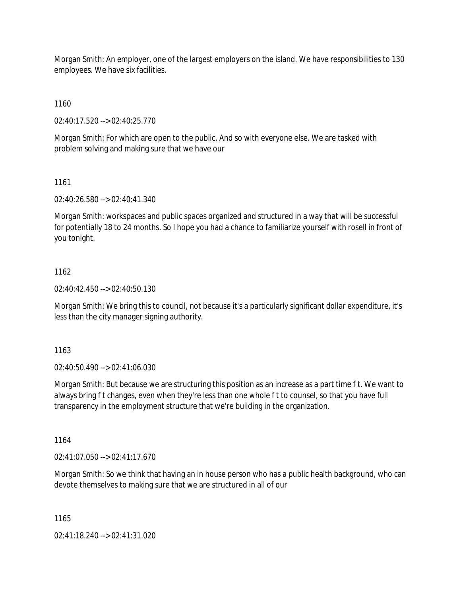Morgan Smith: An employer, one of the largest employers on the island. We have responsibilities to 130 employees. We have six facilities.

1160

02:40:17.520 --> 02:40:25.770

Morgan Smith: For which are open to the public. And so with everyone else. We are tasked with problem solving and making sure that we have our

#### 1161

02:40:26.580 --> 02:40:41.340

Morgan Smith: workspaces and public spaces organized and structured in a way that will be successful for potentially 18 to 24 months. So I hope you had a chance to familiarize yourself with rosell in front of you tonight.

### 1162

02:40:42.450 --> 02:40:50.130

Morgan Smith: We bring this to council, not because it's a particularly significant dollar expenditure, it's less than the city manager signing authority.

1163

02:40:50.490 --> 02:41:06.030

Morgan Smith: But because we are structuring this position as an increase as a part time f t. We want to always bring f t changes, even when they're less than one whole f t to counsel, so that you have full transparency in the employment structure that we're building in the organization.

1164

02:41:07.050 --> 02:41:17.670

Morgan Smith: So we think that having an in house person who has a public health background, who can devote themselves to making sure that we are structured in all of our

1165

02:41:18.240 --> 02:41:31.020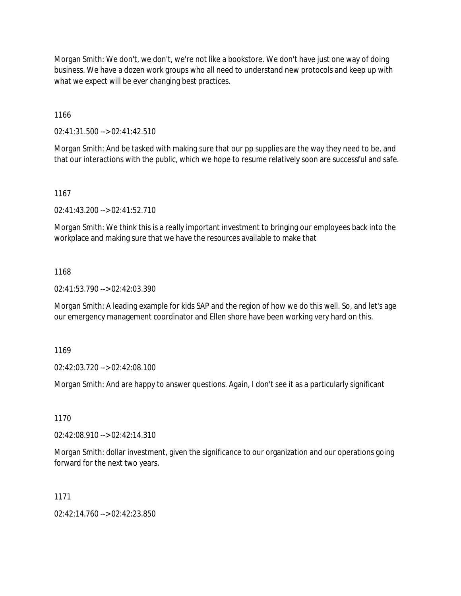Morgan Smith: We don't, we don't, we're not like a bookstore. We don't have just one way of doing business. We have a dozen work groups who all need to understand new protocols and keep up with what we expect will be ever changing best practices.

1166

02:41:31.500 --> 02:41:42.510

Morgan Smith: And be tasked with making sure that our pp supplies are the way they need to be, and that our interactions with the public, which we hope to resume relatively soon are successful and safe.

1167

02:41:43.200 --> 02:41:52.710

Morgan Smith: We think this is a really important investment to bringing our employees back into the workplace and making sure that we have the resources available to make that

#### 1168

02:41:53.790 --> 02:42:03.390

Morgan Smith: A leading example for kids SAP and the region of how we do this well. So, and let's age our emergency management coordinator and Ellen shore have been working very hard on this.

1169

02:42:03.720 --> 02:42:08.100

Morgan Smith: And are happy to answer questions. Again, I don't see it as a particularly significant

1170

02:42:08.910 --> 02:42:14.310

Morgan Smith: dollar investment, given the significance to our organization and our operations going forward for the next two years.

1171

02:42:14.760 --> 02:42:23.850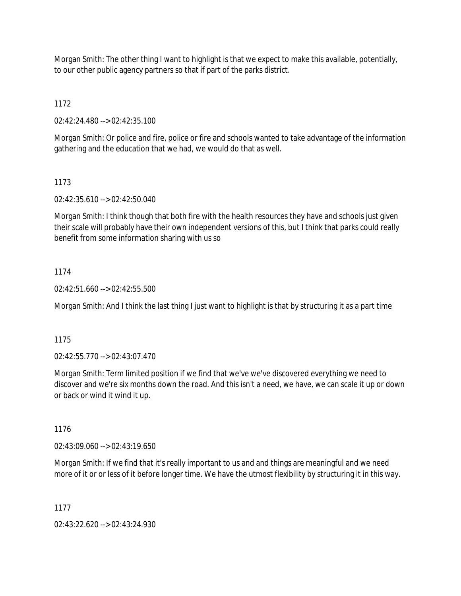Morgan Smith: The other thing I want to highlight is that we expect to make this available, potentially, to our other public agency partners so that if part of the parks district.

1172

02:42:24.480 --> 02:42:35.100

Morgan Smith: Or police and fire, police or fire and schools wanted to take advantage of the information gathering and the education that we had, we would do that as well.

## 1173

02:42:35.610 --> 02:42:50.040

Morgan Smith: I think though that both fire with the health resources they have and schools just given their scale will probably have their own independent versions of this, but I think that parks could really benefit from some information sharing with us so

## 1174

 $02:42:51.660 \rightarrow 02:42:55.500$ 

Morgan Smith: And I think the last thing I just want to highlight is that by structuring it as a part time

1175

02:42:55.770 --> 02:43:07.470

Morgan Smith: Term limited position if we find that we've we've discovered everything we need to discover and we're six months down the road. And this isn't a need, we have, we can scale it up or down or back or wind it wind it up.

1176

02:43:09.060 --> 02:43:19.650

Morgan Smith: If we find that it's really important to us and and things are meaningful and we need more of it or or less of it before longer time. We have the utmost flexibility by structuring it in this way.

1177

02:43:22.620 --> 02:43:24.930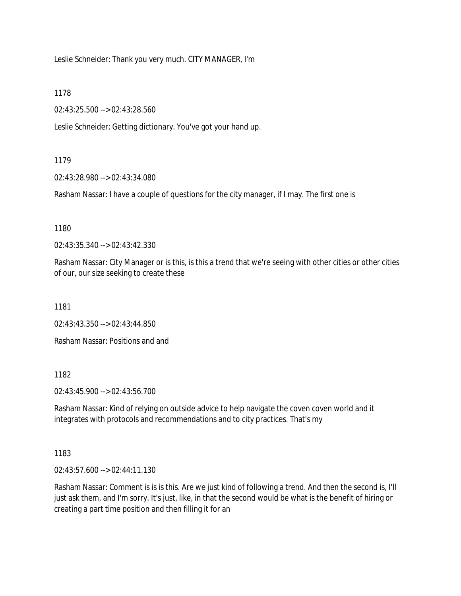Leslie Schneider: Thank you very much. CITY MANAGER, I'm

1178

02:43:25.500 --> 02:43:28.560

Leslie Schneider: Getting dictionary. You've got your hand up.

1179

02:43:28.980 --> 02:43:34.080

Rasham Nassar: I have a couple of questions for the city manager, if I may. The first one is

1180

02:43:35.340 --> 02:43:42.330

Rasham Nassar: City Manager or is this, is this a trend that we're seeing with other cities or other cities of our, our size seeking to create these

1181

02:43:43.350 --> 02:43:44.850

Rasham Nassar: Positions and and

1182

02:43:45.900 --> 02:43:56.700

Rasham Nassar: Kind of relying on outside advice to help navigate the coven coven world and it integrates with protocols and recommendations and to city practices. That's my

1183

02:43:57.600 --> 02:44:11.130

Rasham Nassar: Comment is is is this. Are we just kind of following a trend. And then the second is, I'll just ask them, and I'm sorry. It's just, like, in that the second would be what is the benefit of hiring or creating a part time position and then filling it for an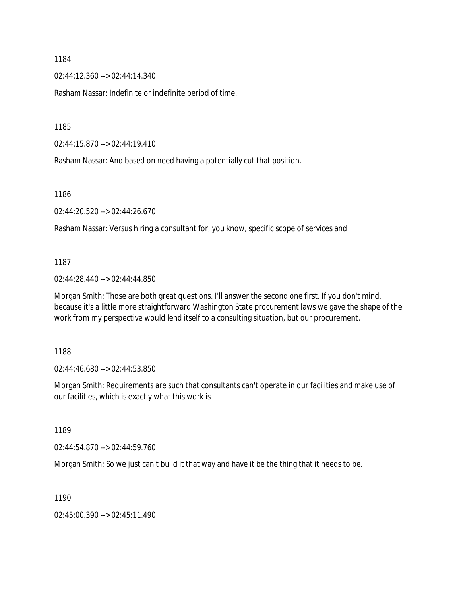02:44:12.360 --> 02:44:14.340

Rasham Nassar: Indefinite or indefinite period of time.

1185

02:44:15.870 --> 02:44:19.410

Rasham Nassar: And based on need having a potentially cut that position.

1186

02:44:20.520 --> 02:44:26.670

Rasham Nassar: Versus hiring a consultant for, you know, specific scope of services and

1187

02:44:28.440 --> 02:44:44.850

Morgan Smith: Those are both great questions. I'll answer the second one first. If you don't mind, because it's a little more straightforward Washington State procurement laws we gave the shape of the work from my perspective would lend itself to a consulting situation, but our procurement.

1188

02:44:46.680 --> 02:44:53.850

Morgan Smith: Requirements are such that consultants can't operate in our facilities and make use of our facilities, which is exactly what this work is

1189

02:44:54.870 --> 02:44:59.760

Morgan Smith: So we just can't build it that way and have it be the thing that it needs to be.

1190

02:45:00.390 --> 02:45:11.490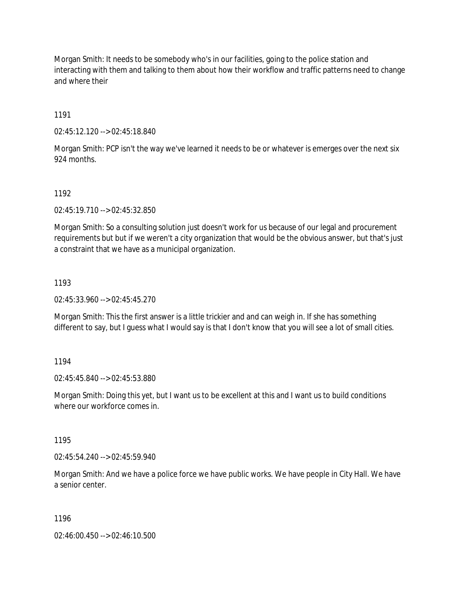Morgan Smith: It needs to be somebody who's in our facilities, going to the police station and interacting with them and talking to them about how their workflow and traffic patterns need to change and where their

1191

02:45:12.120 --> 02:45:18.840

Morgan Smith: PCP isn't the way we've learned it needs to be or whatever is emerges over the next six 924 months.

1192

02:45:19.710 --> 02:45:32.850

Morgan Smith: So a consulting solution just doesn't work for us because of our legal and procurement requirements but but if we weren't a city organization that would be the obvious answer, but that's just a constraint that we have as a municipal organization.

1193

02:45:33.960 --> 02:45:45.270

Morgan Smith: This the first answer is a little trickier and and can weigh in. If she has something different to say, but I guess what I would say is that I don't know that you will see a lot of small cities.

1194

02:45:45.840 --> 02:45:53.880

Morgan Smith: Doing this yet, but I want us to be excellent at this and I want us to build conditions where our workforce comes in.

1195

02:45:54.240 --> 02:45:59.940

Morgan Smith: And we have a police force we have public works. We have people in City Hall. We have a senior center.

1196

02:46:00.450 --> 02:46:10.500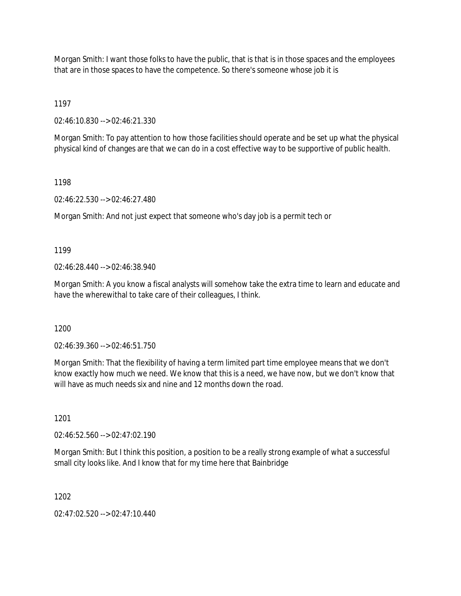Morgan Smith: I want those folks to have the public, that is that is in those spaces and the employees that are in those spaces to have the competence. So there's someone whose job it is

1197

02:46:10.830 --> 02:46:21.330

Morgan Smith: To pay attention to how those facilities should operate and be set up what the physical physical kind of changes are that we can do in a cost effective way to be supportive of public health.

1198

02:46:22.530 --> 02:46:27.480

Morgan Smith: And not just expect that someone who's day job is a permit tech or

1199

02:46:28.440 --> 02:46:38.940

Morgan Smith: A you know a fiscal analysts will somehow take the extra time to learn and educate and have the wherewithal to take care of their colleagues, I think.

1200

02:46:39.360 --> 02:46:51.750

Morgan Smith: That the flexibility of having a term limited part time employee means that we don't know exactly how much we need. We know that this is a need, we have now, but we don't know that will have as much needs six and nine and 12 months down the road.

1201

02:46:52.560 --> 02:47:02.190

Morgan Smith: But I think this position, a position to be a really strong example of what a successful small city looks like. And I know that for my time here that Bainbridge

1202

02:47:02.520 --> 02:47:10.440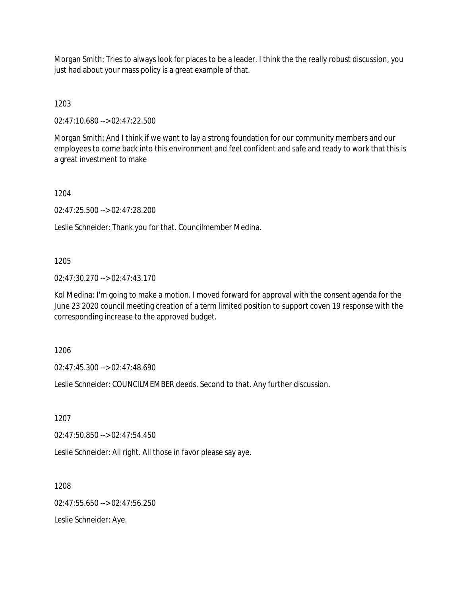Morgan Smith: Tries to always look for places to be a leader. I think the the really robust discussion, you just had about your mass policy is a great example of that.

1203

02:47:10.680 --> 02:47:22.500

Morgan Smith: And I think if we want to lay a strong foundation for our community members and our employees to come back into this environment and feel confident and safe and ready to work that this is a great investment to make

1204

02:47:25.500 --> 02:47:28.200

Leslie Schneider: Thank you for that. Councilmember Medina.

### 1205

02:47:30.270 --> 02:47:43.170

Kol Medina: I'm going to make a motion. I moved forward for approval with the consent agenda for the June 23 2020 council meeting creation of a term limited position to support coven 19 response with the corresponding increase to the approved budget.

1206

02:47:45.300 --> 02:47:48.690

Leslie Schneider: COUNCILMEMBER deeds. Second to that. Any further discussion.

1207

02:47:50.850 --> 02:47:54.450

Leslie Schneider: All right. All those in favor please say aye.

1208

 $02.47.55.650 -> 02.47.56.250$ 

Leslie Schneider: Aye.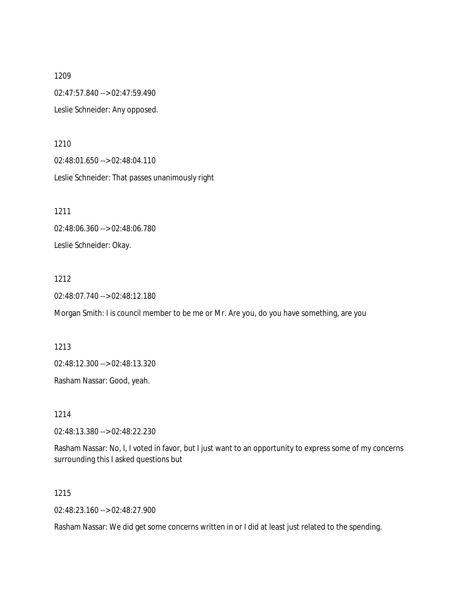1209 02:47:57.840 --> 02:47:59.490 Leslie Schneider: Any opposed.

1210 02:48:01.650 --> 02:48:04.110 Leslie Schneider: That passes unanimously right

1211 02:48:06.360 --> 02:48:06.780 Leslie Schneider: Okay.

#### 1212

02:48:07.740 --> 02:48:12.180

Morgan Smith: I is council member to be me or Mr. Are you, do you have something, are you

1213 02:48:12.300 --> 02:48:13.320

Rasham Nassar: Good, yeah.

1214

02:48:13.380 --> 02:48:22.230

Rasham Nassar: No, I, I voted in favor, but I just want to an opportunity to express some of my concerns surrounding this I asked questions but

### 1215

02:48:23.160 --> 02:48:27.900

Rasham Nassar: We did get some concerns written in or I did at least just related to the spending.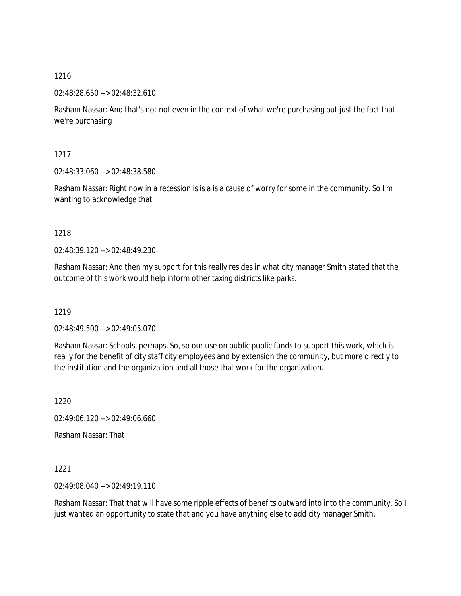02:48:28.650 --> 02:48:32.610

Rasham Nassar: And that's not not even in the context of what we're purchasing but just the fact that we're purchasing

1217

02:48:33.060 --> 02:48:38.580

Rasham Nassar: Right now in a recession is is a is a cause of worry for some in the community. So I'm wanting to acknowledge that

1218

02:48:39.120 --> 02:48:49.230

Rasham Nassar: And then my support for this really resides in what city manager Smith stated that the outcome of this work would help inform other taxing districts like parks.

1219

02:48:49.500 --> 02:49:05.070

Rasham Nassar: Schools, perhaps. So, so our use on public public funds to support this work, which is really for the benefit of city staff city employees and by extension the community, but more directly to the institution and the organization and all those that work for the organization.

1220

02:49:06.120 --> 02:49:06.660

Rasham Nassar: That

1221

02:49:08.040 --> 02:49:19.110

Rasham Nassar: That that will have some ripple effects of benefits outward into into the community. So I just wanted an opportunity to state that and you have anything else to add city manager Smith.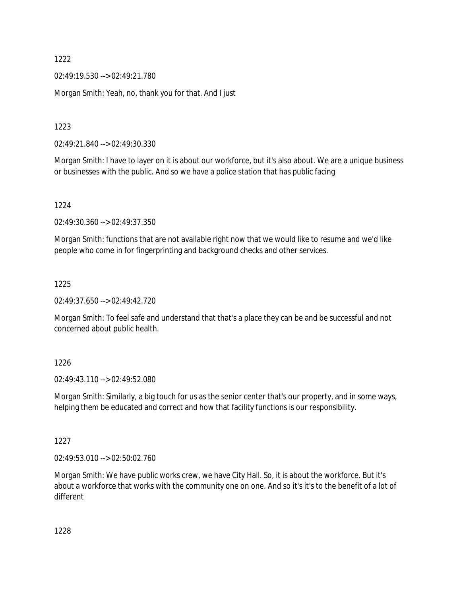02:49:19.530 --> 02:49:21.780

Morgan Smith: Yeah, no, thank you for that. And I just

1223

02:49:21.840 --> 02:49:30.330

Morgan Smith: I have to layer on it is about our workforce, but it's also about. We are a unique business or businesses with the public. And so we have a police station that has public facing

1224

02:49:30.360 --> 02:49:37.350

Morgan Smith: functions that are not available right now that we would like to resume and we'd like people who come in for fingerprinting and background checks and other services.

1225

02:49:37.650 --> 02:49:42.720

Morgan Smith: To feel safe and understand that that's a place they can be and be successful and not concerned about public health.

1226

02:49:43.110 --> 02:49:52.080

Morgan Smith: Similarly, a big touch for us as the senior center that's our property, and in some ways, helping them be educated and correct and how that facility functions is our responsibility.

1227

02:49:53.010 --> 02:50:02.760

Morgan Smith: We have public works crew, we have City Hall. So, it is about the workforce. But it's about a workforce that works with the community one on one. And so it's it's to the benefit of a lot of different

1228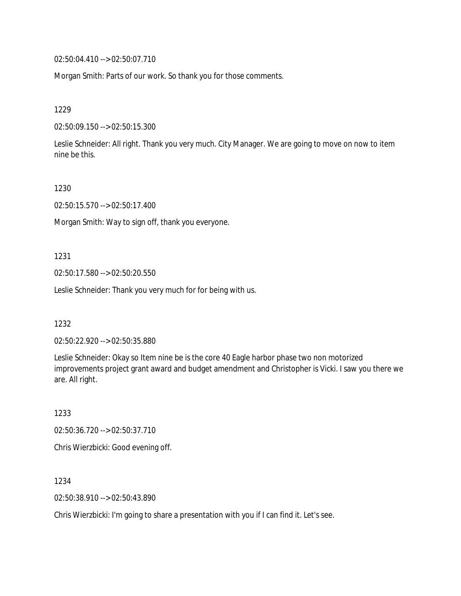02:50:04.410 --> 02:50:07.710

Morgan Smith: Parts of our work. So thank you for those comments.

1229

02:50:09.150 --> 02:50:15.300

Leslie Schneider: All right. Thank you very much. City Manager. We are going to move on now to item nine be this.

1230

02:50:15.570 --> 02:50:17.400

Morgan Smith: Way to sign off, thank you everyone.

1231

02:50:17.580 --> 02:50:20.550

Leslie Schneider: Thank you very much for for being with us.

1232

02:50:22.920 --> 02:50:35.880

Leslie Schneider: Okay so Item nine be is the core 40 Eagle harbor phase two non motorized improvements project grant award and budget amendment and Christopher is Vicki. I saw you there we are. All right.

1233 02:50:36.720 --> 02:50:37.710 Chris Wierzbicki: Good evening off.

1234

02:50:38.910 --> 02:50:43.890

Chris Wierzbicki: I'm going to share a presentation with you if I can find it. Let's see.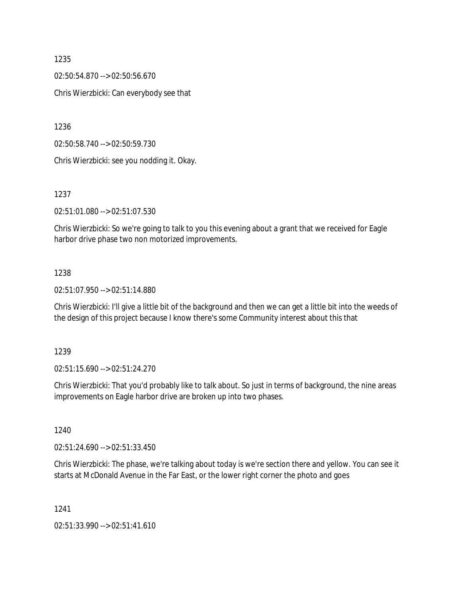02:50:54.870 --> 02:50:56.670 Chris Wierzbicki: Can everybody see that

1236

02:50:58.740 --> 02:50:59.730

Chris Wierzbicki: see you nodding it. Okay.

1237

02:51:01.080 --> 02:51:07.530

Chris Wierzbicki: So we're going to talk to you this evening about a grant that we received for Eagle harbor drive phase two non motorized improvements.

## 1238

02:51:07.950 --> 02:51:14.880

Chris Wierzbicki: I'll give a little bit of the background and then we can get a little bit into the weeds of the design of this project because I know there's some Community interest about this that

1239

02:51:15.690 --> 02:51:24.270

Chris Wierzbicki: That you'd probably like to talk about. So just in terms of background, the nine areas improvements on Eagle harbor drive are broken up into two phases.

1240

02:51:24.690 --> 02:51:33.450

Chris Wierzbicki: The phase, we're talking about today is we're section there and yellow. You can see it starts at McDonald Avenue in the Far East, or the lower right corner the photo and goes

1241

02:51:33.990 --> 02:51:41.610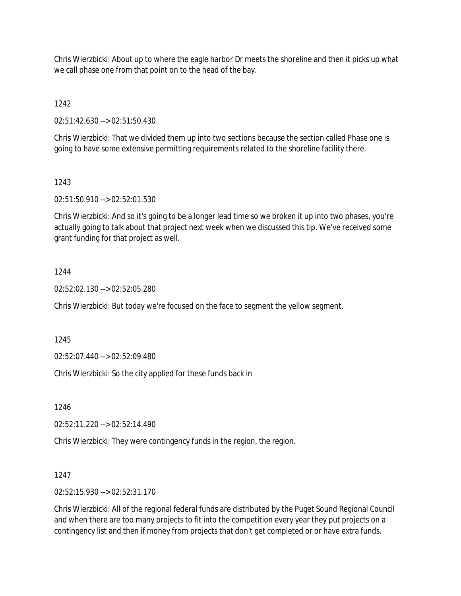Chris Wierzbicki: About up to where the eagle harbor Dr meets the shoreline and then it picks up what we call phase one from that point on to the head of the bay.

1242

02:51:42.630 --> 02:51:50.430

Chris Wierzbicki: That we divided them up into two sections because the section called Phase one is going to have some extensive permitting requirements related to the shoreline facility there.

## 1243

02:51:50.910 --> 02:52:01.530

Chris Wierzbicki: And so it's going to be a longer lead time so we broken it up into two phases, you're actually going to talk about that project next week when we discussed this tip. We've received some grant funding for that project as well.

## 1244

02:52:02.130 --> 02:52:05.280

Chris Wierzbicki: But today we're focused on the face to segment the yellow segment.

1245

02:52:07.440 --> 02:52:09.480

Chris Wierzbicki: So the city applied for these funds back in

1246

02:52:11.220 --> 02:52:14.490

Chris Wierzbicki: They were contingency funds in the region, the region.

### 1247

02:52:15.930 --> 02:52:31.170

Chris Wierzbicki: All of the regional federal funds are distributed by the Puget Sound Regional Council and when there are too many projects to fit into the competition every year they put projects on a contingency list and then if money from projects that don't get completed or or have extra funds.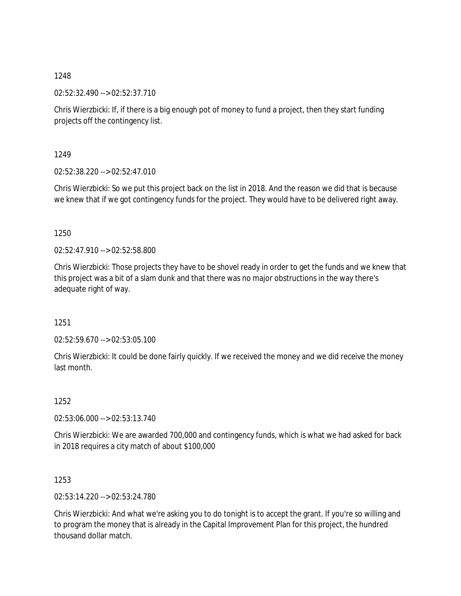02:52:32.490 --> 02:52:37.710

Chris Wierzbicki: If, if there is a big enough pot of money to fund a project, then they start funding projects off the contingency list.

1249

02:52:38.220 --> 02:52:47.010

Chris Wierzbicki: So we put this project back on the list in 2018. And the reason we did that is because we knew that if we got contingency funds for the project. They would have to be delivered right away.

1250

02:52:47.910 --> 02:52:58.800

Chris Wierzbicki: Those projects they have to be shovel ready in order to get the funds and we knew that this project was a bit of a slam dunk and that there was no major obstructions in the way there's adequate right of way.

1251

02:52:59.670 --> 02:53:05.100

Chris Wierzbicki: It could be done fairly quickly. If we received the money and we did receive the money last month.

1252

02:53:06.000 --> 02:53:13.740

Chris Wierzbicki: We are awarded 700,000 and contingency funds, which is what we had asked for back in 2018 requires a city match of about \$100,000

1253

02:53:14.220 --> 02:53:24.780

Chris Wierzbicki: And what we're asking you to do tonight is to accept the grant. If you're so willing and to program the money that is already in the Capital Improvement Plan for this project, the hundred thousand dollar match.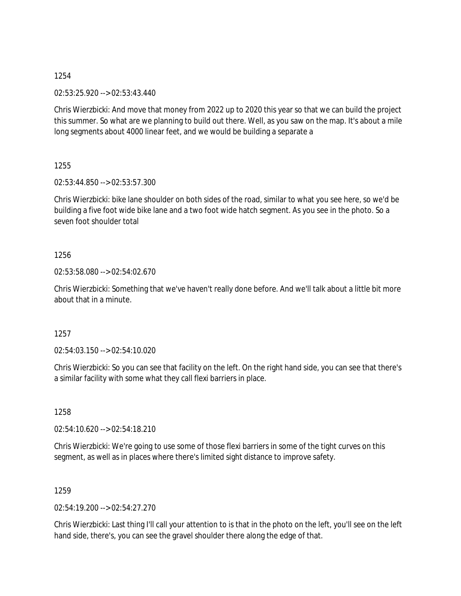02:53:25.920 --> 02:53:43.440

Chris Wierzbicki: And move that money from 2022 up to 2020 this year so that we can build the project this summer. So what are we planning to build out there. Well, as you saw on the map. It's about a mile long segments about 4000 linear feet, and we would be building a separate a

1255

02:53:44.850 --> 02:53:57.300

Chris Wierzbicki: bike lane shoulder on both sides of the road, similar to what you see here, so we'd be building a five foot wide bike lane and a two foot wide hatch segment. As you see in the photo. So a seven foot shoulder total

1256

02:53:58.080 --> 02:54:02.670

Chris Wierzbicki: Something that we've haven't really done before. And we'll talk about a little bit more about that in a minute.

1257

02:54:03.150 --> 02:54:10.020

Chris Wierzbicki: So you can see that facility on the left. On the right hand side, you can see that there's a similar facility with some what they call flexi barriers in place.

1258

02:54:10.620 --> 02:54:18.210

Chris Wierzbicki: We're going to use some of those flexi barriers in some of the tight curves on this segment, as well as in places where there's limited sight distance to improve safety.

1259

02:54:19.200 --> 02:54:27.270

Chris Wierzbicki: Last thing I'll call your attention to is that in the photo on the left, you'll see on the left hand side, there's, you can see the gravel shoulder there along the edge of that.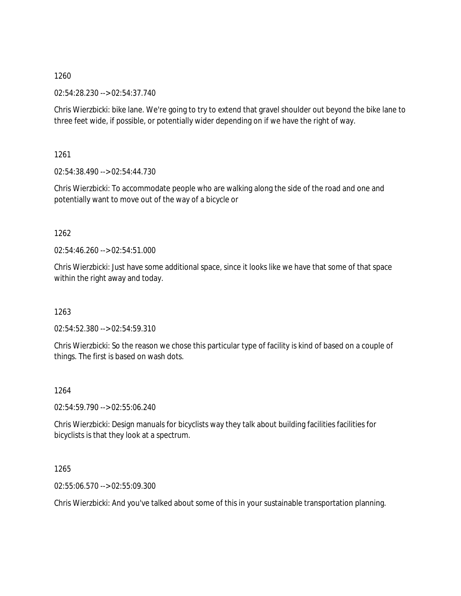02:54:28.230 --> 02:54:37.740

Chris Wierzbicki: bike lane. We're going to try to extend that gravel shoulder out beyond the bike lane to three feet wide, if possible, or potentially wider depending on if we have the right of way.

1261

02:54:38.490 --> 02:54:44.730

Chris Wierzbicki: To accommodate people who are walking along the side of the road and one and potentially want to move out of the way of a bicycle or

1262

02:54:46.260 --> 02:54:51.000

Chris Wierzbicki: Just have some additional space, since it looks like we have that some of that space within the right away and today.

1263

02:54:52.380 --> 02:54:59.310

Chris Wierzbicki: So the reason we chose this particular type of facility is kind of based on a couple of things. The first is based on wash dots.

1264

02:54:59.790 --> 02:55:06.240

Chris Wierzbicki: Design manuals for bicyclists way they talk about building facilities facilities for bicyclists is that they look at a spectrum.

1265

02:55:06.570 --> 02:55:09.300

Chris Wierzbicki: And you've talked about some of this in your sustainable transportation planning.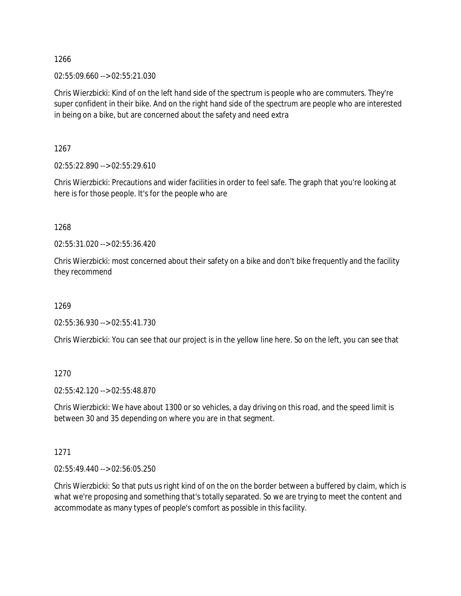02:55:09.660 --> 02:55:21.030

Chris Wierzbicki: Kind of on the left hand side of the spectrum is people who are commuters. They're super confident in their bike. And on the right hand side of the spectrum are people who are interested in being on a bike, but are concerned about the safety and need extra

1267

02:55:22.890 --> 02:55:29.610

Chris Wierzbicki: Precautions and wider facilities in order to feel safe. The graph that you're looking at here is for those people. It's for the people who are

1268

02:55:31.020 --> 02:55:36.420

Chris Wierzbicki: most concerned about their safety on a bike and don't bike frequently and the facility they recommend

1269

02:55:36.930 --> 02:55:41.730

Chris Wierzbicki: You can see that our project is in the yellow line here. So on the left, you can see that

1270

02:55:42.120 --> 02:55:48.870

Chris Wierzbicki: We have about 1300 or so vehicles, a day driving on this road, and the speed limit is between 30 and 35 depending on where you are in that segment.

1271

02:55:49.440 --> 02:56:05.250

Chris Wierzbicki: So that puts us right kind of on the on the border between a buffered by claim, which is what we're proposing and something that's totally separated. So we are trying to meet the content and accommodate as many types of people's comfort as possible in this facility.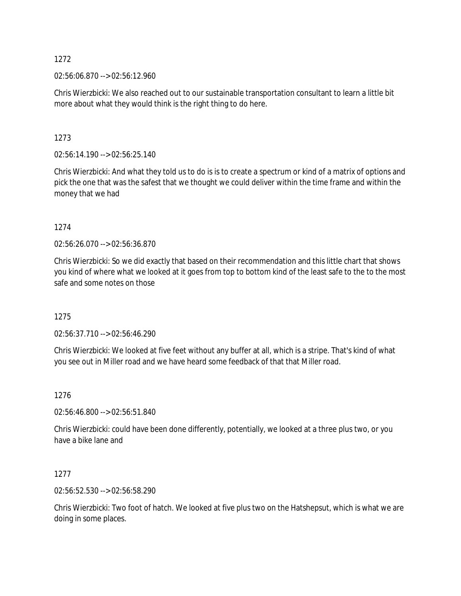02:56:06.870 --> 02:56:12.960

Chris Wierzbicki: We also reached out to our sustainable transportation consultant to learn a little bit more about what they would think is the right thing to do here.

1273

02:56:14.190 --> 02:56:25.140

Chris Wierzbicki: And what they told us to do is is to create a spectrum or kind of a matrix of options and pick the one that was the safest that we thought we could deliver within the time frame and within the money that we had

1274

02:56:26.070 --> 02:56:36.870

Chris Wierzbicki: So we did exactly that based on their recommendation and this little chart that shows you kind of where what we looked at it goes from top to bottom kind of the least safe to the to the most safe and some notes on those

1275

02:56:37.710 --> 02:56:46.290

Chris Wierzbicki: We looked at five feet without any buffer at all, which is a stripe. That's kind of what you see out in Miller road and we have heard some feedback of that that Miller road.

1276

02:56:46.800 --> 02:56:51.840

Chris Wierzbicki: could have been done differently, potentially, we looked at a three plus two, or you have a bike lane and

1277

02:56:52.530 --> 02:56:58.290

Chris Wierzbicki: Two foot of hatch. We looked at five plus two on the Hatshepsut, which is what we are doing in some places.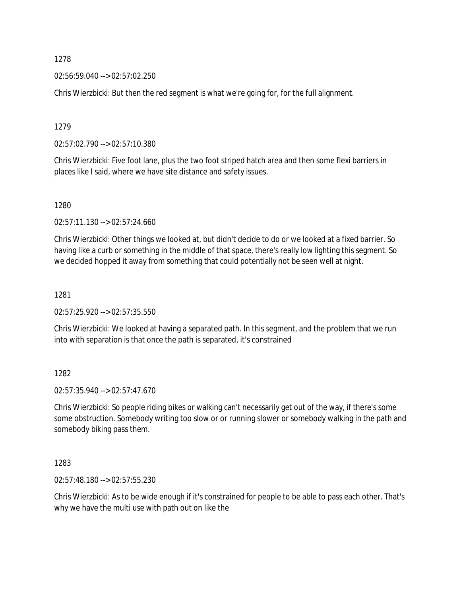02:56:59.040 --> 02:57:02.250

Chris Wierzbicki: But then the red segment is what we're going for, for the full alignment.

1279

02:57:02.790 --> 02:57:10.380

Chris Wierzbicki: Five foot lane, plus the two foot striped hatch area and then some flexi barriers in places like I said, where we have site distance and safety issues.

1280

02:57:11.130 --> 02:57:24.660

Chris Wierzbicki: Other things we looked at, but didn't decide to do or we looked at a fixed barrier. So having like a curb or something in the middle of that space, there's really low lighting this segment. So we decided hopped it away from something that could potentially not be seen well at night.

1281

02:57:25.920 --> 02:57:35.550

Chris Wierzbicki: We looked at having a separated path. In this segment, and the problem that we run into with separation is that once the path is separated, it's constrained

1282

02:57:35.940 --> 02:57:47.670

Chris Wierzbicki: So people riding bikes or walking can't necessarily get out of the way, if there's some some obstruction. Somebody writing too slow or or running slower or somebody walking in the path and somebody biking pass them.

1283

02:57:48.180 --> 02:57:55.230

Chris Wierzbicki: As to be wide enough if it's constrained for people to be able to pass each other. That's why we have the multi use with path out on like the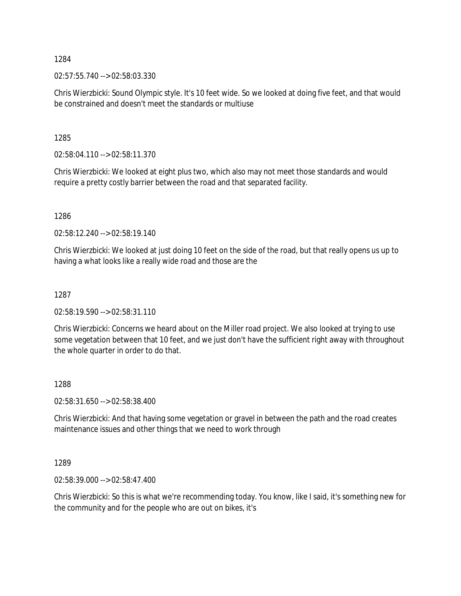02:57:55.740 --> 02:58:03.330

Chris Wierzbicki: Sound Olympic style. It's 10 feet wide. So we looked at doing five feet, and that would be constrained and doesn't meet the standards or multiuse

1285

02:58:04.110 --> 02:58:11.370

Chris Wierzbicki: We looked at eight plus two, which also may not meet those standards and would require a pretty costly barrier between the road and that separated facility.

1286

02:58:12.240 --> 02:58:19.140

Chris Wierzbicki: We looked at just doing 10 feet on the side of the road, but that really opens us up to having a what looks like a really wide road and those are the

1287

02:58:19.590 --> 02:58:31.110

Chris Wierzbicki: Concerns we heard about on the Miller road project. We also looked at trying to use some vegetation between that 10 feet, and we just don't have the sufficient right away with throughout the whole quarter in order to do that.

#### 1288

02:58:31.650 --> 02:58:38.400

Chris Wierzbicki: And that having some vegetation or gravel in between the path and the road creates maintenance issues and other things that we need to work through

1289

02:58:39.000 --> 02:58:47.400

Chris Wierzbicki: So this is what we're recommending today. You know, like I said, it's something new for the community and for the people who are out on bikes, it's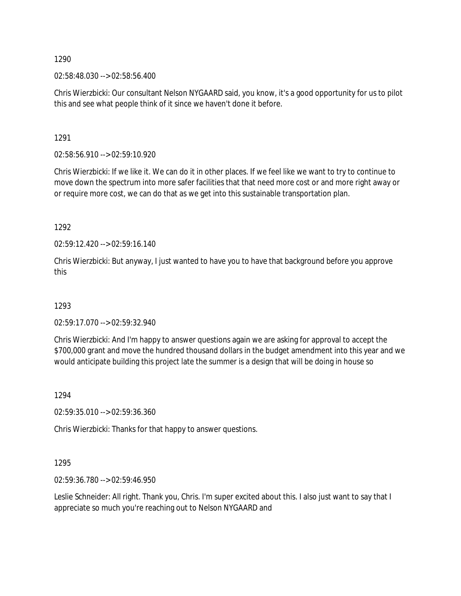02:58:48.030 --> 02:58:56.400

Chris Wierzbicki: Our consultant Nelson NYGAARD said, you know, it's a good opportunity for us to pilot this and see what people think of it since we haven't done it before.

1291

02:58:56.910 --> 02:59:10.920

Chris Wierzbicki: If we like it. We can do it in other places. If we feel like we want to try to continue to move down the spectrum into more safer facilities that that need more cost or and more right away or or require more cost, we can do that as we get into this sustainable transportation plan.

1292

02:59:12.420 --> 02:59:16.140

Chris Wierzbicki: But anyway, I just wanted to have you to have that background before you approve this

1293

02:59:17.070 --> 02:59:32.940

Chris Wierzbicki: And I'm happy to answer questions again we are asking for approval to accept the \$700,000 grant and move the hundred thousand dollars in the budget amendment into this year and we would anticipate building this project late the summer is a design that will be doing in house so

1294

02:59:35.010 --> 02:59:36.360

Chris Wierzbicki: Thanks for that happy to answer questions.

1295

02:59:36.780 --> 02:59:46.950

Leslie Schneider: All right. Thank you, Chris. I'm super excited about this. I also just want to say that I appreciate so much you're reaching out to Nelson NYGAARD and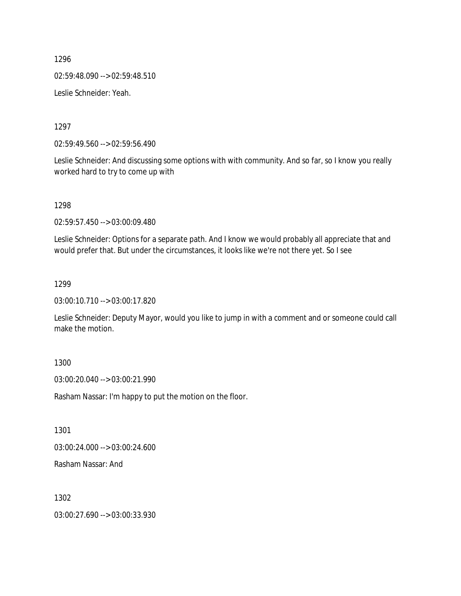1296 02:59:48.090 --> 02:59:48.510

Leslie Schneider: Yeah.

1297

02:59:49.560 --> 02:59:56.490

Leslie Schneider: And discussing some options with with community. And so far, so I know you really worked hard to try to come up with

1298

02:59:57.450 --> 03:00:09.480

Leslie Schneider: Options for a separate path. And I know we would probably all appreciate that and would prefer that. But under the circumstances, it looks like we're not there yet. So I see

1299

03:00:10.710 --> 03:00:17.820

Leslie Schneider: Deputy Mayor, would you like to jump in with a comment and or someone could call make the motion.

1300

03:00:20.040 --> 03:00:21.990

Rasham Nassar: I'm happy to put the motion on the floor.

1301

03:00:24.000 --> 03:00:24.600

Rasham Nassar: And

1302

03:00:27.690 --> 03:00:33.930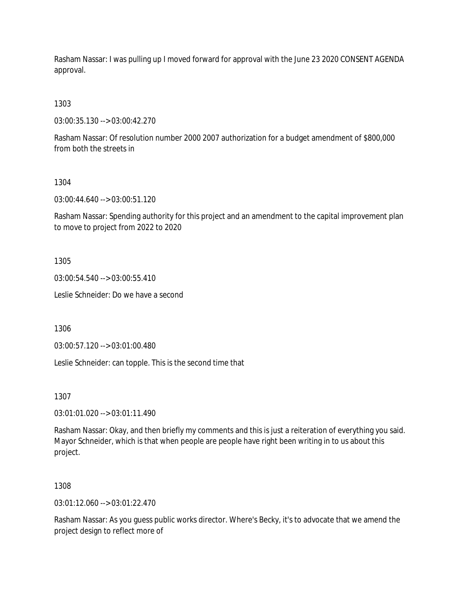Rasham Nassar: I was pulling up I moved forward for approval with the June 23 2020 CONSENT AGENDA approval.

1303

03:00:35.130 --> 03:00:42.270

Rasham Nassar: Of resolution number 2000 2007 authorization for a budget amendment of \$800,000 from both the streets in

1304

03:00:44.640 --> 03:00:51.120

Rasham Nassar: Spending authority for this project and an amendment to the capital improvement plan to move to project from 2022 to 2020

1305

03:00:54.540 --> 03:00:55.410

Leslie Schneider: Do we have a second

1306

03:00:57.120 --> 03:01:00.480

Leslie Schneider: can topple. This is the second time that

1307

03:01:01.020 --> 03:01:11.490

Rasham Nassar: Okay, and then briefly my comments and this is just a reiteration of everything you said. Mayor Schneider, which is that when people are people have right been writing in to us about this project.

1308

03:01:12.060 --> 03:01:22.470

Rasham Nassar: As you guess public works director. Where's Becky, it's to advocate that we amend the project design to reflect more of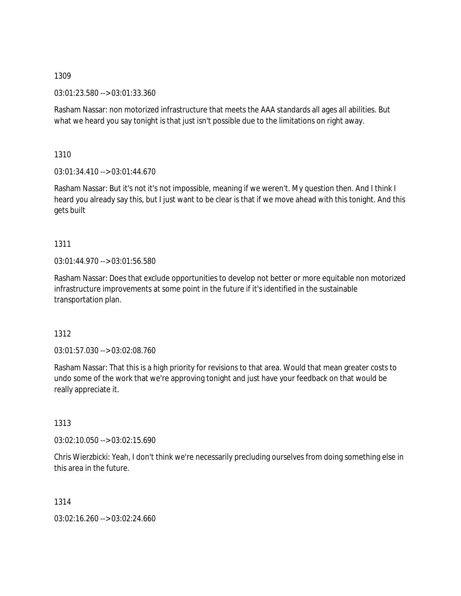03:01:23.580 --> 03:01:33.360

Rasham Nassar: non motorized infrastructure that meets the AAA standards all ages all abilities. But what we heard you say tonight is that just isn't possible due to the limitations on right away.

1310

03:01:34.410 --> 03:01:44.670

Rasham Nassar: But it's not it's not impossible, meaning if we weren't. My question then. And I think I heard you already say this, but I just want to be clear is that if we move ahead with this tonight. And this gets built

# 1311

03:01:44.970 --> 03:01:56.580

Rasham Nassar: Does that exclude opportunities to develop not better or more equitable non motorized infrastructure improvements at some point in the future if it's identified in the sustainable transportation plan.

# 1312

03:01:57.030 --> 03:02:08.760

Rasham Nassar: That this is a high priority for revisions to that area. Would that mean greater costs to undo some of the work that we're approving tonight and just have your feedback on that would be really appreciate it.

# 1313

03:02:10.050 --> 03:02:15.690

Chris Wierzbicki: Yeah, I don't think we're necessarily precluding ourselves from doing something else in this area in the future.

1314

03:02:16.260 --> 03:02:24.660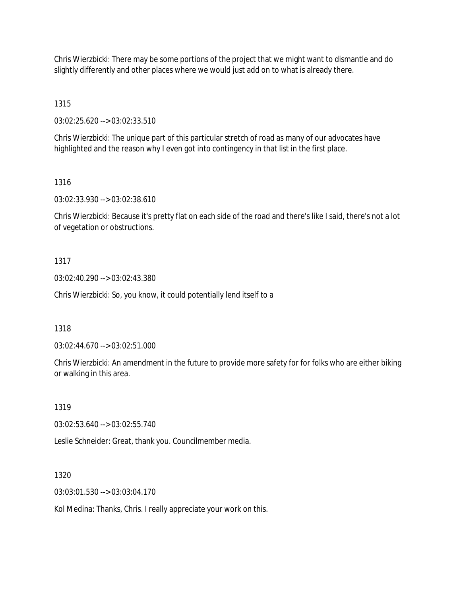Chris Wierzbicki: There may be some portions of the project that we might want to dismantle and do slightly differently and other places where we would just add on to what is already there.

1315

03:02:25.620 --> 03:02:33.510

Chris Wierzbicki: The unique part of this particular stretch of road as many of our advocates have highlighted and the reason why I even got into contingency in that list in the first place.

1316

03:02:33.930 --> 03:02:38.610

Chris Wierzbicki: Because it's pretty flat on each side of the road and there's like I said, there's not a lot of vegetation or obstructions.

1317

03:02:40.290 --> 03:02:43.380

Chris Wierzbicki: So, you know, it could potentially lend itself to a

1318

03:02:44.670 --> 03:02:51.000

Chris Wierzbicki: An amendment in the future to provide more safety for for folks who are either biking or walking in this area.

1319

03:02:53.640 --> 03:02:55.740

Leslie Schneider: Great, thank you. Councilmember media.

1320

03:03:01.530 --> 03:03:04.170

Kol Medina: Thanks, Chris. I really appreciate your work on this.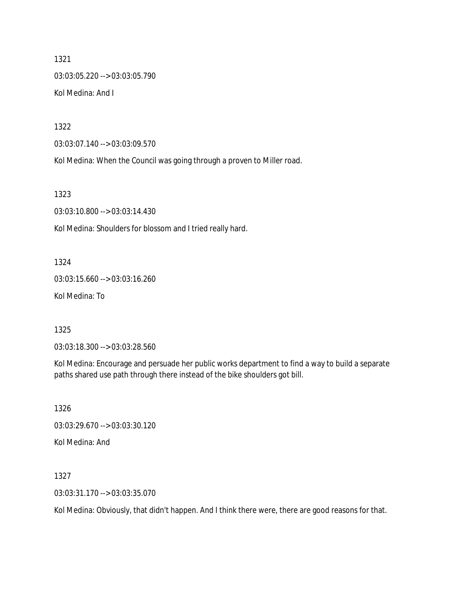1321 03:03:05.220 --> 03:03:05.790 Kol Medina: And I

1322

03:03:07.140 --> 03:03:09.570

Kol Medina: When the Council was going through a proven to Miller road.

1323

03:03:10.800 --> 03:03:14.430

Kol Medina: Shoulders for blossom and I tried really hard.

1324

03:03:15.660 --> 03:03:16.260

Kol Medina: To

1325

03:03:18.300 --> 03:03:28.560

Kol Medina: Encourage and persuade her public works department to find a way to build a separate paths shared use path through there instead of the bike shoulders got bill.

1326

03:03:29.670 --> 03:03:30.120

Kol Medina: And

1327

03:03:31.170 --> 03:03:35.070

Kol Medina: Obviously, that didn't happen. And I think there were, there are good reasons for that.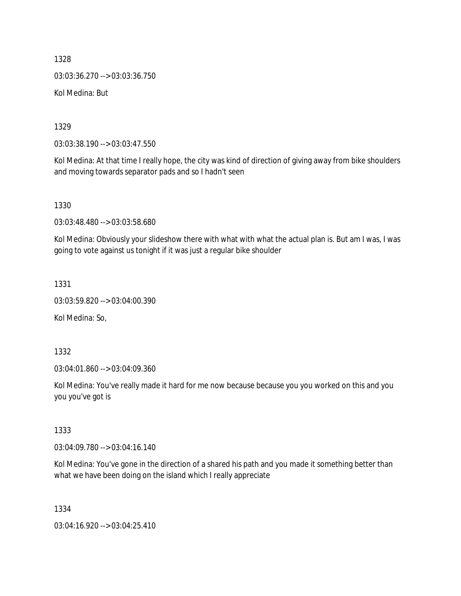1328 03:03:36.270 --> 03:03:36.750 Kol Medina: But

1329

03:03:38.190 --> 03:03:47.550

Kol Medina: At that time I really hope, the city was kind of direction of giving away from bike shoulders and moving towards separator pads and so I hadn't seen

1330

03:03:48.480 --> 03:03:58.680

Kol Medina: Obviously your slideshow there with what with what the actual plan is. But am I was, I was going to vote against us tonight if it was just a regular bike shoulder

1331

03:03:59.820 --> 03:04:00.390

Kol Medina: So,

1332

03:04:01.860 --> 03:04:09.360

Kol Medina: You've really made it hard for me now because because you you worked on this and you you you've got is

1333

03:04:09.780 --> 03:04:16.140

Kol Medina: You've gone in the direction of a shared his path and you made it something better than what we have been doing on the island which I really appreciate

1334

03:04:16.920 --> 03:04:25.410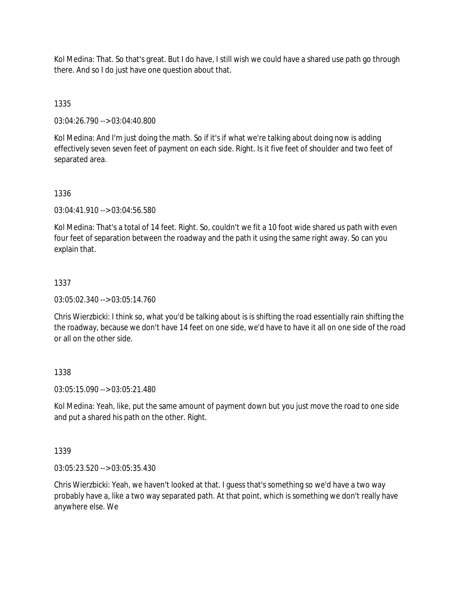Kol Medina: That. So that's great. But I do have, I still wish we could have a shared use path go through there. And so I do just have one question about that.

1335

03:04:26.790 --> 03:04:40.800

Kol Medina: And I'm just doing the math. So if it's if what we're talking about doing now is adding effectively seven seven feet of payment on each side. Right. Is it five feet of shoulder and two feet of separated area.

## 1336

03:04:41.910 --> 03:04:56.580

Kol Medina: That's a total of 14 feet. Right. So, couldn't we fit a 10 foot wide shared us path with even four feet of separation between the roadway and the path it using the same right away. So can you explain that.

## 1337

03:05:02.340 --> 03:05:14.760

Chris Wierzbicki: I think so, what you'd be talking about is is shifting the road essentially rain shifting the the roadway, because we don't have 14 feet on one side, we'd have to have it all on one side of the road or all on the other side.

### 1338

03:05:15.090 --> 03:05:21.480

Kol Medina: Yeah, like, put the same amount of payment down but you just move the road to one side and put a shared his path on the other. Right.

### 1339

03:05:23.520 --> 03:05:35.430

Chris Wierzbicki: Yeah, we haven't looked at that. I guess that's something so we'd have a two way probably have a, like a two way separated path. At that point, which is something we don't really have anywhere else. We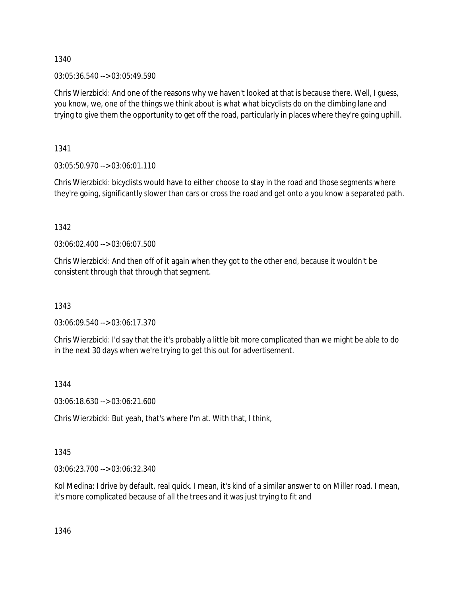03:05:36.540 --> 03:05:49.590

Chris Wierzbicki: And one of the reasons why we haven't looked at that is because there. Well, I guess, you know, we, one of the things we think about is what what bicyclists do on the climbing lane and trying to give them the opportunity to get off the road, particularly in places where they're going uphill.

1341

03:05:50.970 --> 03:06:01.110

Chris Wierzbicki: bicyclists would have to either choose to stay in the road and those segments where they're going, significantly slower than cars or cross the road and get onto a you know a separated path.

1342

03:06:02.400 --> 03:06:07.500

Chris Wierzbicki: And then off of it again when they got to the other end, because it wouldn't be consistent through that through that segment.

1343

03:06:09.540 --> 03:06:17.370

Chris Wierzbicki: I'd say that the it's probably a little bit more complicated than we might be able to do in the next 30 days when we're trying to get this out for advertisement.

1344

03:06:18.630 --> 03:06:21.600

Chris Wierzbicki: But yeah, that's where I'm at. With that, I think,

1345

03:06:23.700 --> 03:06:32.340

Kol Medina: I drive by default, real quick. I mean, it's kind of a similar answer to on Miller road. I mean, it's more complicated because of all the trees and it was just trying to fit and

1346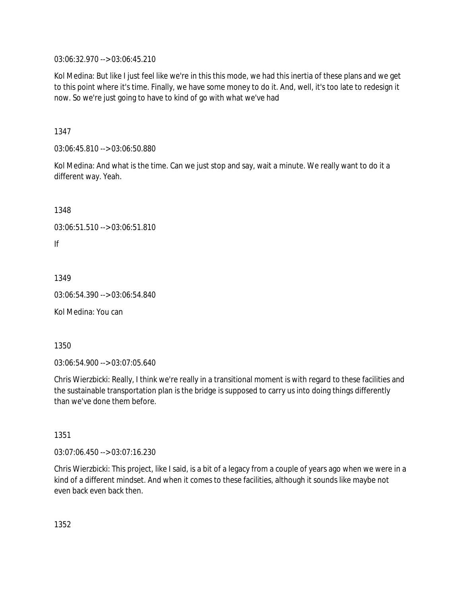03:06:32.970 --> 03:06:45.210

Kol Medina: But like I just feel like we're in this this mode, we had this inertia of these plans and we get to this point where it's time. Finally, we have some money to do it. And, well, it's too late to redesign it now. So we're just going to have to kind of go with what we've had

1347

03:06:45.810 --> 03:06:50.880

Kol Medina: And what is the time. Can we just stop and say, wait a minute. We really want to do it a different way. Yeah.

1348

```
03:06:51.510 --> 03:06:51.810
```
If

1349

03:06:54.390 --> 03:06:54.840

Kol Medina: You can

1350

03:06:54.900 --> 03:07:05.640

Chris Wierzbicki: Really, I think we're really in a transitional moment is with regard to these facilities and the sustainable transportation plan is the bridge is supposed to carry us into doing things differently than we've done them before.

1351

03:07:06.450 --> 03:07:16.230

Chris Wierzbicki: This project, like I said, is a bit of a legacy from a couple of years ago when we were in a kind of a different mindset. And when it comes to these facilities, although it sounds like maybe not even back even back then.

1352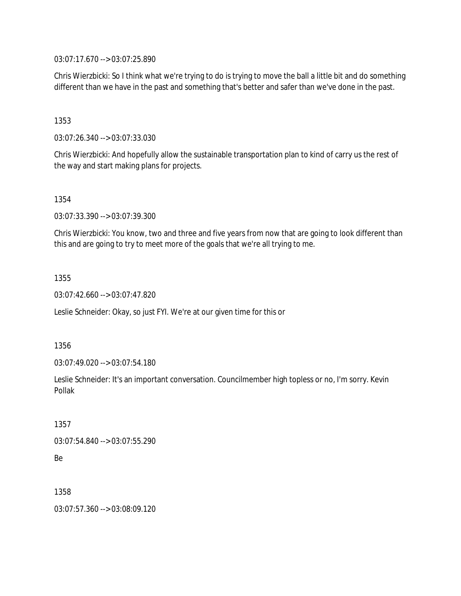03:07:17.670 --> 03:07:25.890

Chris Wierzbicki: So I think what we're trying to do is trying to move the ball a little bit and do something different than we have in the past and something that's better and safer than we've done in the past.

1353

03:07:26.340 --> 03:07:33.030

Chris Wierzbicki: And hopefully allow the sustainable transportation plan to kind of carry us the rest of the way and start making plans for projects.

1354

03:07:33.390 --> 03:07:39.300

Chris Wierzbicki: You know, two and three and five years from now that are going to look different than this and are going to try to meet more of the goals that we're all trying to me.

1355

03:07:42.660 --> 03:07:47.820

Leslie Schneider: Okay, so just FYI. We're at our given time for this or

1356

03:07:49.020 --> 03:07:54.180

Leslie Schneider: It's an important conversation. Councilmember high topless or no, I'm sorry. Kevin Pollak

1357

03:07:54.840 --> 03:07:55.290

Be

1358

03:07:57.360 --> 03:08:09.120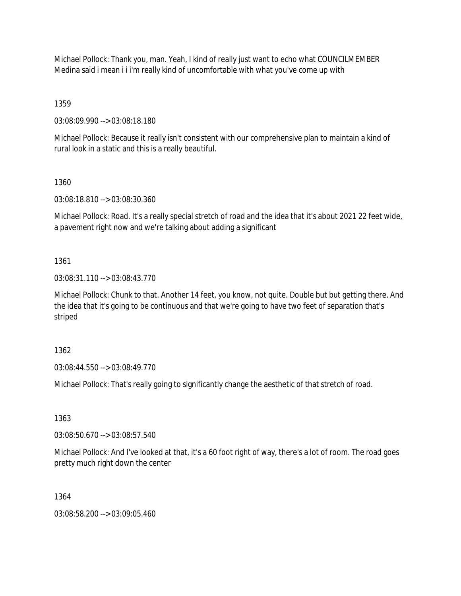Michael Pollock: Thank you, man. Yeah, I kind of really just want to echo what COUNCILMEMBER Medina said i mean i i i'm really kind of uncomfortable with what you've come up with

1359

03:08:09.990 --> 03:08:18.180

Michael Pollock: Because it really isn't consistent with our comprehensive plan to maintain a kind of rural look in a static and this is a really beautiful.

1360

03:08:18.810 --> 03:08:30.360

Michael Pollock: Road. It's a really special stretch of road and the idea that it's about 2021 22 feet wide, a pavement right now and we're talking about adding a significant

1361

03:08:31.110 --> 03:08:43.770

Michael Pollock: Chunk to that. Another 14 feet, you know, not quite. Double but but getting there. And the idea that it's going to be continuous and that we're going to have two feet of separation that's striped

1362

03:08:44.550 --> 03:08:49.770

Michael Pollock: That's really going to significantly change the aesthetic of that stretch of road.

1363

03:08:50.670 --> 03:08:57.540

Michael Pollock: And I've looked at that, it's a 60 foot right of way, there's a lot of room. The road goes pretty much right down the center

1364

03:08:58.200 --> 03:09:05.460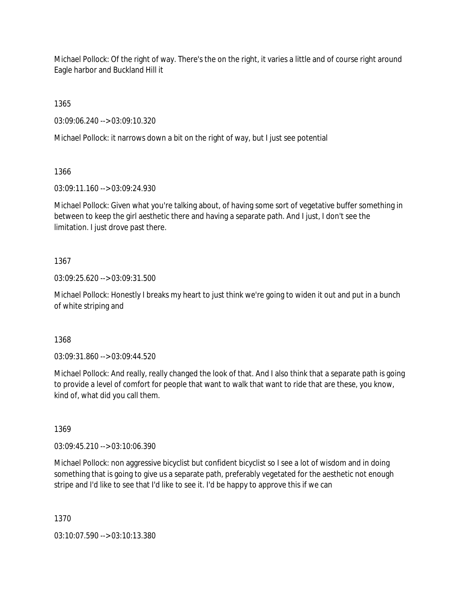Michael Pollock: Of the right of way. There's the on the right, it varies a little and of course right around Eagle harbor and Buckland Hill it

1365

03:09:06.240 --> 03:09:10.320

Michael Pollock: it narrows down a bit on the right of way, but I just see potential

1366

03:09:11.160 --> 03:09:24.930

Michael Pollock: Given what you're talking about, of having some sort of vegetative buffer something in between to keep the girl aesthetic there and having a separate path. And I just, I don't see the limitation. I just drove past there.

# 1367

03:09:25.620 --> 03:09:31.500

Michael Pollock: Honestly I breaks my heart to just think we're going to widen it out and put in a bunch of white striping and

1368

03:09:31.860 --> 03:09:44.520

Michael Pollock: And really, really changed the look of that. And I also think that a separate path is going to provide a level of comfort for people that want to walk that want to ride that are these, you know, kind of, what did you call them.

1369

03:09:45.210 --> 03:10:06.390

Michael Pollock: non aggressive bicyclist but confident bicyclist so I see a lot of wisdom and in doing something that is going to give us a separate path, preferably vegetated for the aesthetic not enough stripe and I'd like to see that I'd like to see it. I'd be happy to approve this if we can

1370

03:10:07.590 --> 03:10:13.380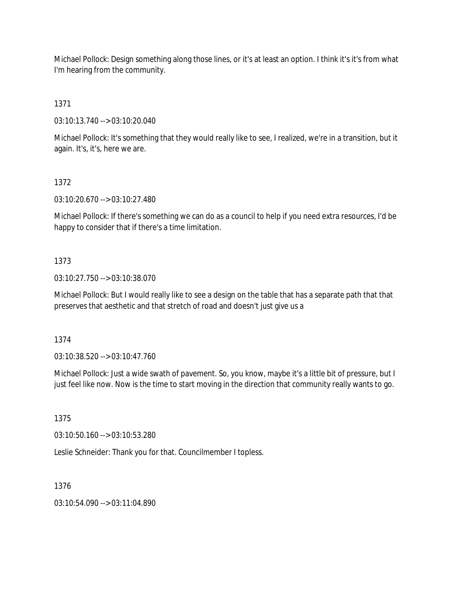Michael Pollock: Design something along those lines, or it's at least an option. I think it's it's from what I'm hearing from the community.

1371

03:10:13.740 --> 03:10:20.040

Michael Pollock: It's something that they would really like to see, I realized, we're in a transition, but it again. It's, it's, here we are.

# 1372

03:10:20.670 --> 03:10:27.480

Michael Pollock: If there's something we can do as a council to help if you need extra resources, I'd be happy to consider that if there's a time limitation.

# 1373

03:10:27.750 --> 03:10:38.070

Michael Pollock: But I would really like to see a design on the table that has a separate path that that preserves that aesthetic and that stretch of road and doesn't just give us a

1374

03:10:38.520 --> 03:10:47.760

Michael Pollock: Just a wide swath of pavement. So, you know, maybe it's a little bit of pressure, but I just feel like now. Now is the time to start moving in the direction that community really wants to go.

1375

03:10:50.160 --> 03:10:53.280

Leslie Schneider: Thank you for that. Councilmember I topless.

1376

03:10:54.090 --> 03:11:04.890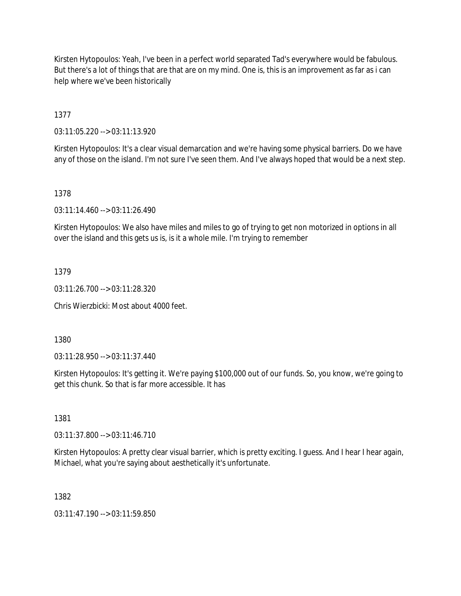Kirsten Hytopoulos: Yeah, I've been in a perfect world separated Tad's everywhere would be fabulous. But there's a lot of things that are that are on my mind. One is, this is an improvement as far as i can help where we've been historically

1377

03:11:05.220 --> 03:11:13.920

Kirsten Hytopoulos: It's a clear visual demarcation and we're having some physical barriers. Do we have any of those on the island. I'm not sure I've seen them. And I've always hoped that would be a next step.

### 1378

03:11:14.460 --> 03:11:26.490

Kirsten Hytopoulos: We also have miles and miles to go of trying to get non motorized in options in all over the island and this gets us is, is it a whole mile. I'm trying to remember

### 1379

03:11:26.700 --> 03:11:28.320

Chris Wierzbicki: Most about 4000 feet.

1380

03:11:28.950 --> 03:11:37.440

Kirsten Hytopoulos: It's getting it. We're paying \$100,000 out of our funds. So, you know, we're going to get this chunk. So that is far more accessible. It has

1381

03:11:37.800 --> 03:11:46.710

Kirsten Hytopoulos: A pretty clear visual barrier, which is pretty exciting. I guess. And I hear I hear again, Michael, what you're saying about aesthetically it's unfortunate.

1382

03:11:47.190 --> 03:11:59.850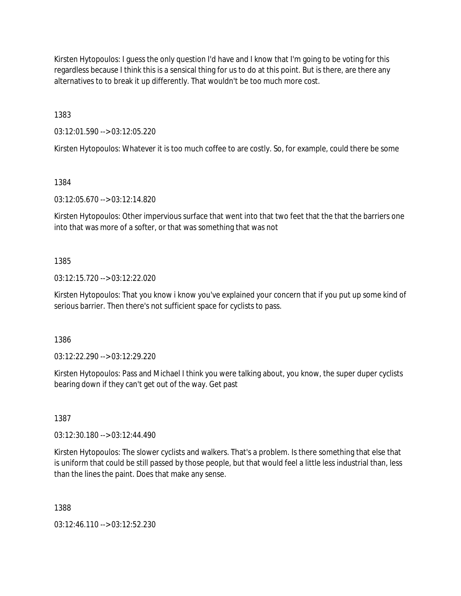Kirsten Hytopoulos: I guess the only question I'd have and I know that I'm going to be voting for this regardless because I think this is a sensical thing for us to do at this point. But is there, are there any alternatives to to break it up differently. That wouldn't be too much more cost.

1383

03:12:01.590 --> 03:12:05.220

Kirsten Hytopoulos: Whatever it is too much coffee to are costly. So, for example, could there be some

1384

03:12:05.670 --> 03:12:14.820

Kirsten Hytopoulos: Other impervious surface that went into that two feet that the that the barriers one into that was more of a softer, or that was something that was not

### 1385

03:12:15.720 --> 03:12:22.020

Kirsten Hytopoulos: That you know i know you've explained your concern that if you put up some kind of serious barrier. Then there's not sufficient space for cyclists to pass.

1386

03:12:22.290 --> 03:12:29.220

Kirsten Hytopoulos: Pass and Michael I think you were talking about, you know, the super duper cyclists bearing down if they can't get out of the way. Get past

1387

03:12:30.180 --> 03:12:44.490

Kirsten Hytopoulos: The slower cyclists and walkers. That's a problem. Is there something that else that is uniform that could be still passed by those people, but that would feel a little less industrial than, less than the lines the paint. Does that make any sense.

1388

03:12:46.110 --> 03:12:52.230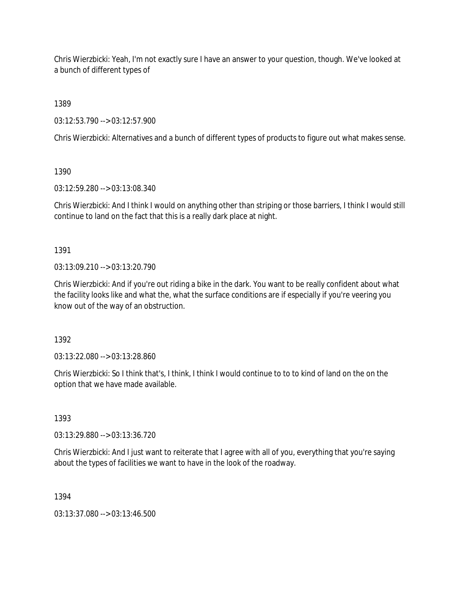Chris Wierzbicki: Yeah, I'm not exactly sure I have an answer to your question, though. We've looked at a bunch of different types of

1389

03:12:53.790 --> 03:12:57.900

Chris Wierzbicki: Alternatives and a bunch of different types of products to figure out what makes sense.

1390

03:12:59.280 --> 03:13:08.340

Chris Wierzbicki: And I think I would on anything other than striping or those barriers, I think I would still continue to land on the fact that this is a really dark place at night.

1391

 $03:13:09.210 \rightarrow 03:13:20.790$ 

Chris Wierzbicki: And if you're out riding a bike in the dark. You want to be really confident about what the facility looks like and what the, what the surface conditions are if especially if you're veering you know out of the way of an obstruction.

1392

03:13:22.080 --> 03:13:28.860

Chris Wierzbicki: So I think that's, I think, I think I would continue to to to kind of land on the on the option that we have made available.

1393

03:13:29.880 --> 03:13:36.720

Chris Wierzbicki: And I just want to reiterate that I agree with all of you, everything that you're saying about the types of facilities we want to have in the look of the roadway.

1394

03:13:37.080 --> 03:13:46.500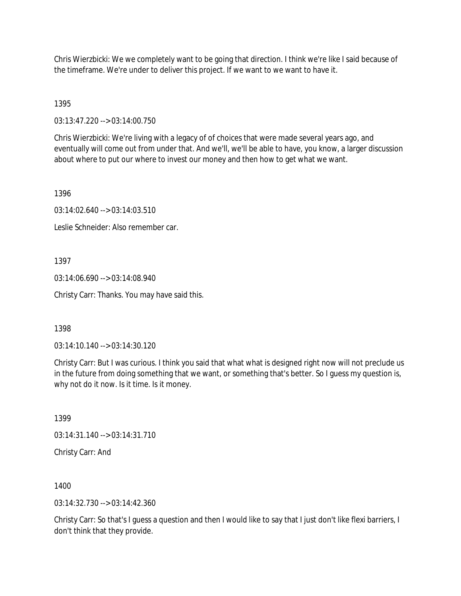Chris Wierzbicki: We we completely want to be going that direction. I think we're like I said because of the timeframe. We're under to deliver this project. If we want to we want to have it.

1395

03:13:47.220 --> 03:14:00.750

Chris Wierzbicki: We're living with a legacy of of choices that were made several years ago, and eventually will come out from under that. And we'll, we'll be able to have, you know, a larger discussion about where to put our where to invest our money and then how to get what we want.

1396

03:14:02.640 --> 03:14:03.510

Leslie Schneider: Also remember car.

1397

03:14:06.690 --> 03:14:08.940

Christy Carr: Thanks. You may have said this.

1398

03:14:10.140 --> 03:14:30.120

Christy Carr: But I was curious. I think you said that what what is designed right now will not preclude us in the future from doing something that we want, or something that's better. So I guess my question is, why not do it now. Is it time. Is it money.

1399

03:14:31.140 --> 03:14:31.710

Christy Carr: And

1400

03:14:32.730 --> 03:14:42.360

Christy Carr: So that's I guess a question and then I would like to say that I just don't like flexi barriers, I don't think that they provide.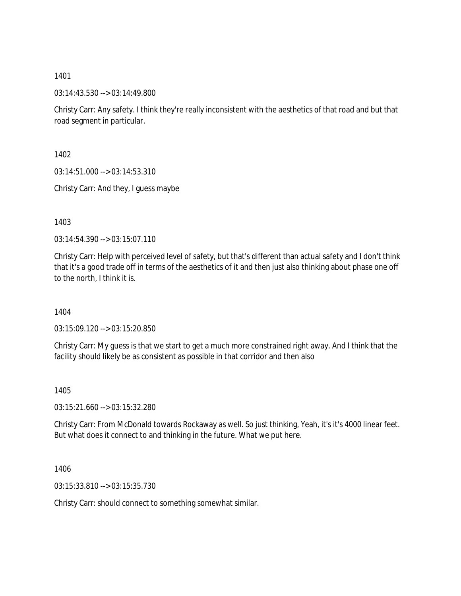03:14:43.530 --> 03:14:49.800

Christy Carr: Any safety. I think they're really inconsistent with the aesthetics of that road and but that road segment in particular.

1402

03:14:51.000 --> 03:14:53.310

Christy Carr: And they, I guess maybe

1403

03:14:54.390 --> 03:15:07.110

Christy Carr: Help with perceived level of safety, but that's different than actual safety and I don't think that it's a good trade off in terms of the aesthetics of it and then just also thinking about phase one off to the north, I think it is.

1404

03:15:09.120 --> 03:15:20.850

Christy Carr: My guess is that we start to get a much more constrained right away. And I think that the facility should likely be as consistent as possible in that corridor and then also

1405

03:15:21.660 --> 03:15:32.280

Christy Carr: From McDonald towards Rockaway as well. So just thinking, Yeah, it's it's 4000 linear feet. But what does it connect to and thinking in the future. What we put here.

1406

03:15:33.810 --> 03:15:35.730

Christy Carr: should connect to something somewhat similar.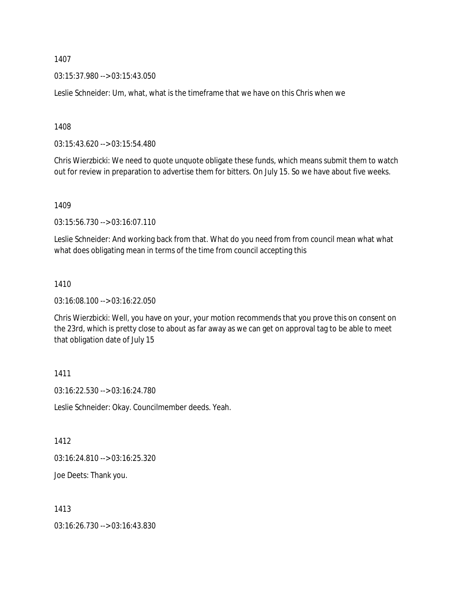03:15:37.980 --> 03:15:43.050

Leslie Schneider: Um, what, what is the timeframe that we have on this Chris when we

1408

03:15:43.620 --> 03:15:54.480

Chris Wierzbicki: We need to quote unquote obligate these funds, which means submit them to watch out for review in preparation to advertise them for bitters. On July 15. So we have about five weeks.

1409

03:15:56.730 --> 03:16:07.110

Leslie Schneider: And working back from that. What do you need from from council mean what what what does obligating mean in terms of the time from council accepting this

### 1410

03:16:08.100 --> 03:16:22.050

Chris Wierzbicki: Well, you have on your, your motion recommends that you prove this on consent on the 23rd, which is pretty close to about as far away as we can get on approval tag to be able to meet that obligation date of July 15

1411

03:16:22.530 --> 03:16:24.780

Leslie Schneider: Okay. Councilmember deeds. Yeah.

1412

03:16:24.810 --> 03:16:25.320

Joe Deets: Thank you.

1413

03:16:26.730 --> 03:16:43.830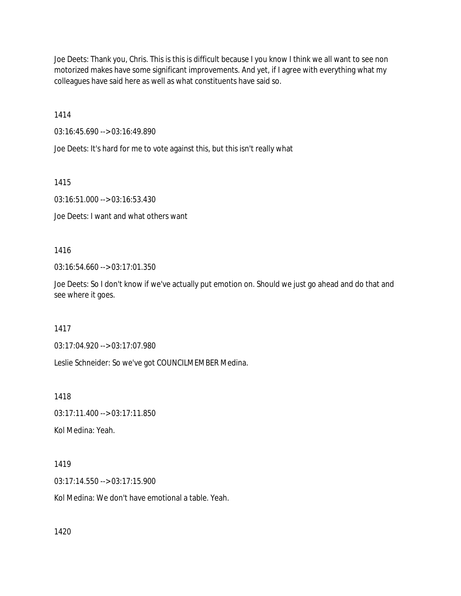Joe Deets: Thank you, Chris. This is this is difficult because I you know I think we all want to see non motorized makes have some significant improvements. And yet, if I agree with everything what my colleagues have said here as well as what constituents have said so.

1414

03:16:45.690 --> 03:16:49.890

Joe Deets: It's hard for me to vote against this, but this isn't really what

1415

03:16:51.000 --> 03:16:53.430

Joe Deets: I want and what others want

1416

03:16:54.660 --> 03:17:01.350

Joe Deets: So I don't know if we've actually put emotion on. Should we just go ahead and do that and see where it goes.

1417

03:17:04.920 --> 03:17:07.980

Leslie Schneider: So we've got COUNCILMEMBER Medina.

1418

03:17:11.400 --> 03:17:11.850

Kol Medina: Yeah.

1419

03:17:14.550 --> 03:17:15.900

Kol Medina: We don't have emotional a table. Yeah.

1420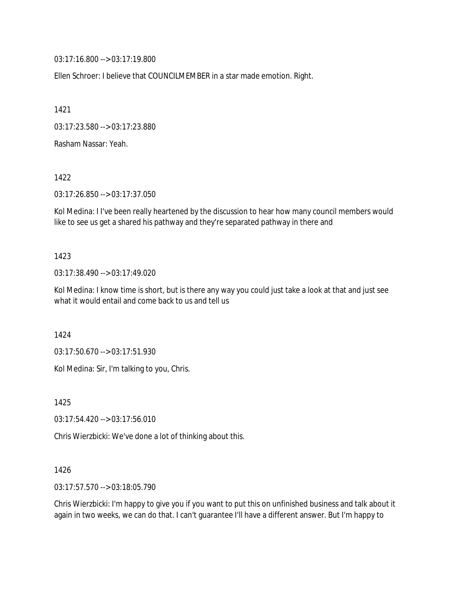03:17:16.800 --> 03:17:19.800

Ellen Schroer: I believe that COUNCILMEMBER in a star made emotion. Right.

1421

03:17:23.580 --> 03:17:23.880

Rasham Nassar: Yeah.

1422

03:17:26.850 --> 03:17:37.050

Kol Medina: I I've been really heartened by the discussion to hear how many council members would like to see us get a shared his pathway and they're separated pathway in there and

#### 1423

03:17:38.490 --> 03:17:49.020

Kol Medina: I know time is short, but is there any way you could just take a look at that and just see what it would entail and come back to us and tell us

1424

03:17:50.670 --> 03:17:51.930

Kol Medina: Sir, I'm talking to you, Chris.

1425

03:17:54.420 --> 03:17:56.010

Chris Wierzbicki: We've done a lot of thinking about this.

### 1426

03:17:57.570 --> 03:18:05.790

Chris Wierzbicki: I'm happy to give you if you want to put this on unfinished business and talk about it again in two weeks, we can do that. I can't guarantee I'll have a different answer. But I'm happy to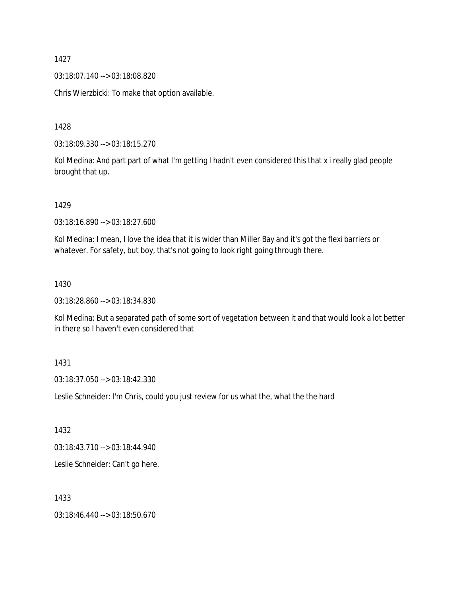03:18:07.140 --> 03:18:08.820

Chris Wierzbicki: To make that option available.

1428

03:18:09.330 --> 03:18:15.270

Kol Medina: And part part of what I'm getting I hadn't even considered this that x i really glad people brought that up.

1429

03:18:16.890 --> 03:18:27.600

Kol Medina: I mean, I love the idea that it is wider than Miller Bay and it's got the flexi barriers or whatever. For safety, but boy, that's not going to look right going through there.

### 1430

03:18:28.860 --> 03:18:34.830

Kol Medina: But a separated path of some sort of vegetation between it and that would look a lot better in there so I haven't even considered that

### 1431

03:18:37.050 --> 03:18:42.330

Leslie Schneider: I'm Chris, could you just review for us what the, what the the hard

1432

03:18:43.710 --> 03:18:44.940

Leslie Schneider: Can't go here.

1433

03:18:46.440 --> 03:18:50.670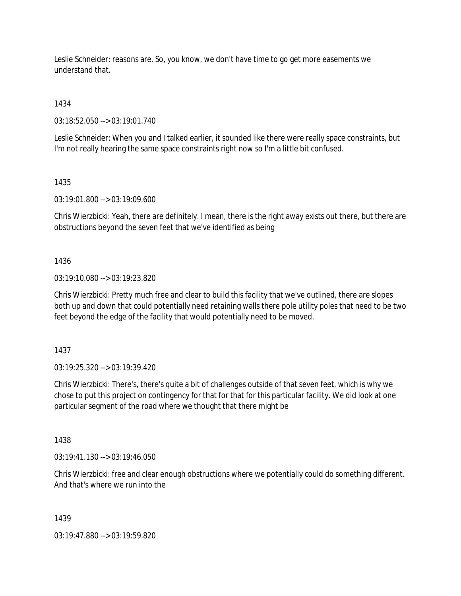Leslie Schneider: reasons are. So, you know, we don't have time to go get more easements we understand that.

1434

03:18:52.050 --> 03:19:01.740

Leslie Schneider: When you and I talked earlier, it sounded like there were really space constraints, but I'm not really hearing the same space constraints right now so I'm a little bit confused.

1435

03:19:01.800 --> 03:19:09.600

Chris Wierzbicki: Yeah, there are definitely. I mean, there is the right away exists out there, but there are obstructions beyond the seven feet that we've identified as being

1436

03:19:10.080 --> 03:19:23.820

Chris Wierzbicki: Pretty much free and clear to build this facility that we've outlined, there are slopes both up and down that could potentially need retaining walls there pole utility poles that need to be two feet beyond the edge of the facility that would potentially need to be moved.

1437

03:19:25.320 --> 03:19:39.420

Chris Wierzbicki: There's, there's quite a bit of challenges outside of that seven feet, which is why we chose to put this project on contingency for that for that for this particular facility. We did look at one particular segment of the road where we thought that there might be

1438

03:19:41.130 --> 03:19:46.050

Chris Wierzbicki: free and clear enough obstructions where we potentially could do something different. And that's where we run into the

1439

03:19:47.880 --> 03:19:59.820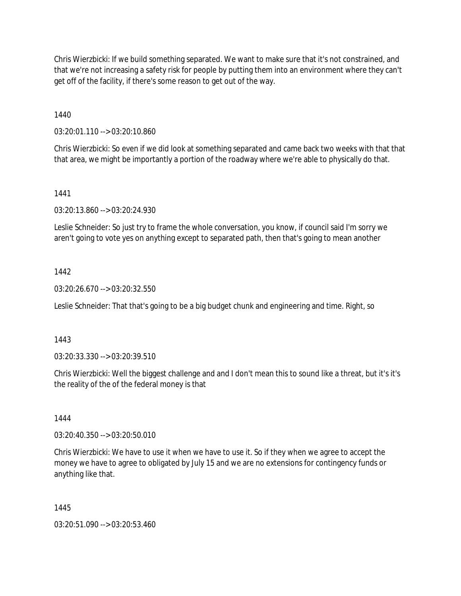Chris Wierzbicki: If we build something separated. We want to make sure that it's not constrained, and that we're not increasing a safety risk for people by putting them into an environment where they can't get off of the facility, if there's some reason to get out of the way.

1440

03:20:01.110 --> 03:20:10.860

Chris Wierzbicki: So even if we did look at something separated and came back two weeks with that that that area, we might be importantly a portion of the roadway where we're able to physically do that.

### 1441

03:20:13.860 --> 03:20:24.930

Leslie Schneider: So just try to frame the whole conversation, you know, if council said I'm sorry we aren't going to vote yes on anything except to separated path, then that's going to mean another

### 1442

03:20:26.670 --> 03:20:32.550

Leslie Schneider: That that's going to be a big budget chunk and engineering and time. Right, so

### 1443

03:20:33.330 --> 03:20:39.510

Chris Wierzbicki: Well the biggest challenge and and I don't mean this to sound like a threat, but it's it's the reality of the of the federal money is that

#### 1444

03:20:40.350 --> 03:20:50.010

Chris Wierzbicki: We have to use it when we have to use it. So if they when we agree to accept the money we have to agree to obligated by July 15 and we are no extensions for contingency funds or anything like that.

### 1445

03:20:51.090 --> 03:20:53.460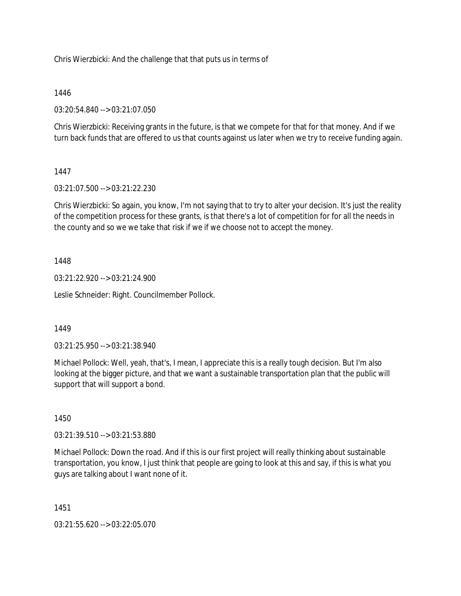Chris Wierzbicki: And the challenge that that puts us in terms of

### 1446

03:20:54.840 --> 03:21:07.050

Chris Wierzbicki: Receiving grants in the future, is that we compete for that for that money. And if we turn back funds that are offered to us that counts against us later when we try to receive funding again.

### 1447

03:21:07.500 --> 03:21:22.230

Chris Wierzbicki: So again, you know, I'm not saying that to try to alter your decision. It's just the reality of the competition process for these grants, is that there's a lot of competition for for all the needs in the county and so we we take that risk if we if we choose not to accept the money.

### 1448

03:21:22.920 --> 03:21:24.900

Leslie Schneider: Right. Councilmember Pollock.

### 1449

03:21:25.950 --> 03:21:38.940

Michael Pollock: Well, yeah, that's, I mean, I appreciate this is a really tough decision. But I'm also looking at the bigger picture, and that we want a sustainable transportation plan that the public will support that will support a bond.

### 1450

03:21:39.510 --> 03:21:53.880

Michael Pollock: Down the road. And if this is our first project will really thinking about sustainable transportation, you know, I just think that people are going to look at this and say, if this is what you guys are talking about I want none of it.

1451

03:21:55.620 --> 03:22:05.070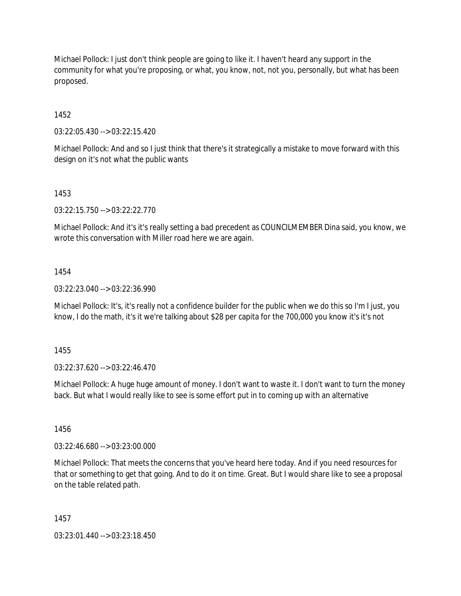Michael Pollock: I just don't think people are going to like it. I haven't heard any support in the community for what you're proposing, or what, you know, not, not you, personally, but what has been proposed.

1452

03:22:05.430 --> 03:22:15.420

Michael Pollock: And and so I just think that there's it strategically a mistake to move forward with this design on it's not what the public wants

1453

03:22:15.750 --> 03:22:22.770

Michael Pollock: And it's it's really setting a bad precedent as COUNCILMEMBER Dina said, you know, we wrote this conversation with Miller road here we are again.

1454

03:22:23.040 --> 03:22:36.990

Michael Pollock: It's, it's really not a confidence builder for the public when we do this so I'm I just, you know, I do the math, it's it we're talking about \$28 per capita for the 700,000 you know it's it's not

1455

03:22:37.620 --> 03:22:46.470

Michael Pollock: A huge huge amount of money. I don't want to waste it. I don't want to turn the money back. But what I would really like to see is some effort put in to coming up with an alternative

1456

03:22:46.680 --> 03:23:00.000

Michael Pollock: That meets the concerns that you've heard here today. And if you need resources for that or something to get that going. And to do it on time. Great. But I would share like to see a proposal on the table related path.

1457

03:23:01.440 --> 03:23:18.450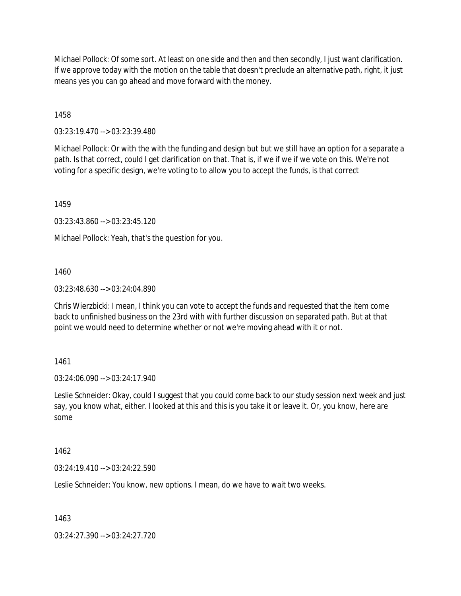Michael Pollock: Of some sort. At least on one side and then and then secondly, I just want clarification. If we approve today with the motion on the table that doesn't preclude an alternative path, right, it just means yes you can go ahead and move forward with the money.

1458

03:23:19.470 --> 03:23:39.480

Michael Pollock: Or with the with the funding and design but but we still have an option for a separate a path. Is that correct, could I get clarification on that. That is, if we if we if we vote on this. We're not voting for a specific design, we're voting to to allow you to accept the funds, is that correct

1459

03:23:43.860 --> 03:23:45.120

Michael Pollock: Yeah, that's the question for you.

1460

03:23:48.630 --> 03:24:04.890

Chris Wierzbicki: I mean, I think you can vote to accept the funds and requested that the item come back to unfinished business on the 23rd with with further discussion on separated path. But at that point we would need to determine whether or not we're moving ahead with it or not.

1461

03:24:06.090 --> 03:24:17.940

Leslie Schneider: Okay, could I suggest that you could come back to our study session next week and just say, you know what, either. I looked at this and this is you take it or leave it. Or, you know, here are some

1462

03:24:19.410 --> 03:24:22.590

Leslie Schneider: You know, new options. I mean, do we have to wait two weeks.

1463

03:24:27.390 --> 03:24:27.720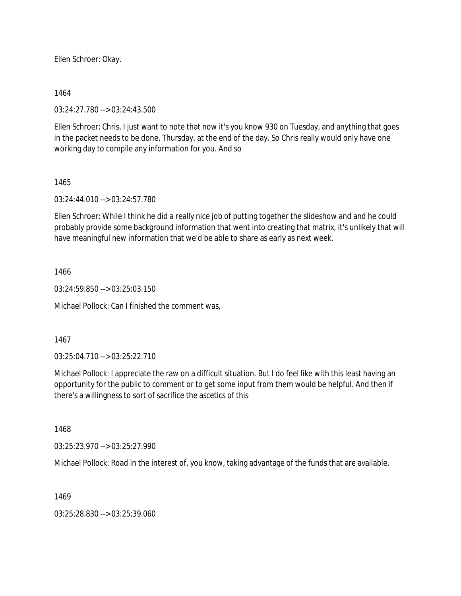Ellen Schroer: Okay.

1464

03:24:27.780 --> 03:24:43.500

Ellen Schroer: Chris, I just want to note that now it's you know 930 on Tuesday, and anything that goes in the packet needs to be done, Thursday, at the end of the day. So Chris really would only have one working day to compile any information for you. And so

1465

03:24:44.010 --> 03:24:57.780

Ellen Schroer: While I think he did a really nice job of putting together the slideshow and and he could probably provide some background information that went into creating that matrix, it's unlikely that will have meaningful new information that we'd be able to share as early as next week.

1466

03:24:59.850 --> 03:25:03.150

Michael Pollock: Can I finished the comment was,

1467

03:25:04.710 --> 03:25:22.710

Michael Pollock: I appreciate the raw on a difficult situation. But I do feel like with this least having an opportunity for the public to comment or to get some input from them would be helpful. And then if there's a willingness to sort of sacrifice the ascetics of this

1468

03:25:23.970 --> 03:25:27.990

Michael Pollock: Road in the interest of, you know, taking advantage of the funds that are available.

1469

03:25:28.830 --> 03:25:39.060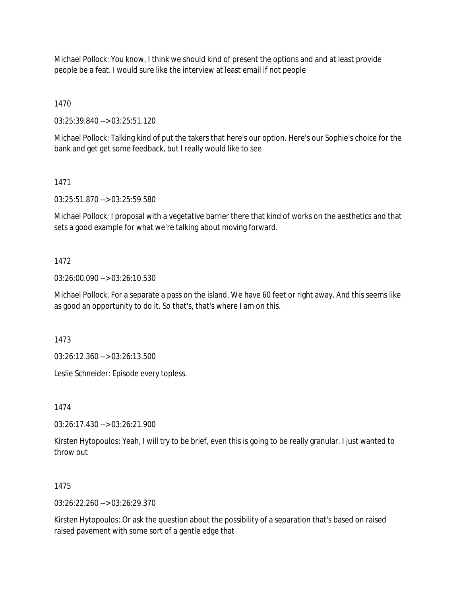Michael Pollock: You know, I think we should kind of present the options and and at least provide people be a feat. I would sure like the interview at least email if not people

1470

03:25:39.840 --> 03:25:51.120

Michael Pollock: Talking kind of put the takers that here's our option. Here's our Sophie's choice for the bank and get get some feedback, but I really would like to see

1471

03:25:51.870 --> 03:25:59.580

Michael Pollock: I proposal with a vegetative barrier there that kind of works on the aesthetics and that sets a good example for what we're talking about moving forward.

### 1472

03:26:00.090 --> 03:26:10.530

Michael Pollock: For a separate a pass on the island. We have 60 feet or right away. And this seems like as good an opportunity to do it. So that's, that's where I am on this.

1473

03:26:12.360 --> 03:26:13.500

Leslie Schneider: Episode every topless.

1474

03:26:17.430 --> 03:26:21.900

Kirsten Hytopoulos: Yeah, I will try to be brief, even this is going to be really granular. I just wanted to throw out

### 1475

 $03:26:22.260 \rightarrow 03:26:29.370$ 

Kirsten Hytopoulos: Or ask the question about the possibility of a separation that's based on raised raised pavement with some sort of a gentle edge that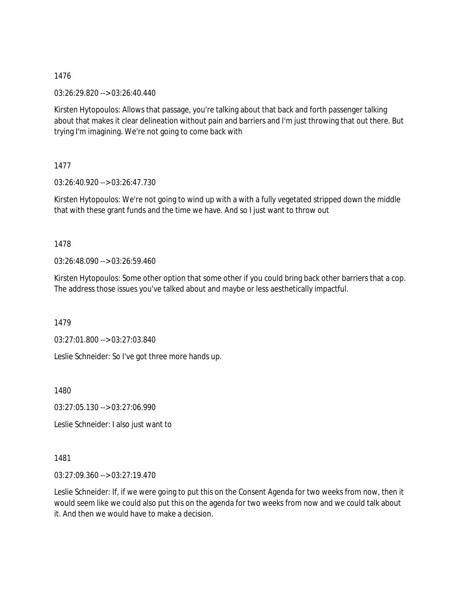03:26:29.820 --> 03:26:40.440

Kirsten Hytopoulos: Allows that passage, you're talking about that back and forth passenger talking about that makes it clear delineation without pain and barriers and I'm just throwing that out there. But trying I'm imagining. We're not going to come back with

# 1477

03:26:40.920 --> 03:26:47.730

Kirsten Hytopoulos: We're not going to wind up with a with a fully vegetated stripped down the middle that with these grant funds and the time we have. And so I just want to throw out

# 1478

03:26:48.090 --> 03:26:59.460

Kirsten Hytopoulos: Some other option that some other if you could bring back other barriers that a cop. The address those issues you've talked about and maybe or less aesthetically impactful.

1479

03:27:01.800 --> 03:27:03.840

Leslie Schneider: So I've got three more hands up.

1480

03:27:05.130 --> 03:27:06.990

Leslie Schneider: I also just want to

### 1481

03:27:09.360 --> 03:27:19.470

Leslie Schneider: If, if we were going to put this on the Consent Agenda for two weeks from now, then it would seem like we could also put this on the agenda for two weeks from now and we could talk about it. And then we would have to make a decision.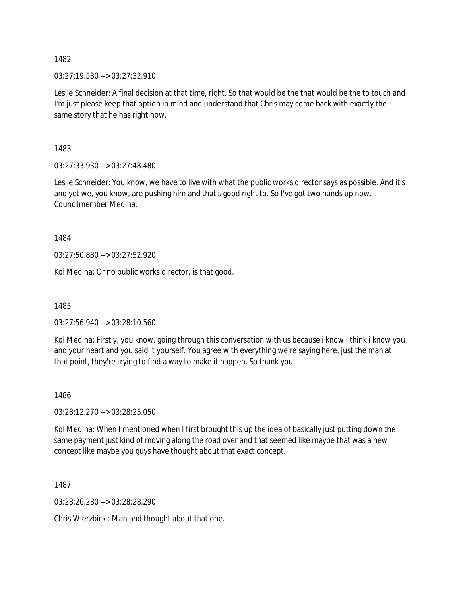03:27:19.530 --> 03:27:32.910

Leslie Schneider: A final decision at that time, right. So that would be the that would be the to touch and I'm just please keep that option in mind and understand that Chris may come back with exactly the same story that he has right now.

1483

03:27:33.930 --> 03:27:48.480

Leslie Schneider: You know, we have to live with what the public works director says as possible. And it's and yet we, you know, are pushing him and that's good right to. So I've got two hands up now. Councilmember Medina.

1484

03:27:50.880 --> 03:27:52.920

Kol Medina: Or no public works director, is that good.

1485

03:27:56.940 --> 03:28:10.560

Kol Medina: Firstly, you know, going through this conversation with us because i know i think i know you and your heart and you said it yourself. You agree with everything we're saying here, just the man at that point, they're trying to find a way to make it happen. So thank you.

1486

03:28:12.270 --> 03:28:25.050

Kol Medina: When I mentioned when I first brought this up the idea of basically just putting down the same payment just kind of moving along the road over and that seemed like maybe that was a new concept like maybe you guys have thought about that exact concept.

1487

03:28:26.280 --> 03:28:28.290

Chris Wierzbicki: Man and thought about that one.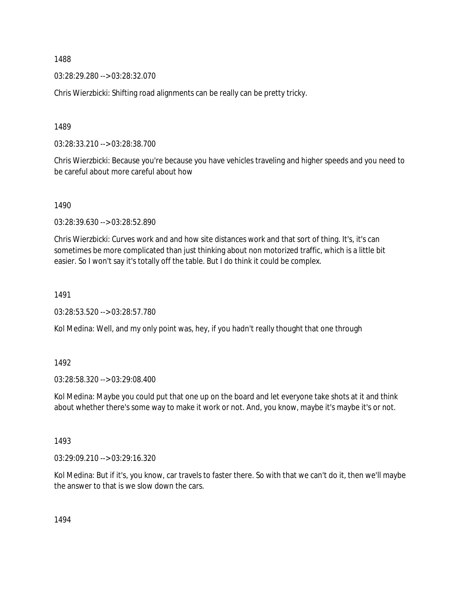03:28:29.280 --> 03:28:32.070

Chris Wierzbicki: Shifting road alignments can be really can be pretty tricky.

1489

03:28:33.210 --> 03:28:38.700

Chris Wierzbicki: Because you're because you have vehicles traveling and higher speeds and you need to be careful about more careful about how

1490

03:28:39.630 --> 03:28:52.890

Chris Wierzbicki: Curves work and and how site distances work and that sort of thing. It's, it's can sometimes be more complicated than just thinking about non motorized traffic, which is a little bit easier. So I won't say it's totally off the table. But I do think it could be complex.

1491

03:28:53.520 --> 03:28:57.780

Kol Medina: Well, and my only point was, hey, if you hadn't really thought that one through

1492

03:28:58.320 --> 03:29:08.400

Kol Medina: Maybe you could put that one up on the board and let everyone take shots at it and think about whether there's some way to make it work or not. And, you know, maybe it's maybe it's or not.

1493

03:29:09.210 --> 03:29:16.320

Kol Medina: But if it's, you know, car travels to faster there. So with that we can't do it, then we'll maybe the answer to that is we slow down the cars.

1494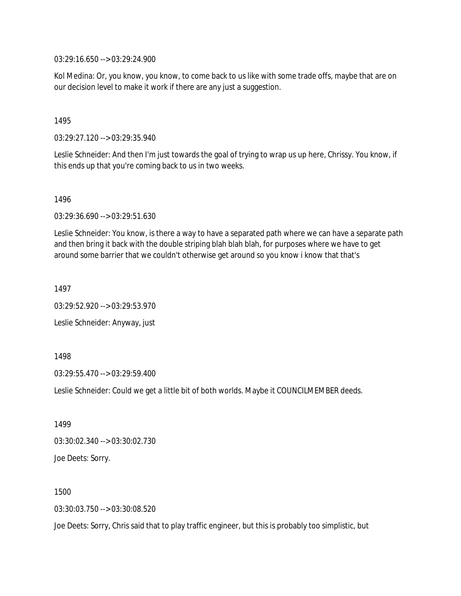03:29:16.650 --> 03:29:24.900

Kol Medina: Or, you know, you know, to come back to us like with some trade offs, maybe that are on our decision level to make it work if there are any just a suggestion.

#### 1495

03:29:27.120 --> 03:29:35.940

Leslie Schneider: And then I'm just towards the goal of trying to wrap us up here, Chrissy. You know, if this ends up that you're coming back to us in two weeks.

1496

03:29:36.690 --> 03:29:51.630

Leslie Schneider: You know, is there a way to have a separated path where we can have a separate path and then bring it back with the double striping blah blah blah, for purposes where we have to get around some barrier that we couldn't otherwise get around so you know i know that that's

1497

03:29:52.920 --> 03:29:53.970

Leslie Schneider: Anyway, just

1498

03:29:55.470 --> 03:29:59.400

Leslie Schneider: Could we get a little bit of both worlds. Maybe it COUNCILMEMBER deeds.

1499 03:30:02.340 --> 03:30:02.730 Joe Deets: Sorry.

1500

03:30:03.750 --> 03:30:08.520

Joe Deets: Sorry, Chris said that to play traffic engineer, but this is probably too simplistic, but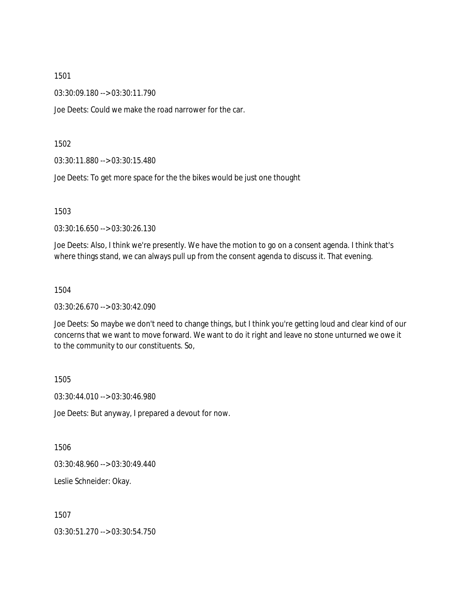03:30:09.180 --> 03:30:11.790

Joe Deets: Could we make the road narrower for the car.

1502

03:30:11.880 --> 03:30:15.480

Joe Deets: To get more space for the the bikes would be just one thought

1503

03:30:16.650 --> 03:30:26.130

Joe Deets: Also, I think we're presently. We have the motion to go on a consent agenda. I think that's where things stand, we can always pull up from the consent agenda to discuss it. That evening.

1504

03:30:26.670 --> 03:30:42.090

Joe Deets: So maybe we don't need to change things, but I think you're getting loud and clear kind of our concerns that we want to move forward. We want to do it right and leave no stone unturned we owe it to the community to our constituents. So,

1505

03:30:44.010 --> 03:30:46.980

Joe Deets: But anyway, I prepared a devout for now.

1506

03:30:48.960 --> 03:30:49.440

Leslie Schneider: Okay.

1507

03:30:51.270 --> 03:30:54.750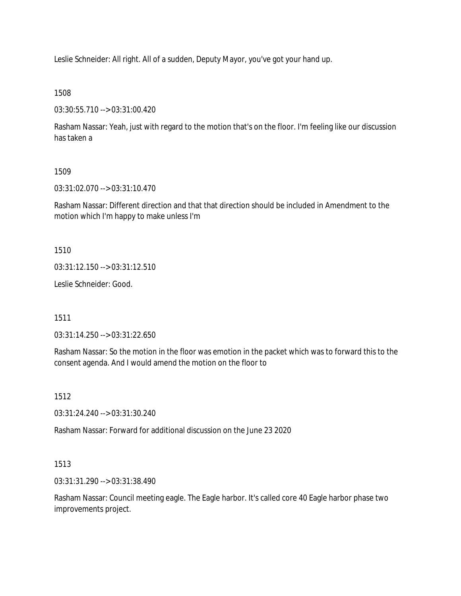Leslie Schneider: All right. All of a sudden, Deputy Mayor, you've got your hand up.

### 1508

03:30:55.710 --> 03:31:00.420

Rasham Nassar: Yeah, just with regard to the motion that's on the floor. I'm feeling like our discussion has taken a

# 1509

03:31:02.070 --> 03:31:10.470

Rasham Nassar: Different direction and that that direction should be included in Amendment to the motion which I'm happy to make unless I'm

1510

03:31:12.150 --> 03:31:12.510

Leslie Schneider: Good.

1511

03:31:14.250 --> 03:31:22.650

Rasham Nassar: So the motion in the floor was emotion in the packet which was to forward this to the consent agenda. And I would amend the motion on the floor to

# 1512

03:31:24.240 --> 03:31:30.240

Rasham Nassar: Forward for additional discussion on the June 23 2020

# 1513

03:31:31.290 --> 03:31:38.490

Rasham Nassar: Council meeting eagle. The Eagle harbor. It's called core 40 Eagle harbor phase two improvements project.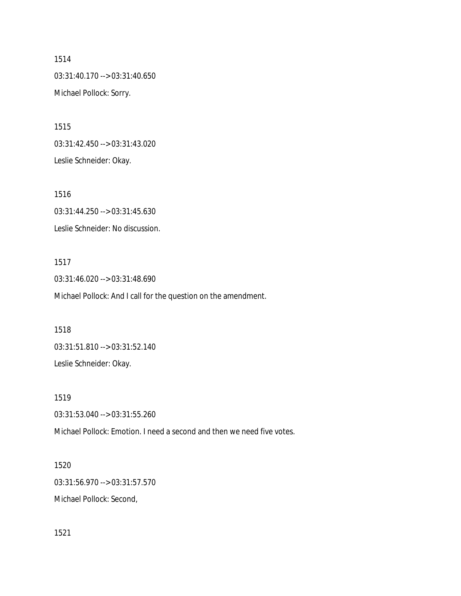1514 03:31:40.170 --> 03:31:40.650 Michael Pollock: Sorry.

1515 03:31:42.450 --> 03:31:43.020 Leslie Schneider: Okay.

1516 03:31:44.250 --> 03:31:45.630 Leslie Schneider: No discussion.

1517 03:31:46.020 --> 03:31:48.690 Michael Pollock: And I call for the question on the amendment.

1518 03:31:51.810 --> 03:31:52.140 Leslie Schneider: Okay.

1519 03:31:53.040 --> 03:31:55.260 Michael Pollock: Emotion. I need a second and then we need five votes.

1520 03:31:56.970 --> 03:31:57.570 Michael Pollock: Second,

1521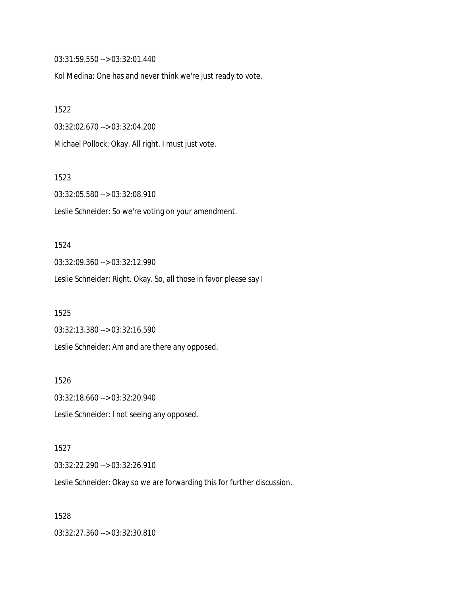03:31:59.550 --> 03:32:01.440

Kol Medina: One has and never think we're just ready to vote.

1522

03:32:02.670 --> 03:32:04.200

Michael Pollock: Okay. All right. I must just vote.

1523

03:32:05.580 --> 03:32:08.910 Leslie Schneider: So we're voting on your amendment.

1524

03:32:09.360 --> 03:32:12.990

Leslie Schneider: Right. Okay. So, all those in favor please say I

1525

03:32:13.380 --> 03:32:16.590 Leslie Schneider: Am and are there any opposed.

1526 03:32:18.660 --> 03:32:20.940 Leslie Schneider: I not seeing any opposed.

1527 03:32:22.290 --> 03:32:26.910

Leslie Schneider: Okay so we are forwarding this for further discussion.

1528

03:32:27.360 --> 03:32:30.810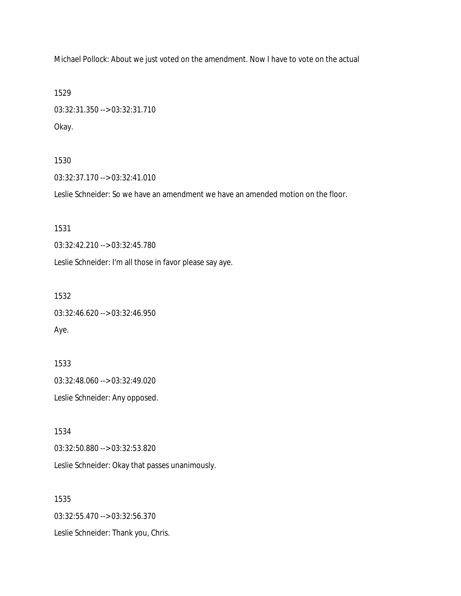Michael Pollock: About we just voted on the amendment. Now I have to vote on the actual

1529

03:32:31.350 --> 03:32:31.710 Okay.

1530

03:32:37.170 --> 03:32:41.010

Leslie Schneider: So we have an amendment we have an amended motion on the floor.

1531

03:32:42.210 --> 03:32:45.780

Leslie Schneider: I'm all those in favor please say aye.

1532

03:32:46.620 --> 03:32:46.950 Aye.

1533 03:32:48.060 --> 03:32:49.020 Leslie Schneider: Any opposed.

1534 03:32:50.880 --> 03:32:53.820 Leslie Schneider: Okay that passes unanimously.

1535 03:32:55.470 --> 03:32:56.370 Leslie Schneider: Thank you, Chris.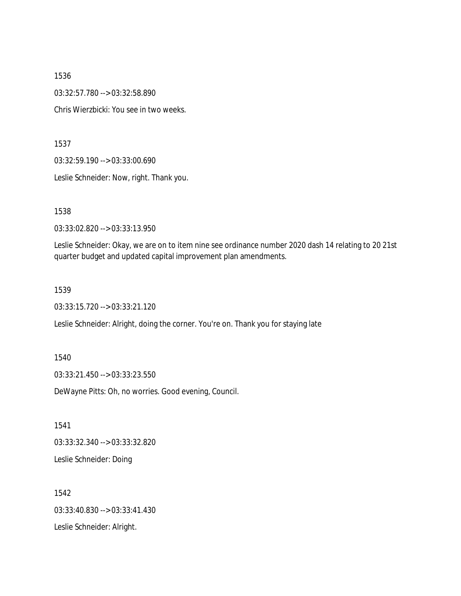1536 03:32:57.780 --> 03:32:58.890 Chris Wierzbicki: You see in two weeks.

1537

03:32:59.190 --> 03:33:00.690

Leslie Schneider: Now, right. Thank you.

1538

03:33:02.820 --> 03:33:13.950

Leslie Schneider: Okay, we are on to item nine see ordinance number 2020 dash 14 relating to 20 21st quarter budget and updated capital improvement plan amendments.

1539

03:33:15.720 --> 03:33:21.120

Leslie Schneider: Alright, doing the corner. You're on. Thank you for staying late

1540

03:33:21.450 --> 03:33:23.550

DeWayne Pitts: Oh, no worries. Good evening, Council.

1541 03:33:32.340 --> 03:33:32.820

Leslie Schneider: Doing

1542 03:33:40.830 --> 03:33:41.430 Leslie Schneider: Alright.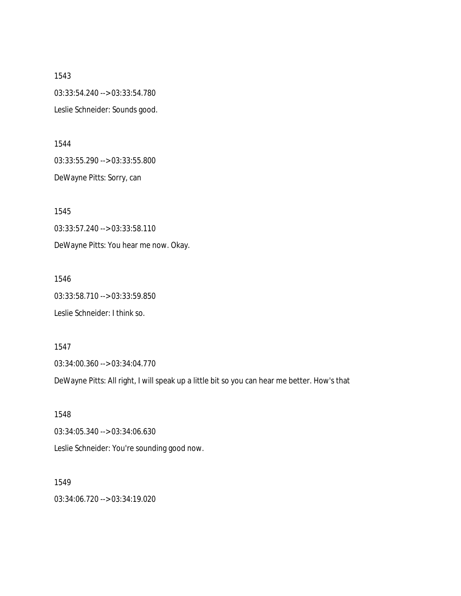1543 03:33:54.240 --> 03:33:54.780 Leslie Schneider: Sounds good.

1544 03:33:55.290 --> 03:33:55.800 DeWayne Pitts: Sorry, can

1545 03:33:57.240 --> 03:33:58.110 DeWayne Pitts: You hear me now. Okay.

1546 03:33:58.710 --> 03:33:59.850 Leslie Schneider: I think so.

1547 03:34:00.360 --> 03:34:04.770

DeWayne Pitts: All right, I will speak up a little bit so you can hear me better. How's that

1548 03:34:05.340 --> 03:34:06.630 Leslie Schneider: You're sounding good now.

1549 03:34:06.720 --> 03:34:19.020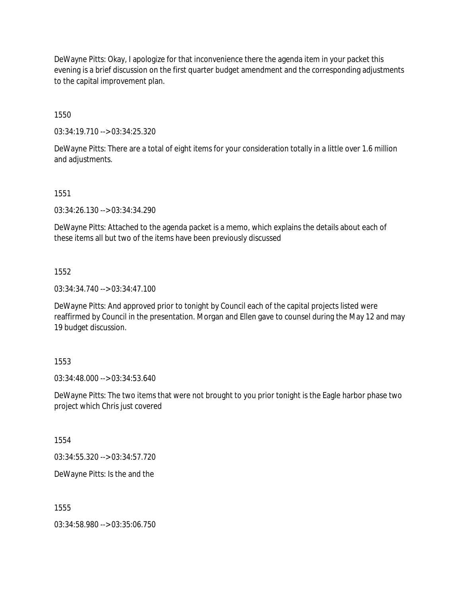DeWayne Pitts: Okay, I apologize for that inconvenience there the agenda item in your packet this evening is a brief discussion on the first quarter budget amendment and the corresponding adjustments to the capital improvement plan.

1550

03:34:19.710 --> 03:34:25.320

DeWayne Pitts: There are a total of eight items for your consideration totally in a little over 1.6 million and adjustments.

1551

03:34:26.130 --> 03:34:34.290

DeWayne Pitts: Attached to the agenda packet is a memo, which explains the details about each of these items all but two of the items have been previously discussed

1552

03:34:34.740 --> 03:34:47.100

DeWayne Pitts: And approved prior to tonight by Council each of the capital projects listed were reaffirmed by Council in the presentation. Morgan and Ellen gave to counsel during the May 12 and may 19 budget discussion.

### 1553

03:34:48.000 --> 03:34:53.640

DeWayne Pitts: The two items that were not brought to you prior tonight is the Eagle harbor phase two project which Chris just covered

1554

03:34:55.320 --> 03:34:57.720

DeWayne Pitts: Is the and the

1555

03:34:58.980 --> 03:35:06.750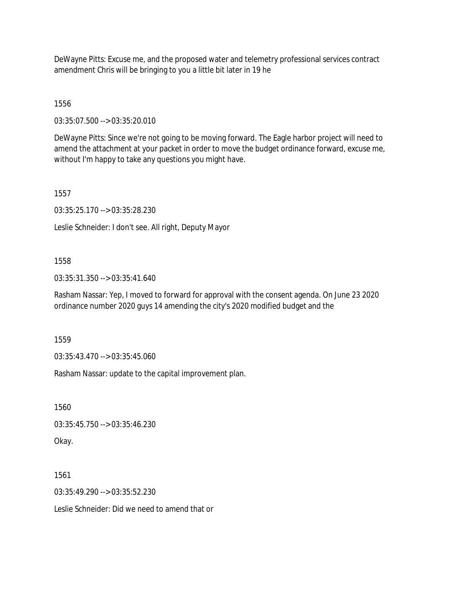DeWayne Pitts: Excuse me, and the proposed water and telemetry professional services contract amendment Chris will be bringing to you a little bit later in 19 he

1556

03:35:07.500 --> 03:35:20.010

DeWayne Pitts: Since we're not going to be moving forward. The Eagle harbor project will need to amend the attachment at your packet in order to move the budget ordinance forward, excuse me, without I'm happy to take any questions you might have.

1557

03:35:25.170 --> 03:35:28.230

Leslie Schneider: I don't see. All right, Deputy Mayor

# 1558

03:35:31.350 --> 03:35:41.640

Rasham Nassar: Yep, I moved to forward for approval with the consent agenda. On June 23 2020 ordinance number 2020 guys 14 amending the city's 2020 modified budget and the

1559

03:35:43.470 --> 03:35:45.060

Rasham Nassar: update to the capital improvement plan.

1560

03:35:45.750 --> 03:35:46.230

Okay.

1561

03:35:49.290 --> 03:35:52.230

Leslie Schneider: Did we need to amend that or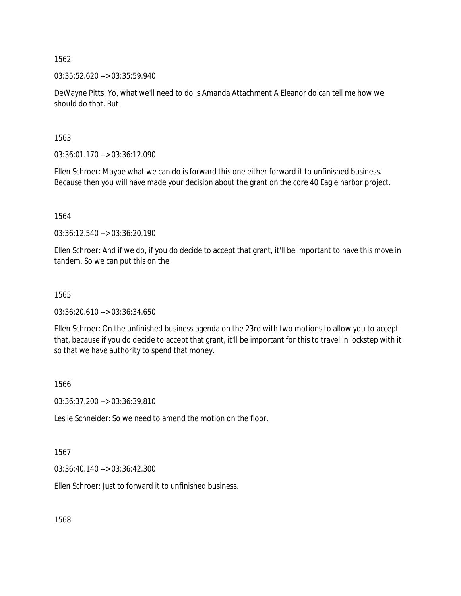03:35:52.620 --> 03:35:59.940

DeWayne Pitts: Yo, what we'll need to do is Amanda Attachment A Eleanor do can tell me how we should do that. But

1563

03:36:01.170 --> 03:36:12.090

Ellen Schroer: Maybe what we can do is forward this one either forward it to unfinished business. Because then you will have made your decision about the grant on the core 40 Eagle harbor project.

1564

03:36:12.540 --> 03:36:20.190

Ellen Schroer: And if we do, if you do decide to accept that grant, it'll be important to have this move in tandem. So we can put this on the

### 1565

03:36:20.610 --> 03:36:34.650

Ellen Schroer: On the unfinished business agenda on the 23rd with two motions to allow you to accept that, because if you do decide to accept that grant, it'll be important for this to travel in lockstep with it so that we have authority to spend that money.

1566

03:36:37.200 --> 03:36:39.810

Leslie Schneider: So we need to amend the motion on the floor.

1567

03:36:40.140 --> 03:36:42.300

Ellen Schroer: Just to forward it to unfinished business.

1568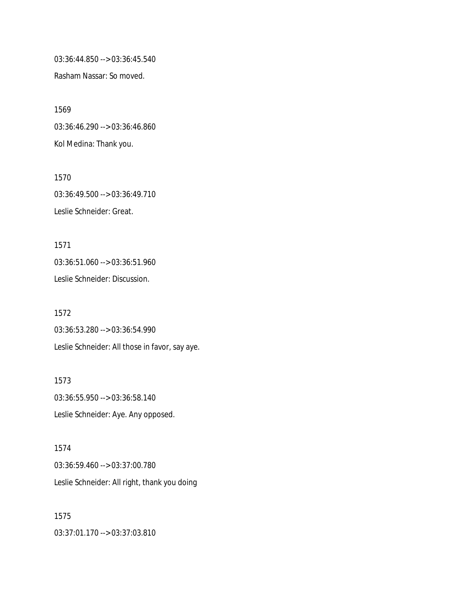03:36:44.850 --> 03:36:45.540

Rasham Nassar: So moved.

1569 03:36:46.290 --> 03:36:46.860 Kol Medina: Thank you.

1570 03:36:49.500 --> 03:36:49.710 Leslie Schneider: Great.

1571 03:36:51.060 --> 03:36:51.960 Leslie Schneider: Discussion.

1572 03:36:53.280 --> 03:36:54.990 Leslie Schneider: All those in favor, say aye.

1573 03:36:55.950 --> 03:36:58.140 Leslie Schneider: Aye. Any opposed.

1574 03:36:59.460 --> 03:37:00.780 Leslie Schneider: All right, thank you doing

1575 03:37:01.170 --> 03:37:03.810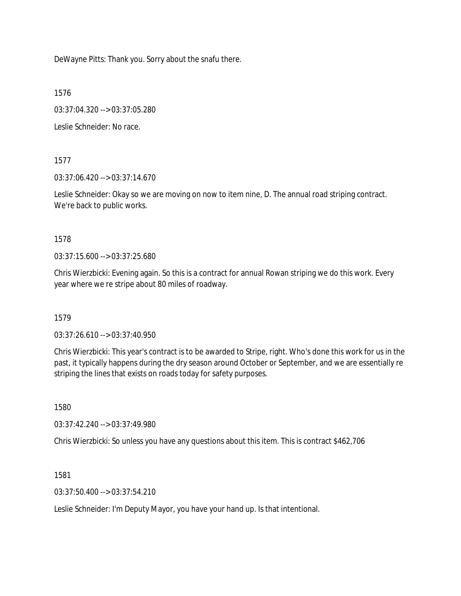DeWayne Pitts: Thank you. Sorry about the snafu there.

1576

03:37:04.320 --> 03:37:05.280

Leslie Schneider: No race.

1577

03:37:06.420 --> 03:37:14.670

Leslie Schneider: Okay so we are moving on now to item nine, D. The annual road striping contract. We're back to public works.

1578

03:37:15.600 --> 03:37:25.680

Chris Wierzbicki: Evening again. So this is a contract for annual Rowan striping we do this work. Every year where we re stripe about 80 miles of roadway.

1579

03:37:26.610 --> 03:37:40.950

Chris Wierzbicki: This year's contract is to be awarded to Stripe, right. Who's done this work for us in the past, it typically happens during the dry season around October or September, and we are essentially re striping the lines that exists on roads today for safety purposes.

1580

03:37:42.240 --> 03:37:49.980

Chris Wierzbicki: So unless you have any questions about this item. This is contract \$462,706

1581

03:37:50.400 --> 03:37:54.210

Leslie Schneider: I'm Deputy Mayor, you have your hand up. Is that intentional.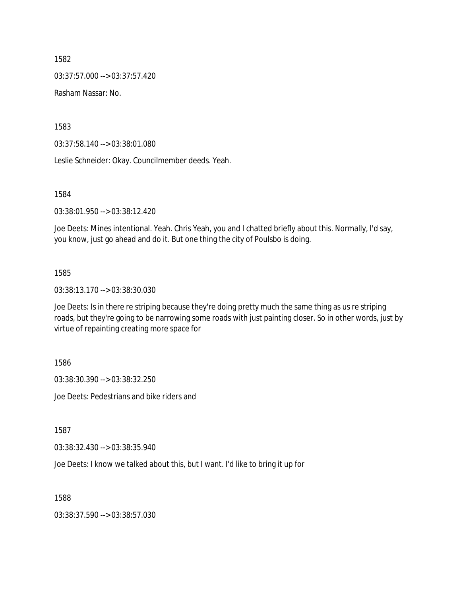03:37:57.000 --> 03:37:57.420

Rasham Nassar: No.

1583

03:37:58.140 --> 03:38:01.080

Leslie Schneider: Okay. Councilmember deeds. Yeah.

1584

03:38:01.950 --> 03:38:12.420

Joe Deets: Mines intentional. Yeah. Chris Yeah, you and I chatted briefly about this. Normally, I'd say, you know, just go ahead and do it. But one thing the city of Poulsbo is doing.

#### 1585

03:38:13.170 --> 03:38:30.030

Joe Deets: Is in there re striping because they're doing pretty much the same thing as us re striping roads, but they're going to be narrowing some roads with just painting closer. So in other words, just by virtue of repainting creating more space for

1586

03:38:30.390 --> 03:38:32.250

Joe Deets: Pedestrians and bike riders and

1587

03:38:32.430 --> 03:38:35.940

Joe Deets: I know we talked about this, but I want. I'd like to bring it up for

1588

03:38:37.590 --> 03:38:57.030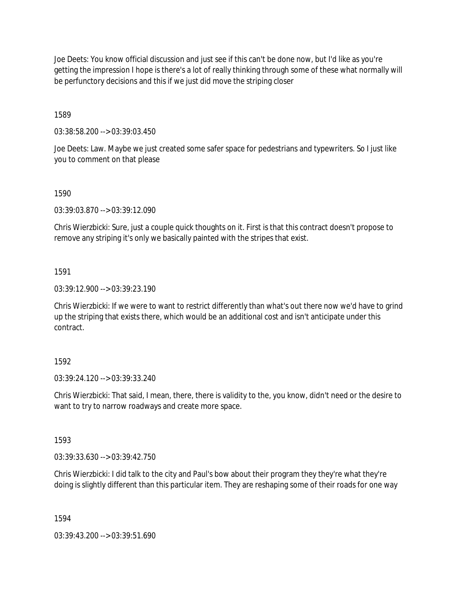Joe Deets: You know official discussion and just see if this can't be done now, but I'd like as you're getting the impression I hope is there's a lot of really thinking through some of these what normally will be perfunctory decisions and this if we just did move the striping closer

1589

03:38:58.200 --> 03:39:03.450

Joe Deets: Law. Maybe we just created some safer space for pedestrians and typewriters. So I just like you to comment on that please

1590

03:39:03.870 --> 03:39:12.090

Chris Wierzbicki: Sure, just a couple quick thoughts on it. First is that this contract doesn't propose to remove any striping it's only we basically painted with the stripes that exist.

1591

03:39:12.900 --> 03:39:23.190

Chris Wierzbicki: If we were to want to restrict differently than what's out there now we'd have to grind up the striping that exists there, which would be an additional cost and isn't anticipate under this contract.

### 1592

03:39:24.120 --> 03:39:33.240

Chris Wierzbicki: That said, I mean, there, there is validity to the, you know, didn't need or the desire to want to try to narrow roadways and create more space.

1593

03:39:33.630 --> 03:39:42.750

Chris Wierzbicki: I did talk to the city and Paul's bow about their program they they're what they're doing is slightly different than this particular item. They are reshaping some of their roads for one way

1594

03:39:43.200 --> 03:39:51.690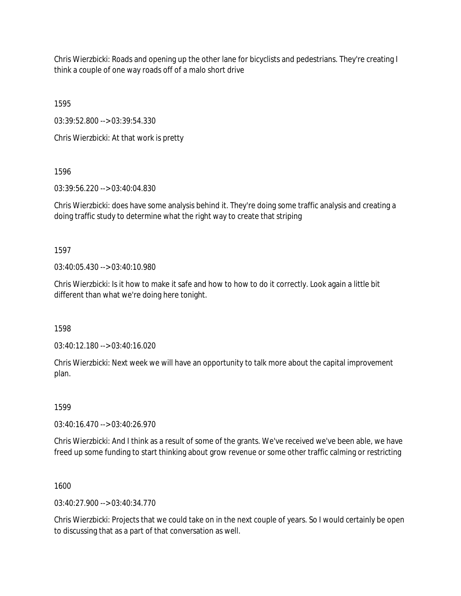Chris Wierzbicki: Roads and opening up the other lane for bicyclists and pedestrians. They're creating I think a couple of one way roads off of a malo short drive

1595

03:39:52.800 --> 03:39:54.330

Chris Wierzbicki: At that work is pretty

1596

03:39:56.220 --> 03:40:04.830

Chris Wierzbicki: does have some analysis behind it. They're doing some traffic analysis and creating a doing traffic study to determine what the right way to create that striping

1597

03:40:05.430 --> 03:40:10.980

Chris Wierzbicki: Is it how to make it safe and how to how to do it correctly. Look again a little bit different than what we're doing here tonight.

1598

03:40:12.180 --> 03:40:16.020

Chris Wierzbicki: Next week we will have an opportunity to talk more about the capital improvement plan.

1599

03:40:16.470 --> 03:40:26.970

Chris Wierzbicki: And I think as a result of some of the grants. We've received we've been able, we have freed up some funding to start thinking about grow revenue or some other traffic calming or restricting

1600

 $03:40:27.900 \rightarrow 03:40:34.770$ 

Chris Wierzbicki: Projects that we could take on in the next couple of years. So I would certainly be open to discussing that as a part of that conversation as well.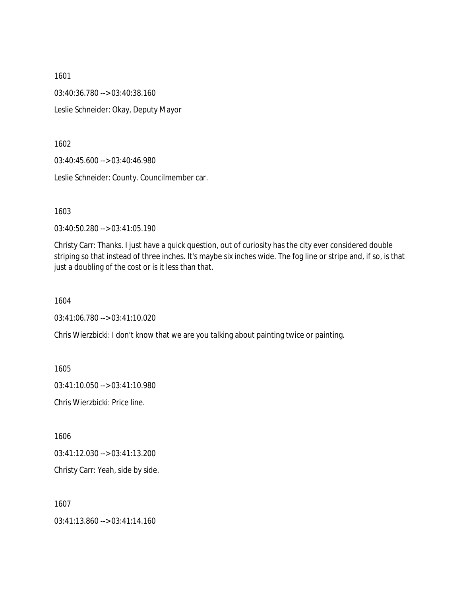1601 03:40:36.780 --> 03:40:38.160 Leslie Schneider: Okay, Deputy Mayor

1602

03:40:45.600 --> 03:40:46.980

Leslie Schneider: County. Councilmember car.

1603

03:40:50.280 --> 03:41:05.190

Christy Carr: Thanks. I just have a quick question, out of curiosity has the city ever considered double striping so that instead of three inches. It's maybe six inches wide. The fog line or stripe and, if so, is that just a doubling of the cost or is it less than that.

1604

03:41:06.780 --> 03:41:10.020

Chris Wierzbicki: I don't know that we are you talking about painting twice or painting.

1605

03:41:10.050 --> 03:41:10.980

Chris Wierzbicki: Price line.

1606

03:41:12.030 --> 03:41:13.200

Christy Carr: Yeah, side by side.

1607

03:41:13.860 --> 03:41:14.160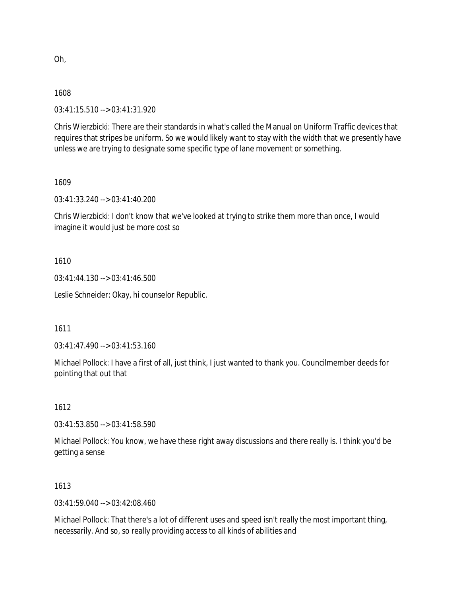Oh,

## 1608

03:41:15.510 --> 03:41:31.920

Chris Wierzbicki: There are their standards in what's called the Manual on Uniform Traffic devices that requires that stripes be uniform. So we would likely want to stay with the width that we presently have unless we are trying to designate some specific type of lane movement or something.

1609

03:41:33.240 --> 03:41:40.200

Chris Wierzbicki: I don't know that we've looked at trying to strike them more than once, I would imagine it would just be more cost so

# 1610

03:41:44.130 --> 03:41:46.500

Leslie Schneider: Okay, hi counselor Republic.

1611

03:41:47.490 --> 03:41:53.160

Michael Pollock: I have a first of all, just think, I just wanted to thank you. Councilmember deeds for pointing that out that

# 1612

03:41:53.850 --> 03:41:58.590

Michael Pollock: You know, we have these right away discussions and there really is. I think you'd be getting a sense

# 1613

 $03.41.59.040 -5.03.42.08.460$ 

Michael Pollock: That there's a lot of different uses and speed isn't really the most important thing, necessarily. And so, so really providing access to all kinds of abilities and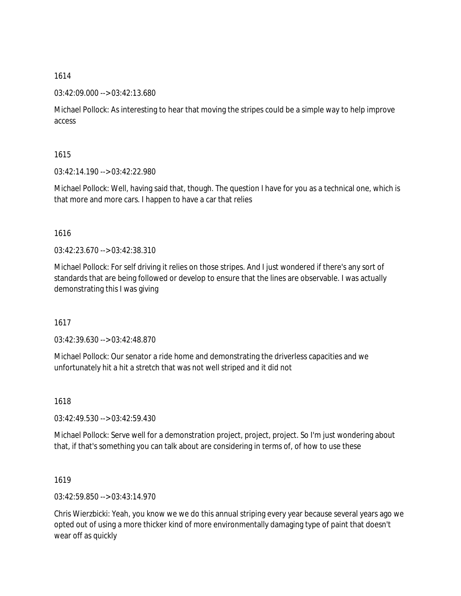## 03:42:09.000 --> 03:42:13.680

Michael Pollock: As interesting to hear that moving the stripes could be a simple way to help improve access

1615

03:42:14.190 --> 03:42:22.980

Michael Pollock: Well, having said that, though. The question I have for you as a technical one, which is that more and more cars. I happen to have a car that relies

1616

03:42:23.670 --> 03:42:38.310

Michael Pollock: For self driving it relies on those stripes. And I just wondered if there's any sort of standards that are being followed or develop to ensure that the lines are observable. I was actually demonstrating this I was giving

1617

03:42:39.630 --> 03:42:48.870

Michael Pollock: Our senator a ride home and demonstrating the driverless capacities and we unfortunately hit a hit a stretch that was not well striped and it did not

1618

03:42:49.530 --> 03:42:59.430

Michael Pollock: Serve well for a demonstration project, project, project. So I'm just wondering about that, if that's something you can talk about are considering in terms of, of how to use these

1619

03:42:59.850 --> 03:43:14.970

Chris Wierzbicki: Yeah, you know we we do this annual striping every year because several years ago we opted out of using a more thicker kind of more environmentally damaging type of paint that doesn't wear off as quickly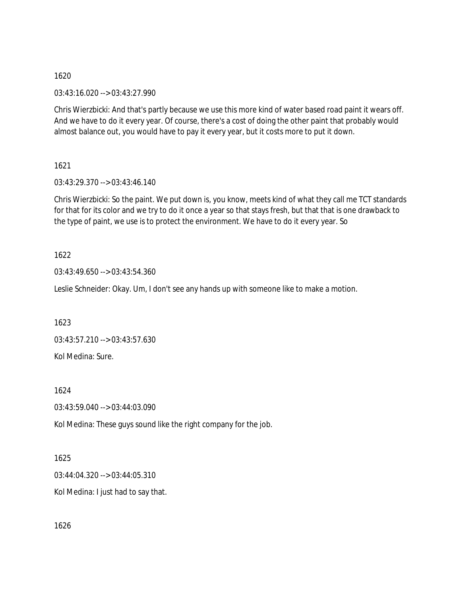03:43:16.020 --> 03:43:27.990

Chris Wierzbicki: And that's partly because we use this more kind of water based road paint it wears off. And we have to do it every year. Of course, there's a cost of doing the other paint that probably would almost balance out, you would have to pay it every year, but it costs more to put it down.

1621

03:43:29.370 --> 03:43:46.140

Chris Wierzbicki: So the paint. We put down is, you know, meets kind of what they call me TCT standards for that for its color and we try to do it once a year so that stays fresh, but that that is one drawback to the type of paint, we use is to protect the environment. We have to do it every year. So

1622

03:43:49.650 --> 03:43:54.360

Leslie Schneider: Okay. Um, I don't see any hands up with someone like to make a motion.

1623

03:43:57.210 --> 03:43:57.630 Kol Medina: Sure.

1624

03:43:59.040 --> 03:44:03.090

Kol Medina: These guys sound like the right company for the job.

1625

03:44:04.320 --> 03:44:05.310

Kol Medina: I just had to say that.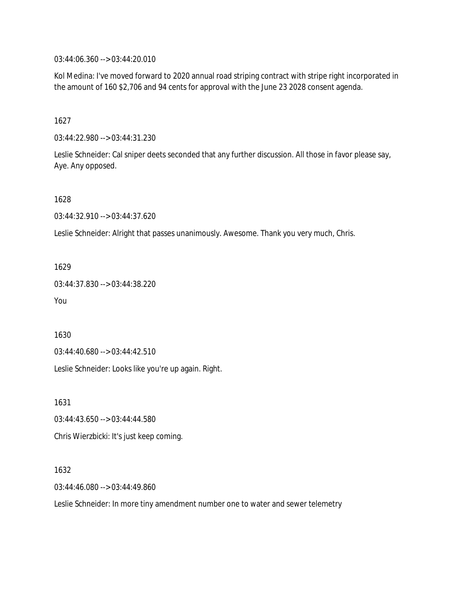03:44:06.360 --> 03:44:20.010

Kol Medina: I've moved forward to 2020 annual road striping contract with stripe right incorporated in the amount of 160 \$2,706 and 94 cents for approval with the June 23 2028 consent agenda.

1627

03:44:22.980 --> 03:44:31.230

Leslie Schneider: Cal sniper deets seconded that any further discussion. All those in favor please say, Aye. Any opposed.

1628

03:44:32.910 --> 03:44:37.620

Leslie Schneider: Alright that passes unanimously. Awesome. Thank you very much, Chris.

1629

03:44:37.830 --> 03:44:38.220

You

1630

03:44:40.680 --> 03:44:42.510

Leslie Schneider: Looks like you're up again. Right.

1631

03:44:43.650 --> 03:44:44.580

Chris Wierzbicki: It's just keep coming.

1632

03:44:46.080 --> 03:44:49.860

Leslie Schneider: In more tiny amendment number one to water and sewer telemetry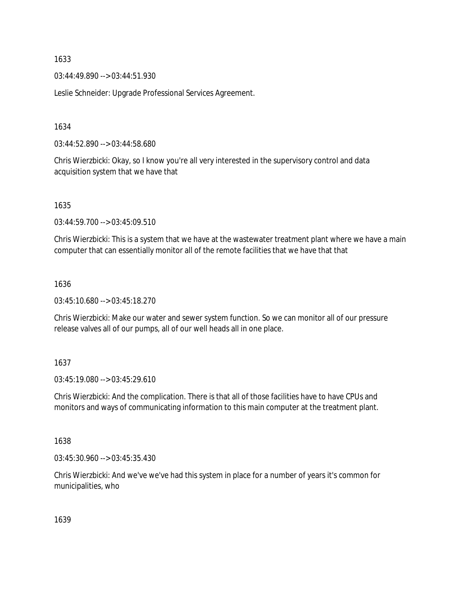03:44:49.890 --> 03:44:51.930

Leslie Schneider: Upgrade Professional Services Agreement.

1634

03:44:52.890 --> 03:44:58.680

Chris Wierzbicki: Okay, so I know you're all very interested in the supervisory control and data acquisition system that we have that

1635

03:44:59.700 --> 03:45:09.510

Chris Wierzbicki: This is a system that we have at the wastewater treatment plant where we have a main computer that can essentially monitor all of the remote facilities that we have that that

#### 1636

03:45:10.680 --> 03:45:18.270

Chris Wierzbicki: Make our water and sewer system function. So we can monitor all of our pressure release valves all of our pumps, all of our well heads all in one place.

## 1637

03:45:19.080 --> 03:45:29.610

Chris Wierzbicki: And the complication. There is that all of those facilities have to have CPUs and monitors and ways of communicating information to this main computer at the treatment plant.

1638

03:45:30.960 --> 03:45:35.430

Chris Wierzbicki: And we've we've had this system in place for a number of years it's common for municipalities, who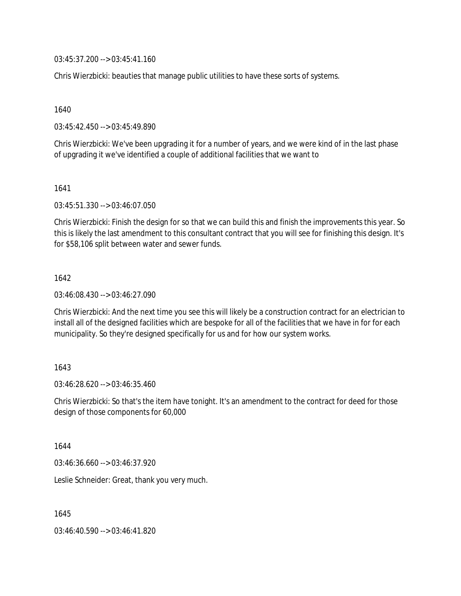03:45:37.200 --> 03:45:41.160

Chris Wierzbicki: beauties that manage public utilities to have these sorts of systems.

1640

03:45:42.450 --> 03:45:49.890

Chris Wierzbicki: We've been upgrading it for a number of years, and we were kind of in the last phase of upgrading it we've identified a couple of additional facilities that we want to

1641

03:45:51.330 --> 03:46:07.050

Chris Wierzbicki: Finish the design for so that we can build this and finish the improvements this year. So this is likely the last amendment to this consultant contract that you will see for finishing this design. It's for \$58,106 split between water and sewer funds.

1642

03:46:08.430 --> 03:46:27.090

Chris Wierzbicki: And the next time you see this will likely be a construction contract for an electrician to install all of the designed facilities which are bespoke for all of the facilities that we have in for for each municipality. So they're designed specifically for us and for how our system works.

1643

03:46:28.620 --> 03:46:35.460

Chris Wierzbicki: So that's the item have tonight. It's an amendment to the contract for deed for those design of those components for 60,000

1644

03:46:36.660 --> 03:46:37.920

Leslie Schneider: Great, thank you very much.

1645

03:46:40.590 --> 03:46:41.820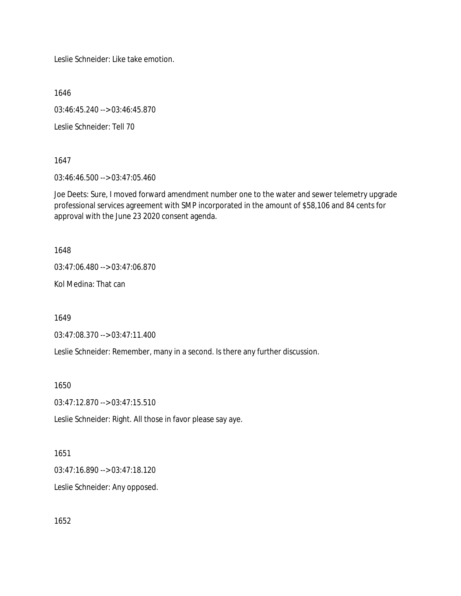Leslie Schneider: Like take emotion.

1646

03:46:45.240 --> 03:46:45.870

Leslie Schneider: Tell 70

1647

03:46:46.500 --> 03:47:05.460

Joe Deets: Sure, I moved forward amendment number one to the water and sewer telemetry upgrade professional services agreement with SMP incorporated in the amount of \$58,106 and 84 cents for approval with the June 23 2020 consent agenda.

1648

03:47:06.480 --> 03:47:06.870

Kol Medina: That can

1649

03:47:08.370 --> 03:47:11.400

Leslie Schneider: Remember, many in a second. Is there any further discussion.

1650

03:47:12.870 --> 03:47:15.510

Leslie Schneider: Right. All those in favor please say aye.

1651

03:47:16.890 --> 03:47:18.120

Leslie Schneider: Any opposed.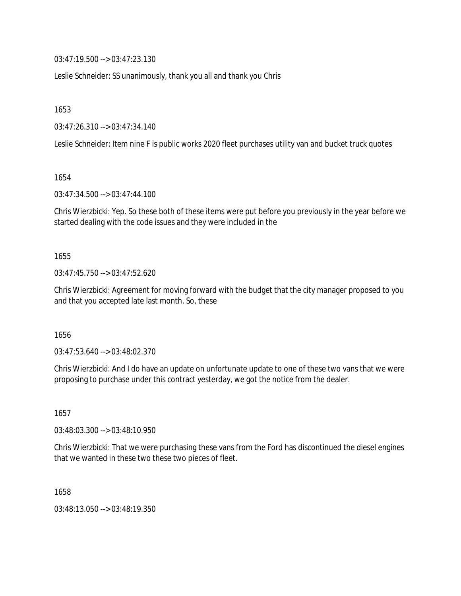03:47:19.500 --> 03:47:23.130

Leslie Schneider: SS unanimously, thank you all and thank you Chris

1653

03:47:26.310 --> 03:47:34.140

Leslie Schneider: Item nine F is public works 2020 fleet purchases utility van and bucket truck quotes

1654

03:47:34.500 --> 03:47:44.100

Chris Wierzbicki: Yep. So these both of these items were put before you previously in the year before we started dealing with the code issues and they were included in the

1655

03:47:45.750 --> 03:47:52.620

Chris Wierzbicki: Agreement for moving forward with the budget that the city manager proposed to you and that you accepted late last month. So, these

1656

03:47:53.640 --> 03:48:02.370

Chris Wierzbicki: And I do have an update on unfortunate update to one of these two vans that we were proposing to purchase under this contract yesterday, we got the notice from the dealer.

1657

03:48:03.300 --> 03:48:10.950

Chris Wierzbicki: That we were purchasing these vans from the Ford has discontinued the diesel engines that we wanted in these two these two pieces of fleet.

1658

03:48:13.050 --> 03:48:19.350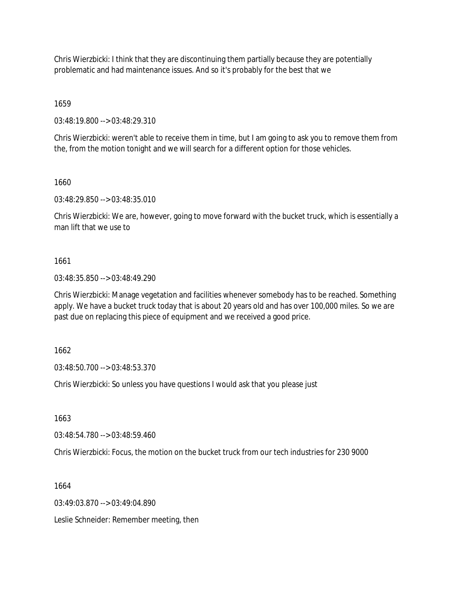Chris Wierzbicki: I think that they are discontinuing them partially because they are potentially problematic and had maintenance issues. And so it's probably for the best that we

1659

03:48:19.800 --> 03:48:29.310

Chris Wierzbicki: weren't able to receive them in time, but I am going to ask you to remove them from the, from the motion tonight and we will search for a different option for those vehicles.

1660

03:48:29.850 --> 03:48:35.010

Chris Wierzbicki: We are, however, going to move forward with the bucket truck, which is essentially a man lift that we use to

1661

03:48:35.850 --> 03:48:49.290

Chris Wierzbicki: Manage vegetation and facilities whenever somebody has to be reached. Something apply. We have a bucket truck today that is about 20 years old and has over 100,000 miles. So we are past due on replacing this piece of equipment and we received a good price.

1662

03:48:50.700 --> 03:48:53.370

Chris Wierzbicki: So unless you have questions I would ask that you please just

1663

03:48:54.780 --> 03:48:59.460

Chris Wierzbicki: Focus, the motion on the bucket truck from our tech industries for 230 9000

1664

03:49:03.870 --> 03:49:04.890

Leslie Schneider: Remember meeting, then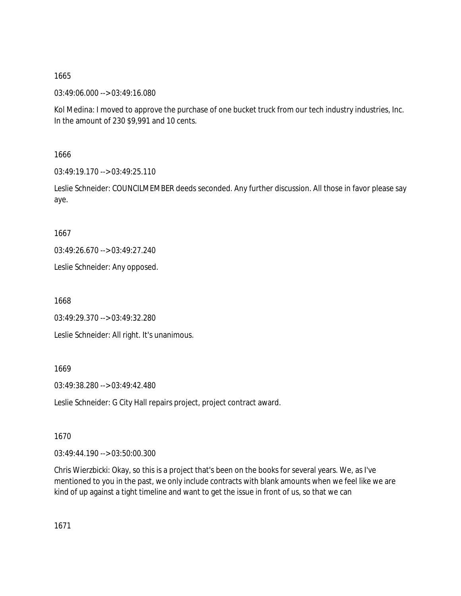03:49:06.000 --> 03:49:16.080

Kol Medina: I moved to approve the purchase of one bucket truck from our tech industry industries, Inc. In the amount of 230 \$9,991 and 10 cents.

1666

 $03:49:19.170 \rightarrow 03:49:25.110$ 

Leslie Schneider: COUNCILMEMBER deeds seconded. Any further discussion. All those in favor please say aye.

1667

03:49:26.670 --> 03:49:27.240

Leslie Schneider: Any opposed.

1668

03:49:29.370 --> 03:49:32.280

Leslie Schneider: All right. It's unanimous.

1669

03:49:38.280 --> 03:49:42.480

Leslie Schneider: G City Hall repairs project, project contract award.

1670

03:49:44.190 --> 03:50:00.300

Chris Wierzbicki: Okay, so this is a project that's been on the books for several years. We, as I've mentioned to you in the past, we only include contracts with blank amounts when we feel like we are kind of up against a tight timeline and want to get the issue in front of us, so that we can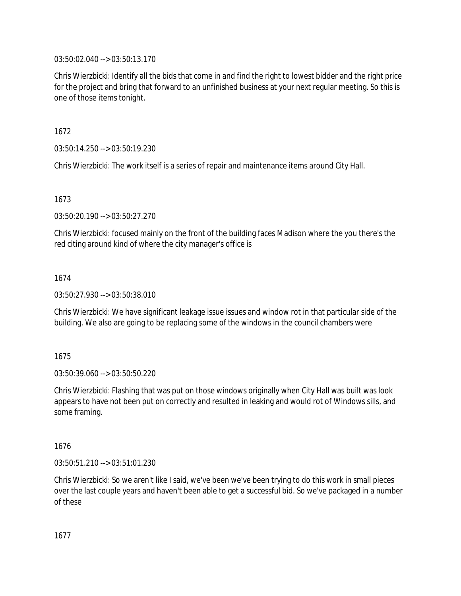03:50:02.040 --> 03:50:13.170

Chris Wierzbicki: Identify all the bids that come in and find the right to lowest bidder and the right price for the project and bring that forward to an unfinished business at your next regular meeting. So this is one of those items tonight.

1672

03:50:14.250 --> 03:50:19.230

Chris Wierzbicki: The work itself is a series of repair and maintenance items around City Hall.

1673

03:50:20.190 --> 03:50:27.270

Chris Wierzbicki: focused mainly on the front of the building faces Madison where the you there's the red citing around kind of where the city manager's office is

1674

03:50:27.930 --> 03:50:38.010

Chris Wierzbicki: We have significant leakage issue issues and window rot in that particular side of the building. We also are going to be replacing some of the windows in the council chambers were

1675

03:50:39.060 --> 03:50:50.220

Chris Wierzbicki: Flashing that was put on those windows originally when City Hall was built was look appears to have not been put on correctly and resulted in leaking and would rot of Windows sills, and some framing.

1676

03:50:51.210 --> 03:51:01.230

Chris Wierzbicki: So we aren't like I said, we've been we've been trying to do this work in small pieces over the last couple years and haven't been able to get a successful bid. So we've packaged in a number of these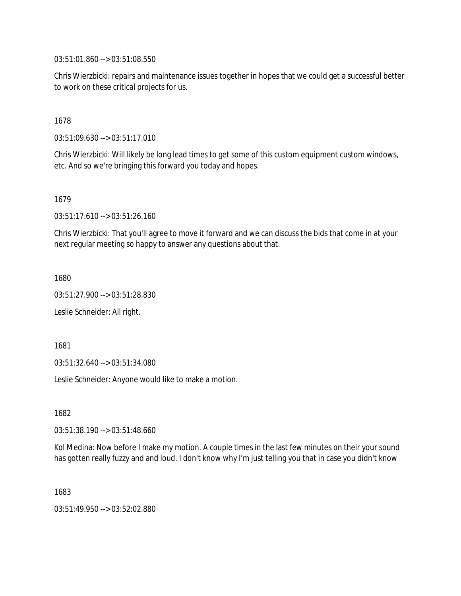03:51:01.860 --> 03:51:08.550

Chris Wierzbicki: repairs and maintenance issues together in hopes that we could get a successful better to work on these critical projects for us.

## 1678

03:51:09.630 --> 03:51:17.010

Chris Wierzbicki: Will likely be long lead times to get some of this custom equipment custom windows, etc. And so we're bringing this forward you today and hopes.

#### 1679

03:51:17.610 --> 03:51:26.160

Chris Wierzbicki: That you'll agree to move it forward and we can discuss the bids that come in at your next regular meeting so happy to answer any questions about that.

1680

03:51:27.900 --> 03:51:28.830

Leslie Schneider: All right.

1681

03:51:32.640 --> 03:51:34.080

Leslie Schneider: Anyone would like to make a motion.

1682

03:51:38.190 --> 03:51:48.660

Kol Medina: Now before I make my motion. A couple times in the last few minutes on their your sound has gotten really fuzzy and and loud. I don't know why I'm just telling you that in case you didn't know

1683

03:51:49.950 --> 03:52:02.880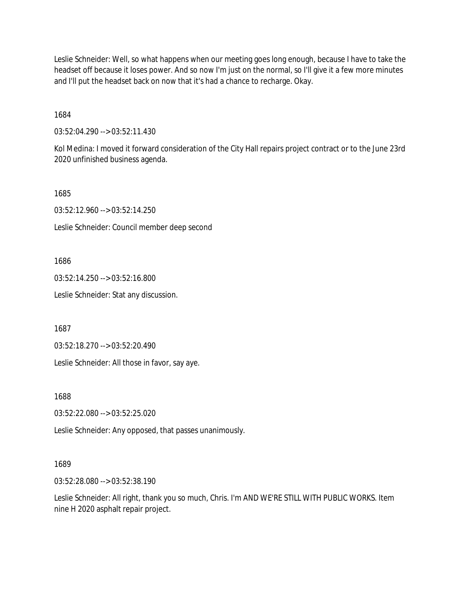Leslie Schneider: Well, so what happens when our meeting goes long enough, because I have to take the headset off because it loses power. And so now I'm just on the normal, so I'll give it a few more minutes and I'll put the headset back on now that it's had a chance to recharge. Okay.

1684

03:52:04.290 --> 03:52:11.430

Kol Medina: I moved it forward consideration of the City Hall repairs project contract or to the June 23rd 2020 unfinished business agenda.

1685

03:52:12.960 --> 03:52:14.250

Leslie Schneider: Council member deep second

1686

03:52:14.250 --> 03:52:16.800

Leslie Schneider: Stat any discussion.

1687

03:52:18.270 --> 03:52:20.490

Leslie Schneider: All those in favor, say aye.

1688

03:52:22.080 --> 03:52:25.020

Leslie Schneider: Any opposed, that passes unanimously.

## 1689

03:52:28.080 --> 03:52:38.190

Leslie Schneider: All right, thank you so much, Chris. I'm AND WE'RE STILL WITH PUBLIC WORKS. Item nine H 2020 asphalt repair project.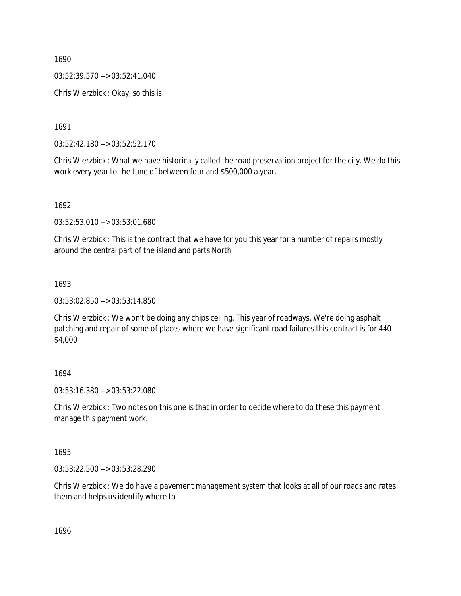03:52:39.570 --> 03:52:41.040

Chris Wierzbicki: Okay, so this is

1691

03:52:42.180 --> 03:52:52.170

Chris Wierzbicki: What we have historically called the road preservation project for the city. We do this work every year to the tune of between four and \$500,000 a year.

1692

03:52:53.010 --> 03:53:01.680

Chris Wierzbicki: This is the contract that we have for you this year for a number of repairs mostly around the central part of the island and parts North

## 1693

03:53:02.850 --> 03:53:14.850

Chris Wierzbicki: We won't be doing any chips ceiling. This year of roadways. We're doing asphalt patching and repair of some of places where we have significant road failures this contract is for 440 \$4,000

## 1694

03:53:16.380 --> 03:53:22.080

Chris Wierzbicki: Two notes on this one is that in order to decide where to do these this payment manage this payment work.

1695

03:53:22.500 --> 03:53:28.290

Chris Wierzbicki: We do have a pavement management system that looks at all of our roads and rates them and helps us identify where to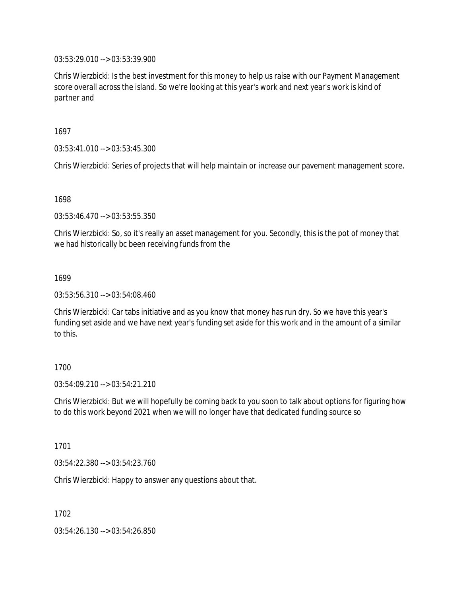03:53:29.010 --> 03:53:39.900

Chris Wierzbicki: Is the best investment for this money to help us raise with our Payment Management score overall across the island. So we're looking at this year's work and next year's work is kind of partner and

1697

03:53:41.010 --> 03:53:45.300

Chris Wierzbicki: Series of projects that will help maintain or increase our pavement management score.

1698

03:53:46.470 --> 03:53:55.350

Chris Wierzbicki: So, so it's really an asset management for you. Secondly, this is the pot of money that we had historically bc been receiving funds from the

#### 1699

03:53:56.310 --> 03:54:08.460

Chris Wierzbicki: Car tabs initiative and as you know that money has run dry. So we have this year's funding set aside and we have next year's funding set aside for this work and in the amount of a similar to this.

## 1700

 $03:54:09.210 \rightarrow 03:54:21.210$ 

Chris Wierzbicki: But we will hopefully be coming back to you soon to talk about options for figuring how to do this work beyond 2021 when we will no longer have that dedicated funding source so

1701

03:54:22.380 --> 03:54:23.760

Chris Wierzbicki: Happy to answer any questions about that.

1702

03:54:26.130 --> 03:54:26.850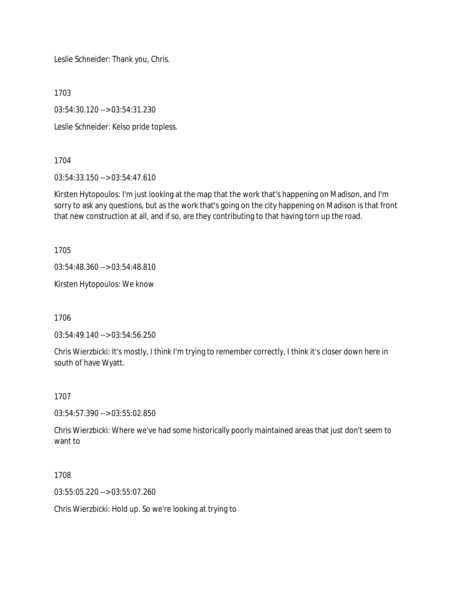Leslie Schneider: Thank you, Chris.

1703

03:54:30.120 --> 03:54:31.230

Leslie Schneider: Kelso pride topless.

1704

03:54:33.150 --> 03:54:47.610

Kirsten Hytopoulos: I'm just looking at the map that the work that's happening on Madison, and I'm sorry to ask any questions, but as the work that's going on the city happening on Madison is that front that new construction at all, and if so, are they contributing to that having torn up the road.

1705

03:54:48.360 --> 03:54:48.810

Kirsten Hytopoulos: We know

1706

03:54:49.140 --> 03:54:56.250

Chris Wierzbicki: It's mostly, I think I'm trying to remember correctly, I think it's closer down here in south of have Wyatt.

1707

03:54:57.390 --> 03:55:02.850

Chris Wierzbicki: Where we've had some historically poorly maintained areas that just don't seem to want to

1708

03:55:05.220 --> 03:55:07.260

Chris Wierzbicki: Hold up. So we're looking at trying to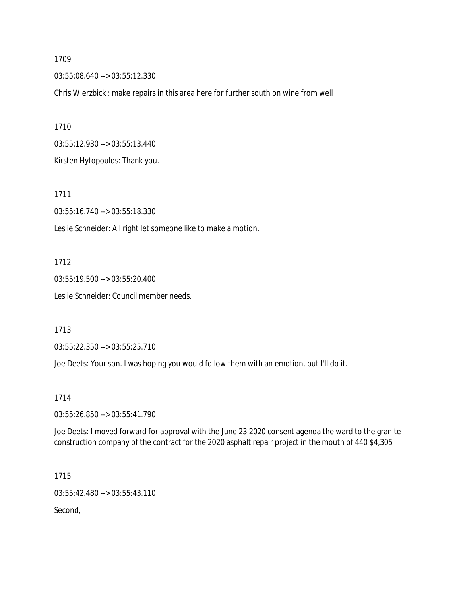03:55:08.640 --> 03:55:12.330

Chris Wierzbicki: make repairs in this area here for further south on wine from well

1710 03:55:12.930 --> 03:55:13.440 Kirsten Hytopoulos: Thank you.

1711

03:55:16.740 --> 03:55:18.330

Leslie Schneider: All right let someone like to make a motion.

1712

03:55:19.500 --> 03:55:20.400 Leslie Schneider: Council member needs.

1713

03:55:22.350 --> 03:55:25.710

Joe Deets: Your son. I was hoping you would follow them with an emotion, but I'll do it.

1714

03:55:26.850 --> 03:55:41.790

Joe Deets: I moved forward for approval with the June 23 2020 consent agenda the ward to the granite construction company of the contract for the 2020 asphalt repair project in the mouth of 440 \$4,305

1715 03:55:42.480 --> 03:55:43.110

Second,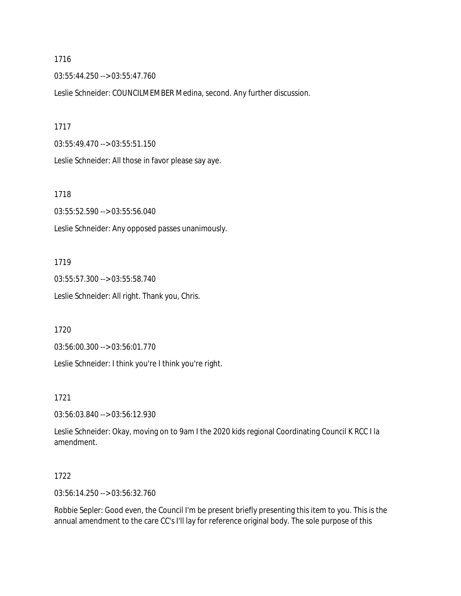03:55:44.250 --> 03:55:47.760

Leslie Schneider: COUNCILMEMBER Medina, second. Any further discussion.

1717

03:55:49.470 --> 03:55:51.150

Leslie Schneider: All those in favor please say aye.

1718

03:55:52.590 --> 03:55:56.040 Leslie Schneider: Any opposed passes unanimously.

1719

03:55:57.300 --> 03:55:58.740 Leslie Schneider: All right. Thank you, Chris.

1720

03:56:00.300 --> 03:56:01.770

Leslie Schneider: I think you're I think you're right.

1721

03:56:03.840 --> 03:56:12.930

Leslie Schneider: Okay, moving on to 9am I the 2020 kids regional Coordinating Council K RCC I la amendment.

1722

03:56:14.250 --> 03:56:32.760

Robbie Sepler: Good even, the Council I'm be present briefly presenting this item to you. This is the annual amendment to the care CC's I'll lay for reference original body. The sole purpose of this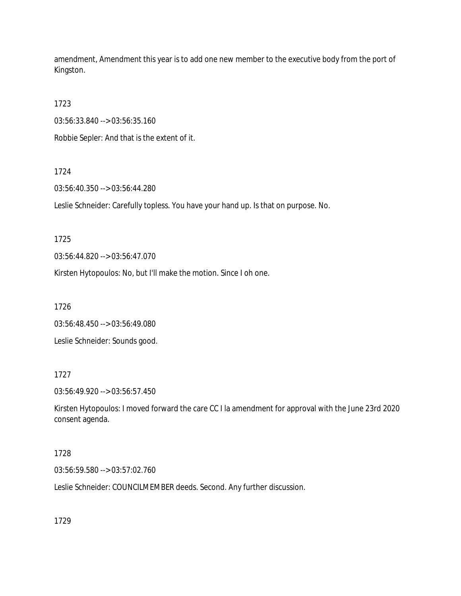amendment, Amendment this year is to add one new member to the executive body from the port of Kingston.

1723

03:56:33.840 --> 03:56:35.160

Robbie Sepler: And that is the extent of it.

# 1724

03:56:40.350 --> 03:56:44.280

Leslie Schneider: Carefully topless. You have your hand up. Is that on purpose. No.

1725

03:56:44.820 --> 03:56:47.070

Kirsten Hytopoulos: No, but I'll make the motion. Since I oh one.

1726

03:56:48.450 --> 03:56:49.080

Leslie Schneider: Sounds good.

# 1727

03:56:49.920 --> 03:56:57.450

Kirsten Hytopoulos: I moved forward the care CC I la amendment for approval with the June 23rd 2020 consent agenda.

# 1728

03:56:59.580 --> 03:57:02.760

Leslie Schneider: COUNCILMEMBER deeds. Second. Any further discussion.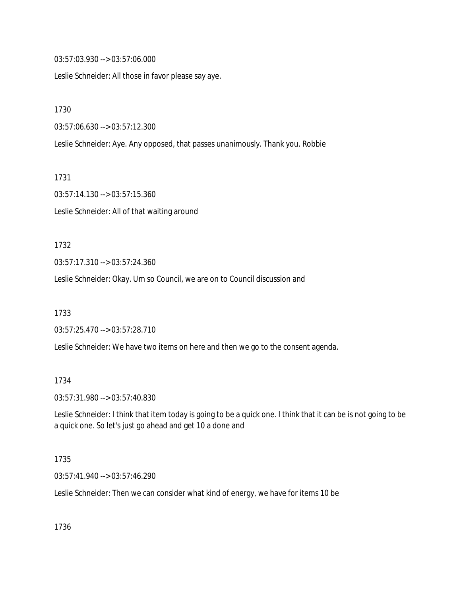03:57:03.930 --> 03:57:06.000

Leslie Schneider: All those in favor please say aye.

1730

03:57:06.630 --> 03:57:12.300

Leslie Schneider: Aye. Any opposed, that passes unanimously. Thank you. Robbie

1731

03:57:14.130 --> 03:57:15.360 Leslie Schneider: All of that waiting around

1732

03:57:17.310 --> 03:57:24.360

Leslie Schneider: Okay. Um so Council, we are on to Council discussion and

1733

03:57:25.470 --> 03:57:28.710

Leslie Schneider: We have two items on here and then we go to the consent agenda.

1734

03:57:31.980 --> 03:57:40.830

Leslie Schneider: I think that item today is going to be a quick one. I think that it can be is not going to be a quick one. So let's just go ahead and get 10 a done and

1735

03:57:41.940 --> 03:57:46.290

Leslie Schneider: Then we can consider what kind of energy, we have for items 10 be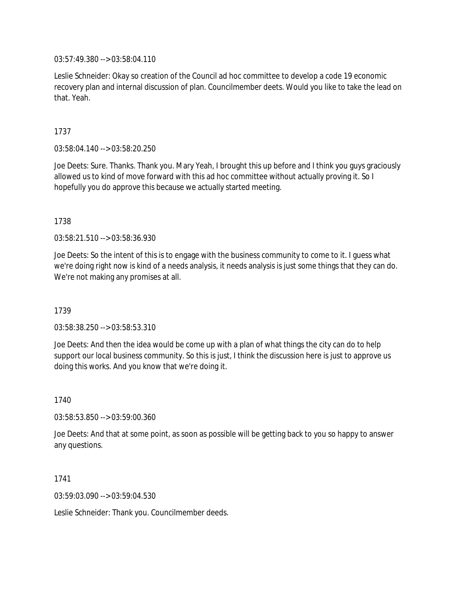03:57:49.380 --> 03:58:04.110

Leslie Schneider: Okay so creation of the Council ad hoc committee to develop a code 19 economic recovery plan and internal discussion of plan. Councilmember deets. Would you like to take the lead on that. Yeah.

1737

03:58:04.140 --> 03:58:20.250

Joe Deets: Sure. Thanks. Thank you. Mary Yeah, I brought this up before and I think you guys graciously allowed us to kind of move forward with this ad hoc committee without actually proving it. So I hopefully you do approve this because we actually started meeting.

1738

03:58:21.510 --> 03:58:36.930

Joe Deets: So the intent of this is to engage with the business community to come to it. I guess what we're doing right now is kind of a needs analysis, it needs analysis is just some things that they can do. We're not making any promises at all.

1739

03:58:38.250 --> 03:58:53.310

Joe Deets: And then the idea would be come up with a plan of what things the city can do to help support our local business community. So this is just, I think the discussion here is just to approve us doing this works. And you know that we're doing it.

1740

03:58:53.850 --> 03:59:00.360

Joe Deets: And that at some point, as soon as possible will be getting back to you so happy to answer any questions.

1741

03:59:03.090 --> 03:59:04.530

Leslie Schneider: Thank you. Councilmember deeds.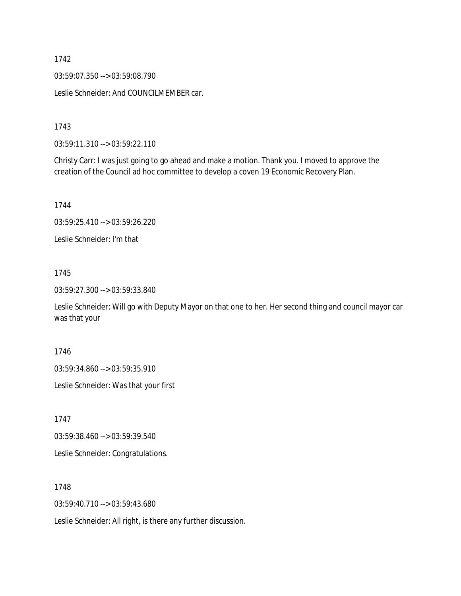03:59:07.350 --> 03:59:08.790

Leslie Schneider: And COUNCILMEMBER car.

1743

03:59:11.310 --> 03:59:22.110

Christy Carr: I was just going to go ahead and make a motion. Thank you. I moved to approve the creation of the Council ad hoc committee to develop a coven 19 Economic Recovery Plan.

1744

03:59:25.410 --> 03:59:26.220

Leslie Schneider: I'm that

1745

03:59:27.300 --> 03:59:33.840

Leslie Schneider: Will go with Deputy Mayor on that one to her. Her second thing and council mayor car was that your

1746

03:59:34.860 --> 03:59:35.910

Leslie Schneider: Was that your first

1747

03:59:38.460 --> 03:59:39.540

Leslie Schneider: Congratulations.

1748

03:59:40.710 --> 03:59:43.680

Leslie Schneider: All right, is there any further discussion.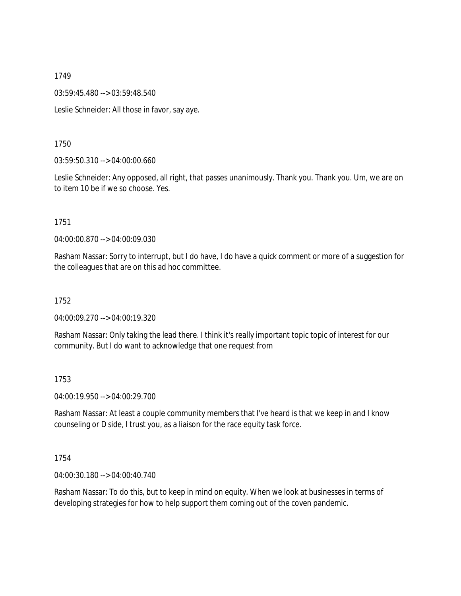03:59:45.480 --> 03:59:48.540

Leslie Schneider: All those in favor, say aye.

1750

03:59:50.310 --> 04:00:00.660

Leslie Schneider: Any opposed, all right, that passes unanimously. Thank you. Thank you. Um, we are on to item 10 be if we so choose. Yes.

1751

04:00:00.870 --> 04:00:09.030

Rasham Nassar: Sorry to interrupt, but I do have, I do have a quick comment or more of a suggestion for the colleagues that are on this ad hoc committee.

1752

04:00:09.270 --> 04:00:19.320

Rasham Nassar: Only taking the lead there. I think it's really important topic topic of interest for our community. But I do want to acknowledge that one request from

1753

04:00:19.950 --> 04:00:29.700

Rasham Nassar: At least a couple community members that I've heard is that we keep in and I know counseling or D side, I trust you, as a liaison for the race equity task force.

1754

04:00:30.180 --> 04:00:40.740

Rasham Nassar: To do this, but to keep in mind on equity. When we look at businesses in terms of developing strategies for how to help support them coming out of the coven pandemic.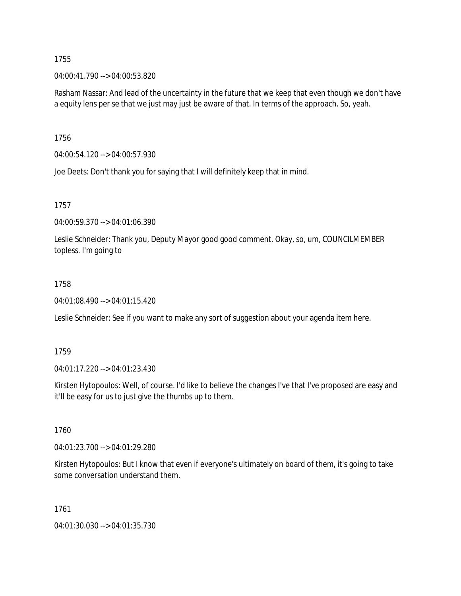04:00:41.790 --> 04:00:53.820

Rasham Nassar: And lead of the uncertainty in the future that we keep that even though we don't have a equity lens per se that we just may just be aware of that. In terms of the approach. So, yeah.

1756

04:00:54.120 --> 04:00:57.930

Joe Deets: Don't thank you for saying that I will definitely keep that in mind.

1757

04:00:59.370 --> 04:01:06.390

Leslie Schneider: Thank you, Deputy Mayor good good comment. Okay, so, um, COUNCILMEMBER topless. I'm going to

## 1758

04:01:08.490 --> 04:01:15.420

Leslie Schneider: See if you want to make any sort of suggestion about your agenda item here.

1759

04:01:17.220 --> 04:01:23.430

Kirsten Hytopoulos: Well, of course. I'd like to believe the changes I've that I've proposed are easy and it'll be easy for us to just give the thumbs up to them.

1760

04:01:23.700 --> 04:01:29.280

Kirsten Hytopoulos: But I know that even if everyone's ultimately on board of them, it's going to take some conversation understand them.

1761

04:01:30.030 --> 04:01:35.730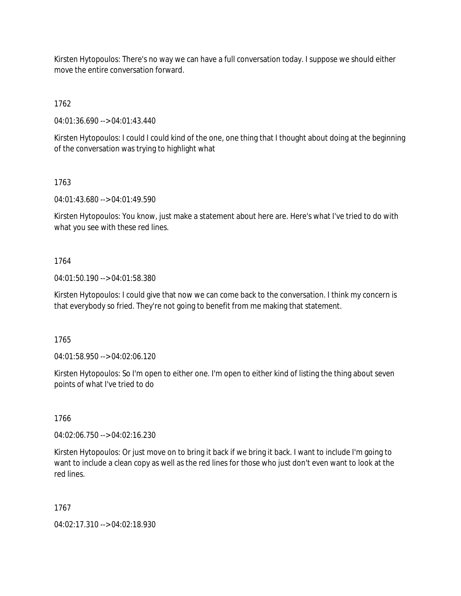Kirsten Hytopoulos: There's no way we can have a full conversation today. I suppose we should either move the entire conversation forward.

1762

04:01:36.690 --> 04:01:43.440

Kirsten Hytopoulos: I could I could kind of the one, one thing that I thought about doing at the beginning of the conversation was trying to highlight what

1763

04:01:43.680 --> 04:01:49.590

Kirsten Hytopoulos: You know, just make a statement about here are. Here's what I've tried to do with what you see with these red lines.

# 1764

04:01:50.190 --> 04:01:58.380

Kirsten Hytopoulos: I could give that now we can come back to the conversation. I think my concern is that everybody so fried. They're not going to benefit from me making that statement.

1765

04:01:58.950 --> 04:02:06.120

Kirsten Hytopoulos: So I'm open to either one. I'm open to either kind of listing the thing about seven points of what I've tried to do

1766

04:02:06.750 --> 04:02:16.230

Kirsten Hytopoulos: Or just move on to bring it back if we bring it back. I want to include I'm going to want to include a clean copy as well as the red lines for those who just don't even want to look at the red lines.

1767

04:02:17.310 --> 04:02:18.930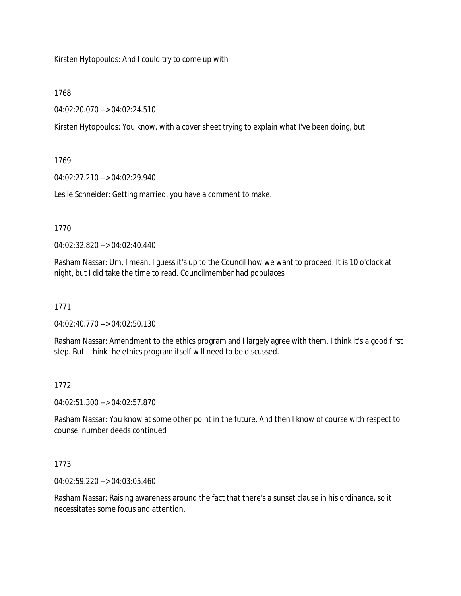Kirsten Hytopoulos: And I could try to come up with

## 1768

04:02:20.070 --> 04:02:24.510

Kirsten Hytopoulos: You know, with a cover sheet trying to explain what I've been doing, but

# 1769

04:02:27.210 --> 04:02:29.940

Leslie Schneider: Getting married, you have a comment to make.

# 1770

04:02:32.820 --> 04:02:40.440

Rasham Nassar: Um, I mean, I guess it's up to the Council how we want to proceed. It is 10 o'clock at night, but I did take the time to read. Councilmember had populaces

# 1771

04:02:40.770 --> 04:02:50.130

Rasham Nassar: Amendment to the ethics program and I largely agree with them. I think it's a good first step. But I think the ethics program itself will need to be discussed.

# 1772

04:02:51.300 --> 04:02:57.870

Rasham Nassar: You know at some other point in the future. And then I know of course with respect to counsel number deeds continued

# 1773

04:02:59.220 --> 04:03:05.460

Rasham Nassar: Raising awareness around the fact that there's a sunset clause in his ordinance, so it necessitates some focus and attention.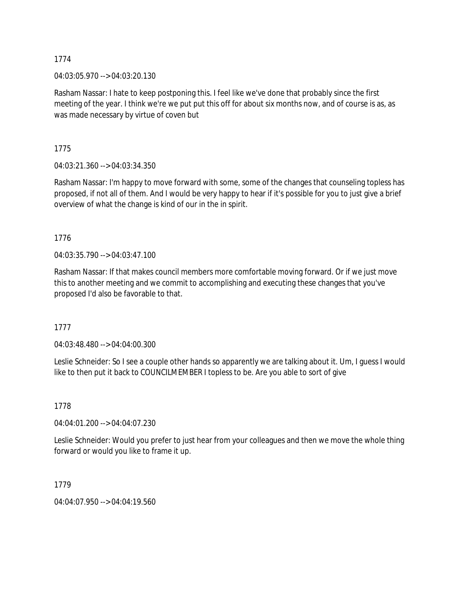04:03:05.970 --> 04:03:20.130

Rasham Nassar: I hate to keep postponing this. I feel like we've done that probably since the first meeting of the year. I think we're we put put this off for about six months now, and of course is as, as was made necessary by virtue of coven but

1775

04:03:21.360 --> 04:03:34.350

Rasham Nassar: I'm happy to move forward with some, some of the changes that counseling topless has proposed, if not all of them. And I would be very happy to hear if it's possible for you to just give a brief overview of what the change is kind of our in the in spirit.

1776

04:03:35.790 --> 04:03:47.100

Rasham Nassar: If that makes council members more comfortable moving forward. Or if we just move this to another meeting and we commit to accomplishing and executing these changes that you've proposed I'd also be favorable to that.

1777

04:03:48.480 --> 04:04:00.300

Leslie Schneider: So I see a couple other hands so apparently we are talking about it. Um, I guess I would like to then put it back to COUNCILMEMBER I topless to be. Are you able to sort of give

1778

04:04:01.200 --> 04:04:07.230

Leslie Schneider: Would you prefer to just hear from your colleagues and then we move the whole thing forward or would you like to frame it up.

1779

04:04:07.950 --> 04:04:19.560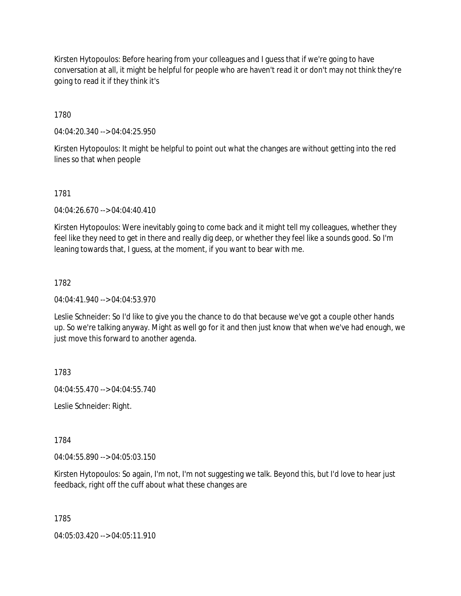Kirsten Hytopoulos: Before hearing from your colleagues and I guess that if we're going to have conversation at all, it might be helpful for people who are haven't read it or don't may not think they're going to read it if they think it's

1780

04:04:20.340 --> 04:04:25.950

Kirsten Hytopoulos: It might be helpful to point out what the changes are without getting into the red lines so that when people

## 1781

04:04:26.670 --> 04:04:40.410

Kirsten Hytopoulos: Were inevitably going to come back and it might tell my colleagues, whether they feel like they need to get in there and really dig deep, or whether they feel like a sounds good. So I'm leaning towards that, I guess, at the moment, if you want to bear with me.

# 1782

04:04:41.940 --> 04:04:53.970

Leslie Schneider: So I'd like to give you the chance to do that because we've got a couple other hands up. So we're talking anyway. Might as well go for it and then just know that when we've had enough, we just move this forward to another agenda.

1783

04:04:55.470 --> 04:04:55.740

Leslie Schneider: Right.

1784

04:04:55.890 --> 04:05:03.150

Kirsten Hytopoulos: So again, I'm not, I'm not suggesting we talk. Beyond this, but I'd love to hear just feedback, right off the cuff about what these changes are

1785

04:05:03.420 --> 04:05:11.910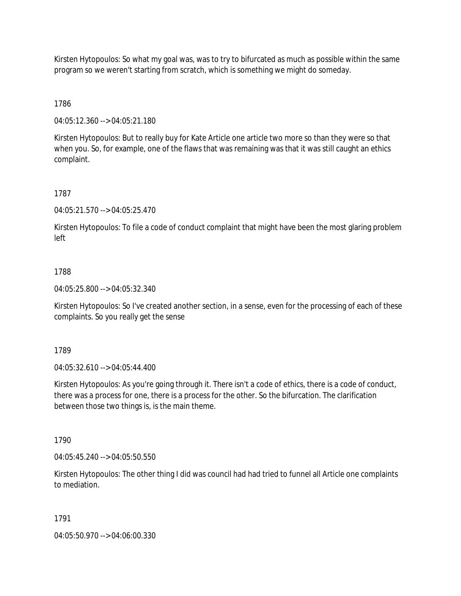Kirsten Hytopoulos: So what my goal was, was to try to bifurcated as much as possible within the same program so we weren't starting from scratch, which is something we might do someday.

1786

04:05:12.360 --> 04:05:21.180

Kirsten Hytopoulos: But to really buy for Kate Article one article two more so than they were so that when you. So, for example, one of the flaws that was remaining was that it was still caught an ethics complaint.

1787

04:05:21.570 --> 04:05:25.470

Kirsten Hytopoulos: To file a code of conduct complaint that might have been the most glaring problem left

## 1788

04:05:25.800 --> 04:05:32.340

Kirsten Hytopoulos: So I've created another section, in a sense, even for the processing of each of these complaints. So you really get the sense

1789

04:05:32.610 --> 04:05:44.400

Kirsten Hytopoulos: As you're going through it. There isn't a code of ethics, there is a code of conduct, there was a process for one, there is a process for the other. So the bifurcation. The clarification between those two things is, is the main theme.

1790

04:05:45.240 --> 04:05:50.550

Kirsten Hytopoulos: The other thing I did was council had had tried to funnel all Article one complaints to mediation.

## 1791

04:05:50.970 --> 04:06:00.330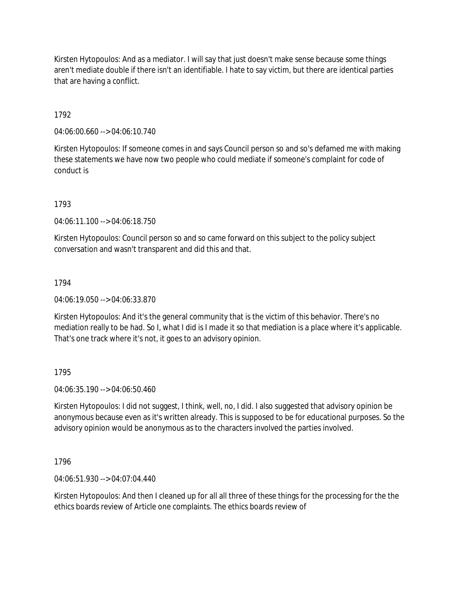Kirsten Hytopoulos: And as a mediator. I will say that just doesn't make sense because some things aren't mediate double if there isn't an identifiable. I hate to say victim, but there are identical parties that are having a conflict.

1792

04:06:00.660 --> 04:06:10.740

Kirsten Hytopoulos: If someone comes in and says Council person so and so's defamed me with making these statements we have now two people who could mediate if someone's complaint for code of conduct is

1793

04:06:11.100 --> 04:06:18.750

Kirsten Hytopoulos: Council person so and so came forward on this subject to the policy subject conversation and wasn't transparent and did this and that.

1794

04:06:19.050 --> 04:06:33.870

Kirsten Hytopoulos: And it's the general community that is the victim of this behavior. There's no mediation really to be had. So I, what I did is I made it so that mediation is a place where it's applicable. That's one track where it's not, it goes to an advisory opinion.

1795

04:06:35.190 --> 04:06:50.460

Kirsten Hytopoulos: I did not suggest, I think, well, no, I did. I also suggested that advisory opinion be anonymous because even as it's written already. This is supposed to be for educational purposes. So the advisory opinion would be anonymous as to the characters involved the parties involved.

1796

04:06:51.930 --> 04:07:04.440

Kirsten Hytopoulos: And then I cleaned up for all all three of these things for the processing for the the ethics boards review of Article one complaints. The ethics boards review of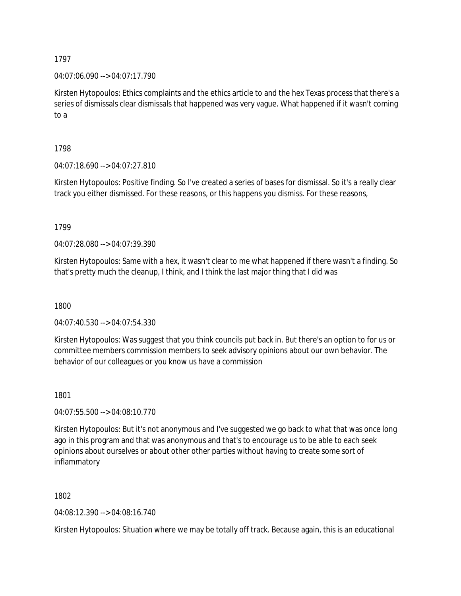04:07:06.090 --> 04:07:17.790

Kirsten Hytopoulos: Ethics complaints and the ethics article to and the hex Texas process that there's a series of dismissals clear dismissals that happened was very vague. What happened if it wasn't coming to a

1798

04:07:18.690 --> 04:07:27.810

Kirsten Hytopoulos: Positive finding. So I've created a series of bases for dismissal. So it's a really clear track you either dismissed. For these reasons, or this happens you dismiss. For these reasons,

1799

04:07:28.080 --> 04:07:39.390

Kirsten Hytopoulos: Same with a hex, it wasn't clear to me what happened if there wasn't a finding. So that's pretty much the cleanup, I think, and I think the last major thing that I did was

1800

04:07:40.530 --> 04:07:54.330

Kirsten Hytopoulos: Was suggest that you think councils put back in. But there's an option to for us or committee members commission members to seek advisory opinions about our own behavior. The behavior of our colleagues or you know us have a commission

1801

04:07:55.500 --> 04:08:10.770

Kirsten Hytopoulos: But it's not anonymous and I've suggested we go back to what that was once long ago in this program and that was anonymous and that's to encourage us to be able to each seek opinions about ourselves or about other other parties without having to create some sort of inflammatory

1802

04:08:12.390 --> 04:08:16.740

Kirsten Hytopoulos: Situation where we may be totally off track. Because again, this is an educational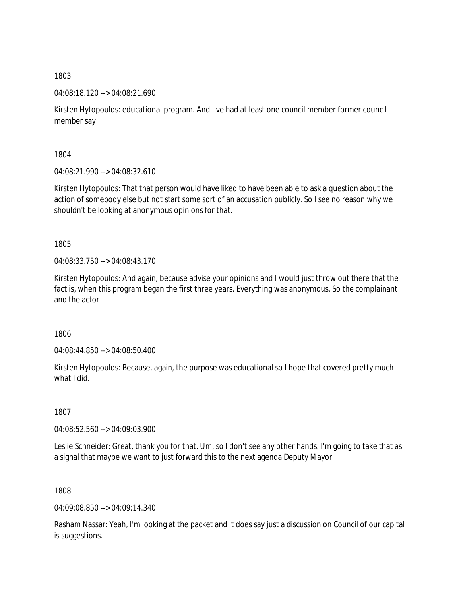04:08:18.120 --> 04:08:21.690

Kirsten Hytopoulos: educational program. And I've had at least one council member former council member say

1804

04:08:21.990 --> 04:08:32.610

Kirsten Hytopoulos: That that person would have liked to have been able to ask a question about the action of somebody else but not start some sort of an accusation publicly. So I see no reason why we shouldn't be looking at anonymous opinions for that.

1805

04:08:33.750 --> 04:08:43.170

Kirsten Hytopoulos: And again, because advise your opinions and I would just throw out there that the fact is, when this program began the first three years. Everything was anonymous. So the complainant and the actor

1806

04:08:44.850 --> 04:08:50.400

Kirsten Hytopoulos: Because, again, the purpose was educational so I hope that covered pretty much what I did.

1807

04:08:52.560 --> 04:09:03.900

Leslie Schneider: Great, thank you for that. Um, so I don't see any other hands. I'm going to take that as a signal that maybe we want to just forward this to the next agenda Deputy Mayor

1808

04:09:08.850 --> 04:09:14.340

Rasham Nassar: Yeah, I'm looking at the packet and it does say just a discussion on Council of our capital is suggestions.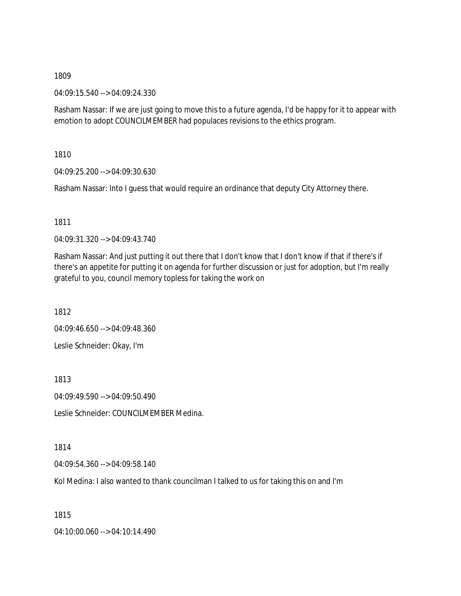04:09:15.540 --> 04:09:24.330

Rasham Nassar: If we are just going to move this to a future agenda, I'd be happy for it to appear with emotion to adopt COUNCILMEMBER had populaces revisions to the ethics program.

1810

04:09:25.200 --> 04:09:30.630

Rasham Nassar: Into I guess that would require an ordinance that deputy City Attorney there.

1811

04:09:31.320 --> 04:09:43.740

Rasham Nassar: And just putting it out there that I don't know that I don't know if that if there's if there's an appetite for putting it on agenda for further discussion or just for adoption, but I'm really grateful to you, council memory topless for taking the work on

1812

04:09:46.650 --> 04:09:48.360

Leslie Schneider: Okay, I'm

1813

04:09:49.590 --> 04:09:50.490

Leslie Schneider: COUNCILMEMBER Medina.

1814

04:09:54.360 --> 04:09:58.140

Kol Medina: I also wanted to thank councilman I talked to us for taking this on and I'm

1815

04:10:00.060 --> 04:10:14.490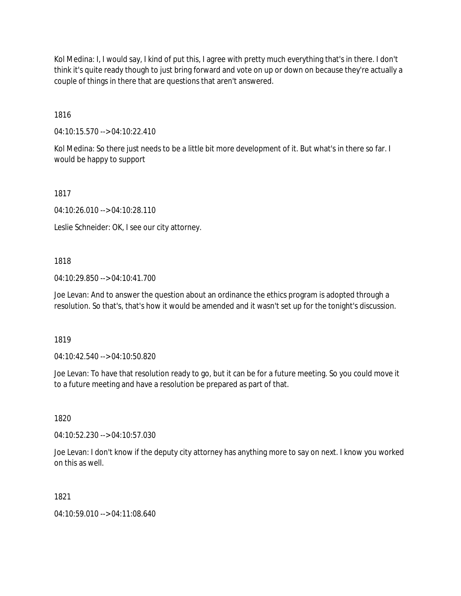Kol Medina: I, I would say, I kind of put this, I agree with pretty much everything that's in there. I don't think it's quite ready though to just bring forward and vote on up or down on because they're actually a couple of things in there that are questions that aren't answered.

1816

04:10:15.570 --> 04:10:22.410

Kol Medina: So there just needs to be a little bit more development of it. But what's in there so far. I would be happy to support

1817

04:10:26.010 --> 04:10:28.110

Leslie Schneider: OK, I see our city attorney.

## 1818

04:10:29.850 --> 04:10:41.700

Joe Levan: And to answer the question about an ordinance the ethics program is adopted through a resolution. So that's, that's how it would be amended and it wasn't set up for the tonight's discussion.

1819

04:10:42.540 --> 04:10:50.820

Joe Levan: To have that resolution ready to go, but it can be for a future meeting. So you could move it to a future meeting and have a resolution be prepared as part of that.

1820

04:10:52.230 --> 04:10:57.030

Joe Levan: I don't know if the deputy city attorney has anything more to say on next. I know you worked on this as well.

1821

04:10:59.010 --> 04:11:08.640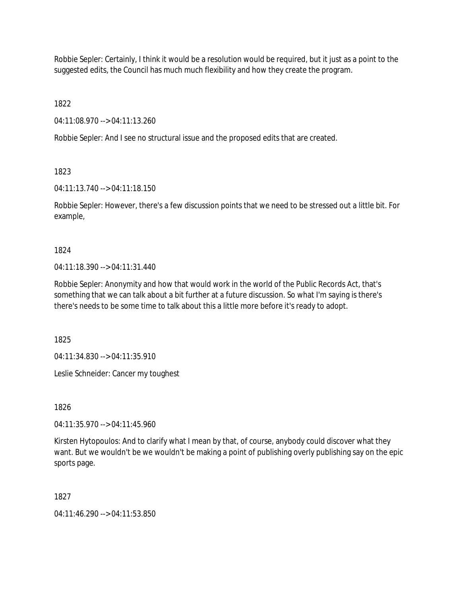Robbie Sepler: Certainly, I think it would be a resolution would be required, but it just as a point to the suggested edits, the Council has much much flexibility and how they create the program.

1822

04:11:08.970 --> 04:11:13.260

Robbie Sepler: And I see no structural issue and the proposed edits that are created.

1823

04:11:13.740 --> 04:11:18.150

Robbie Sepler: However, there's a few discussion points that we need to be stressed out a little bit. For example,

1824

04:11:18.390 --> 04:11:31.440

Robbie Sepler: Anonymity and how that would work in the world of the Public Records Act, that's something that we can talk about a bit further at a future discussion. So what I'm saying is there's there's needs to be some time to talk about this a little more before it's ready to adopt.

1825

04:11:34.830 --> 04:11:35.910

Leslie Schneider: Cancer my toughest

1826

04:11:35.970 --> 04:11:45.960

Kirsten Hytopoulos: And to clarify what I mean by that, of course, anybody could discover what they want. But we wouldn't be we wouldn't be making a point of publishing overly publishing say on the epic sports page.

1827

04:11:46.290 --> 04:11:53.850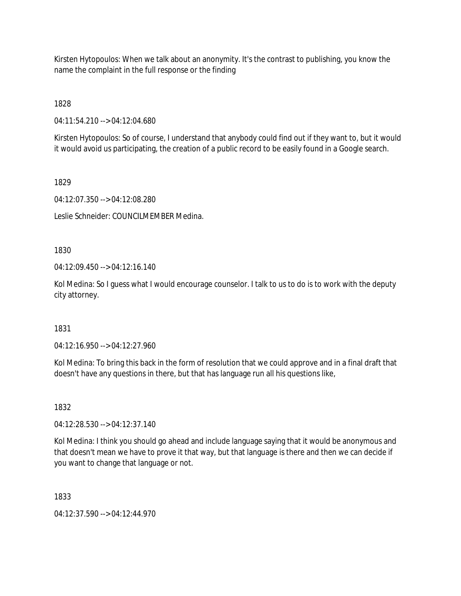Kirsten Hytopoulos: When we talk about an anonymity. It's the contrast to publishing, you know the name the complaint in the full response or the finding

1828

04:11:54.210 --> 04:12:04.680

Kirsten Hytopoulos: So of course, I understand that anybody could find out if they want to, but it would it would avoid us participating, the creation of a public record to be easily found in a Google search.

1829

04:12:07.350 --> 04:12:08.280

Leslie Schneider: COUNCILMEMBER Medina.

1830

04:12:09.450 --> 04:12:16.140

Kol Medina: So I guess what I would encourage counselor. I talk to us to do is to work with the deputy city attorney.

1831

04:12:16.950 --> 04:12:27.960

Kol Medina: To bring this back in the form of resolution that we could approve and in a final draft that doesn't have any questions in there, but that has language run all his questions like,

1832

04:12:28.530 --> 04:12:37.140

Kol Medina: I think you should go ahead and include language saying that it would be anonymous and that doesn't mean we have to prove it that way, but that language is there and then we can decide if you want to change that language or not.

1833

04:12:37.590 --> 04:12:44.970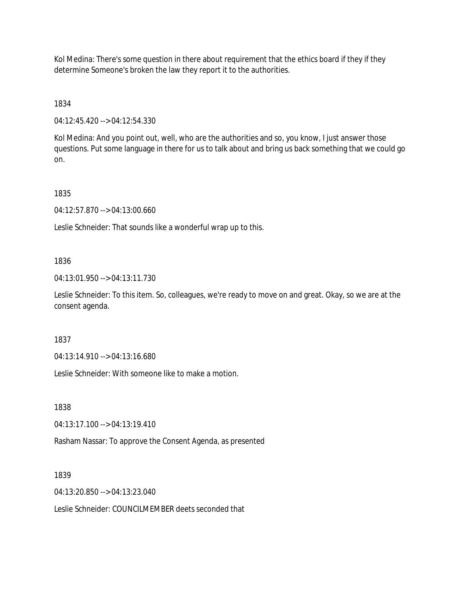Kol Medina: There's some question in there about requirement that the ethics board if they if they determine Someone's broken the law they report it to the authorities.

1834

04:12:45.420 --> 04:12:54.330

Kol Medina: And you point out, well, who are the authorities and so, you know, I just answer those questions. Put some language in there for us to talk about and bring us back something that we could go on.

1835

04:12:57.870 --> 04:13:00.660

Leslie Schneider: That sounds like a wonderful wrap up to this.

1836

04:13:01.950 --> 04:13:11.730

Leslie Schneider: To this item. So, colleagues, we're ready to move on and great. Okay, so we are at the consent agenda.

1837

04:13:14.910 --> 04:13:16.680

Leslie Schneider: With someone like to make a motion.

1838

04:13:17.100 --> 04:13:19.410

Rasham Nassar: To approve the Consent Agenda, as presented

1839

04:13:20.850 --> 04:13:23.040

Leslie Schneider: COUNCILMEMBER deets seconded that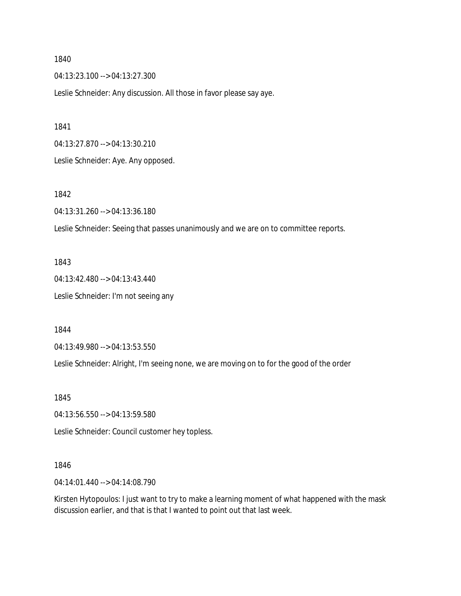1840

04:13:23.100 --> 04:13:27.300

Leslie Schneider: Any discussion. All those in favor please say aye.

1841

04:13:27.870 --> 04:13:30.210

Leslie Schneider: Aye. Any opposed.

1842

04:13:31.260 --> 04:13:36.180

Leslie Schneider: Seeing that passes unanimously and we are on to committee reports.

1843

04:13:42.480 --> 04:13:43.440 Leslie Schneider: I'm not seeing any

1844

04:13:49.980 --> 04:13:53.550

Leslie Schneider: Alright, I'm seeing none, we are moving on to for the good of the order

1845

04:13:56.550 --> 04:13:59.580

Leslie Schneider: Council customer hey topless.

1846

04:14:01.440 --> 04:14:08.790

Kirsten Hytopoulos: I just want to try to make a learning moment of what happened with the mask discussion earlier, and that is that I wanted to point out that last week.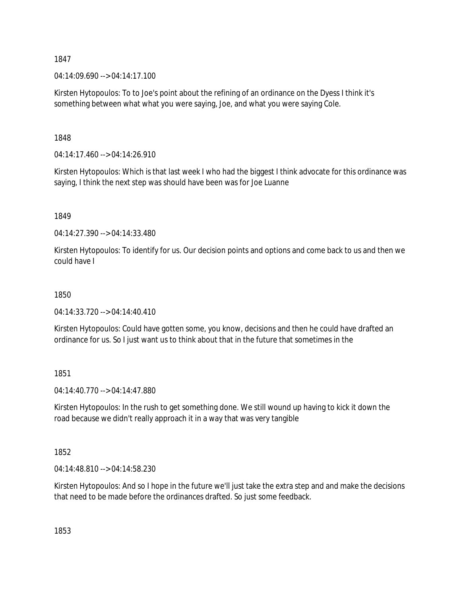1847

04:14:09.690 --> 04:14:17.100

Kirsten Hytopoulos: To to Joe's point about the refining of an ordinance on the Dyess I think it's something between what what you were saying, Joe, and what you were saying Cole.

1848

04:14:17.460 --> 04:14:26.910

Kirsten Hytopoulos: Which is that last week I who had the biggest I think advocate for this ordinance was saying, I think the next step was should have been was for Joe Luanne

1849

04:14:27.390 --> 04:14:33.480

Kirsten Hytopoulos: To identify for us. Our decision points and options and come back to us and then we could have I

# 1850

04:14:33.720 --> 04:14:40.410

Kirsten Hytopoulos: Could have gotten some, you know, decisions and then he could have drafted an ordinance for us. So I just want us to think about that in the future that sometimes in the

1851

04:14:40.770 --> 04:14:47.880

Kirsten Hytopoulos: In the rush to get something done. We still wound up having to kick it down the road because we didn't really approach it in a way that was very tangible

1852

04:14:48.810 --> 04:14:58.230

Kirsten Hytopoulos: And so I hope in the future we'll just take the extra step and and make the decisions that need to be made before the ordinances drafted. So just some feedback.

1853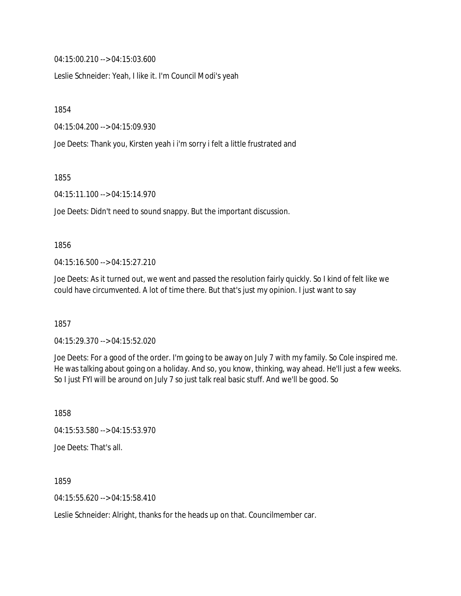04:15:00.210 --> 04:15:03.600

Leslie Schneider: Yeah, I like it. I'm Council Modi's yeah

1854

04:15:04.200 --> 04:15:09.930

Joe Deets: Thank you, Kirsten yeah i i'm sorry i felt a little frustrated and

1855

04:15:11.100 --> 04:15:14.970

Joe Deets: Didn't need to sound snappy. But the important discussion.

### 1856

04:15:16.500 --> 04:15:27.210

Joe Deets: As it turned out, we went and passed the resolution fairly quickly. So I kind of felt like we could have circumvented. A lot of time there. But that's just my opinion. I just want to say

1857

04:15:29.370 --> 04:15:52.020

Joe Deets: For a good of the order. I'm going to be away on July 7 with my family. So Cole inspired me. He was talking about going on a holiday. And so, you know, thinking, way ahead. He'll just a few weeks. So I just FYI will be around on July 7 so just talk real basic stuff. And we'll be good. So

1858 04:15:53.580 --> 04:15:53.970 Joe Deets: That's all.

1859

04:15:55.620 --> 04:15:58.410

Leslie Schneider: Alright, thanks for the heads up on that. Councilmember car.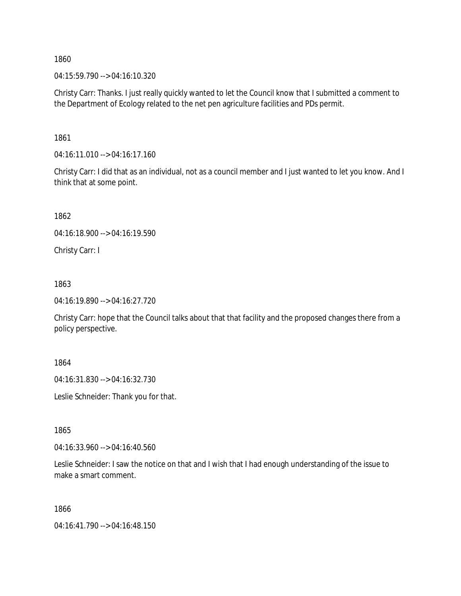1860

04:15:59.790 --> 04:16:10.320

Christy Carr: Thanks. I just really quickly wanted to let the Council know that I submitted a comment to the Department of Ecology related to the net pen agriculture facilities and PDs permit.

1861

04:16:11.010 --> 04:16:17.160

Christy Carr: I did that as an individual, not as a council member and I just wanted to let you know. And I think that at some point.

1862

04:16:18.900 --> 04:16:19.590

Christy Carr: I

1863

04:16:19.890 --> 04:16:27.720

Christy Carr: hope that the Council talks about that that facility and the proposed changes there from a policy perspective.

1864

04:16:31.830 --> 04:16:32.730

Leslie Schneider: Thank you for that.

1865

04:16:33.960 --> 04:16:40.560

Leslie Schneider: I saw the notice on that and I wish that I had enough understanding of the issue to make a smart comment.

1866

04:16:41.790 --> 04:16:48.150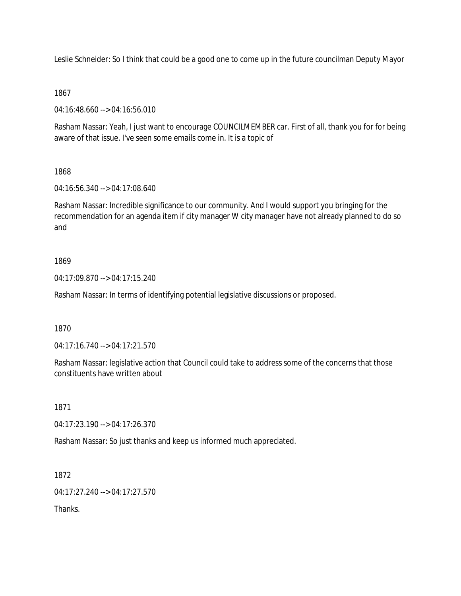Leslie Schneider: So I think that could be a good one to come up in the future councilman Deputy Mayor

# 1867

04:16:48.660 --> 04:16:56.010

Rasham Nassar: Yeah, I just want to encourage COUNCILMEMBER car. First of all, thank you for for being aware of that issue. I've seen some emails come in. It is a topic of

# 1868

04:16:56.340 --> 04:17:08.640

Rasham Nassar: Incredible significance to our community. And I would support you bringing for the recommendation for an agenda item if city manager W city manager have not already planned to do so and

# 1869

04:17:09.870 --> 04:17:15.240

Rasham Nassar: In terms of identifying potential legislative discussions or proposed.

### 1870

04:17:16.740 --> 04:17:21.570

Rasham Nassar: legislative action that Council could take to address some of the concerns that those constituents have written about

### 1871

04:17:23.190 --> 04:17:26.370

Rasham Nassar: So just thanks and keep us informed much appreciated.

1872

04:17:27.240 --> 04:17:27.570

Thanks.